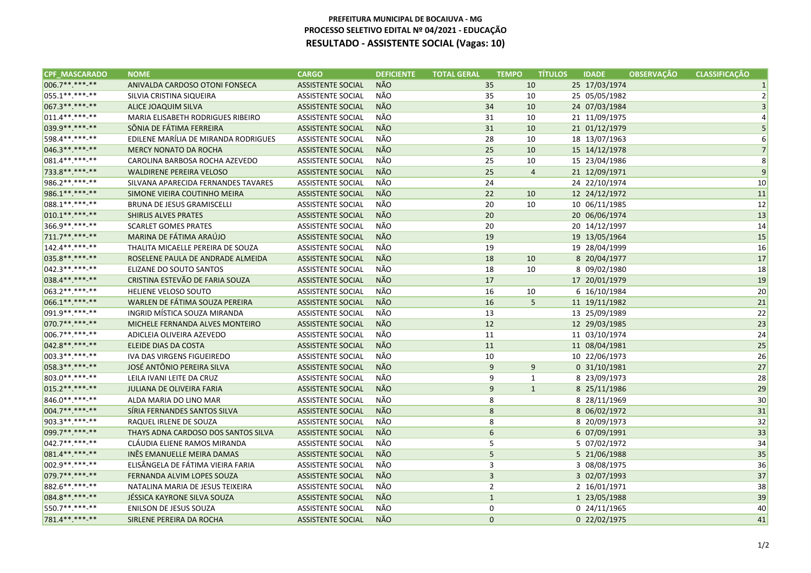## **PREFEITURA MUNICIPAL DE BOCAIUVA - MG PROCESSO SELETIVO EDITAL Nº 04/2021 - EDUCAÇÃORESULTADO - ASSISTENTE SOCIAL (Vagas: 10)**

| <b>CPF MASCARADO</b> | <b>NOME</b>                              | <b>CARGO</b>             | <b>DEFICIENTE</b> | <b>TOTAL GERAL</b><br><b>TEMPO</b> | <b>TÍTULOS</b> | <b>IDADE</b>  | <b>OBSERVACÃO</b> | <b>CLASSIFICACÃO</b> |
|----------------------|------------------------------------------|--------------------------|-------------------|------------------------------------|----------------|---------------|-------------------|----------------------|
| 006.7**.***.**       | ANIVALDA CARDOSO OTONI FONSECA           | <b>ASSISTENTE SOCIAL</b> | <b>NÃO</b>        | 35                                 | 10             | 25 17/03/1974 |                   | $\mathbf{1}$         |
| 055.1**.***.**       | SILVIA CRISTINA SIQUEIRA                 | <b>ASSISTENTE SOCIAL</b> | NÃO               | 35                                 | 10             | 25 05/05/1982 |                   | $\overline{2}$       |
| 067.3**.***.**       | ALICE JOAQUIM SILVA                      | <b>ASSISTENTE SOCIAL</b> | <b>NÃO</b>        | 34                                 | 10             | 24 07/03/1984 |                   | $\mathsf 3$          |
| 011.4**.***-**       | <b>MARIA ELISABETH RODRIGUES RIBEIRO</b> | <b>ASSISTENTE SOCIAL</b> | NÃO               | 31                                 | 10             | 21 11/09/1975 |                   | 4                    |
| 039.9 ** *** **      | SÔNIA DE FÁTIMA FERREIRA                 | <b>ASSISTENTE SOCIAL</b> | <b>NÃO</b>        | 31                                 | 10             | 21 01/12/1979 |                   | 5                    |
| 598.4**.***.**       | EDILENE MARÍLIA DE MIRANDA RODRIGUES     | <b>ASSISTENTE SOCIAL</b> | NÃO               | 28                                 | 10             | 18 13/07/1963 |                   | 6                    |
| 046.3**.***.**       | <b>MERCY NONATO DA ROCHA</b>             | <b>ASSISTENTE SOCIAL</b> | <b>NÃO</b>        | 25                                 | 10             | 15 14/12/1978 |                   | $\overline{7}$       |
| 081.4**.***-**       | CAROLINA BARBOSA ROCHA AZEVEDO           | <b>ASSISTENTE SOCIAL</b> | NÃO               | 25                                 | 10             | 15 23/04/1986 |                   | 8                    |
| 733.8**.***.**       | <b>WALDIRENE PEREIRA VELOSO</b>          | <b>ASSISTENTE SOCIAL</b> | <b>NÃO</b>        | 25                                 | $\overline{4}$ | 21 12/09/1971 |                   | $\overline{9}$       |
| 986.2 ** .*** -**    | SILVANA APARECIDA FERNANDES TAVARES      | <b>ASSISTENTE SOCIAL</b> | NÃO               | 24                                 |                | 24 22/10/1974 |                   | 10                   |
| 986.1**.***-**       | SIMONE VIEIRA COUTINHO MEIRA             | <b>ASSISTENTE SOCIAL</b> | NÃO               | 22                                 | 10             | 12 24/12/1972 |                   | 11                   |
| 088.1**.***-**       | <b>BRUNA DE JESUS GRAMISCELLI</b>        | <b>ASSISTENTE SOCIAL</b> | NÃO               | 20                                 | 10             | 10 06/11/1985 |                   | 12                   |
| $010.1******$        | <b>SHIRLIS ALVES PRATES</b>              | <b>ASSISTENTE SOCIAL</b> | NÃO               | 20                                 |                | 20 06/06/1974 |                   | 13                   |
| 366.9**.***-**       | <b>SCARLET GOMES PRATES</b>              | <b>ASSISTENTE SOCIAL</b> | NÃO               | 20                                 |                | 20 14/12/1997 |                   | 14                   |
| 711.7**.***-**       | MARINA DE FÁTIMA ARAÚJO                  | <b>ASSISTENTE SOCIAL</b> | NÃO               | 19                                 |                | 19 13/05/1964 |                   | 15                   |
| 142.4 ** *** -**     | THALITA MICAELLE PEREIRA DE SOUZA        | <b>ASSISTENTE SOCIAL</b> | NÃO               | 19                                 |                | 19 28/04/1999 |                   | 16                   |
| 035.8**.***.**       | ROSELENE PAULA DE ANDRADE ALMEIDA        | <b>ASSISTENTE SOCIAL</b> | NÃO               | 18                                 | 10             | 8 20/04/1977  |                   | 17                   |
| 042.3 **. ***- **    | ELIZANE DO SOUTO SANTOS                  | <b>ASSISTENTE SOCIAL</b> | NÃO               | 18                                 | 10             | 8 09/02/1980  |                   | 18                   |
| 038.4**.***-**       | CRISTINA ESTEVÃO DE FARIA SOUZA          | <b>ASSISTENTE SOCIAL</b> | <b>NÃO</b>        | 17                                 |                | 17 20/01/1979 |                   | 19                   |
| 063.2 ** *** -**     | HELIENE VELOSO SOUTO                     | <b>ASSISTENTE SOCIAL</b> | NÃO               | 16                                 | 10             | 6 16/10/1984  |                   | 20                   |
| 066.1**.***.**       | WARLEN DE FÁTIMA SOUZA PEREIRA           | <b>ASSISTENTE SOCIAL</b> | <b>NÃO</b>        | 16                                 | 5              | 11 19/11/1982 |                   | 21                   |
| 091.9 ** *** **      | INGRID MÍSTICA SOUZA MIRANDA             | <b>ASSISTENTE SOCIAL</b> | NÃO               | 13                                 |                | 13 25/09/1989 |                   | 22                   |
| 070.7**.***.**       | MICHELE FERNANDA ALVES MONTEIRO          | <b>ASSISTENTE SOCIAL</b> | NÃO               | 12                                 |                | 12 29/03/1985 |                   | 23                   |
| 006.7**.***-**       | ADICLEIA OLIVEIRA AZEVEDO                | <b>ASSISTENTE SOCIAL</b> | NÃO               | 11                                 |                | 11 03/10/1974 |                   | 24                   |
| 042.8 ** *** **      | ELEIDE DIAS DA COSTA                     | <b>ASSISTENTE SOCIAL</b> | <b>NÃO</b>        | 11                                 |                | 11 08/04/1981 |                   | 25                   |
| 003.3 ** .*** -**    | IVA DAS VIRGENS FIGUEIREDO               | <b>ASSISTENTE SOCIAL</b> | NÃO               | 10                                 |                | 10 22/06/1973 |                   | 26                   |
| 058.3**.***.**       | JOSÉ ANTÔNIO PEREIRA SILVA               | <b>ASSISTENTE SOCIAL</b> | <b>NÃO</b>        | 9                                  | 9              | 0 31/10/1981  |                   | 27                   |
| 803.0**.***-**       | LEILA IVANI LEITE DA CRUZ                | <b>ASSISTENTE SOCIAL</b> | NÃO               | 9                                  | $\mathbf{1}$   | 8 23/09/1973  |                   | 28                   |
| 015.2 ** *** **      | <b>JULIANA DE OLIVEIRA FARIA</b>         | <b>ASSISTENTE SOCIAL</b> | <b>NÃO</b>        | $9\,$                              | $\mathbf{1}$   | 8 25/11/1986  |                   | 29                   |
| 846.0**.***-**       | ALDA MARIA DO LINO MAR                   | <b>ASSISTENTE SOCIAL</b> | NÃO               | 8                                  |                | 8 28/11/1969  |                   | 30                   |
| 004.7**.***.**       | SÍRIA FERNANDES SANTOS SILVA             | <b>ASSISTENTE SOCIAL</b> | NÃO               | $\,8\,$                            |                | 8 06/02/1972  |                   | 31                   |
| 903.3 **. *** **     | RAQUEL IRLENE DE SOUZA                   | <b>ASSISTENTE SOCIAL</b> | NÃO               | 8                                  |                | 8 20/09/1973  |                   | 32                   |
| 099.7**.***.**       | THAYS ADNA CARDOSO DOS SANTOS SILVA      | <b>ASSISTENTE SOCIAL</b> | <b>NÃO</b>        | 6                                  |                | 6 07/09/1991  |                   | 33                   |
| 042.7**.***.**       | CLÁUDIA ELIENE RAMOS MIRANDA             | <b>ASSISTENTE SOCIAL</b> | NÃO               | 5                                  |                | 5 07/02/1972  |                   | 34                   |
| 081.4**.***.**       | INÊS EMANUELLE MEIRA DAMAS               | <b>ASSISTENTE SOCIAL</b> | <b>NÃO</b>        | 5                                  |                | 5 21/06/1988  |                   | 35                   |
| 002.9 ** .*** -**    | ELISÂNGELA DE FÁTIMA VIEIRA FARIA        | <b>ASSISTENTE SOCIAL</b> | NÃO               | $\mathsf 3$                        |                | 3 08/08/1975  |                   | 36                   |
| 079.7**.***-**       | FERNANDA ALVIM LOPES SOUZA               | <b>ASSISTENTE SOCIAL</b> | NÃO               | $\overline{3}$                     |                | 3 02/07/1993  |                   | 37                   |
| 882.6 ** *** **      | NATALINA MARIA DE JESUS TEIXEIRA         | <b>ASSISTENTE SOCIAL</b> | NÃO               | $\overline{2}$                     |                | 2 16/01/1971  |                   | 38                   |
| 084.8 ** *** **      | JÉSSICA KAYRONE SILVA SOUZA              | <b>ASSISTENTE SOCIAL</b> | NÃO               | $\mathbf{1}$                       |                | 1 23/05/1988  |                   | 39                   |
| 550.7**.***-**       | ENILSON DE JESUS SOUZA                   | <b>ASSISTENTE SOCIAL</b> | NÃO               | 0                                  |                | 0 24/11/1965  |                   | 40                   |
| 781.4**.***.**       | SIRLENE PEREIRA DA ROCHA                 | <b>ASSISTENTE SOCIAL</b> | <b>NÃO</b>        | $\mathbf 0$                        |                | 0 22/02/1975  |                   | 41                   |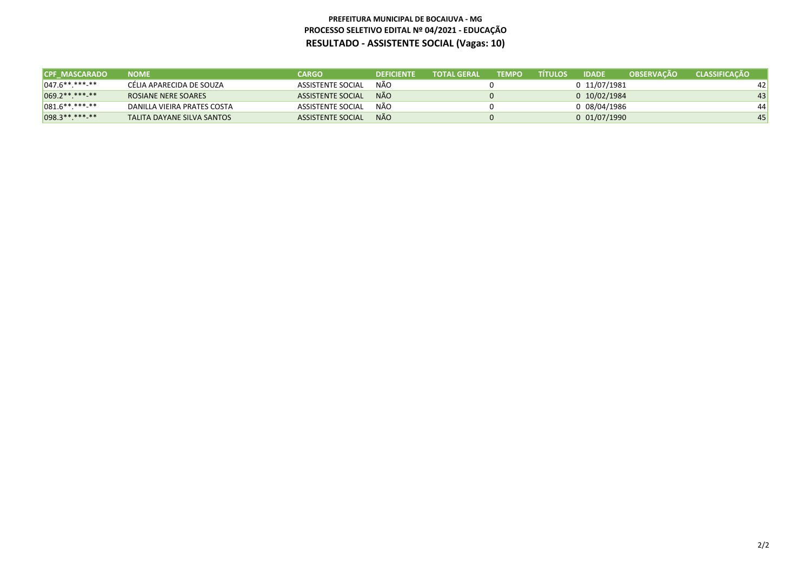## **PREFEITURA MUNICIPAL DE BOCAIUVA - MG PROCESSO SELETIVO EDITAL Nº 04/2021 - EDUCAÇÃORESULTADO - ASSISTENTE SOCIAL (Vagas: 10)**

| <b>CPF MASCARADO</b> | <b>NOME</b>                 | <b>CARGO</b>             | <b>DEFICIENTE</b> | <b>TOTAL GERAL</b> | <b>TEMPO</b> | <b>ATÍTULOS</b> | <b>IDADE</b>      | <b>OBSERVACÃO</b> | <b>CLASSIFICACÃO</b> |
|----------------------|-----------------------------|--------------------------|-------------------|--------------------|--------------|-----------------|-------------------|-------------------|----------------------|
| $ 047.6*********$    | CÉLIA APARECIDA DE SOUZA    | ASSISTENTE SOCIAL        | NÃO               |                    |              |                 | 0 11/07/1981      |                   | 42 <sup>1</sup>      |
| 069.2 ** *** **      | ROSIANE NERE SOARES         | <b>ASSISTENTE SOCIAL</b> | NÃO.              |                    |              |                 | $0$ 10/02/1984    |                   | 43'                  |
| $ 081.6*********$    | DANILLA VIEIRA PRATES COSTA | <b>ASSISTENTE SOCIAL</b> | NÃO               |                    |              |                 | 0 08/04/1986      |                   | 44                   |
| $098.3*********$     | TALITA DAYANE SILVA SANTOS  | ASSISTENTE SOCIAL        | <b>NÃO</b>        |                    |              |                 | $0\ \ 01/07/1990$ |                   | 45'                  |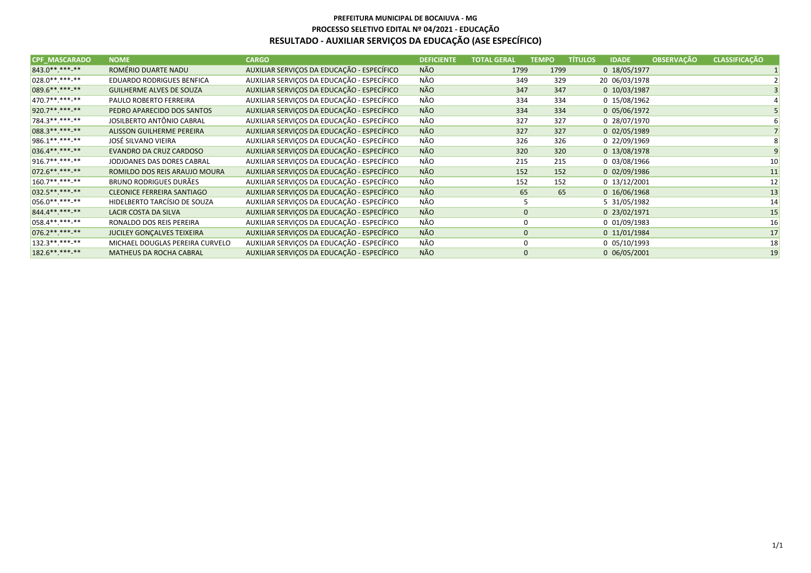| <b>CPF MASCARADO</b> | <b>NOME</b>                       | <b>CARGO</b>                               | <b>DEFICIENTE</b> | <b>TOTAL GERAL</b> | <b>TEMPO</b> | <b>TÍTULOS</b> | <b>IDADE</b>   | <b>OBSERVAÇÃO</b> | <b>CLASSIFICAÇÃO</b> |
|----------------------|-----------------------------------|--------------------------------------------|-------------------|--------------------|--------------|----------------|----------------|-------------------|----------------------|
| 843.0**.***-**       | ROMÉRIO DUARTE NADU               | AUXILIAR SERVIÇOS DA EDUCAÇÃO - ESPECÍFICO | NÃO               | 1799               | 1799         |                | 0 18/05/1977   |                   |                      |
| $ 028.0*********$    | EDUARDO RODRIGUES BENFICA         | AUXILIAR SERVIÇOS DA EDUCAÇÃO - ESPECÍFICO | NÃO               | 349                | 329          |                | 20 06/03/1978  |                   |                      |
| 089.6**.***-**       | <b>GUILHERME ALVES DE SOUZA</b>   | AUXILIAR SERVIÇOS DA EDUCAÇÃO - ESPECÍFICO | NÃO               | 347                | 347          |                | $0$ 10/03/1987 |                   |                      |
| 470.7**.***-**       | PAULO ROBERTO FERREIRA            | AUXILIAR SERVIÇOS DA EDUCAÇÃO - ESPECÍFICO | NÃO               | 334                | 334          |                | 0 15/08/1962   |                   |                      |
| 920.7**.***-**       | PEDRO APARECIDO DOS SANTOS        | AUXILIAR SERVIÇOS DA EDUCAÇÃO - ESPECÍFICO | <b>NÃO</b>        | 334                | 334          |                | 0 05/06/1972   |                   |                      |
| 784.3**.***-**       | JOSILBERTO ANTÔNIO CABRAL         | AUXILIAR SERVIÇOS DA EDUCAÇÃO - ESPECÍFICO | NÃO               | 327                | 327          |                | 0 28/07/1970   |                   |                      |
| 088.3**.***.**       | ALISSON GUILHERME PEREIRA         | AUXILIAR SERVIÇOS DA EDUCAÇÃO - ESPECÍFICO | NÃO               | 327                | 327          |                | $0$ 02/05/1989 |                   |                      |
| 986.1**.***-**       | JOSÉ SILVANO VIEIRA               | AUXILIAR SERVIÇOS DA EDUCAÇÃO - ESPECÍFICO | NÃO               | 326                | 326          |                | 0 22/09/1969   |                   |                      |
| 036.4**.***-**       | EVANDRO DA CRUZ CARDOSO           | AUXILIAR SERVIÇOS DA EDUCAÇÃO - ESPECÍFICO | NÃO               | 320                | 320          |                | 0 13/08/1978   |                   |                      |
| 916.7**.***-**       | JODJOANES DAS DORES CABRAL        | AUXILIAR SERVIÇOS DA EDUCAÇÃO - ESPECÍFICO | NÃO               | 215                | 215          |                | 0 03/08/1966   |                   | 10                   |
| 072.6**.***-**       | ROMILDO DOS REIS ARAUJO MOURA     | AUXILIAR SERVIÇOS DA EDUCAÇÃO - ESPECÍFICO | NÃO               | 152                | 152          |                | $0$ 02/09/1986 |                   | 11                   |
| $160.7*********$     | <b>BRUNO RODRIGUES DURÃES</b>     | AUXILIAR SERVIÇOS DA EDUCAÇÃO - ESPECÍFICO | NÃO               | 152                | 152          |                | $0$ 13/12/2001 |                   | 12                   |
| 032.5** *** **       | <b>CLEONICE FERREIRA SANTIAGO</b> | AUXILIAR SERVIÇOS DA EDUCAÇÃO - ESPECÍFICO | NÃO               |                    | 65<br>65     |                | 0 16/06/1968   |                   | 13                   |
| $056.0*********$     | HIDELBERTO TARCÍSIO DE SOUZA      | AUXILIAR SERVIÇOS DA EDUCAÇÃO - ESPECÍFICO | NÃO               |                    |              |                | 5 31/05/1982   |                   | 14                   |
| 844.4**.***-**       | LACIR COSTA DA SILVA              | AUXILIAR SERVIÇOS DA EDUCAÇÃO - ESPECÍFICO | NÃO               |                    | $\mathbf 0$  |                | 0 23/02/1971   |                   | 15                   |
| $058.4******$        | RONALDO DOS REIS PEREIRA          | AUXILIAR SERVIÇOS DA EDUCAÇÃO - ESPECÍFICO | NÃO               |                    | 0            |                | $0$ 01/09/1983 |                   | 16                   |
| $076.2*********$     | JUCILEY GONÇALVES TEIXEIRA        | AUXILIAR SERVIÇOS DA EDUCAÇÃO - ESPECÍFICO | <b>NÃO</b>        |                    | $\mathbf{0}$ |                | 0 11/01/1984   |                   | 17                   |
| $132.3*********$     | MICHAEL DOUGLAS PEREIRA CURVELO   | AUXILIAR SERVIÇOS DA EDUCAÇÃO - ESPECÍFICO | NÃO               |                    | 0            |                | $0$ 05/10/1993 |                   | 18                   |
| 182.6 ** *** -**     | <b>MATHEUS DA ROCHA CABRAL</b>    | AUXILIAR SERVIÇOS DA EDUCAÇÃO - ESPECÍFICO | NÃO               |                    | $\mathbf{0}$ |                | $0$ 06/05/2001 |                   | 19                   |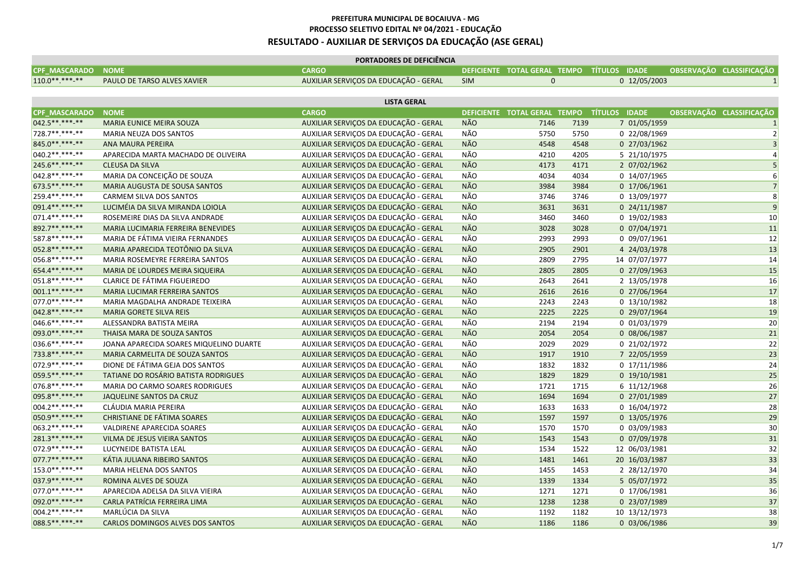| <b>NOME</b><br><b>CARGO</b><br>DEFICIENTE TOTAL GERAL TEMPO TÍTULOS IDADE<br>OBSERVAÇÃO CLASSIFICAÇÃO<br>AUXILIAR SERVIÇOS DA EDUCAÇÃO - GERAL<br>$\mathbf 0$<br>0 12/05/2003<br>PAULO DE TARSO ALVES XAVIER<br><b>SIM</b><br><b>LISTA GERAL</b><br>DEFICIENTE TOTAL GERAL TEMPO TÍTULOS IDADE<br>OBSERVAÇÃO CLASSIFICAÇÃO<br><b>NOME</b><br><b>CARGO</b><br>NÃO<br>MARIA EUNICE MEIRA SOUZA<br>AUXILIAR SERVIÇOS DA EDUCAÇÃO - GERAL<br>7146<br>7 01/05/1959<br>7139<br>$\mathbf{1}$<br>NÃO<br>MARIA NEUZA DOS SANTOS<br>5750<br>5750<br>$\overline{2}$<br>AUXILIAR SERVIÇOS DA EDUCAÇÃO - GERAL<br>0 22/08/1969<br><b>NÃO</b><br>4548<br>4548<br>3<br>ANA MAURA PEREIRA<br>AUXILIAR SERVIÇOS DA EDUCAÇÃO - GERAL<br>0 27/03/1962<br>NÃO<br>AUXILIAR SERVIÇOS DA EDUCAÇÃO - GERAL<br>4210<br>4205<br>5 21/10/1975<br>APARECIDA MARTA MACHADO DE OLIVEIRA<br>$\vert$<br>NÃO<br>AUXILIAR SERVIÇOS DA EDUCAÇÃO - GERAL<br>4173<br>4171<br>5<br><b>CLEUSA DA SILVA</b><br>2 07/02/1962<br>NÃO<br>$6 \mid$<br>MARIA DA CONCEIÇÃO DE SOUZA<br>AUXILIAR SERVIÇOS DA EDUCAÇÃO - GERAL<br>4034<br>4034<br>0 14/07/1965<br>NÃO<br>3984<br>7<br>MARIA AUGUSTA DE SOUSA SANTOS<br>AUXILIAR SERVIÇOS DA EDUCAÇÃO - GERAL<br>3984<br>0 17/06/1961<br>NÃO<br>8<br>3746<br>3746<br>CARMEM SILVA DOS SANTOS<br>AUXILIAR SERVIÇOS DA EDUCAÇÃO - GERAL<br>0 13/09/1977<br> 9 <br><b>NÃO</b><br>LUCIMÉIA DA SILVA MIRANDA LOIOLA<br>AUXILIAR SERVIÇOS DA EDUCAÇÃO - GERAL<br>3631<br>3631<br>0 24/11/1987<br>NÃO<br>3460<br>ROSEMEIRE DIAS DA SILVA ANDRADE<br>AUXILIAR SERVIÇOS DA EDUCAÇÃO - GERAL<br>3460<br>0 19/02/1983<br>10 <sup>°</sup><br>NÃO<br>AUXILIAR SERVIÇOS DA EDUCAÇÃO - GERAL<br>3028<br>3028<br>0 07/04/1971<br>11<br>MARIA LUCIMARIA FERREIRA BENEVIDES<br>NÃO<br>2993<br>2993<br>12<br>MARIA DE FÁTIMA VIEIRA FERNANDES<br>AUXILIAR SERVIÇOS DA EDUCAÇÃO - GERAL<br>0 09/07/1961<br><b>NÃO</b><br>MARIA APARECIDA TEOTÔNIO DA SILVA<br>2905<br>2901<br>13<br>AUXILIAR SERVIÇOS DA EDUCAÇÃO - GERAL<br>4 24/03/1978<br>NÃO<br>2809<br>2795<br>14<br>MARIA ROSEMEYRE FERREIRA SANTOS<br>AUXILIAR SERVIÇOS DA EDUCAÇÃO - GERAL<br>14 07/07/1977<br><b>NÃO</b><br>15<br>MARIA DE LOURDES MEIRA SIQUEIRA<br>AUXILIAR SERVIÇOS DA EDUCAÇÃO - GERAL<br>2805<br>2805<br>0 27/09/1963<br>NÃO<br>2643<br>16<br>CLARICE DE FÁTIMA FIGUEIREDO<br>AUXILIAR SERVIÇOS DA EDUCAÇÃO - GERAL<br>2641<br>2 13/05/1978<br>NÃO<br>2616<br>17<br>MARIA LUCIMAR FERREIRA SANTOS<br>AUXILIAR SERVIÇOS DA EDUCAÇÃO - GERAL<br>2616<br>0 27/06/1964<br>NÃO<br>AUXILIAR SERVIÇOS DA EDUCAÇÃO - GERAL<br>2243<br>2243<br>18<br>MARIA MAGDALHA ANDRADE TEIXEIRA<br>0 13/10/1982<br><b>NÃO</b><br>2225<br>19<br><b>MARIA GORETE SILVA REIS</b><br>AUXILIAR SERVIÇOS DA EDUCAÇÃO - GERAL<br>2225<br>0 29/07/1964<br>NÃO<br>20<br>2194<br>2194<br>ALESSANDRA BATISTA MEIRA<br>AUXILIAR SERVIÇOS DA EDUCAÇÃO - GERAL<br>$0$ 01/03/1979<br>NÃO<br>2054<br>21<br>THAISA MARA DE SOUZA SANTOS<br>AUXILIAR SERVIÇOS DA EDUCAÇÃO - GERAL<br>2054<br>0 08/06/1987<br>NÃO<br>2029<br>2029<br>0 21/02/1972<br>22<br>JOANA APARECIDA SOARES MIQUELINO DUARTE<br>AUXILIAR SERVIÇOS DA EDUCAÇÃO - GERAL<br><b>NÃO</b><br>1917<br>1910<br>23<br>MARIA CARMELITA DE SOUZA SANTOS<br>AUXILIAR SERVIÇOS DA EDUCAÇÃO - GERAL<br>7 22/05/1959<br>NÃO<br>1832<br>24<br>1832<br>DIONE DE FÁTIMA GEJA DOS SANTOS<br>AUXILIAR SERVIÇOS DA EDUCAÇÃO - GERAL<br>0 17/11/1986<br>NÃO<br>TATIANE DO ROSÁRIO BATISTA RODRIGUES<br>AUXILIAR SERVIÇOS DA EDUCAÇÃO - GERAL<br>1829<br>1829<br>25<br>0 19/10/1981<br>NÃO<br>26<br>MARIA DO CARMO SOARES RODRIGUES<br>AUXILIAR SERVIÇOS DA EDUCAÇÃO - GERAL<br>1721<br>1715<br>6 11/12/1968<br>NÃO<br>1694<br>27<br>AUXILIAR SERVIÇOS DA EDUCAÇÃO - GERAL<br>1694<br>JAQUELINE SANTOS DA CRUZ<br>0 27/01/1989<br>NÃO<br>28<br>CLÁUDIA MARIA PEREIRA<br>AUXILIAR SERVIÇOS DA EDUCAÇÃO - GERAL<br>1633<br>1633<br>0 16/04/1972<br>NÃO<br>CHRISTIANE DE FÁTIMA SOARES<br>1597<br>1597<br>29<br>AUXILIAR SERVIÇOS DA EDUCAÇÃO - GERAL<br>0 13/05/1976<br>NÃO<br>1570<br>30<br>VALDIRENE APARECIDA SOARES<br>AUXILIAR SERVIÇOS DA EDUCAÇÃO - GERAL<br>1570<br>$0$ 03/09/1983<br><b>NÃO</b><br>VILMA DE JESUS VIEIRA SANTOS<br>AUXILIAR SERVIÇOS DA EDUCAÇÃO - GERAL<br>1543<br>1543<br>0 07/09/1978<br>31<br>NÃO<br>1534<br>32<br>LUCYNEIDE BATISTA LEAL<br>AUXILIAR SERVIÇOS DA EDUCAÇÃO - GERAL<br>1522<br>12 06/03/1981<br><b>NÃO</b><br>1481<br>33<br>KÁTIA JULIANA RIBEIRO SANTOS<br>AUXILIAR SERVIÇOS DA EDUCAÇÃO - GERAL<br>1461<br>20 16/03/1987<br>MARIA HELENA DOS SANTOS<br>AUXILIAR SERVIÇOS DA EDUCAÇÃO - GERAL<br>NÃO<br>1455<br>34<br>1453<br>2 28/12/1970<br><b>NÃO</b><br>35<br>ROMINA ALVES DE SOUZA<br>AUXILIAR SERVIÇOS DA EDUCAÇÃO - GERAL<br>1339<br>1334<br>5 05/07/1972<br>NÃO<br>1271<br>36<br>APARECIDA ADELSA DA SILVA VIEIRA<br>AUXILIAR SERVIÇOS DA EDUCAÇÃO - GERAL<br>1271<br>0 17/06/1981<br><b>NÃO</b><br>37<br>CARLA PATRÍCIA FERREIRA LIMA<br>AUXILIAR SERVIÇOS DA EDUCAÇÃO - GERAL<br>1238<br>1238<br>0 23/07/1989<br>NÃO<br>1192<br>1182<br>38<br>MARLÚCIA DA SILVA<br>AUXILIAR SERVIÇOS DA EDUCAÇÃO - GERAL<br>10 13/12/1973<br>AUXILIAR SERVIÇOS DA EDUCAÇÃO - GERAL<br><b>NÃO</b><br>1186<br>CARLOS DOMINGOS ALVES DOS SANTOS<br>1186<br>0 03/06/1986<br>39 |                      | PORTADORES DE DEFICIÊNCIA |  |  |  |
|----------------------------------------------------------------------------------------------------------------------------------------------------------------------------------------------------------------------------------------------------------------------------------------------------------------------------------------------------------------------------------------------------------------------------------------------------------------------------------------------------------------------------------------------------------------------------------------------------------------------------------------------------------------------------------------------------------------------------------------------------------------------------------------------------------------------------------------------------------------------------------------------------------------------------------------------------------------------------------------------------------------------------------------------------------------------------------------------------------------------------------------------------------------------------------------------------------------------------------------------------------------------------------------------------------------------------------------------------------------------------------------------------------------------------------------------------------------------------------------------------------------------------------------------------------------------------------------------------------------------------------------------------------------------------------------------------------------------------------------------------------------------------------------------------------------------------------------------------------------------------------------------------------------------------------------------------------------------------------------------------------------------------------------------------------------------------------------------------------------------------------------------------------------------------------------------------------------------------------------------------------------------------------------------------------------------------------------------------------------------------------------------------------------------------------------------------------------------------------------------------------------------------------------------------------------------------------------------------------------------------------------------------------------------------------------------------------------------------------------------------------------------------------------------------------------------------------------------------------------------------------------------------------------------------------------------------------------------------------------------------------------------------------------------------------------------------------------------------------------------------------------------------------------------------------------------------------------------------------------------------------------------------------------------------------------------------------------------------------------------------------------------------------------------------------------------------------------------------------------------------------------------------------------------------------------------------------------------------------------------------------------------------------------------------------------------------------------------------------------------------------------------------------------------------------------------------------------------------------------------------------------------------------------------------------------------------------------------------------------------------------------------------------------------------------------------------------------------------------------------------------------------------------------------------------------------------------------------------------------------------------------------------------------------------------------------------------------------------------------------------------------------------------------------------------------------------------------------------------------------------------------------------------------------------------------------------------------------------------------------------------------------------------------------------------------------------------------------------------------------------------------------------------------------------------------------------------------------------------------------------------------------------------------------------------------------------------------------------------------------------------------------------------------------------------------------------------------------------------------------------------------------------------------------------------------------------------------------------------------------------------------------------------|----------------------|---------------------------|--|--|--|
|                                                                                                                                                                                                                                                                                                                                                                                                                                                                                                                                                                                                                                                                                                                                                                                                                                                                                                                                                                                                                                                                                                                                                                                                                                                                                                                                                                                                                                                                                                                                                                                                                                                                                                                                                                                                                                                                                                                                                                                                                                                                                                                                                                                                                                                                                                                                                                                                                                                                                                                                                                                                                                                                                                                                                                                                                                                                                                                                                                                                                                                                                                                                                                                                                                                                                                                                                                                                                                                                                                                                                                                                                                                                                                                                                                                                                                                                                                                                                                                                                                                                                                                                                                                                                                                                                                                                                                                                                                                                                                                                                                                                                                                                                                                                                                                                                                                                                                                                                                                                                                                                                                                                                                                                                                                                                  | <b>CPF MASCARADO</b> |                           |  |  |  |
|                                                                                                                                                                                                                                                                                                                                                                                                                                                                                                                                                                                                                                                                                                                                                                                                                                                                                                                                                                                                                                                                                                                                                                                                                                                                                                                                                                                                                                                                                                                                                                                                                                                                                                                                                                                                                                                                                                                                                                                                                                                                                                                                                                                                                                                                                                                                                                                                                                                                                                                                                                                                                                                                                                                                                                                                                                                                                                                                                                                                                                                                                                                                                                                                                                                                                                                                                                                                                                                                                                                                                                                                                                                                                                                                                                                                                                                                                                                                                                                                                                                                                                                                                                                                                                                                                                                                                                                                                                                                                                                                                                                                                                                                                                                                                                                                                                                                                                                                                                                                                                                                                                                                                                                                                                                                                  | 110.0**.***-**       |                           |  |  |  |
|                                                                                                                                                                                                                                                                                                                                                                                                                                                                                                                                                                                                                                                                                                                                                                                                                                                                                                                                                                                                                                                                                                                                                                                                                                                                                                                                                                                                                                                                                                                                                                                                                                                                                                                                                                                                                                                                                                                                                                                                                                                                                                                                                                                                                                                                                                                                                                                                                                                                                                                                                                                                                                                                                                                                                                                                                                                                                                                                                                                                                                                                                                                                                                                                                                                                                                                                                                                                                                                                                                                                                                                                                                                                                                                                                                                                                                                                                                                                                                                                                                                                                                                                                                                                                                                                                                                                                                                                                                                                                                                                                                                                                                                                                                                                                                                                                                                                                                                                                                                                                                                                                                                                                                                                                                                                                  |                      |                           |  |  |  |
|                                                                                                                                                                                                                                                                                                                                                                                                                                                                                                                                                                                                                                                                                                                                                                                                                                                                                                                                                                                                                                                                                                                                                                                                                                                                                                                                                                                                                                                                                                                                                                                                                                                                                                                                                                                                                                                                                                                                                                                                                                                                                                                                                                                                                                                                                                                                                                                                                                                                                                                                                                                                                                                                                                                                                                                                                                                                                                                                                                                                                                                                                                                                                                                                                                                                                                                                                                                                                                                                                                                                                                                                                                                                                                                                                                                                                                                                                                                                                                                                                                                                                                                                                                                                                                                                                                                                                                                                                                                                                                                                                                                                                                                                                                                                                                                                                                                                                                                                                                                                                                                                                                                                                                                                                                                                                  |                      |                           |  |  |  |
|                                                                                                                                                                                                                                                                                                                                                                                                                                                                                                                                                                                                                                                                                                                                                                                                                                                                                                                                                                                                                                                                                                                                                                                                                                                                                                                                                                                                                                                                                                                                                                                                                                                                                                                                                                                                                                                                                                                                                                                                                                                                                                                                                                                                                                                                                                                                                                                                                                                                                                                                                                                                                                                                                                                                                                                                                                                                                                                                                                                                                                                                                                                                                                                                                                                                                                                                                                                                                                                                                                                                                                                                                                                                                                                                                                                                                                                                                                                                                                                                                                                                                                                                                                                                                                                                                                                                                                                                                                                                                                                                                                                                                                                                                                                                                                                                                                                                                                                                                                                                                                                                                                                                                                                                                                                                                  | <b>CPF_MASCARADO</b> |                           |  |  |  |
|                                                                                                                                                                                                                                                                                                                                                                                                                                                                                                                                                                                                                                                                                                                                                                                                                                                                                                                                                                                                                                                                                                                                                                                                                                                                                                                                                                                                                                                                                                                                                                                                                                                                                                                                                                                                                                                                                                                                                                                                                                                                                                                                                                                                                                                                                                                                                                                                                                                                                                                                                                                                                                                                                                                                                                                                                                                                                                                                                                                                                                                                                                                                                                                                                                                                                                                                                                                                                                                                                                                                                                                                                                                                                                                                                                                                                                                                                                                                                                                                                                                                                                                                                                                                                                                                                                                                                                                                                                                                                                                                                                                                                                                                                                                                                                                                                                                                                                                                                                                                                                                                                                                                                                                                                                                                                  | 042.5 ** *** -**     |                           |  |  |  |
|                                                                                                                                                                                                                                                                                                                                                                                                                                                                                                                                                                                                                                                                                                                                                                                                                                                                                                                                                                                                                                                                                                                                                                                                                                                                                                                                                                                                                                                                                                                                                                                                                                                                                                                                                                                                                                                                                                                                                                                                                                                                                                                                                                                                                                                                                                                                                                                                                                                                                                                                                                                                                                                                                                                                                                                                                                                                                                                                                                                                                                                                                                                                                                                                                                                                                                                                                                                                                                                                                                                                                                                                                                                                                                                                                                                                                                                                                                                                                                                                                                                                                                                                                                                                                                                                                                                                                                                                                                                                                                                                                                                                                                                                                                                                                                                                                                                                                                                                                                                                                                                                                                                                                                                                                                                                                  | 728.7**.***-**       |                           |  |  |  |
|                                                                                                                                                                                                                                                                                                                                                                                                                                                                                                                                                                                                                                                                                                                                                                                                                                                                                                                                                                                                                                                                                                                                                                                                                                                                                                                                                                                                                                                                                                                                                                                                                                                                                                                                                                                                                                                                                                                                                                                                                                                                                                                                                                                                                                                                                                                                                                                                                                                                                                                                                                                                                                                                                                                                                                                                                                                                                                                                                                                                                                                                                                                                                                                                                                                                                                                                                                                                                                                                                                                                                                                                                                                                                                                                                                                                                                                                                                                                                                                                                                                                                                                                                                                                                                                                                                                                                                                                                                                                                                                                                                                                                                                                                                                                                                                                                                                                                                                                                                                                                                                                                                                                                                                                                                                                                  | 845.0**.***-**       |                           |  |  |  |
|                                                                                                                                                                                                                                                                                                                                                                                                                                                                                                                                                                                                                                                                                                                                                                                                                                                                                                                                                                                                                                                                                                                                                                                                                                                                                                                                                                                                                                                                                                                                                                                                                                                                                                                                                                                                                                                                                                                                                                                                                                                                                                                                                                                                                                                                                                                                                                                                                                                                                                                                                                                                                                                                                                                                                                                                                                                                                                                                                                                                                                                                                                                                                                                                                                                                                                                                                                                                                                                                                                                                                                                                                                                                                                                                                                                                                                                                                                                                                                                                                                                                                                                                                                                                                                                                                                                                                                                                                                                                                                                                                                                                                                                                                                                                                                                                                                                                                                                                                                                                                                                                                                                                                                                                                                                                                  | 040.2 **. ***- **    |                           |  |  |  |
|                                                                                                                                                                                                                                                                                                                                                                                                                                                                                                                                                                                                                                                                                                                                                                                                                                                                                                                                                                                                                                                                                                                                                                                                                                                                                                                                                                                                                                                                                                                                                                                                                                                                                                                                                                                                                                                                                                                                                                                                                                                                                                                                                                                                                                                                                                                                                                                                                                                                                                                                                                                                                                                                                                                                                                                                                                                                                                                                                                                                                                                                                                                                                                                                                                                                                                                                                                                                                                                                                                                                                                                                                                                                                                                                                                                                                                                                                                                                                                                                                                                                                                                                                                                                                                                                                                                                                                                                                                                                                                                                                                                                                                                                                                                                                                                                                                                                                                                                                                                                                                                                                                                                                                                                                                                                                  | 245.6**.***-**       |                           |  |  |  |
|                                                                                                                                                                                                                                                                                                                                                                                                                                                                                                                                                                                                                                                                                                                                                                                                                                                                                                                                                                                                                                                                                                                                                                                                                                                                                                                                                                                                                                                                                                                                                                                                                                                                                                                                                                                                                                                                                                                                                                                                                                                                                                                                                                                                                                                                                                                                                                                                                                                                                                                                                                                                                                                                                                                                                                                                                                                                                                                                                                                                                                                                                                                                                                                                                                                                                                                                                                                                                                                                                                                                                                                                                                                                                                                                                                                                                                                                                                                                                                                                                                                                                                                                                                                                                                                                                                                                                                                                                                                                                                                                                                                                                                                                                                                                                                                                                                                                                                                                                                                                                                                                                                                                                                                                                                                                                  | 042.8**.***-**       |                           |  |  |  |
|                                                                                                                                                                                                                                                                                                                                                                                                                                                                                                                                                                                                                                                                                                                                                                                                                                                                                                                                                                                                                                                                                                                                                                                                                                                                                                                                                                                                                                                                                                                                                                                                                                                                                                                                                                                                                                                                                                                                                                                                                                                                                                                                                                                                                                                                                                                                                                                                                                                                                                                                                                                                                                                                                                                                                                                                                                                                                                                                                                                                                                                                                                                                                                                                                                                                                                                                                                                                                                                                                                                                                                                                                                                                                                                                                                                                                                                                                                                                                                                                                                                                                                                                                                                                                                                                                                                                                                                                                                                                                                                                                                                                                                                                                                                                                                                                                                                                                                                                                                                                                                                                                                                                                                                                                                                                                  | 673.5**.***-**       |                           |  |  |  |
|                                                                                                                                                                                                                                                                                                                                                                                                                                                                                                                                                                                                                                                                                                                                                                                                                                                                                                                                                                                                                                                                                                                                                                                                                                                                                                                                                                                                                                                                                                                                                                                                                                                                                                                                                                                                                                                                                                                                                                                                                                                                                                                                                                                                                                                                                                                                                                                                                                                                                                                                                                                                                                                                                                                                                                                                                                                                                                                                                                                                                                                                                                                                                                                                                                                                                                                                                                                                                                                                                                                                                                                                                                                                                                                                                                                                                                                                                                                                                                                                                                                                                                                                                                                                                                                                                                                                                                                                                                                                                                                                                                                                                                                                                                                                                                                                                                                                                                                                                                                                                                                                                                                                                                                                                                                                                  | 259.4**.***-**       |                           |  |  |  |
|                                                                                                                                                                                                                                                                                                                                                                                                                                                                                                                                                                                                                                                                                                                                                                                                                                                                                                                                                                                                                                                                                                                                                                                                                                                                                                                                                                                                                                                                                                                                                                                                                                                                                                                                                                                                                                                                                                                                                                                                                                                                                                                                                                                                                                                                                                                                                                                                                                                                                                                                                                                                                                                                                                                                                                                                                                                                                                                                                                                                                                                                                                                                                                                                                                                                                                                                                                                                                                                                                                                                                                                                                                                                                                                                                                                                                                                                                                                                                                                                                                                                                                                                                                                                                                                                                                                                                                                                                                                                                                                                                                                                                                                                                                                                                                                                                                                                                                                                                                                                                                                                                                                                                                                                                                                                                  | 091.4**.***-**       |                           |  |  |  |
|                                                                                                                                                                                                                                                                                                                                                                                                                                                                                                                                                                                                                                                                                                                                                                                                                                                                                                                                                                                                                                                                                                                                                                                                                                                                                                                                                                                                                                                                                                                                                                                                                                                                                                                                                                                                                                                                                                                                                                                                                                                                                                                                                                                                                                                                                                                                                                                                                                                                                                                                                                                                                                                                                                                                                                                                                                                                                                                                                                                                                                                                                                                                                                                                                                                                                                                                                                                                                                                                                                                                                                                                                                                                                                                                                                                                                                                                                                                                                                                                                                                                                                                                                                                                                                                                                                                                                                                                                                                                                                                                                                                                                                                                                                                                                                                                                                                                                                                                                                                                                                                                                                                                                                                                                                                                                  | 071.4**.***-**       |                           |  |  |  |
|                                                                                                                                                                                                                                                                                                                                                                                                                                                                                                                                                                                                                                                                                                                                                                                                                                                                                                                                                                                                                                                                                                                                                                                                                                                                                                                                                                                                                                                                                                                                                                                                                                                                                                                                                                                                                                                                                                                                                                                                                                                                                                                                                                                                                                                                                                                                                                                                                                                                                                                                                                                                                                                                                                                                                                                                                                                                                                                                                                                                                                                                                                                                                                                                                                                                                                                                                                                                                                                                                                                                                                                                                                                                                                                                                                                                                                                                                                                                                                                                                                                                                                                                                                                                                                                                                                                                                                                                                                                                                                                                                                                                                                                                                                                                                                                                                                                                                                                                                                                                                                                                                                                                                                                                                                                                                  | 892.7**.***-**       |                           |  |  |  |
|                                                                                                                                                                                                                                                                                                                                                                                                                                                                                                                                                                                                                                                                                                                                                                                                                                                                                                                                                                                                                                                                                                                                                                                                                                                                                                                                                                                                                                                                                                                                                                                                                                                                                                                                                                                                                                                                                                                                                                                                                                                                                                                                                                                                                                                                                                                                                                                                                                                                                                                                                                                                                                                                                                                                                                                                                                                                                                                                                                                                                                                                                                                                                                                                                                                                                                                                                                                                                                                                                                                                                                                                                                                                                                                                                                                                                                                                                                                                                                                                                                                                                                                                                                                                                                                                                                                                                                                                                                                                                                                                                                                                                                                                                                                                                                                                                                                                                                                                                                                                                                                                                                                                                                                                                                                                                  | 587.8**.***-**       |                           |  |  |  |
|                                                                                                                                                                                                                                                                                                                                                                                                                                                                                                                                                                                                                                                                                                                                                                                                                                                                                                                                                                                                                                                                                                                                                                                                                                                                                                                                                                                                                                                                                                                                                                                                                                                                                                                                                                                                                                                                                                                                                                                                                                                                                                                                                                                                                                                                                                                                                                                                                                                                                                                                                                                                                                                                                                                                                                                                                                                                                                                                                                                                                                                                                                                                                                                                                                                                                                                                                                                                                                                                                                                                                                                                                                                                                                                                                                                                                                                                                                                                                                                                                                                                                                                                                                                                                                                                                                                                                                                                                                                                                                                                                                                                                                                                                                                                                                                                                                                                                                                                                                                                                                                                                                                                                                                                                                                                                  | 052.8**.***-**       |                           |  |  |  |
|                                                                                                                                                                                                                                                                                                                                                                                                                                                                                                                                                                                                                                                                                                                                                                                                                                                                                                                                                                                                                                                                                                                                                                                                                                                                                                                                                                                                                                                                                                                                                                                                                                                                                                                                                                                                                                                                                                                                                                                                                                                                                                                                                                                                                                                                                                                                                                                                                                                                                                                                                                                                                                                                                                                                                                                                                                                                                                                                                                                                                                                                                                                                                                                                                                                                                                                                                                                                                                                                                                                                                                                                                                                                                                                                                                                                                                                                                                                                                                                                                                                                                                                                                                                                                                                                                                                                                                                                                                                                                                                                                                                                                                                                                                                                                                                                                                                                                                                                                                                                                                                                                                                                                                                                                                                                                  | 056.8**.***-**       |                           |  |  |  |
|                                                                                                                                                                                                                                                                                                                                                                                                                                                                                                                                                                                                                                                                                                                                                                                                                                                                                                                                                                                                                                                                                                                                                                                                                                                                                                                                                                                                                                                                                                                                                                                                                                                                                                                                                                                                                                                                                                                                                                                                                                                                                                                                                                                                                                                                                                                                                                                                                                                                                                                                                                                                                                                                                                                                                                                                                                                                                                                                                                                                                                                                                                                                                                                                                                                                                                                                                                                                                                                                                                                                                                                                                                                                                                                                                                                                                                                                                                                                                                                                                                                                                                                                                                                                                                                                                                                                                                                                                                                                                                                                                                                                                                                                                                                                                                                                                                                                                                                                                                                                                                                                                                                                                                                                                                                                                  | 654.4** *** -**      |                           |  |  |  |
|                                                                                                                                                                                                                                                                                                                                                                                                                                                                                                                                                                                                                                                                                                                                                                                                                                                                                                                                                                                                                                                                                                                                                                                                                                                                                                                                                                                                                                                                                                                                                                                                                                                                                                                                                                                                                                                                                                                                                                                                                                                                                                                                                                                                                                                                                                                                                                                                                                                                                                                                                                                                                                                                                                                                                                                                                                                                                                                                                                                                                                                                                                                                                                                                                                                                                                                                                                                                                                                                                                                                                                                                                                                                                                                                                                                                                                                                                                                                                                                                                                                                                                                                                                                                                                                                                                                                                                                                                                                                                                                                                                                                                                                                                                                                                                                                                                                                                                                                                                                                                                                                                                                                                                                                                                                                                  | 051.8**.***-**       |                           |  |  |  |
|                                                                                                                                                                                                                                                                                                                                                                                                                                                                                                                                                                                                                                                                                                                                                                                                                                                                                                                                                                                                                                                                                                                                                                                                                                                                                                                                                                                                                                                                                                                                                                                                                                                                                                                                                                                                                                                                                                                                                                                                                                                                                                                                                                                                                                                                                                                                                                                                                                                                                                                                                                                                                                                                                                                                                                                                                                                                                                                                                                                                                                                                                                                                                                                                                                                                                                                                                                                                                                                                                                                                                                                                                                                                                                                                                                                                                                                                                                                                                                                                                                                                                                                                                                                                                                                                                                                                                                                                                                                                                                                                                                                                                                                                                                                                                                                                                                                                                                                                                                                                                                                                                                                                                                                                                                                                                  | 001.1**.***-**       |                           |  |  |  |
|                                                                                                                                                                                                                                                                                                                                                                                                                                                                                                                                                                                                                                                                                                                                                                                                                                                                                                                                                                                                                                                                                                                                                                                                                                                                                                                                                                                                                                                                                                                                                                                                                                                                                                                                                                                                                                                                                                                                                                                                                                                                                                                                                                                                                                                                                                                                                                                                                                                                                                                                                                                                                                                                                                                                                                                                                                                                                                                                                                                                                                                                                                                                                                                                                                                                                                                                                                                                                                                                                                                                                                                                                                                                                                                                                                                                                                                                                                                                                                                                                                                                                                                                                                                                                                                                                                                                                                                                                                                                                                                                                                                                                                                                                                                                                                                                                                                                                                                                                                                                                                                                                                                                                                                                                                                                                  | 077.0**.***-**       |                           |  |  |  |
|                                                                                                                                                                                                                                                                                                                                                                                                                                                                                                                                                                                                                                                                                                                                                                                                                                                                                                                                                                                                                                                                                                                                                                                                                                                                                                                                                                                                                                                                                                                                                                                                                                                                                                                                                                                                                                                                                                                                                                                                                                                                                                                                                                                                                                                                                                                                                                                                                                                                                                                                                                                                                                                                                                                                                                                                                                                                                                                                                                                                                                                                                                                                                                                                                                                                                                                                                                                                                                                                                                                                                                                                                                                                                                                                                                                                                                                                                                                                                                                                                                                                                                                                                                                                                                                                                                                                                                                                                                                                                                                                                                                                                                                                                                                                                                                                                                                                                                                                                                                                                                                                                                                                                                                                                                                                                  | 042.8 ** *** -**     |                           |  |  |  |
|                                                                                                                                                                                                                                                                                                                                                                                                                                                                                                                                                                                                                                                                                                                                                                                                                                                                                                                                                                                                                                                                                                                                                                                                                                                                                                                                                                                                                                                                                                                                                                                                                                                                                                                                                                                                                                                                                                                                                                                                                                                                                                                                                                                                                                                                                                                                                                                                                                                                                                                                                                                                                                                                                                                                                                                                                                                                                                                                                                                                                                                                                                                                                                                                                                                                                                                                                                                                                                                                                                                                                                                                                                                                                                                                                                                                                                                                                                                                                                                                                                                                                                                                                                                                                                                                                                                                                                                                                                                                                                                                                                                                                                                                                                                                                                                                                                                                                                                                                                                                                                                                                                                                                                                                                                                                                  | 046.6**.***-**       |                           |  |  |  |
|                                                                                                                                                                                                                                                                                                                                                                                                                                                                                                                                                                                                                                                                                                                                                                                                                                                                                                                                                                                                                                                                                                                                                                                                                                                                                                                                                                                                                                                                                                                                                                                                                                                                                                                                                                                                                                                                                                                                                                                                                                                                                                                                                                                                                                                                                                                                                                                                                                                                                                                                                                                                                                                                                                                                                                                                                                                                                                                                                                                                                                                                                                                                                                                                                                                                                                                                                                                                                                                                                                                                                                                                                                                                                                                                                                                                                                                                                                                                                                                                                                                                                                                                                                                                                                                                                                                                                                                                                                                                                                                                                                                                                                                                                                                                                                                                                                                                                                                                                                                                                                                                                                                                                                                                                                                                                  | 093.0**.***-**       |                           |  |  |  |
|                                                                                                                                                                                                                                                                                                                                                                                                                                                                                                                                                                                                                                                                                                                                                                                                                                                                                                                                                                                                                                                                                                                                                                                                                                                                                                                                                                                                                                                                                                                                                                                                                                                                                                                                                                                                                                                                                                                                                                                                                                                                                                                                                                                                                                                                                                                                                                                                                                                                                                                                                                                                                                                                                                                                                                                                                                                                                                                                                                                                                                                                                                                                                                                                                                                                                                                                                                                                                                                                                                                                                                                                                                                                                                                                                                                                                                                                                                                                                                                                                                                                                                                                                                                                                                                                                                                                                                                                                                                                                                                                                                                                                                                                                                                                                                                                                                                                                                                                                                                                                                                                                                                                                                                                                                                                                  | 036.6**.***-**       |                           |  |  |  |
|                                                                                                                                                                                                                                                                                                                                                                                                                                                                                                                                                                                                                                                                                                                                                                                                                                                                                                                                                                                                                                                                                                                                                                                                                                                                                                                                                                                                                                                                                                                                                                                                                                                                                                                                                                                                                                                                                                                                                                                                                                                                                                                                                                                                                                                                                                                                                                                                                                                                                                                                                                                                                                                                                                                                                                                                                                                                                                                                                                                                                                                                                                                                                                                                                                                                                                                                                                                                                                                                                                                                                                                                                                                                                                                                                                                                                                                                                                                                                                                                                                                                                                                                                                                                                                                                                                                                                                                                                                                                                                                                                                                                                                                                                                                                                                                                                                                                                                                                                                                                                                                                                                                                                                                                                                                                                  | 733.8**.***-**       |                           |  |  |  |
|                                                                                                                                                                                                                                                                                                                                                                                                                                                                                                                                                                                                                                                                                                                                                                                                                                                                                                                                                                                                                                                                                                                                                                                                                                                                                                                                                                                                                                                                                                                                                                                                                                                                                                                                                                                                                                                                                                                                                                                                                                                                                                                                                                                                                                                                                                                                                                                                                                                                                                                                                                                                                                                                                                                                                                                                                                                                                                                                                                                                                                                                                                                                                                                                                                                                                                                                                                                                                                                                                                                                                                                                                                                                                                                                                                                                                                                                                                                                                                                                                                                                                                                                                                                                                                                                                                                                                                                                                                                                                                                                                                                                                                                                                                                                                                                                                                                                                                                                                                                                                                                                                                                                                                                                                                                                                  | 072.9 ** *** -**     |                           |  |  |  |
|                                                                                                                                                                                                                                                                                                                                                                                                                                                                                                                                                                                                                                                                                                                                                                                                                                                                                                                                                                                                                                                                                                                                                                                                                                                                                                                                                                                                                                                                                                                                                                                                                                                                                                                                                                                                                                                                                                                                                                                                                                                                                                                                                                                                                                                                                                                                                                                                                                                                                                                                                                                                                                                                                                                                                                                                                                                                                                                                                                                                                                                                                                                                                                                                                                                                                                                                                                                                                                                                                                                                                                                                                                                                                                                                                                                                                                                                                                                                                                                                                                                                                                                                                                                                                                                                                                                                                                                                                                                                                                                                                                                                                                                                                                                                                                                                                                                                                                                                                                                                                                                                                                                                                                                                                                                                                  | 059.5**.***-**       |                           |  |  |  |
|                                                                                                                                                                                                                                                                                                                                                                                                                                                                                                                                                                                                                                                                                                                                                                                                                                                                                                                                                                                                                                                                                                                                                                                                                                                                                                                                                                                                                                                                                                                                                                                                                                                                                                                                                                                                                                                                                                                                                                                                                                                                                                                                                                                                                                                                                                                                                                                                                                                                                                                                                                                                                                                                                                                                                                                                                                                                                                                                                                                                                                                                                                                                                                                                                                                                                                                                                                                                                                                                                                                                                                                                                                                                                                                                                                                                                                                                                                                                                                                                                                                                                                                                                                                                                                                                                                                                                                                                                                                                                                                                                                                                                                                                                                                                                                                                                                                                                                                                                                                                                                                                                                                                                                                                                                                                                  | 076.8**.***-**       |                           |  |  |  |
|                                                                                                                                                                                                                                                                                                                                                                                                                                                                                                                                                                                                                                                                                                                                                                                                                                                                                                                                                                                                                                                                                                                                                                                                                                                                                                                                                                                                                                                                                                                                                                                                                                                                                                                                                                                                                                                                                                                                                                                                                                                                                                                                                                                                                                                                                                                                                                                                                                                                                                                                                                                                                                                                                                                                                                                                                                                                                                                                                                                                                                                                                                                                                                                                                                                                                                                                                                                                                                                                                                                                                                                                                                                                                                                                                                                                                                                                                                                                                                                                                                                                                                                                                                                                                                                                                                                                                                                                                                                                                                                                                                                                                                                                                                                                                                                                                                                                                                                                                                                                                                                                                                                                                                                                                                                                                  | 095.8**.***-**       |                           |  |  |  |
|                                                                                                                                                                                                                                                                                                                                                                                                                                                                                                                                                                                                                                                                                                                                                                                                                                                                                                                                                                                                                                                                                                                                                                                                                                                                                                                                                                                                                                                                                                                                                                                                                                                                                                                                                                                                                                                                                                                                                                                                                                                                                                                                                                                                                                                                                                                                                                                                                                                                                                                                                                                                                                                                                                                                                                                                                                                                                                                                                                                                                                                                                                                                                                                                                                                                                                                                                                                                                                                                                                                                                                                                                                                                                                                                                                                                                                                                                                                                                                                                                                                                                                                                                                                                                                                                                                                                                                                                                                                                                                                                                                                                                                                                                                                                                                                                                                                                                                                                                                                                                                                                                                                                                                                                                                                                                  | 004.2**.***-**       |                           |  |  |  |
|                                                                                                                                                                                                                                                                                                                                                                                                                                                                                                                                                                                                                                                                                                                                                                                                                                                                                                                                                                                                                                                                                                                                                                                                                                                                                                                                                                                                                                                                                                                                                                                                                                                                                                                                                                                                                                                                                                                                                                                                                                                                                                                                                                                                                                                                                                                                                                                                                                                                                                                                                                                                                                                                                                                                                                                                                                                                                                                                                                                                                                                                                                                                                                                                                                                                                                                                                                                                                                                                                                                                                                                                                                                                                                                                                                                                                                                                                                                                                                                                                                                                                                                                                                                                                                                                                                                                                                                                                                                                                                                                                                                                                                                                                                                                                                                                                                                                                                                                                                                                                                                                                                                                                                                                                                                                                  | 050.9 ** *** -**     |                           |  |  |  |
|                                                                                                                                                                                                                                                                                                                                                                                                                                                                                                                                                                                                                                                                                                                                                                                                                                                                                                                                                                                                                                                                                                                                                                                                                                                                                                                                                                                                                                                                                                                                                                                                                                                                                                                                                                                                                                                                                                                                                                                                                                                                                                                                                                                                                                                                                                                                                                                                                                                                                                                                                                                                                                                                                                                                                                                                                                                                                                                                                                                                                                                                                                                                                                                                                                                                                                                                                                                                                                                                                                                                                                                                                                                                                                                                                                                                                                                                                                                                                                                                                                                                                                                                                                                                                                                                                                                                                                                                                                                                                                                                                                                                                                                                                                                                                                                                                                                                                                                                                                                                                                                                                                                                                                                                                                                                                  | 063.2**.***-**       |                           |  |  |  |
|                                                                                                                                                                                                                                                                                                                                                                                                                                                                                                                                                                                                                                                                                                                                                                                                                                                                                                                                                                                                                                                                                                                                                                                                                                                                                                                                                                                                                                                                                                                                                                                                                                                                                                                                                                                                                                                                                                                                                                                                                                                                                                                                                                                                                                                                                                                                                                                                                                                                                                                                                                                                                                                                                                                                                                                                                                                                                                                                                                                                                                                                                                                                                                                                                                                                                                                                                                                                                                                                                                                                                                                                                                                                                                                                                                                                                                                                                                                                                                                                                                                                                                                                                                                                                                                                                                                                                                                                                                                                                                                                                                                                                                                                                                                                                                                                                                                                                                                                                                                                                                                                                                                                                                                                                                                                                  | 281.3**.***-**       |                           |  |  |  |
|                                                                                                                                                                                                                                                                                                                                                                                                                                                                                                                                                                                                                                                                                                                                                                                                                                                                                                                                                                                                                                                                                                                                                                                                                                                                                                                                                                                                                                                                                                                                                                                                                                                                                                                                                                                                                                                                                                                                                                                                                                                                                                                                                                                                                                                                                                                                                                                                                                                                                                                                                                                                                                                                                                                                                                                                                                                                                                                                                                                                                                                                                                                                                                                                                                                                                                                                                                                                                                                                                                                                                                                                                                                                                                                                                                                                                                                                                                                                                                                                                                                                                                                                                                                                                                                                                                                                                                                                                                                                                                                                                                                                                                                                                                                                                                                                                                                                                                                                                                                                                                                                                                                                                                                                                                                                                  | 072.9 **. ***-**     |                           |  |  |  |
|                                                                                                                                                                                                                                                                                                                                                                                                                                                                                                                                                                                                                                                                                                                                                                                                                                                                                                                                                                                                                                                                                                                                                                                                                                                                                                                                                                                                                                                                                                                                                                                                                                                                                                                                                                                                                                                                                                                                                                                                                                                                                                                                                                                                                                                                                                                                                                                                                                                                                                                                                                                                                                                                                                                                                                                                                                                                                                                                                                                                                                                                                                                                                                                                                                                                                                                                                                                                                                                                                                                                                                                                                                                                                                                                                                                                                                                                                                                                                                                                                                                                                                                                                                                                                                                                                                                                                                                                                                                                                                                                                                                                                                                                                                                                                                                                                                                                                                                                                                                                                                                                                                                                                                                                                                                                                  | 077.7**.***.**       |                           |  |  |  |
|                                                                                                                                                                                                                                                                                                                                                                                                                                                                                                                                                                                                                                                                                                                                                                                                                                                                                                                                                                                                                                                                                                                                                                                                                                                                                                                                                                                                                                                                                                                                                                                                                                                                                                                                                                                                                                                                                                                                                                                                                                                                                                                                                                                                                                                                                                                                                                                                                                                                                                                                                                                                                                                                                                                                                                                                                                                                                                                                                                                                                                                                                                                                                                                                                                                                                                                                                                                                                                                                                                                                                                                                                                                                                                                                                                                                                                                                                                                                                                                                                                                                                                                                                                                                                                                                                                                                                                                                                                                                                                                                                                                                                                                                                                                                                                                                                                                                                                                                                                                                                                                                                                                                                                                                                                                                                  | 153.0**.***-**       |                           |  |  |  |
|                                                                                                                                                                                                                                                                                                                                                                                                                                                                                                                                                                                                                                                                                                                                                                                                                                                                                                                                                                                                                                                                                                                                                                                                                                                                                                                                                                                                                                                                                                                                                                                                                                                                                                                                                                                                                                                                                                                                                                                                                                                                                                                                                                                                                                                                                                                                                                                                                                                                                                                                                                                                                                                                                                                                                                                                                                                                                                                                                                                                                                                                                                                                                                                                                                                                                                                                                                                                                                                                                                                                                                                                                                                                                                                                                                                                                                                                                                                                                                                                                                                                                                                                                                                                                                                                                                                                                                                                                                                                                                                                                                                                                                                                                                                                                                                                                                                                                                                                                                                                                                                                                                                                                                                                                                                                                  | 037.9 ** *** -**     |                           |  |  |  |
|                                                                                                                                                                                                                                                                                                                                                                                                                                                                                                                                                                                                                                                                                                                                                                                                                                                                                                                                                                                                                                                                                                                                                                                                                                                                                                                                                                                                                                                                                                                                                                                                                                                                                                                                                                                                                                                                                                                                                                                                                                                                                                                                                                                                                                                                                                                                                                                                                                                                                                                                                                                                                                                                                                                                                                                                                                                                                                                                                                                                                                                                                                                                                                                                                                                                                                                                                                                                                                                                                                                                                                                                                                                                                                                                                                                                                                                                                                                                                                                                                                                                                                                                                                                                                                                                                                                                                                                                                                                                                                                                                                                                                                                                                                                                                                                                                                                                                                                                                                                                                                                                                                                                                                                                                                                                                  | 077.0**.***-**       |                           |  |  |  |
|                                                                                                                                                                                                                                                                                                                                                                                                                                                                                                                                                                                                                                                                                                                                                                                                                                                                                                                                                                                                                                                                                                                                                                                                                                                                                                                                                                                                                                                                                                                                                                                                                                                                                                                                                                                                                                                                                                                                                                                                                                                                                                                                                                                                                                                                                                                                                                                                                                                                                                                                                                                                                                                                                                                                                                                                                                                                                                                                                                                                                                                                                                                                                                                                                                                                                                                                                                                                                                                                                                                                                                                                                                                                                                                                                                                                                                                                                                                                                                                                                                                                                                                                                                                                                                                                                                                                                                                                                                                                                                                                                                                                                                                                                                                                                                                                                                                                                                                                                                                                                                                                                                                                                                                                                                                                                  | 092.0**.***-**       |                           |  |  |  |
|                                                                                                                                                                                                                                                                                                                                                                                                                                                                                                                                                                                                                                                                                                                                                                                                                                                                                                                                                                                                                                                                                                                                                                                                                                                                                                                                                                                                                                                                                                                                                                                                                                                                                                                                                                                                                                                                                                                                                                                                                                                                                                                                                                                                                                                                                                                                                                                                                                                                                                                                                                                                                                                                                                                                                                                                                                                                                                                                                                                                                                                                                                                                                                                                                                                                                                                                                                                                                                                                                                                                                                                                                                                                                                                                                                                                                                                                                                                                                                                                                                                                                                                                                                                                                                                                                                                                                                                                                                                                                                                                                                                                                                                                                                                                                                                                                                                                                                                                                                                                                                                                                                                                                                                                                                                                                  | 004.2 **. ***- **    |                           |  |  |  |
|                                                                                                                                                                                                                                                                                                                                                                                                                                                                                                                                                                                                                                                                                                                                                                                                                                                                                                                                                                                                                                                                                                                                                                                                                                                                                                                                                                                                                                                                                                                                                                                                                                                                                                                                                                                                                                                                                                                                                                                                                                                                                                                                                                                                                                                                                                                                                                                                                                                                                                                                                                                                                                                                                                                                                                                                                                                                                                                                                                                                                                                                                                                                                                                                                                                                                                                                                                                                                                                                                                                                                                                                                                                                                                                                                                                                                                                                                                                                                                                                                                                                                                                                                                                                                                                                                                                                                                                                                                                                                                                                                                                                                                                                                                                                                                                                                                                                                                                                                                                                                                                                                                                                                                                                                                                                                  | 088.5**.***-**       |                           |  |  |  |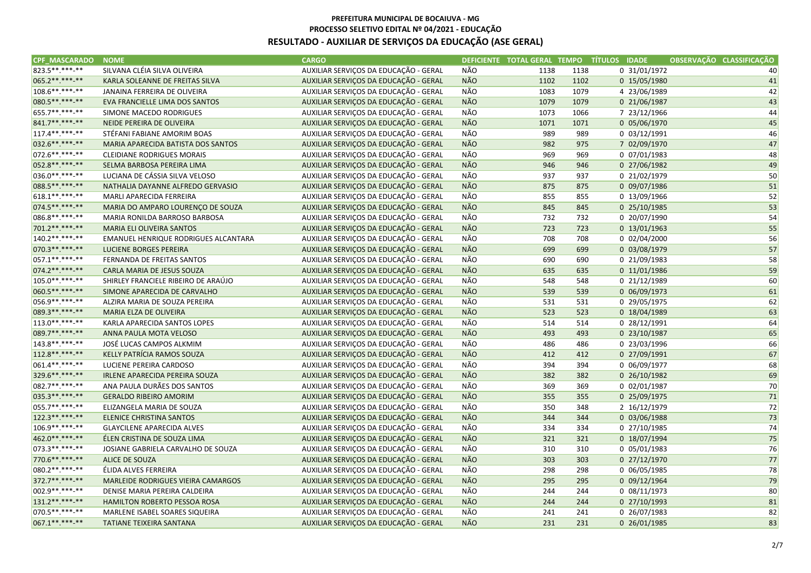| <b>CPF MASCARADO</b> | <b>NOME</b>                          | <b>CARGO</b>                          |            |      |      | DEFICIENTE TOTAL GERAL TEMPO TÍTULOS IDADE | OBSERVAÇÃO CLASSIFICAÇÃO |
|----------------------|--------------------------------------|---------------------------------------|------------|------|------|--------------------------------------------|--------------------------|
| 823.5**.***-**       | SILVANA CLÉIA SILVA OLIVEIRA         | AUXILIAR SERVIÇOS DA EDUCAÇÃO - GERAL | NÃO        | 1138 | 1138 | 0 31/01/1972                               | 40                       |
| 065.2**.***-**       | KARLA SOLEANNE DE FREITAS SILVA      | AUXILIAR SERVIÇOS DA EDUCAÇÃO - GERAL | <b>NÃO</b> | 1102 | 1102 | 0 15/05/1980                               | 41                       |
| 108.6**.***-**       | JANAINA FERREIRA DE OLIVEIRA         | AUXILIAR SERVIÇOS DA EDUCAÇÃO - GERAL | NÃO        | 1083 | 1079 | 4 23/06/1989                               | 42                       |
| 080.5**.***-**       | EVA FRANCIELLE LIMA DOS SANTOS       | AUXILIAR SERVIÇOS DA EDUCAÇÃO - GERAL | <b>NÃO</b> | 1079 | 1079 | 0 21/06/1987                               | 43                       |
| 655.7**.***-**       | SIMONE MACEDO RODRIGUES              | AUXILIAR SERVIÇOS DA EDUCAÇÃO - GERAL | NÃO        | 1073 | 1066 | 7 23/12/1966                               | 44                       |
| 841.7** ***-**       | NEIDE PEREIRA DE OLIVEIRA            | AUXILIAR SERVIÇOS DA EDUCAÇÃO - GERAL | <b>NÃO</b> | 1071 | 1071 | 0 05/06/1970                               | 45                       |
| 117.4**.***-**       | STÉFANI FABIANE AMORIM BOAS          | AUXILIAR SERVIÇOS DA EDUCAÇÃO - GERAL | NÃO        | 989  | 989  | $0$ 03/12/1991                             | 46                       |
| 032.6**.***-**       | MARIA APARECIDA BATISTA DOS SANTOS   | AUXILIAR SERVIÇOS DA EDUCAÇÃO - GERAL | <b>NÃO</b> | 982  | 975  | 7 02/09/1970                               | 47                       |
| 072.6 **. ***- **    | <b>CLEIDIANE RODRIGUES MORAIS</b>    | AUXILIAR SERVIÇOS DA EDUCAÇÃO - GERAL | NÃO        | 969  | 969  | 0 07/01/1983                               | 48                       |
| 052.8**.***-**       | SELMA BARBOSA PEREIRA LIMA           | AUXILIAR SERVIÇOS DA EDUCAÇÃO - GERAL | <b>NÃO</b> | 946  | 946  | 0 27/06/1982                               | 49                       |
| 036.0**.***-**       | LUCIANA DE CÁSSIA SILVA VELOSO       | AUXILIAR SERVIÇOS DA EDUCAÇÃO - GERAL | <b>NÃO</b> | 937  | 937  | 0 21/02/1979                               | 50                       |
| 088.5 ** ***-**      | NATHALIA DAYANNE ALFREDO GERVASIO    | AUXILIAR SERVIÇOS DA EDUCAÇÃO - GERAL | <b>NÃO</b> | 875  | 875  | 0 09/07/1986                               | 51                       |
| 618.1**.***-**       | MARLI APARECIDA FERREIRA             | AUXILIAR SERVIÇOS DA EDUCAÇÃO - GERAL | NÃO        | 855  | 855  | 0 13/09/1966                               | 52                       |
| 074.5 ** *** -**     | MARIA DO AMPARO LOURENÇO DE SOUZA    | AUXILIAR SERVIÇOS DA EDUCAÇÃO - GERAL | <b>NÃO</b> | 845  | 845  | $0$ 25/10/1985                             | 53                       |
| 086.8**.***-**       | MARIA RONILDA BARROSO BARBOSA        | AUXILIAR SERVIÇOS DA EDUCAÇÃO - GERAL | NÃO        | 732  | 732  | 0 20/07/1990                               | 54                       |
| 701.2 ** *** -**     | MARIA ELI OLIVEIRA SANTOS            | AUXILIAR SERVIÇOS DA EDUCAÇÃO - GERAL | <b>NÃO</b> | 723  | 723  | $0$ 13/01/1963                             | 55                       |
| 140.2 **. ***-**     | EMANUEL HENRIQUE RODRIGUES ALCANTARA | AUXILIAR SERVIÇOS DA EDUCAÇÃO - GERAL | <b>NÃO</b> | 708  | 708  | 0 02/04/2000                               | 56                       |
| 070.3 ** *** **      | LUCIENE BORGES PEREIRA               | AUXILIAR SERVIÇOS DA EDUCAÇÃO - GERAL | NÃO        | 699  | 699  | 0 03/08/1979                               | 57                       |
| 057.1 **. ***-**     | FERNANDA DE FREITAS SANTOS           | AUXILIAR SERVIÇOS DA EDUCAÇÃO - GERAL | NÃO        | 690  | 690  | 0 21/09/1983                               | 58                       |
| 074.2**.***-**       | CARLA MARIA DE JESUS SOUZA           | AUXILIAR SERVIÇOS DA EDUCAÇÃO - GERAL | <b>NÃO</b> | 635  | 635  | 0 11/01/1986                               | 59                       |
| 105.0**.***-**       | SHIRLEY FRANCIELE RIBEIRO DE ARAÚJO  | AUXILIAR SERVIÇOS DA EDUCAÇÃO - GERAL | <b>NÃO</b> | 548  | 548  | 0 21/12/1989                               | 60                       |
| 060.5**.***-**       | SIMONE APARECIDA DE CARVALHO         | AUXILIAR SERVIÇOS DA EDUCAÇÃO - GERAL | NÃO        | 539  | 539  | 0 06/09/1973                               | 61                       |
| 056.9 ** *** -**     | ALZIRA MARIA DE SOUZA PEREIRA        | AUXILIAR SERVIÇOS DA EDUCAÇÃO - GERAL | <b>NÃO</b> | 531  | 531  | 0 29/05/1975                               | 62                       |
| 089.3**.***.**       | MARIA ELZA DE OLIVEIRA               | AUXILIAR SERVIÇOS DA EDUCAÇÃO - GERAL | NÃO        | 523  | 523  | 0 18/04/1989                               | 63                       |
| 113.0**.***-**       | KARLA APARECIDA SANTOS LOPES         | AUXILIAR SERVIÇOS DA EDUCAÇÃO - GERAL | NÃO        | 514  | 514  | 0 28/12/1991                               | 64                       |
| 089.7**.***-**       | ANNA PAULA MOTA VELOSO               | AUXILIAR SERVIÇOS DA EDUCAÇÃO - GERAL | <b>NÃO</b> | 493  | 493  | 0 23/10/1987                               | 65                       |
| 143.8**.***-**       | JOSÉ LUCAS CAMPOS ALKMIM             | AUXILIAR SERVIÇOS DA EDUCAÇÃO - GERAL | NÃO        | 486  | 486  | 0 23/03/1996                               | 66                       |
| 112.8**.***-**       | KELLY PATRÍCIA RAMOS SOUZA           | AUXILIAR SERVIÇOS DA EDUCAÇÃO - GERAL | <b>NÃO</b> | 412  | 412  | 0 27/09/1991                               | 67                       |
| 061.4**.***-**       | LUCIENE PEREIRA CARDOSO              | AUXILIAR SERVIÇOS DA EDUCAÇÃO - GERAL | NÃO        | 394  | 394  | 0 06/09/1977                               | 68                       |
| 329.6 ** *** -**     | IRLENE APARECIDA PEREIRA SOUZA       | AUXILIAR SERVIÇOS DA EDUCAÇÃO - GERAL | NÃO        | 382  | 382  | 0 26/10/1982                               | 69                       |
| 082.7**.***-**       | ANA PAULA DURÃES DOS SANTOS          | AUXILIAR SERVIÇOS DA EDUCAÇÃO - GERAL | NÃO        | 369  | 369  | $0$ 02/01/1987                             | 70                       |
| 035.3**.***-**       | <b>GERALDO RIBEIRO AMORIM</b>        | AUXILIAR SERVIÇOS DA EDUCAÇÃO - GERAL | <b>NÃO</b> | 355  | 355  | 0 25/09/1975                               | 71                       |
| 055.7**.***-**       | ELIZANGELA MARIA DE SOUZA            | AUXILIAR SERVIÇOS DA EDUCAÇÃO - GERAL | NÃO        | 350  | 348  | 2 16/12/1979                               | 72                       |
| 122.3 ** *** -**     | <b>ELENICE CHRISTINA SANTOS</b>      | AUXILIAR SERVIÇOS DA EDUCAÇÃO - GERAL | NÃO        | 344  | 344  | 0 03/06/1988                               | 73                       |
| 106.9**.***-**       | <b>GLAYCILENE APARECIDA ALVES</b>    | AUXILIAR SERVIÇOS DA EDUCAÇÃO - GERAL | NÃO        | 334  | 334  | 0 27/10/1985                               | 74                       |
| 462.0**.***-**       | ÉLEN CRISTINA DE SOUZA LIMA          | AUXILIAR SERVIÇOS DA EDUCAÇÃO - GERAL | <b>NÃO</b> | 321  | 321  | 0 18/07/1994                               | 75                       |
| 073.3**.***-**       | JOSIANE GABRIELA CARVALHO DE SOUZA   | AUXILIAR SERVIÇOS DA EDUCAÇÃO - GERAL | <b>NÃO</b> | 310  | 310  | 0 05/01/1983                               | 76                       |
| 770.6**.***-**       | <b>ALICE DE SOUZA</b>                | AUXILIAR SERVIÇOS DA EDUCAÇÃO - GERAL | <b>NÃO</b> | 303  | 303  | 0 27/12/1970                               | 77                       |
| 080.2 ** .*** -**    | ÉLIDA ALVES FERREIRA                 | AUXILIAR SERVIÇOS DA EDUCAÇÃO - GERAL | NÃO        | 298  | 298  | 0 06/05/1985                               | 78                       |
| 372.7**.***-**       | MARLEIDE RODRIGUES VIEIRA CAMARGOS   | AUXILIAR SERVIÇOS DA EDUCAÇÃO - GERAL | NÃO        | 295  | 295  | $0$ 09/12/1964                             | 79                       |
| 002.9 ** *** -**     | DENISE MARIA PEREIRA CALDEIRA        | AUXILIAR SERVIÇOS DA EDUCAÇÃO - GERAL | NÃO        | 244  | 244  | $0$ 08/11/1973                             | 80                       |
| 131.2**.***-**       | HAMILTON ROBERTO PESSOA ROSA         | AUXILIAR SERVIÇOS DA EDUCAÇÃO - GERAL | <b>NÃO</b> | 244  | 244  | 0 27/10/1993                               | 81                       |
| 070.5 **. ***- **    | MARLENE ISABEL SOARES SIQUEIRA       | AUXILIAR SERVIÇOS DA EDUCAÇÃO - GERAL | NÃO        | 241  | 241  | 0 26/07/1983                               | 82                       |
| $067.1******$        | TATIANE TEIXEIRA SANTANA             | AUXILIAR SERVIÇOS DA EDUCAÇÃO - GERAL | <b>NÃO</b> | 231  | 231  | 0 26/01/1985                               | 83                       |
|                      |                                      |                                       |            |      |      |                                            |                          |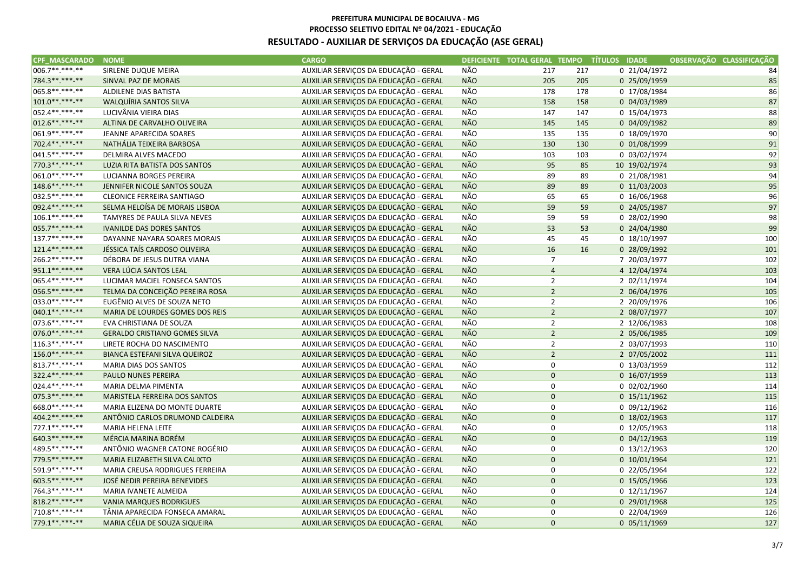| <b>CPF MASCARADO</b> | <b>NOME</b>                          | <b>CARGO</b>                          |            |                     |     | DEFICIENTE TOTAL GERAL TEMPO TÍTULOS IDADE | OBSERVAÇÃO CLASSIFICAÇÃO |     |
|----------------------|--------------------------------------|---------------------------------------|------------|---------------------|-----|--------------------------------------------|--------------------------|-----|
| 006.7**.***-**       | SIRLENE DUQUE MEIRA                  | AUXILIAR SERVIÇOS DA EDUCAÇÃO - GERAL | NÃO        | 217                 | 217 | 0 21/04/1972                               |                          | 84  |
| 784.3**.***.**       | SINVAL PAZ DE MORAIS                 | AUXILIAR SERVIÇOS DA EDUCAÇÃO - GERAL | <b>NÃO</b> | 205                 | 205 | 0 25/09/1959                               |                          | 85  |
| 065.8**.***-**       | ALDILENE DIAS BATISTA                | AUXILIAR SERVIÇOS DA EDUCAÇÃO - GERAL | NÃO        | 178                 | 178 | 0 17/08/1984                               |                          | 86  |
| $101.0*********$     | WALQUÍRIA SANTOS SILVA               | AUXILIAR SERVIÇOS DA EDUCAÇÃO - GERAL | NÃO        | 158                 | 158 | 0 04/03/1989                               |                          | 87  |
| 052.4**.***-**       | LUCIVÂNIA VIEIRA DIAS                | AUXILIAR SERVIÇOS DA EDUCAÇÃO - GERAL | NÃO        | 147                 | 147 | 0 15/04/1973                               |                          | 88  |
| 012.6**.***-**       | ALTINA DE CARVALHO OLIVEIRA          | AUXILIAR SERVIÇOS DA EDUCAÇÃO - GERAL | <b>NÃO</b> | 145                 | 145 | 0 04/09/1982                               |                          | 89  |
| 061.9**.***-**       | JEANNE APARECIDA SOARES              | AUXILIAR SERVIÇOS DA EDUCAÇÃO - GERAL | NÃO        | 135                 | 135 | 0 18/09/1970                               |                          | 90  |
| 702.4**.***.**       | NATHÁLIA TEIXEIRA BARBOSA            | AUXILIAR SERVIÇOS DA EDUCAÇÃO - GERAL | <b>NÃO</b> | 130                 | 130 | 0 01/08/1999                               |                          | 91  |
| 041.5**.***-**       | DELMIRA ALVES MACEDO                 | AUXILIAR SERVIÇOS DA EDUCAÇÃO - GERAL | NÃO        | 103                 | 103 | 0 03/02/1974                               |                          | 92  |
| 770.3**.***-**       | LUZIA RITA BATISTA DOS SANTOS        | AUXILIAR SERVIÇOS DA EDUCAÇÃO - GERAL | NÃO        | 95                  | 85  | 10 19/02/1974                              |                          | 93  |
| 061.0**.***-**       | LUCIANNA BORGES PEREIRA              | AUXILIAR SERVIÇOS DA EDUCAÇÃO - GERAL | <b>NÃO</b> | 89                  | 89  | 0 21/08/1981                               |                          | 94  |
| 148.6**.***-**       | JENNIFER NICOLE SANTOS SOUZA         | AUXILIAR SERVIÇOS DA EDUCAÇÃO - GERAL | <b>NÃO</b> | 89                  | 89  | 0 11/03/2003                               |                          | 95  |
| 032.5**.***-**       | <b>CLEONICE FERREIRA SANTIAGO</b>    | AUXILIAR SERVIÇOS DA EDUCAÇÃO - GERAL | NÃO        | 65                  | 65  | 0 16/06/1968                               |                          | 96  |
| 092.4** *** -**      | SELMA HELOÍSA DE MORAIS LISBOA       | AUXILIAR SERVIÇOS DA EDUCAÇÃO - GERAL | <b>NÃO</b> | 59                  | 59  | 0 24/05/1987                               |                          | 97  |
| 106.1**.***-**       | TAMYRES DE PAULA SILVA NEVES         | AUXILIAR SERVIÇOS DA EDUCAÇÃO - GERAL | NÃO        | 59                  | 59  | 0 28/02/1990                               |                          | 98  |
| 055.7**.***-**       | <b>IVANILDE DAS DORES SANTOS</b>     | AUXILIAR SERVIÇOS DA EDUCAÇÃO - GERAL | NÃO        | 53                  | 53  | 0 24/04/1980                               |                          | 99  |
| 137.7**.***-**       | DAYANNE NAYARA SOARES MORAIS         | AUXILIAR SERVIÇOS DA EDUCAÇÃO - GERAL | <b>NÃO</b> | 45                  | 45  | 0 18/10/1997                               |                          | 100 |
| 121.4** *** **       | JÉSSICA TAÍS CARDOSO OLIVEIRA        | AUXILIAR SERVIÇOS DA EDUCAÇÃO - GERAL | NÃO        | 16                  | 16  | 0 28/09/1992                               |                          | 101 |
| 266.2**.***-**       | DÉBORA DE JESUS DUTRA VIANA          | AUXILIAR SERVIÇOS DA EDUCAÇÃO - GERAL | NÃO        | $\overline{7}$      |     | 7 20/03/1977                               |                          | 102 |
| 951.1**.***-**       | VERA LÚCIA SANTOS LEAL               | AUXILIAR SERVIÇOS DA EDUCAÇÃO - GERAL | <b>NÃO</b> | $\overline{4}$      |     | 4 12/04/1974                               |                          | 103 |
| 065.4**.***-**       | LUCIMAR MACIEL FONSECA SANTOS        | AUXILIAR SERVIÇOS DA EDUCAÇÃO - GERAL | <b>NÃO</b> | $\overline{2}$      |     | 2 02/11/1974                               |                          | 104 |
| 056.5**.***-**       | TELMA DA CONCEIÇÃO PEREIRA ROSA      | AUXILIAR SERVIÇOS DA EDUCAÇÃO - GERAL | NÃO        | $\overline{2}$      |     | 2 06/04/1976                               |                          | 105 |
| 033.0**.***-**       | EUGÊNIO ALVES DE SOUZA NETO          | AUXILIAR SERVIÇOS DA EDUCAÇÃO - GERAL | <b>NÃO</b> | $\overline{2}$      |     | 2 20/09/1976                               |                          | 106 |
| 040.1**.***-**       | MARIA DE LOURDES GOMES DOS REIS      | AUXILIAR SERVIÇOS DA EDUCAÇÃO - GERAL | <b>NÃO</b> | $\overline{2}$      |     | 2 08/07/1977                               |                          | 107 |
| 073.6**.***-**       | EVA CHRISTIANA DE SOUZA              | AUXILIAR SERVIÇOS DA EDUCAÇÃO - GERAL | NÃO        | $\overline{2}$      |     | 2 12/06/1983                               |                          | 108 |
| 076.0**.***-**       | <b>GERALDO CRISTIANO GOMES SILVA</b> | AUXILIAR SERVIÇOS DA EDUCAÇÃO - GERAL | <b>NÃO</b> | $\overline{2}$      |     | 2 05/06/1985                               |                          | 109 |
| 116.3**.***-**       | LIRETE ROCHA DO NASCIMENTO           | AUXILIAR SERVIÇOS DA EDUCAÇÃO - GERAL | NÃO        | $\overline{2}$      |     | 2 03/07/1993                               |                          | 110 |
| 156.0**.***-**       | BIANCA ESTEFANI SILVA QUEIROZ        | AUXILIAR SERVIÇOS DA EDUCAÇÃO - GERAL | <b>NÃO</b> | $\overline{2}$      |     | 2 07/05/2002                               |                          | 111 |
| 813.7**.***-**       | <b>MARIA DIAS DOS SANTOS</b>         | AUXILIAR SERVIÇOS DA EDUCAÇÃO - GERAL | <b>NÃO</b> | 0                   |     | 0 13/03/1959                               |                          | 112 |
| 322.4** ***-**       | PAULO NUNES PEREIRA                  | AUXILIAR SERVIÇOS DA EDUCAÇÃO - GERAL | NÃO        | $\pmb{0}$           |     | 0 16/07/1959                               |                          | 113 |
| 024.4**.***-**       | MARIA DELMA PIMENTA                  | AUXILIAR SERVIÇOS DA EDUCAÇÃO - GERAL | NÃO        | 0                   |     | 0 02/02/1960                               |                          | 114 |
| 075.3**.***-**       | MARISTELA FERREIRA DOS SANTOS        | AUXILIAR SERVIÇOS DA EDUCAÇÃO - GERAL | <b>NÃO</b> | $\mathbf 0$         |     | $0$ 15/11/1962                             |                          | 115 |
| 668.0**.***-**       | MARIA ELIZENA DO MONTE DUARTE        | AUXILIAR SERVIÇOS DA EDUCAÇÃO - GERAL | NÃO        | 0                   |     | 0 09/12/1962                               |                          | 116 |
| 404.2 ** ***-**      | ANTÔNIO CARLOS DRUMOND CALDEIRA      | AUXILIAR SERVIÇOS DA EDUCAÇÃO - GERAL | NÃO        | $\pmb{0}$           |     | 0 18/02/1963                               |                          | 117 |
| 727.1**.***-**       | MARIA HELENA LEITE                   | AUXILIAR SERVIÇOS DA EDUCAÇÃO - GERAL | <b>NÃO</b> | 0                   |     | 0 12/05/1963                               |                          | 118 |
| 640.3**.***-**       | MÉRCIA MARINA BORÉM                  | AUXILIAR SERVIÇOS DA EDUCAÇÃO - GERAL | <b>NÃO</b> | $\pmb{0}$           |     | 0 04/12/1963                               |                          | 119 |
| 489.5**.***-**       | ANTÔNIO WAGNER CATONE ROGÉRIO        | AUXILIAR SERVIÇOS DA EDUCAÇÃO - GERAL | <b>NÃO</b> | 0                   |     | $0$ 13/12/1963                             |                          | 120 |
| 779.5**.***.**       | MARIA ELIZABETH SILVA CALIXTO        | AUXILIAR SERVIÇOS DA EDUCAÇÃO - GERAL | <b>NÃO</b> | $\mathbf 0$         |     | 0 10/01/1964                               |                          | 121 |
| 591.9**.***-**       | MARIA CREUSA RODRIGUES FERREIRA      | AUXILIAR SERVIÇOS DA EDUCAÇÃO - GERAL | NÃO        | 0                   |     | 0 22/05/1964                               |                          | 122 |
| 603.5**.***-**       | JOSÉ NEDIR PEREIRA BENEVIDES         | AUXILIAR SERVIÇOS DA EDUCAÇÃO - GERAL | NÃO        | $\mathsf{O}\xspace$ |     | 0 15/05/1966                               |                          | 123 |
| 764.3**.***-**       | MARIA IVANETE ALMEIDA                | AUXILIAR SERVIÇOS DA EDUCAÇÃO - GERAL | NÃO        | 0                   |     | 0 12/11/1967                               |                          | 124 |
| 818.2**.***-**       | <b>VANIA MARQUES RODRIGUES</b>       | AUXILIAR SERVIÇOS DA EDUCAÇÃO - GERAL | <b>NÃO</b> | $\pmb{0}$           |     | 0 29/01/1968                               |                          | 125 |
| 710.8**.***-**       | TÂNIA APARECIDA FONSECA AMARAL       | AUXILIAR SERVIÇOS DA EDUCAÇÃO - GERAL | NÃO        | 0                   |     | 0 22/04/1969                               |                          | 126 |
| 779.1 ** *** -**     | MARIA CÉLIA DE SOUZA SIQUEIRA        | AUXILIAR SERVIÇOS DA EDUCAÇÃO - GERAL | <b>NÃO</b> | $\mathbf 0$         |     | 0 05/11/1969                               |                          | 127 |
|                      |                                      |                                       |            |                     |     |                                            |                          |     |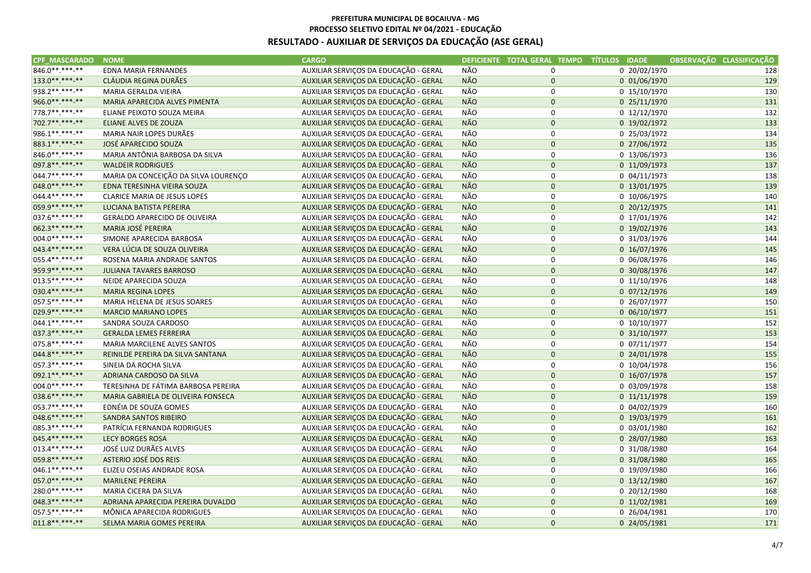| CPF MASCARADO NOME |                                      | <b>CARGO</b>                          |            | DEFICIENTE TOTAL GERAL TEMPO TÍTULOS IDADE |                | OBSERVAÇÃO CLASSIFICAÇÃO |
|--------------------|--------------------------------------|---------------------------------------|------------|--------------------------------------------|----------------|--------------------------|
| 846.0**.***-**     | <b>EDNA MARIA FERNANDES</b>          | AUXILIAR SERVIÇOS DA EDUCAÇÃO - GERAL | NÃO        | 0                                          | 0 20/02/1970   | 128                      |
| 133.0**.***-**     | CLÁUDIA REGINA DURÃES                | AUXILIAR SERVIÇOS DA EDUCAÇÃO - GERAL | <b>NÃO</b> | $\mathbf 0$                                | 0 01/06/1970   | 129                      |
| 938.2 **. ***- **  | MARIA GERALDA VIEIRA                 | AUXILIAR SERVIÇOS DA EDUCAÇÃO - GERAL | <b>NÃO</b> | 0                                          | 0 15/10/1970   | 130                      |
| 966.0**.***-**     | MARIA APARECIDA ALVES PIMENTA        | AUXILIAR SERVIÇOS DA EDUCAÇÃO - GERAL | <b>NÃO</b> | $\pmb{0}$                                  | 0 25/11/1970   | 131                      |
| 778.7**.***-**     | ELIANE PEIXOTO SOUZA MEIRA           | AUXILIAR SERVIÇOS DA EDUCAÇÃO - GERAL | NÃO        | 0                                          | 0 12/12/1970   | 132                      |
| 702.7**.***-**     | ELIANE ALVES DE ZOUZA                | AUXILIAR SERVIÇOS DA EDUCAÇÃO - GERAL | <b>NÃO</b> | $\mathbf 0$                                | 0 19/02/1972   | 133                      |
| 986.1**.***-**     | MARIA NAIR LOPES DURÃES              | AUXILIAR SERVIÇOS DA EDUCAÇÃO - GERAL | NÃO        | 0                                          | 0 25/03/1972   | 134                      |
| 883.1**.***-**     | JOSÉ APARECIDO SOUZA                 | AUXILIAR SERVIÇOS DA EDUCAÇÃO - GERAL | NÃO        | $\pmb{0}$                                  | 0 27/06/1972   | 135                      |
| 846.0**.***-**     | MARIA ANTÔNIA BARBOSA DA SILVA       | AUXILIAR SERVIÇOS DA EDUCAÇÃO - GERAL | <b>NÃO</b> | 0                                          | 0 13/06/1973   | 136                      |
| 097.8 ** *** -**   | <b>WALDEIR RODRIGUES</b>             | AUXILIAR SERVIÇOS DA EDUCAÇÃO - GERAL | <b>NÃO</b> | $\mathbf 0$                                | 0 11/09/1973   | 137                      |
| 044.7**.***-**     | MARIA DA CONCEIÇÃO DA SILVA LOURENÇO | AUXILIAR SERVIÇOS DA EDUCAÇÃO - GERAL | NÃO        | 0                                          | $0$ 04/11/1973 | 138                      |
| 048.0**.***-**     | EDNA TERESINHA VIEIRA SOUZA          | AUXILIAR SERVIÇOS DA EDUCAÇÃO - GERAL | <b>NÃO</b> | $\mathbf 0$                                | 0 13/01/1975   | 139                      |
| 044.4**.***-**     | <b>CLARICE MARIA DE JESUS LOPES</b>  | AUXILIAR SERVIÇOS DA EDUCAÇÃO - GERAL | NÃO        | 0                                          | 0 10/06/1975   | 140                      |
| 059.9 ** *** -**   | LUCIANA BATISTA PEREIRA              | AUXILIAR SERVIÇOS DA EDUCAÇÃO - GERAL | <b>NÃO</b> | $\pmb{0}$                                  | 0 20/12/1975   | 141                      |
| 037.6**.***-**     | <b>GERALDO APARECIDO DE OLIVEIRA</b> | AUXILIAR SERVIÇOS DA EDUCAÇÃO - GERAL | <b>NÃO</b> | 0                                          | 0 17/01/1976   | 142                      |
| 062.3**.***-**     | MARIA JOSÉ PEREIRA                   | AUXILIAR SERVIÇOS DA EDUCAÇÃO - GERAL | <b>NÃO</b> | $\mathbf 0$                                | 0 19/02/1976   | 143                      |
| 004.0**.***-**     | SIMONE APARECIDA BARBOSA             | AUXILIAR SERVIÇOS DA EDUCAÇÃO - GERAL | <b>NÃO</b> | 0                                          | 0 31/03/1976   | 144                      |
| 043.4**.***-**     | VERA LÚCIA DE SOUZA OLIVEIRA         | AUXILIAR SERVIÇOS DA EDUCAÇÃO - GERAL | NÃO        | $\mathbf 0$                                | 0 16/07/1976   | 145                      |
| 055.4**.***-**     | ROSENA MARIA ANDRADE SANTOS          | AUXILIAR SERVIÇOS DA EDUCAÇÃO - GERAL | NÃO        | $\mathbf 0$                                | 0 06/08/1976   | 146                      |
| 959.9**.***-**     | <b>JULIANA TAVARES BARROSO</b>       | AUXILIAR SERVIÇOS DA EDUCAÇÃO - GERAL | <b>NÃO</b> | $\mathbf 0$                                | 0 30/08/1976   | 147                      |
| 013.5**.***-**     | NEIDE APARECIDA SOUZA                | AUXILIAR SERVIÇOS DA EDUCAÇÃO - GERAL | NÃO        | 0                                          | 0 11/10/1976   | 148                      |
| 030.4** ***-**     | <b>MARIA REGINA LOPES</b>            | AUXILIAR SERVIÇOS DA EDUCAÇÃO - GERAL | <b>NÃO</b> | $\mathbf 0$                                | $0$ 07/12/1976 | 149                      |
| 057.5**.***-**     | MARIA HELENA DE JESUS SOARES         | AUXILIAR SERVIÇOS DA EDUCAÇÃO - GERAL | <b>NÃO</b> | 0                                          | 0 26/07/1977   | 150                      |
| 029.9 ** *** -**   | <b>MARCIO MARIANO LOPES</b>          | AUXILIAR SERVIÇOS DA EDUCAÇÃO - GERAL | NÃO        | $\pmb{0}$                                  | 0 06/10/1977   | 151                      |
| 044.1**.***-**     | SANDRA SOUZA CARDOSO                 | AUXILIAR SERVIÇOS DA EDUCAÇÃO - GERAL | <b>NÃO</b> | 0                                          | 0 10/10/1977   | 152                      |
| 037.3**.***-**     | <b>GERALDA LEMES FERREIRA</b>        | AUXILIAR SERVIÇOS DA EDUCAÇÃO - GERAL | <b>NÃO</b> | $\mathbf 0$                                | 0 31/10/1977   | 153                      |
| 075.8 **. ***- **  | MARIA MARCILENE ALVES SANTOS         | AUXILIAR SERVIÇOS DA EDUCAÇÃO - GERAL | NÃO        | 0                                          | 0 07/11/1977   | 154                      |
| 044.8**.***-**     | REINILDE PEREIRA DA SILVA SANTANA    | AUXILIAR SERVIÇOS DA EDUCAÇÃO - GERAL | <b>NÃO</b> | $\pmb{0}$                                  | 0 24/01/1978   | 155                      |
| 057.3 **. ***- **  | SINEIA DA ROCHA SILVA                | AUXILIAR SERVIÇOS DA EDUCAÇÃO - GERAL | NÃO        | 0                                          | 0 10/04/1978   | 156                      |
| 092.1 ** *** -**   | ADRIANA CARDOSO DA SILVA             | AUXILIAR SERVIÇOS DA EDUCAÇÃO - GERAL | NÃO        | $\mathbf 0$                                | 0 16/07/1978   | 157                      |
| 004.0**.***-**     | TERESINHA DE FÁTIMA BARBOSA PEREIRA  | AUXILIAR SERVIÇOS DA EDUCAÇÃO - GERAL | <b>NÃO</b> | 0                                          | 0 03/09/1978   | 158                      |
| 038.6**.***-**     | MARIA GABRIELA DE OLIVEIRA FONSECA   | AUXILIAR SERVIÇOS DA EDUCAÇÃO - GERAL | <b>NÃO</b> | $\mathbf 0$                                | 0 11/11/1978   | 159                      |
| 053.7**.***-**     | EDNÉIA DE SOUZA GOMES                | AUXILIAR SERVIÇOS DA EDUCAÇÃO - GERAL | NÃO        | 0                                          | 0 04/02/1979   | 160                      |
| 048.6**.***-**     | <b>SANDRA SANTOS RIBEIRO</b>         | AUXILIAR SERVIÇOS DA EDUCAÇÃO - GERAL | NÃO        | $\mathbf 0$                                | 0 19/03/1979   | 161                      |
| 085.3 **. ***- **  | PATRÍCIA FERNANDA RODRIGUES          | AUXILIAR SERVIÇOS DA EDUCAÇÃO - GERAL | <b>NÃO</b> | 0                                          | 0 03/01/1980   | 162                      |
| 045.4**.***-**     | <b>LECY BORGES ROSA</b>              | AUXILIAR SERVIÇOS DA EDUCAÇÃO - GERAL | <b>NÃO</b> | $\pmb{0}$                                  | 0 28/07/1980   | 163                      |
| 013.4**.***-**     | JOSÉ LUIZ DURÃES ALVES               | AUXILIAR SERVIÇOS DA EDUCAÇÃO - GERAL | NÃO        | 0                                          | 0 31/08/1980   | 164                      |
| 059.8**.***-**     | ASTERIO JOSÉ DOS REIS                | AUXILIAR SERVIÇOS DA EDUCAÇÃO - GERAL | <b>NÃO</b> | $\mathbf 0$                                | 0 31/08/1980   | 165                      |
| 046.1**.***-**     | ELIZEU OSEIAS ANDRADE ROSA           | AUXILIAR SERVIÇOS DA EDUCAÇÃO - GERAL | NÃO        | 0                                          | 0 19/09/1980   | 166                      |
| 057.0**.***-**     | <b>MARILENE PEREIRA</b>              | AUXILIAR SERVIÇOS DA EDUCAÇÃO - GERAL | <b>NÃO</b> | $\pmb{0}$                                  | 0 13/12/1980   | 167                      |
| 280.0**.***-**     | MARIA CICERA DA SILVA                | AUXILIAR SERVIÇOS DA EDUCAÇÃO - GERAL | NÃO        | 0                                          | 0 20/12/1980   | 168                      |
| 048.3**.***-**     | ADRIANA APARECIDA PEREIRA DUVALDO    | AUXILIAR SERVIÇOS DA EDUCAÇÃO - GERAL | <b>NÃO</b> | $\pmb{0}$                                  | 0 11/02/1981   | 169                      |
| 057.5**.***-**     | MÔNICA APARECIDA RODRIGUES           | AUXILIAR SERVIÇOS DA EDUCAÇÃO - GERAL | NÃO        | 0                                          | 0 26/04/1981   | 170                      |
| 011.8**.***-**     | SELMA MARIA GOMES PEREIRA            | AUXILIAR SERVIÇOS DA EDUCAÇÃO - GERAL | <b>NÃO</b> | $\mathbf 0$                                | 0 24/05/1981   | 171                      |
|                    |                                      |                                       |            |                                            |                |                          |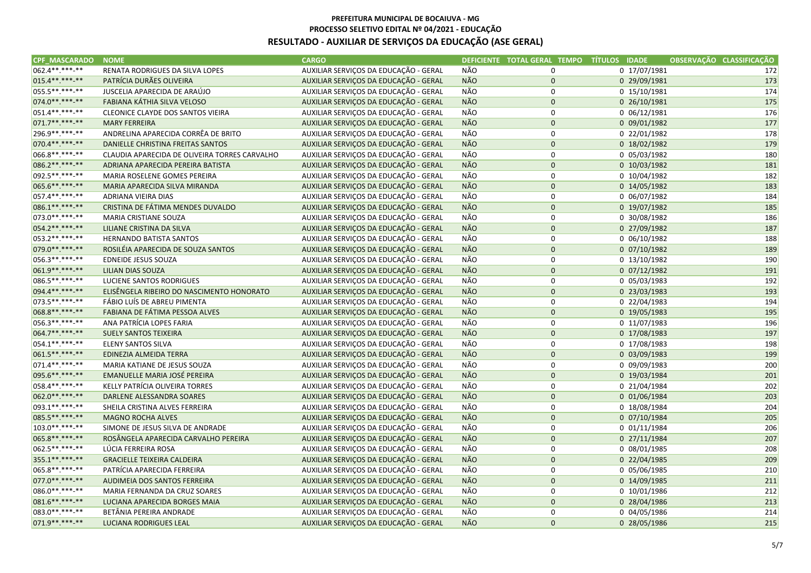| 062.4**.***-**<br>AUXILIAR SERVIÇOS DA EDUCAÇÃO - GERAL<br>NÃO<br>0 17/07/1981<br>RENATA RODRIGUES DA SILVA LOPES<br>$\mathbf 0$<br>172<br>015.4**.***-**<br>PATRÍCIA DURÃES OLIVEIRA<br>NÃO<br>0 29/09/1981<br>173<br>AUXILIAR SERVIÇOS DA EDUCAÇÃO - GERAL<br>$\pmb{0}$<br><b>NÃO</b><br>174<br>055.5**.***-**<br>JUSCELIA APARECIDA DE ARAÚJO<br>AUXILIAR SERVIÇOS DA EDUCAÇÃO - GERAL<br>0<br>0 15/10/1981<br>074.0**.***-**<br><b>NÃO</b><br>175<br>FABIANA KÁTHIA SILVA VELOSO<br>AUXILIAR SERVIÇOS DA EDUCAÇÃO - GERAL<br>$\pmb{0}$<br>0 26/10/1981<br><b>NÃO</b><br>051.4**.***-**<br>176<br>CLEONICE CLAYDE DOS SANTOS VIEIRA<br>AUXILIAR SERVIÇOS DA EDUCAÇÃO - GERAL<br>0<br>0 06/12/1981<br>071.7**.***-**<br><b>NÃO</b><br>$\mathbf 0$<br>177<br><b>MARY FERREIRA</b><br>AUXILIAR SERVIÇOS DA EDUCAÇÃO - GERAL<br>0 09/01/1982<br>296.9**.***-**<br>NÃO<br>ANDRELINA APARECIDA CORRÊA DE BRITO<br>AUXILIAR SERVIÇOS DA EDUCAÇÃO - GERAL<br>$\mathsf 0$<br>0 22/01/1982<br>178<br><b>NÃO</b><br>179<br>070.4**.***-**<br>DANIELLE CHRISTINA FREITAS SANTOS<br>AUXILIAR SERVIÇOS DA EDUCAÇÃO - GERAL<br>$\mathbf 0$<br>0 18/02/1982<br>NÃO<br>066.8**.***-**<br>AUXILIAR SERVIÇOS DA EDUCAÇÃO - GERAL<br>$\mathbf 0$<br>0 05/03/1982<br>180<br>CLAUDIA APARECIDA DE OLIVEIRA TORRES CARVALHO<br><b>NÃO</b><br>086.2 ** *** -**<br>ADRIANA APARECIDA PEREIRA BATISTA<br>AUXILIAR SERVIÇOS DA EDUCAÇÃO - GERAL<br>$\mathbf 0$<br>0 10/03/1982<br>181<br>092.5 **. ***-**<br>NÃO<br>$\mathsf 0$<br>182<br>MARIA ROSELENE GOMES PEREIRA<br>AUXILIAR SERVIÇOS DA EDUCAÇÃO - GERAL<br>0 10/04/1982<br><b>NÃO</b><br>065.6**.***-**<br>$\pmb{0}$<br>0 14/05/1982<br>183<br>MARIA APARECIDA SILVA MIRANDA<br>AUXILIAR SERVIÇOS DA EDUCAÇÃO - GERAL<br>057.4**.***-**<br>NÃO<br>AUXILIAR SERVIÇOS DA EDUCAÇÃO - GERAL<br>0<br>0 06/07/1982<br>184<br>ADRIANA VIEIRA DIAS<br><b>NÃO</b><br>086.1**.***-**<br>$\mathbf 0$<br>185<br>CRISTINA DE FÁTIMA MENDES DUVALDO<br>AUXILIAR SERVIÇOS DA EDUCAÇÃO - GERAL<br>0 19/07/1982<br>NÃO<br>073.0**.***-**<br>MARIA CRISTIANE SOUZA<br>AUXILIAR SERVIÇOS DA EDUCAÇÃO - GERAL<br>$\mathsf 0$<br>0 30/08/1982<br>186<br>NÃO<br>054.2 ** *** -**<br>187<br>LILIANE CRISTINA DA SILVA<br>AUXILIAR SERVIÇOS DA EDUCAÇÃO - GERAL<br>$\pmb{0}$<br>0 27/09/1982<br><b>NÃO</b><br>053.2 **. ***-**<br>HERNANDO BATISTA SANTOS<br>AUXILIAR SERVIÇOS DA EDUCAÇÃO - GERAL<br>0<br>$0$ 06/10/1982<br>188<br>079.0**.***-**<br><b>NÃO</b><br>ROSILÉIA APARECIDA DE SOUZA SANTOS<br>AUXILIAR SERVIÇOS DA EDUCAÇÃO - GERAL<br>$\mathbf 0$<br>0 07/10/1982<br>189<br>NÃO<br>056.3**.***-**<br>$\pmb{0}$<br>190<br>EDNEIDE JESUS SOUZA<br>AUXILIAR SERVIÇOS DA EDUCAÇÃO - GERAL<br>0 13/10/1982<br><b>NÃO</b><br>061.9 ** *** -**<br>191<br>LILIAN DIAS SOUZA<br>AUXILIAR SERVIÇOS DA EDUCAÇÃO - GERAL<br>$\mathbf 0$<br>$0$ $07/12/1982$<br>086.5**.***-**<br>NÃO<br>LUCIENE SANTOS RODRIGUES<br>AUXILIAR SERVIÇOS DA EDUCAÇÃO - GERAL<br>$\mathsf 0$<br>0 05/03/1983<br>192<br><b>NÃO</b><br>094.4**.***-**<br>ELISÊNGELA RIBEIRO DO NASCIMENTO HONORATO<br>AUXILIAR SERVIÇOS DA EDUCAÇÃO - GERAL<br>$\pmb{0}$<br>193<br>0 23/03/1983<br>NÃO<br>073.5 **. ***- **<br>194<br>FÁBIO LUÍS DE ABREU PIMENTA<br>AUXILIAR SERVIÇOS DA EDUCAÇÃO - GERAL<br>0<br>0 22/04/1983<br>068.8**.***-**<br><b>NÃO</b><br>$\mathbf 0$<br>FABIANA DE FÁTIMA PESSOA ALVES<br>AUXILIAR SERVIÇOS DA EDUCAÇÃO - GERAL<br>0 19/05/1983<br>195<br>NÃO<br>056.3**.***-**<br>ANA PATRÍCIA LOPES FARIA<br>AUXILIAR SERVIÇOS DA EDUCAÇÃO - GERAL<br>$\mathsf 0$<br>0 11/07/1983<br>196<br>NÃO<br>064.7**.***-**<br>$\mathbf 0$<br>197<br><b>SUELY SANTOS TEIXEIRA</b><br>AUXILIAR SERVIÇOS DA EDUCAÇÃO - GERAL<br>0 17/08/1983<br>054.1**.***-**<br>NÃO<br><b>ELENY SANTOS SILVA</b><br>AUXILIAR SERVIÇOS DA EDUCAÇÃO - GERAL<br>0<br>0 17/08/1983<br>198<br>061.5**.***-**<br><b>NÃO</b><br>AUXILIAR SERVIÇOS DA EDUCAÇÃO - GERAL<br>$\pmb{0}$<br>199<br>EDINEZIA ALMEIDA TERRA<br>$0$ 03/09/1983<br>NÃO<br>071.4**.***-**<br>$\pmb{0}$<br>200<br>MARIA KATIANE DE JESUS SOUZA<br>AUXILIAR SERVIÇOS DA EDUCAÇÃO - GERAL<br>0 09/09/1983<br>NÃO<br>095.6**.***-**<br>AUXILIAR SERVIÇOS DA EDUCAÇÃO - GERAL<br>$\mathbf 0$<br>0 19/03/1984<br>201<br>EMANUELLE MARIA JOSÉ PEREIRA<br>058.4**.***-**<br>NÃO<br>202<br>KELLY PATRÍCIA OLIVEIRA TORRES<br>AUXILIAR SERVIÇOS DA EDUCAÇÃO - GERAL<br>$\mathsf 0$<br>0 21/04/1984<br><b>NÃO</b><br>062.0**.***-**<br>DARLENE ALESSANDRA SOARES<br>AUXILIAR SERVIÇOS DA EDUCAÇÃO - GERAL<br>$\mathbf 0$<br>0 01/06/1984<br>203<br>NÃO<br>093.1 **. ***- **<br>SHEILA CRISTINA ALVES FERREIRA<br>AUXILIAR SERVIÇOS DA EDUCAÇÃO - GERAL<br>$\mathbf 0$<br>0 18/08/1984<br>204<br><b>NÃO</b><br>085.5 ** ***-**<br>$\mathbf 0$<br><b>MAGNO ROCHA ALVES</b><br>AUXILIAR SERVIÇOS DA EDUCAÇÃO - GERAL<br>0 07/10/1984<br>205<br>NÃO<br>103.0**.***-**<br>AUXILIAR SERVIÇOS DA EDUCAÇÃO - GERAL<br>$\mathsf 0$<br>0 01/11/1984<br>206<br>SIMONE DE JESUS SILVA DE ANDRADE<br><b>NÃO</b><br>065.8**.***-**<br>$\pmb{0}$<br>207<br>ROSÂNGELA APARECIDA CARVALHO PEREIRA<br>AUXILIAR SERVIÇOS DA EDUCAÇÃO - GERAL<br>0 27/11/1984<br><b>NÃO</b><br>062.5**.***-**<br>LÚCIA FERREIRA ROSA<br>AUXILIAR SERVIÇOS DA EDUCAÇÃO - GERAL<br>0<br>0 08/01/1985<br>208<br><b>NÃO</b><br>355.1**.***-**<br>$\mathbf 0$<br><b>GRACIELLE TEIXEIRA CALDEIRA</b><br>AUXILIAR SERVIÇOS DA EDUCAÇÃO - GERAL<br>0 22/04/1985<br>209<br>NÃO<br>065.8**.***-**<br>$\mathsf 0$<br>210<br>PATRÍCIA APARECIDA FERREIRA<br>AUXILIAR SERVIÇOS DA EDUCAÇÃO - GERAL<br>0 05/06/1985<br>NÃO<br>077.0 **. ***-**<br>AUXILIAR SERVIÇOS DA EDUCAÇÃO - GERAL<br>$\mathsf{O}\xspace$<br>AUDIMEIA DOS SANTOS FERREIRA<br>0 14/09/1985<br>211<br>NÃO<br>086.0**.***-**<br>AUXILIAR SERVIÇOS DA EDUCAÇÃO - GERAL<br>0<br>0 10/01/1986<br>212<br>MARIA FERNANDA DA CRUZ SOARES<br><b>NÃO</b><br>081.6**.***-**<br>AUXILIAR SERVIÇOS DA EDUCAÇÃO - GERAL<br>$\mathbf 0$<br>213<br>LUCIANA APARECIDA BORGES MAIA<br>0 28/04/1986<br>NÃO<br>083.0**.***-**<br>BETÂNIA PEREIRA ANDRADE<br>AUXILIAR SERVIÇOS DA EDUCAÇÃO - GERAL<br>0<br>0 04/05/1986<br>214<br>071.9**.***-**<br>AUXILIAR SERVIÇOS DA EDUCAÇÃO - GERAL<br><b>NÃO</b><br>$\mathbf 0$<br>215<br><b>LUCIANA RODRIGUES LEAL</b><br>0 28/05/1986 | CPF MASCARADO NOME | <b>CARGO</b> | DEFICIENTE TOTAL GERAL TEMPO TÍTULOS IDADE | OBSERVAÇÃO CLASSIFICAÇÃO |
|-----------------------------------------------------------------------------------------------------------------------------------------------------------------------------------------------------------------------------------------------------------------------------------------------------------------------------------------------------------------------------------------------------------------------------------------------------------------------------------------------------------------------------------------------------------------------------------------------------------------------------------------------------------------------------------------------------------------------------------------------------------------------------------------------------------------------------------------------------------------------------------------------------------------------------------------------------------------------------------------------------------------------------------------------------------------------------------------------------------------------------------------------------------------------------------------------------------------------------------------------------------------------------------------------------------------------------------------------------------------------------------------------------------------------------------------------------------------------------------------------------------------------------------------------------------------------------------------------------------------------------------------------------------------------------------------------------------------------------------------------------------------------------------------------------------------------------------------------------------------------------------------------------------------------------------------------------------------------------------------------------------------------------------------------------------------------------------------------------------------------------------------------------------------------------------------------------------------------------------------------------------------------------------------------------------------------------------------------------------------------------------------------------------------------------------------------------------------------------------------------------------------------------------------------------------------------------------------------------------------------------------------------------------------------------------------------------------------------------------------------------------------------------------------------------------------------------------------------------------------------------------------------------------------------------------------------------------------------------------------------------------------------------------------------------------------------------------------------------------------------------------------------------------------------------------------------------------------------------------------------------------------------------------------------------------------------------------------------------------------------------------------------------------------------------------------------------------------------------------------------------------------------------------------------------------------------------------------------------------------------------------------------------------------------------------------------------------------------------------------------------------------------------------------------------------------------------------------------------------------------------------------------------------------------------------------------------------------------------------------------------------------------------------------------------------------------------------------------------------------------------------------------------------------------------------------------------------------------------------------------------------------------------------------------------------------------------------------------------------------------------------------------------------------------------------------------------------------------------------------------------------------------------------------------------------------------------------------------------------------------------------------------------------------------------------------------------------------------------------------------------------------------------------------------------------------------------------------------------------------------------------------------------------------------------------------------------------------------------------------------------------------------------------------------------------------------------------------------------------------------------------------------------------------------------------------------------------------------------------------------------------------------------------------------------------------------------------------------------------------------------------------------------------------------------------------------------------------------------------------------------------------------------------------------------------------------------------------------------------------------------------------------------------------------------------------------------------------------------------------------------------------------------------------------------------------------------------------------------------------------------------------------------------------------------------------------------------------------------------------------------------------------------------------------------------------------------------------------------------------------------------------------------------------------------------------------------------------------------------------------------------------------------------------------------|--------------------|--------------|--------------------------------------------|--------------------------|
|                                                                                                                                                                                                                                                                                                                                                                                                                                                                                                                                                                                                                                                                                                                                                                                                                                                                                                                                                                                                                                                                                                                                                                                                                                                                                                                                                                                                                                                                                                                                                                                                                                                                                                                                                                                                                                                                                                                                                                                                                                                                                                                                                                                                                                                                                                                                                                                                                                                                                                                                                                                                                                                                                                                                                                                                                                                                                                                                                                                                                                                                                                                                                                                                                                                                                                                                                                                                                                                                                                                                                                                                                                                                                                                                                                                                                                                                                                                                                                                                                                                                                                                                                                                                                                                                                                                                                                                                                                                                                                                                                                                                                                                                                                                                                                                                                                                                                                                                                                                                                                                                                                                                                                                                                                                                                                                                                                                                                                                                                                                                                                                                                                                                                                                                                                                                                                                                                                                                                                                                                                                                                                                                                                                                                                                                                                     |                    |              |                                            |                          |
|                                                                                                                                                                                                                                                                                                                                                                                                                                                                                                                                                                                                                                                                                                                                                                                                                                                                                                                                                                                                                                                                                                                                                                                                                                                                                                                                                                                                                                                                                                                                                                                                                                                                                                                                                                                                                                                                                                                                                                                                                                                                                                                                                                                                                                                                                                                                                                                                                                                                                                                                                                                                                                                                                                                                                                                                                                                                                                                                                                                                                                                                                                                                                                                                                                                                                                                                                                                                                                                                                                                                                                                                                                                                                                                                                                                                                                                                                                                                                                                                                                                                                                                                                                                                                                                                                                                                                                                                                                                                                                                                                                                                                                                                                                                                                                                                                                                                                                                                                                                                                                                                                                                                                                                                                                                                                                                                                                                                                                                                                                                                                                                                                                                                                                                                                                                                                                                                                                                                                                                                                                                                                                                                                                                                                                                                                                     |                    |              |                                            |                          |
|                                                                                                                                                                                                                                                                                                                                                                                                                                                                                                                                                                                                                                                                                                                                                                                                                                                                                                                                                                                                                                                                                                                                                                                                                                                                                                                                                                                                                                                                                                                                                                                                                                                                                                                                                                                                                                                                                                                                                                                                                                                                                                                                                                                                                                                                                                                                                                                                                                                                                                                                                                                                                                                                                                                                                                                                                                                                                                                                                                                                                                                                                                                                                                                                                                                                                                                                                                                                                                                                                                                                                                                                                                                                                                                                                                                                                                                                                                                                                                                                                                                                                                                                                                                                                                                                                                                                                                                                                                                                                                                                                                                                                                                                                                                                                                                                                                                                                                                                                                                                                                                                                                                                                                                                                                                                                                                                                                                                                                                                                                                                                                                                                                                                                                                                                                                                                                                                                                                                                                                                                                                                                                                                                                                                                                                                                                     |                    |              |                                            |                          |
|                                                                                                                                                                                                                                                                                                                                                                                                                                                                                                                                                                                                                                                                                                                                                                                                                                                                                                                                                                                                                                                                                                                                                                                                                                                                                                                                                                                                                                                                                                                                                                                                                                                                                                                                                                                                                                                                                                                                                                                                                                                                                                                                                                                                                                                                                                                                                                                                                                                                                                                                                                                                                                                                                                                                                                                                                                                                                                                                                                                                                                                                                                                                                                                                                                                                                                                                                                                                                                                                                                                                                                                                                                                                                                                                                                                                                                                                                                                                                                                                                                                                                                                                                                                                                                                                                                                                                                                                                                                                                                                                                                                                                                                                                                                                                                                                                                                                                                                                                                                                                                                                                                                                                                                                                                                                                                                                                                                                                                                                                                                                                                                                                                                                                                                                                                                                                                                                                                                                                                                                                                                                                                                                                                                                                                                                                                     |                    |              |                                            |                          |
|                                                                                                                                                                                                                                                                                                                                                                                                                                                                                                                                                                                                                                                                                                                                                                                                                                                                                                                                                                                                                                                                                                                                                                                                                                                                                                                                                                                                                                                                                                                                                                                                                                                                                                                                                                                                                                                                                                                                                                                                                                                                                                                                                                                                                                                                                                                                                                                                                                                                                                                                                                                                                                                                                                                                                                                                                                                                                                                                                                                                                                                                                                                                                                                                                                                                                                                                                                                                                                                                                                                                                                                                                                                                                                                                                                                                                                                                                                                                                                                                                                                                                                                                                                                                                                                                                                                                                                                                                                                                                                                                                                                                                                                                                                                                                                                                                                                                                                                                                                                                                                                                                                                                                                                                                                                                                                                                                                                                                                                                                                                                                                                                                                                                                                                                                                                                                                                                                                                                                                                                                                                                                                                                                                                                                                                                                                     |                    |              |                                            |                          |
|                                                                                                                                                                                                                                                                                                                                                                                                                                                                                                                                                                                                                                                                                                                                                                                                                                                                                                                                                                                                                                                                                                                                                                                                                                                                                                                                                                                                                                                                                                                                                                                                                                                                                                                                                                                                                                                                                                                                                                                                                                                                                                                                                                                                                                                                                                                                                                                                                                                                                                                                                                                                                                                                                                                                                                                                                                                                                                                                                                                                                                                                                                                                                                                                                                                                                                                                                                                                                                                                                                                                                                                                                                                                                                                                                                                                                                                                                                                                                                                                                                                                                                                                                                                                                                                                                                                                                                                                                                                                                                                                                                                                                                                                                                                                                                                                                                                                                                                                                                                                                                                                                                                                                                                                                                                                                                                                                                                                                                                                                                                                                                                                                                                                                                                                                                                                                                                                                                                                                                                                                                                                                                                                                                                                                                                                                                     |                    |              |                                            |                          |
|                                                                                                                                                                                                                                                                                                                                                                                                                                                                                                                                                                                                                                                                                                                                                                                                                                                                                                                                                                                                                                                                                                                                                                                                                                                                                                                                                                                                                                                                                                                                                                                                                                                                                                                                                                                                                                                                                                                                                                                                                                                                                                                                                                                                                                                                                                                                                                                                                                                                                                                                                                                                                                                                                                                                                                                                                                                                                                                                                                                                                                                                                                                                                                                                                                                                                                                                                                                                                                                                                                                                                                                                                                                                                                                                                                                                                                                                                                                                                                                                                                                                                                                                                                                                                                                                                                                                                                                                                                                                                                                                                                                                                                                                                                                                                                                                                                                                                                                                                                                                                                                                                                                                                                                                                                                                                                                                                                                                                                                                                                                                                                                                                                                                                                                                                                                                                                                                                                                                                                                                                                                                                                                                                                                                                                                                                                     |                    |              |                                            |                          |
|                                                                                                                                                                                                                                                                                                                                                                                                                                                                                                                                                                                                                                                                                                                                                                                                                                                                                                                                                                                                                                                                                                                                                                                                                                                                                                                                                                                                                                                                                                                                                                                                                                                                                                                                                                                                                                                                                                                                                                                                                                                                                                                                                                                                                                                                                                                                                                                                                                                                                                                                                                                                                                                                                                                                                                                                                                                                                                                                                                                                                                                                                                                                                                                                                                                                                                                                                                                                                                                                                                                                                                                                                                                                                                                                                                                                                                                                                                                                                                                                                                                                                                                                                                                                                                                                                                                                                                                                                                                                                                                                                                                                                                                                                                                                                                                                                                                                                                                                                                                                                                                                                                                                                                                                                                                                                                                                                                                                                                                                                                                                                                                                                                                                                                                                                                                                                                                                                                                                                                                                                                                                                                                                                                                                                                                                                                     |                    |              |                                            |                          |
|                                                                                                                                                                                                                                                                                                                                                                                                                                                                                                                                                                                                                                                                                                                                                                                                                                                                                                                                                                                                                                                                                                                                                                                                                                                                                                                                                                                                                                                                                                                                                                                                                                                                                                                                                                                                                                                                                                                                                                                                                                                                                                                                                                                                                                                                                                                                                                                                                                                                                                                                                                                                                                                                                                                                                                                                                                                                                                                                                                                                                                                                                                                                                                                                                                                                                                                                                                                                                                                                                                                                                                                                                                                                                                                                                                                                                                                                                                                                                                                                                                                                                                                                                                                                                                                                                                                                                                                                                                                                                                                                                                                                                                                                                                                                                                                                                                                                                                                                                                                                                                                                                                                                                                                                                                                                                                                                                                                                                                                                                                                                                                                                                                                                                                                                                                                                                                                                                                                                                                                                                                                                                                                                                                                                                                                                                                     |                    |              |                                            |                          |
|                                                                                                                                                                                                                                                                                                                                                                                                                                                                                                                                                                                                                                                                                                                                                                                                                                                                                                                                                                                                                                                                                                                                                                                                                                                                                                                                                                                                                                                                                                                                                                                                                                                                                                                                                                                                                                                                                                                                                                                                                                                                                                                                                                                                                                                                                                                                                                                                                                                                                                                                                                                                                                                                                                                                                                                                                                                                                                                                                                                                                                                                                                                                                                                                                                                                                                                                                                                                                                                                                                                                                                                                                                                                                                                                                                                                                                                                                                                                                                                                                                                                                                                                                                                                                                                                                                                                                                                                                                                                                                                                                                                                                                                                                                                                                                                                                                                                                                                                                                                                                                                                                                                                                                                                                                                                                                                                                                                                                                                                                                                                                                                                                                                                                                                                                                                                                                                                                                                                                                                                                                                                                                                                                                                                                                                                                                     |                    |              |                                            |                          |
|                                                                                                                                                                                                                                                                                                                                                                                                                                                                                                                                                                                                                                                                                                                                                                                                                                                                                                                                                                                                                                                                                                                                                                                                                                                                                                                                                                                                                                                                                                                                                                                                                                                                                                                                                                                                                                                                                                                                                                                                                                                                                                                                                                                                                                                                                                                                                                                                                                                                                                                                                                                                                                                                                                                                                                                                                                                                                                                                                                                                                                                                                                                                                                                                                                                                                                                                                                                                                                                                                                                                                                                                                                                                                                                                                                                                                                                                                                                                                                                                                                                                                                                                                                                                                                                                                                                                                                                                                                                                                                                                                                                                                                                                                                                                                                                                                                                                                                                                                                                                                                                                                                                                                                                                                                                                                                                                                                                                                                                                                                                                                                                                                                                                                                                                                                                                                                                                                                                                                                                                                                                                                                                                                                                                                                                                                                     |                    |              |                                            |                          |
|                                                                                                                                                                                                                                                                                                                                                                                                                                                                                                                                                                                                                                                                                                                                                                                                                                                                                                                                                                                                                                                                                                                                                                                                                                                                                                                                                                                                                                                                                                                                                                                                                                                                                                                                                                                                                                                                                                                                                                                                                                                                                                                                                                                                                                                                                                                                                                                                                                                                                                                                                                                                                                                                                                                                                                                                                                                                                                                                                                                                                                                                                                                                                                                                                                                                                                                                                                                                                                                                                                                                                                                                                                                                                                                                                                                                                                                                                                                                                                                                                                                                                                                                                                                                                                                                                                                                                                                                                                                                                                                                                                                                                                                                                                                                                                                                                                                                                                                                                                                                                                                                                                                                                                                                                                                                                                                                                                                                                                                                                                                                                                                                                                                                                                                                                                                                                                                                                                                                                                                                                                                                                                                                                                                                                                                                                                     |                    |              |                                            |                          |
|                                                                                                                                                                                                                                                                                                                                                                                                                                                                                                                                                                                                                                                                                                                                                                                                                                                                                                                                                                                                                                                                                                                                                                                                                                                                                                                                                                                                                                                                                                                                                                                                                                                                                                                                                                                                                                                                                                                                                                                                                                                                                                                                                                                                                                                                                                                                                                                                                                                                                                                                                                                                                                                                                                                                                                                                                                                                                                                                                                                                                                                                                                                                                                                                                                                                                                                                                                                                                                                                                                                                                                                                                                                                                                                                                                                                                                                                                                                                                                                                                                                                                                                                                                                                                                                                                                                                                                                                                                                                                                                                                                                                                                                                                                                                                                                                                                                                                                                                                                                                                                                                                                                                                                                                                                                                                                                                                                                                                                                                                                                                                                                                                                                                                                                                                                                                                                                                                                                                                                                                                                                                                                                                                                                                                                                                                                     |                    |              |                                            |                          |
|                                                                                                                                                                                                                                                                                                                                                                                                                                                                                                                                                                                                                                                                                                                                                                                                                                                                                                                                                                                                                                                                                                                                                                                                                                                                                                                                                                                                                                                                                                                                                                                                                                                                                                                                                                                                                                                                                                                                                                                                                                                                                                                                                                                                                                                                                                                                                                                                                                                                                                                                                                                                                                                                                                                                                                                                                                                                                                                                                                                                                                                                                                                                                                                                                                                                                                                                                                                                                                                                                                                                                                                                                                                                                                                                                                                                                                                                                                                                                                                                                                                                                                                                                                                                                                                                                                                                                                                                                                                                                                                                                                                                                                                                                                                                                                                                                                                                                                                                                                                                                                                                                                                                                                                                                                                                                                                                                                                                                                                                                                                                                                                                                                                                                                                                                                                                                                                                                                                                                                                                                                                                                                                                                                                                                                                                                                     |                    |              |                                            |                          |
|                                                                                                                                                                                                                                                                                                                                                                                                                                                                                                                                                                                                                                                                                                                                                                                                                                                                                                                                                                                                                                                                                                                                                                                                                                                                                                                                                                                                                                                                                                                                                                                                                                                                                                                                                                                                                                                                                                                                                                                                                                                                                                                                                                                                                                                                                                                                                                                                                                                                                                                                                                                                                                                                                                                                                                                                                                                                                                                                                                                                                                                                                                                                                                                                                                                                                                                                                                                                                                                                                                                                                                                                                                                                                                                                                                                                                                                                                                                                                                                                                                                                                                                                                                                                                                                                                                                                                                                                                                                                                                                                                                                                                                                                                                                                                                                                                                                                                                                                                                                                                                                                                                                                                                                                                                                                                                                                                                                                                                                                                                                                                                                                                                                                                                                                                                                                                                                                                                                                                                                                                                                                                                                                                                                                                                                                                                     |                    |              |                                            |                          |
|                                                                                                                                                                                                                                                                                                                                                                                                                                                                                                                                                                                                                                                                                                                                                                                                                                                                                                                                                                                                                                                                                                                                                                                                                                                                                                                                                                                                                                                                                                                                                                                                                                                                                                                                                                                                                                                                                                                                                                                                                                                                                                                                                                                                                                                                                                                                                                                                                                                                                                                                                                                                                                                                                                                                                                                                                                                                                                                                                                                                                                                                                                                                                                                                                                                                                                                                                                                                                                                                                                                                                                                                                                                                                                                                                                                                                                                                                                                                                                                                                                                                                                                                                                                                                                                                                                                                                                                                                                                                                                                                                                                                                                                                                                                                                                                                                                                                                                                                                                                                                                                                                                                                                                                                                                                                                                                                                                                                                                                                                                                                                                                                                                                                                                                                                                                                                                                                                                                                                                                                                                                                                                                                                                                                                                                                                                     |                    |              |                                            |                          |
|                                                                                                                                                                                                                                                                                                                                                                                                                                                                                                                                                                                                                                                                                                                                                                                                                                                                                                                                                                                                                                                                                                                                                                                                                                                                                                                                                                                                                                                                                                                                                                                                                                                                                                                                                                                                                                                                                                                                                                                                                                                                                                                                                                                                                                                                                                                                                                                                                                                                                                                                                                                                                                                                                                                                                                                                                                                                                                                                                                                                                                                                                                                                                                                                                                                                                                                                                                                                                                                                                                                                                                                                                                                                                                                                                                                                                                                                                                                                                                                                                                                                                                                                                                                                                                                                                                                                                                                                                                                                                                                                                                                                                                                                                                                                                                                                                                                                                                                                                                                                                                                                                                                                                                                                                                                                                                                                                                                                                                                                                                                                                                                                                                                                                                                                                                                                                                                                                                                                                                                                                                                                                                                                                                                                                                                                                                     |                    |              |                                            |                          |
|                                                                                                                                                                                                                                                                                                                                                                                                                                                                                                                                                                                                                                                                                                                                                                                                                                                                                                                                                                                                                                                                                                                                                                                                                                                                                                                                                                                                                                                                                                                                                                                                                                                                                                                                                                                                                                                                                                                                                                                                                                                                                                                                                                                                                                                                                                                                                                                                                                                                                                                                                                                                                                                                                                                                                                                                                                                                                                                                                                                                                                                                                                                                                                                                                                                                                                                                                                                                                                                                                                                                                                                                                                                                                                                                                                                                                                                                                                                                                                                                                                                                                                                                                                                                                                                                                                                                                                                                                                                                                                                                                                                                                                                                                                                                                                                                                                                                                                                                                                                                                                                                                                                                                                                                                                                                                                                                                                                                                                                                                                                                                                                                                                                                                                                                                                                                                                                                                                                                                                                                                                                                                                                                                                                                                                                                                                     |                    |              |                                            |                          |
|                                                                                                                                                                                                                                                                                                                                                                                                                                                                                                                                                                                                                                                                                                                                                                                                                                                                                                                                                                                                                                                                                                                                                                                                                                                                                                                                                                                                                                                                                                                                                                                                                                                                                                                                                                                                                                                                                                                                                                                                                                                                                                                                                                                                                                                                                                                                                                                                                                                                                                                                                                                                                                                                                                                                                                                                                                                                                                                                                                                                                                                                                                                                                                                                                                                                                                                                                                                                                                                                                                                                                                                                                                                                                                                                                                                                                                                                                                                                                                                                                                                                                                                                                                                                                                                                                                                                                                                                                                                                                                                                                                                                                                                                                                                                                                                                                                                                                                                                                                                                                                                                                                                                                                                                                                                                                                                                                                                                                                                                                                                                                                                                                                                                                                                                                                                                                                                                                                                                                                                                                                                                                                                                                                                                                                                                                                     |                    |              |                                            |                          |
|                                                                                                                                                                                                                                                                                                                                                                                                                                                                                                                                                                                                                                                                                                                                                                                                                                                                                                                                                                                                                                                                                                                                                                                                                                                                                                                                                                                                                                                                                                                                                                                                                                                                                                                                                                                                                                                                                                                                                                                                                                                                                                                                                                                                                                                                                                                                                                                                                                                                                                                                                                                                                                                                                                                                                                                                                                                                                                                                                                                                                                                                                                                                                                                                                                                                                                                                                                                                                                                                                                                                                                                                                                                                                                                                                                                                                                                                                                                                                                                                                                                                                                                                                                                                                                                                                                                                                                                                                                                                                                                                                                                                                                                                                                                                                                                                                                                                                                                                                                                                                                                                                                                                                                                                                                                                                                                                                                                                                                                                                                                                                                                                                                                                                                                                                                                                                                                                                                                                                                                                                                                                                                                                                                                                                                                                                                     |                    |              |                                            |                          |
|                                                                                                                                                                                                                                                                                                                                                                                                                                                                                                                                                                                                                                                                                                                                                                                                                                                                                                                                                                                                                                                                                                                                                                                                                                                                                                                                                                                                                                                                                                                                                                                                                                                                                                                                                                                                                                                                                                                                                                                                                                                                                                                                                                                                                                                                                                                                                                                                                                                                                                                                                                                                                                                                                                                                                                                                                                                                                                                                                                                                                                                                                                                                                                                                                                                                                                                                                                                                                                                                                                                                                                                                                                                                                                                                                                                                                                                                                                                                                                                                                                                                                                                                                                                                                                                                                                                                                                                                                                                                                                                                                                                                                                                                                                                                                                                                                                                                                                                                                                                                                                                                                                                                                                                                                                                                                                                                                                                                                                                                                                                                                                                                                                                                                                                                                                                                                                                                                                                                                                                                                                                                                                                                                                                                                                                                                                     |                    |              |                                            |                          |
|                                                                                                                                                                                                                                                                                                                                                                                                                                                                                                                                                                                                                                                                                                                                                                                                                                                                                                                                                                                                                                                                                                                                                                                                                                                                                                                                                                                                                                                                                                                                                                                                                                                                                                                                                                                                                                                                                                                                                                                                                                                                                                                                                                                                                                                                                                                                                                                                                                                                                                                                                                                                                                                                                                                                                                                                                                                                                                                                                                                                                                                                                                                                                                                                                                                                                                                                                                                                                                                                                                                                                                                                                                                                                                                                                                                                                                                                                                                                                                                                                                                                                                                                                                                                                                                                                                                                                                                                                                                                                                                                                                                                                                                                                                                                                                                                                                                                                                                                                                                                                                                                                                                                                                                                                                                                                                                                                                                                                                                                                                                                                                                                                                                                                                                                                                                                                                                                                                                                                                                                                                                                                                                                                                                                                                                                                                     |                    |              |                                            |                          |
|                                                                                                                                                                                                                                                                                                                                                                                                                                                                                                                                                                                                                                                                                                                                                                                                                                                                                                                                                                                                                                                                                                                                                                                                                                                                                                                                                                                                                                                                                                                                                                                                                                                                                                                                                                                                                                                                                                                                                                                                                                                                                                                                                                                                                                                                                                                                                                                                                                                                                                                                                                                                                                                                                                                                                                                                                                                                                                                                                                                                                                                                                                                                                                                                                                                                                                                                                                                                                                                                                                                                                                                                                                                                                                                                                                                                                                                                                                                                                                                                                                                                                                                                                                                                                                                                                                                                                                                                                                                                                                                                                                                                                                                                                                                                                                                                                                                                                                                                                                                                                                                                                                                                                                                                                                                                                                                                                                                                                                                                                                                                                                                                                                                                                                                                                                                                                                                                                                                                                                                                                                                                                                                                                                                                                                                                                                     |                    |              |                                            |                          |
|                                                                                                                                                                                                                                                                                                                                                                                                                                                                                                                                                                                                                                                                                                                                                                                                                                                                                                                                                                                                                                                                                                                                                                                                                                                                                                                                                                                                                                                                                                                                                                                                                                                                                                                                                                                                                                                                                                                                                                                                                                                                                                                                                                                                                                                                                                                                                                                                                                                                                                                                                                                                                                                                                                                                                                                                                                                                                                                                                                                                                                                                                                                                                                                                                                                                                                                                                                                                                                                                                                                                                                                                                                                                                                                                                                                                                                                                                                                                                                                                                                                                                                                                                                                                                                                                                                                                                                                                                                                                                                                                                                                                                                                                                                                                                                                                                                                                                                                                                                                                                                                                                                                                                                                                                                                                                                                                                                                                                                                                                                                                                                                                                                                                                                                                                                                                                                                                                                                                                                                                                                                                                                                                                                                                                                                                                                     |                    |              |                                            |                          |
|                                                                                                                                                                                                                                                                                                                                                                                                                                                                                                                                                                                                                                                                                                                                                                                                                                                                                                                                                                                                                                                                                                                                                                                                                                                                                                                                                                                                                                                                                                                                                                                                                                                                                                                                                                                                                                                                                                                                                                                                                                                                                                                                                                                                                                                                                                                                                                                                                                                                                                                                                                                                                                                                                                                                                                                                                                                                                                                                                                                                                                                                                                                                                                                                                                                                                                                                                                                                                                                                                                                                                                                                                                                                                                                                                                                                                                                                                                                                                                                                                                                                                                                                                                                                                                                                                                                                                                                                                                                                                                                                                                                                                                                                                                                                                                                                                                                                                                                                                                                                                                                                                                                                                                                                                                                                                                                                                                                                                                                                                                                                                                                                                                                                                                                                                                                                                                                                                                                                                                                                                                                                                                                                                                                                                                                                                                     |                    |              |                                            |                          |
|                                                                                                                                                                                                                                                                                                                                                                                                                                                                                                                                                                                                                                                                                                                                                                                                                                                                                                                                                                                                                                                                                                                                                                                                                                                                                                                                                                                                                                                                                                                                                                                                                                                                                                                                                                                                                                                                                                                                                                                                                                                                                                                                                                                                                                                                                                                                                                                                                                                                                                                                                                                                                                                                                                                                                                                                                                                                                                                                                                                                                                                                                                                                                                                                                                                                                                                                                                                                                                                                                                                                                                                                                                                                                                                                                                                                                                                                                                                                                                                                                                                                                                                                                                                                                                                                                                                                                                                                                                                                                                                                                                                                                                                                                                                                                                                                                                                                                                                                                                                                                                                                                                                                                                                                                                                                                                                                                                                                                                                                                                                                                                                                                                                                                                                                                                                                                                                                                                                                                                                                                                                                                                                                                                                                                                                                                                     |                    |              |                                            |                          |
|                                                                                                                                                                                                                                                                                                                                                                                                                                                                                                                                                                                                                                                                                                                                                                                                                                                                                                                                                                                                                                                                                                                                                                                                                                                                                                                                                                                                                                                                                                                                                                                                                                                                                                                                                                                                                                                                                                                                                                                                                                                                                                                                                                                                                                                                                                                                                                                                                                                                                                                                                                                                                                                                                                                                                                                                                                                                                                                                                                                                                                                                                                                                                                                                                                                                                                                                                                                                                                                                                                                                                                                                                                                                                                                                                                                                                                                                                                                                                                                                                                                                                                                                                                                                                                                                                                                                                                                                                                                                                                                                                                                                                                                                                                                                                                                                                                                                                                                                                                                                                                                                                                                                                                                                                                                                                                                                                                                                                                                                                                                                                                                                                                                                                                                                                                                                                                                                                                                                                                                                                                                                                                                                                                                                                                                                                                     |                    |              |                                            |                          |
|                                                                                                                                                                                                                                                                                                                                                                                                                                                                                                                                                                                                                                                                                                                                                                                                                                                                                                                                                                                                                                                                                                                                                                                                                                                                                                                                                                                                                                                                                                                                                                                                                                                                                                                                                                                                                                                                                                                                                                                                                                                                                                                                                                                                                                                                                                                                                                                                                                                                                                                                                                                                                                                                                                                                                                                                                                                                                                                                                                                                                                                                                                                                                                                                                                                                                                                                                                                                                                                                                                                                                                                                                                                                                                                                                                                                                                                                                                                                                                                                                                                                                                                                                                                                                                                                                                                                                                                                                                                                                                                                                                                                                                                                                                                                                                                                                                                                                                                                                                                                                                                                                                                                                                                                                                                                                                                                                                                                                                                                                                                                                                                                                                                                                                                                                                                                                                                                                                                                                                                                                                                                                                                                                                                                                                                                                                     |                    |              |                                            |                          |
|                                                                                                                                                                                                                                                                                                                                                                                                                                                                                                                                                                                                                                                                                                                                                                                                                                                                                                                                                                                                                                                                                                                                                                                                                                                                                                                                                                                                                                                                                                                                                                                                                                                                                                                                                                                                                                                                                                                                                                                                                                                                                                                                                                                                                                                                                                                                                                                                                                                                                                                                                                                                                                                                                                                                                                                                                                                                                                                                                                                                                                                                                                                                                                                                                                                                                                                                                                                                                                                                                                                                                                                                                                                                                                                                                                                                                                                                                                                                                                                                                                                                                                                                                                                                                                                                                                                                                                                                                                                                                                                                                                                                                                                                                                                                                                                                                                                                                                                                                                                                                                                                                                                                                                                                                                                                                                                                                                                                                                                                                                                                                                                                                                                                                                                                                                                                                                                                                                                                                                                                                                                                                                                                                                                                                                                                                                     |                    |              |                                            |                          |
|                                                                                                                                                                                                                                                                                                                                                                                                                                                                                                                                                                                                                                                                                                                                                                                                                                                                                                                                                                                                                                                                                                                                                                                                                                                                                                                                                                                                                                                                                                                                                                                                                                                                                                                                                                                                                                                                                                                                                                                                                                                                                                                                                                                                                                                                                                                                                                                                                                                                                                                                                                                                                                                                                                                                                                                                                                                                                                                                                                                                                                                                                                                                                                                                                                                                                                                                                                                                                                                                                                                                                                                                                                                                                                                                                                                                                                                                                                                                                                                                                                                                                                                                                                                                                                                                                                                                                                                                                                                                                                                                                                                                                                                                                                                                                                                                                                                                                                                                                                                                                                                                                                                                                                                                                                                                                                                                                                                                                                                                                                                                                                                                                                                                                                                                                                                                                                                                                                                                                                                                                                                                                                                                                                                                                                                                                                     |                    |              |                                            |                          |
|                                                                                                                                                                                                                                                                                                                                                                                                                                                                                                                                                                                                                                                                                                                                                                                                                                                                                                                                                                                                                                                                                                                                                                                                                                                                                                                                                                                                                                                                                                                                                                                                                                                                                                                                                                                                                                                                                                                                                                                                                                                                                                                                                                                                                                                                                                                                                                                                                                                                                                                                                                                                                                                                                                                                                                                                                                                                                                                                                                                                                                                                                                                                                                                                                                                                                                                                                                                                                                                                                                                                                                                                                                                                                                                                                                                                                                                                                                                                                                                                                                                                                                                                                                                                                                                                                                                                                                                                                                                                                                                                                                                                                                                                                                                                                                                                                                                                                                                                                                                                                                                                                                                                                                                                                                                                                                                                                                                                                                                                                                                                                                                                                                                                                                                                                                                                                                                                                                                                                                                                                                                                                                                                                                                                                                                                                                     |                    |              |                                            |                          |
|                                                                                                                                                                                                                                                                                                                                                                                                                                                                                                                                                                                                                                                                                                                                                                                                                                                                                                                                                                                                                                                                                                                                                                                                                                                                                                                                                                                                                                                                                                                                                                                                                                                                                                                                                                                                                                                                                                                                                                                                                                                                                                                                                                                                                                                                                                                                                                                                                                                                                                                                                                                                                                                                                                                                                                                                                                                                                                                                                                                                                                                                                                                                                                                                                                                                                                                                                                                                                                                                                                                                                                                                                                                                                                                                                                                                                                                                                                                                                                                                                                                                                                                                                                                                                                                                                                                                                                                                                                                                                                                                                                                                                                                                                                                                                                                                                                                                                                                                                                                                                                                                                                                                                                                                                                                                                                                                                                                                                                                                                                                                                                                                                                                                                                                                                                                                                                                                                                                                                                                                                                                                                                                                                                                                                                                                                                     |                    |              |                                            |                          |
|                                                                                                                                                                                                                                                                                                                                                                                                                                                                                                                                                                                                                                                                                                                                                                                                                                                                                                                                                                                                                                                                                                                                                                                                                                                                                                                                                                                                                                                                                                                                                                                                                                                                                                                                                                                                                                                                                                                                                                                                                                                                                                                                                                                                                                                                                                                                                                                                                                                                                                                                                                                                                                                                                                                                                                                                                                                                                                                                                                                                                                                                                                                                                                                                                                                                                                                                                                                                                                                                                                                                                                                                                                                                                                                                                                                                                                                                                                                                                                                                                                                                                                                                                                                                                                                                                                                                                                                                                                                                                                                                                                                                                                                                                                                                                                                                                                                                                                                                                                                                                                                                                                                                                                                                                                                                                                                                                                                                                                                                                                                                                                                                                                                                                                                                                                                                                                                                                                                                                                                                                                                                                                                                                                                                                                                                                                     |                    |              |                                            |                          |
|                                                                                                                                                                                                                                                                                                                                                                                                                                                                                                                                                                                                                                                                                                                                                                                                                                                                                                                                                                                                                                                                                                                                                                                                                                                                                                                                                                                                                                                                                                                                                                                                                                                                                                                                                                                                                                                                                                                                                                                                                                                                                                                                                                                                                                                                                                                                                                                                                                                                                                                                                                                                                                                                                                                                                                                                                                                                                                                                                                                                                                                                                                                                                                                                                                                                                                                                                                                                                                                                                                                                                                                                                                                                                                                                                                                                                                                                                                                                                                                                                                                                                                                                                                                                                                                                                                                                                                                                                                                                                                                                                                                                                                                                                                                                                                                                                                                                                                                                                                                                                                                                                                                                                                                                                                                                                                                                                                                                                                                                                                                                                                                                                                                                                                                                                                                                                                                                                                                                                                                                                                                                                                                                                                                                                                                                                                     |                    |              |                                            |                          |
|                                                                                                                                                                                                                                                                                                                                                                                                                                                                                                                                                                                                                                                                                                                                                                                                                                                                                                                                                                                                                                                                                                                                                                                                                                                                                                                                                                                                                                                                                                                                                                                                                                                                                                                                                                                                                                                                                                                                                                                                                                                                                                                                                                                                                                                                                                                                                                                                                                                                                                                                                                                                                                                                                                                                                                                                                                                                                                                                                                                                                                                                                                                                                                                                                                                                                                                                                                                                                                                                                                                                                                                                                                                                                                                                                                                                                                                                                                                                                                                                                                                                                                                                                                                                                                                                                                                                                                                                                                                                                                                                                                                                                                                                                                                                                                                                                                                                                                                                                                                                                                                                                                                                                                                                                                                                                                                                                                                                                                                                                                                                                                                                                                                                                                                                                                                                                                                                                                                                                                                                                                                                                                                                                                                                                                                                                                     |                    |              |                                            |                          |
|                                                                                                                                                                                                                                                                                                                                                                                                                                                                                                                                                                                                                                                                                                                                                                                                                                                                                                                                                                                                                                                                                                                                                                                                                                                                                                                                                                                                                                                                                                                                                                                                                                                                                                                                                                                                                                                                                                                                                                                                                                                                                                                                                                                                                                                                                                                                                                                                                                                                                                                                                                                                                                                                                                                                                                                                                                                                                                                                                                                                                                                                                                                                                                                                                                                                                                                                                                                                                                                                                                                                                                                                                                                                                                                                                                                                                                                                                                                                                                                                                                                                                                                                                                                                                                                                                                                                                                                                                                                                                                                                                                                                                                                                                                                                                                                                                                                                                                                                                                                                                                                                                                                                                                                                                                                                                                                                                                                                                                                                                                                                                                                                                                                                                                                                                                                                                                                                                                                                                                                                                                                                                                                                                                                                                                                                                                     |                    |              |                                            |                          |
|                                                                                                                                                                                                                                                                                                                                                                                                                                                                                                                                                                                                                                                                                                                                                                                                                                                                                                                                                                                                                                                                                                                                                                                                                                                                                                                                                                                                                                                                                                                                                                                                                                                                                                                                                                                                                                                                                                                                                                                                                                                                                                                                                                                                                                                                                                                                                                                                                                                                                                                                                                                                                                                                                                                                                                                                                                                                                                                                                                                                                                                                                                                                                                                                                                                                                                                                                                                                                                                                                                                                                                                                                                                                                                                                                                                                                                                                                                                                                                                                                                                                                                                                                                                                                                                                                                                                                                                                                                                                                                                                                                                                                                                                                                                                                                                                                                                                                                                                                                                                                                                                                                                                                                                                                                                                                                                                                                                                                                                                                                                                                                                                                                                                                                                                                                                                                                                                                                                                                                                                                                                                                                                                                                                                                                                                                                     |                    |              |                                            |                          |
|                                                                                                                                                                                                                                                                                                                                                                                                                                                                                                                                                                                                                                                                                                                                                                                                                                                                                                                                                                                                                                                                                                                                                                                                                                                                                                                                                                                                                                                                                                                                                                                                                                                                                                                                                                                                                                                                                                                                                                                                                                                                                                                                                                                                                                                                                                                                                                                                                                                                                                                                                                                                                                                                                                                                                                                                                                                                                                                                                                                                                                                                                                                                                                                                                                                                                                                                                                                                                                                                                                                                                                                                                                                                                                                                                                                                                                                                                                                                                                                                                                                                                                                                                                                                                                                                                                                                                                                                                                                                                                                                                                                                                                                                                                                                                                                                                                                                                                                                                                                                                                                                                                                                                                                                                                                                                                                                                                                                                                                                                                                                                                                                                                                                                                                                                                                                                                                                                                                                                                                                                                                                                                                                                                                                                                                                                                     |                    |              |                                            |                          |
|                                                                                                                                                                                                                                                                                                                                                                                                                                                                                                                                                                                                                                                                                                                                                                                                                                                                                                                                                                                                                                                                                                                                                                                                                                                                                                                                                                                                                                                                                                                                                                                                                                                                                                                                                                                                                                                                                                                                                                                                                                                                                                                                                                                                                                                                                                                                                                                                                                                                                                                                                                                                                                                                                                                                                                                                                                                                                                                                                                                                                                                                                                                                                                                                                                                                                                                                                                                                                                                                                                                                                                                                                                                                                                                                                                                                                                                                                                                                                                                                                                                                                                                                                                                                                                                                                                                                                                                                                                                                                                                                                                                                                                                                                                                                                                                                                                                                                                                                                                                                                                                                                                                                                                                                                                                                                                                                                                                                                                                                                                                                                                                                                                                                                                                                                                                                                                                                                                                                                                                                                                                                                                                                                                                                                                                                                                     |                    |              |                                            |                          |
|                                                                                                                                                                                                                                                                                                                                                                                                                                                                                                                                                                                                                                                                                                                                                                                                                                                                                                                                                                                                                                                                                                                                                                                                                                                                                                                                                                                                                                                                                                                                                                                                                                                                                                                                                                                                                                                                                                                                                                                                                                                                                                                                                                                                                                                                                                                                                                                                                                                                                                                                                                                                                                                                                                                                                                                                                                                                                                                                                                                                                                                                                                                                                                                                                                                                                                                                                                                                                                                                                                                                                                                                                                                                                                                                                                                                                                                                                                                                                                                                                                                                                                                                                                                                                                                                                                                                                                                                                                                                                                                                                                                                                                                                                                                                                                                                                                                                                                                                                                                                                                                                                                                                                                                                                                                                                                                                                                                                                                                                                                                                                                                                                                                                                                                                                                                                                                                                                                                                                                                                                                                                                                                                                                                                                                                                                                     |                    |              |                                            |                          |
|                                                                                                                                                                                                                                                                                                                                                                                                                                                                                                                                                                                                                                                                                                                                                                                                                                                                                                                                                                                                                                                                                                                                                                                                                                                                                                                                                                                                                                                                                                                                                                                                                                                                                                                                                                                                                                                                                                                                                                                                                                                                                                                                                                                                                                                                                                                                                                                                                                                                                                                                                                                                                                                                                                                                                                                                                                                                                                                                                                                                                                                                                                                                                                                                                                                                                                                                                                                                                                                                                                                                                                                                                                                                                                                                                                                                                                                                                                                                                                                                                                                                                                                                                                                                                                                                                                                                                                                                                                                                                                                                                                                                                                                                                                                                                                                                                                                                                                                                                                                                                                                                                                                                                                                                                                                                                                                                                                                                                                                                                                                                                                                                                                                                                                                                                                                                                                                                                                                                                                                                                                                                                                                                                                                                                                                                                                     |                    |              |                                            |                          |
|                                                                                                                                                                                                                                                                                                                                                                                                                                                                                                                                                                                                                                                                                                                                                                                                                                                                                                                                                                                                                                                                                                                                                                                                                                                                                                                                                                                                                                                                                                                                                                                                                                                                                                                                                                                                                                                                                                                                                                                                                                                                                                                                                                                                                                                                                                                                                                                                                                                                                                                                                                                                                                                                                                                                                                                                                                                                                                                                                                                                                                                                                                                                                                                                                                                                                                                                                                                                                                                                                                                                                                                                                                                                                                                                                                                                                                                                                                                                                                                                                                                                                                                                                                                                                                                                                                                                                                                                                                                                                                                                                                                                                                                                                                                                                                                                                                                                                                                                                                                                                                                                                                                                                                                                                                                                                                                                                                                                                                                                                                                                                                                                                                                                                                                                                                                                                                                                                                                                                                                                                                                                                                                                                                                                                                                                                                     |                    |              |                                            |                          |
|                                                                                                                                                                                                                                                                                                                                                                                                                                                                                                                                                                                                                                                                                                                                                                                                                                                                                                                                                                                                                                                                                                                                                                                                                                                                                                                                                                                                                                                                                                                                                                                                                                                                                                                                                                                                                                                                                                                                                                                                                                                                                                                                                                                                                                                                                                                                                                                                                                                                                                                                                                                                                                                                                                                                                                                                                                                                                                                                                                                                                                                                                                                                                                                                                                                                                                                                                                                                                                                                                                                                                                                                                                                                                                                                                                                                                                                                                                                                                                                                                                                                                                                                                                                                                                                                                                                                                                                                                                                                                                                                                                                                                                                                                                                                                                                                                                                                                                                                                                                                                                                                                                                                                                                                                                                                                                                                                                                                                                                                                                                                                                                                                                                                                                                                                                                                                                                                                                                                                                                                                                                                                                                                                                                                                                                                                                     |                    |              |                                            |                          |
|                                                                                                                                                                                                                                                                                                                                                                                                                                                                                                                                                                                                                                                                                                                                                                                                                                                                                                                                                                                                                                                                                                                                                                                                                                                                                                                                                                                                                                                                                                                                                                                                                                                                                                                                                                                                                                                                                                                                                                                                                                                                                                                                                                                                                                                                                                                                                                                                                                                                                                                                                                                                                                                                                                                                                                                                                                                                                                                                                                                                                                                                                                                                                                                                                                                                                                                                                                                                                                                                                                                                                                                                                                                                                                                                                                                                                                                                                                                                                                                                                                                                                                                                                                                                                                                                                                                                                                                                                                                                                                                                                                                                                                                                                                                                                                                                                                                                                                                                                                                                                                                                                                                                                                                                                                                                                                                                                                                                                                                                                                                                                                                                                                                                                                                                                                                                                                                                                                                                                                                                                                                                                                                                                                                                                                                                                                     |                    |              |                                            |                          |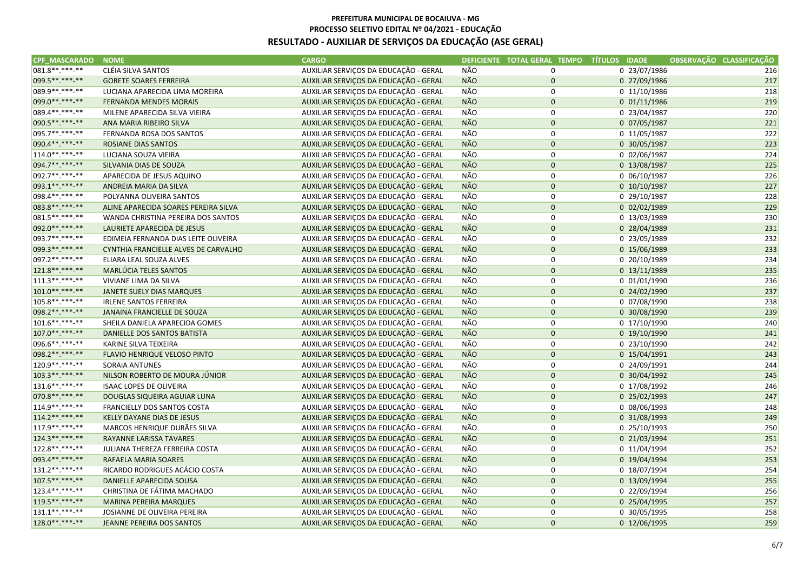| CPF MASCARADO NOME |                                      | <b>CARGO</b>                          |            | DEFICIENTE TOTAL GERAL TEMPO TÍTULOS IDADE |                | OBSERVAÇÃO CLASSIFICAÇÃO |
|--------------------|--------------------------------------|---------------------------------------|------------|--------------------------------------------|----------------|--------------------------|
| 081.8**.***-**     | CLÉIA SILVA SANTOS                   | AUXILIAR SERVIÇOS DA EDUCAÇÃO - GERAL | NÃO        | $\mathbf 0$                                | 0 23/07/1986   | 216                      |
| 099.5**.***-**     | <b>GORETE SOARES FERREIRA</b>        | AUXILIAR SERVIÇOS DA EDUCAÇÃO - GERAL | NÃO        | $\pmb{0}$                                  | 0 27/09/1986   | 217                      |
| 089.9**.***-**     | LUCIANA APARECIDA LIMA MOREIRA       | AUXILIAR SERVIÇOS DA EDUCAÇÃO - GERAL | <b>NÃO</b> | 0                                          | 0 11/10/1986   | 218                      |
| 099.0 ** *** -**   | <b>FERNANDA MENDES MORAIS</b>        | AUXILIAR SERVIÇOS DA EDUCAÇÃO - GERAL | <b>NÃO</b> | $\pmb{0}$                                  | 0 01/11/1986   | 219                      |
| 089.4**.***-**     | MILENE APARECIDA SILVA VIEIRA        | AUXILIAR SERVIÇOS DA EDUCAÇÃO - GERAL | <b>NÃO</b> | 0                                          | 0 23/04/1987   | 220                      |
| 090.5**.***-**     | ANA MARIA RIBEIRO SILVA              | AUXILIAR SERVIÇOS DA EDUCAÇÃO - GERAL | NÃO        | $\mathbf 0$                                | 0 07/05/1987   | 221                      |
| 095.7**.***-**     | FERNANDA ROSA DOS SANTOS             | AUXILIAR SERVIÇOS DA EDUCAÇÃO - GERAL | NÃO        | $\mathsf 0$                                | 0 11/05/1987   | 222                      |
| 090.4**.***-**     | ROSIANE DIAS SANTOS                  | AUXILIAR SERVIÇOS DA EDUCAÇÃO - GERAL | <b>NÃO</b> | $\mathbf 0$                                | 0 30/05/1987   | 223                      |
| 114.0**.***-**     | LUCIANA SOUZA VIEIRA                 | AUXILIAR SERVIÇOS DA EDUCAÇÃO - GERAL | NÃO        | $\mathbf 0$                                | 0 02/06/1987   | 224                      |
| 094.7**.***-**     | SILVANIA DIAS DE SOUZA               | AUXILIAR SERVIÇOS DA EDUCAÇÃO - GERAL | <b>NÃO</b> | $\mathbf 0$                                | 0 13/08/1987   | 225                      |
| 092.7**.***-**     | APARECIDA DE JESUS AQUINO            | AUXILIAR SERVIÇOS DA EDUCAÇÃO - GERAL | NÃO        | $\mathsf 0$                                | 0 06/10/1987   | 226                      |
| 093.1**.***-**     | ANDREIA MARIA DA SILVA               | AUXILIAR SERVIÇOS DA EDUCAÇÃO - GERAL | <b>NÃO</b> | $\pmb{0}$                                  | $0$ 10/10/1987 | 227                      |
| 098.4**.***-**     | POLYANNA OLIVEIRA SANTOS             | AUXILIAR SERVIÇOS DA EDUCAÇÃO - GERAL | NÃO        | 0                                          | 0 29/10/1987   | 228                      |
| 083.8 ** ***-**    | ALINE APARECIDA SOARES PEREIRA SILVA | AUXILIAR SERVIÇOS DA EDUCAÇÃO - GERAL | <b>NÃO</b> | $\mathbf 0$                                | 0 02/02/1989   | 229                      |
| 081.5**.***-**     | WANDA CHRISTINA PEREIRA DOS SANTOS   | AUXILIAR SERVIÇOS DA EDUCAÇÃO - GERAL | NÃO        | $\mathsf 0$                                | 0 13/03/1989   | 230                      |
| 092.0**.***-**     | LAURIETE APARECIDA DE JESUS          | AUXILIAR SERVIÇOS DA EDUCAÇÃO - GERAL | NÃO        | $\pmb{0}$                                  | 0 28/04/1989   | 231                      |
| 093.7**.***-**     | EDIMEIA FERNANDA DIAS LEITE OLIVEIRA | AUXILIAR SERVIÇOS DA EDUCAÇÃO - GERAL | <b>NÃO</b> | 0                                          | 0 23/05/1989   | 232                      |
| 099.3 ** ***-**    | CYNTHIA FRANCIELLE ALVES DE CARVALHO | AUXILIAR SERVIÇOS DA EDUCAÇÃO - GERAL | <b>NÃO</b> | $\mathbf 0$                                | 0 15/06/1989   | 233                      |
| 097.2 **. ***- **  | ELIARA LEAL SOUZA ALVES              | AUXILIAR SERVIÇOS DA EDUCAÇÃO - GERAL | NÃO        | $\pmb{0}$                                  | 0 20/10/1989   | 234                      |
| 121.8**.***-**     | MARLÚCIA TELES SANTOS                | AUXILIAR SERVIÇOS DA EDUCAÇÃO - GERAL | <b>NÃO</b> | $\mathbf 0$                                | 0 13/11/1989   | 235                      |
| 111.3**.***-**     | VIVIANE LIMA DA SILVA                | AUXILIAR SERVIÇOS DA EDUCAÇÃO - GERAL | NÃO        | $\mathsf 0$                                | 0 01/01/1990   | 236                      |
| 101.0**.***-**     | JANETE SUELY DIAS MARQUES            | AUXILIAR SERVIÇOS DA EDUCAÇÃO - GERAL | <b>NÃO</b> | $\pmb{0}$                                  | 0 24/02/1990   | 237                      |
| 105.8**.***-**     | <b>IRLENE SANTOS FERREIRA</b>        | AUXILIAR SERVIÇOS DA EDUCAÇÃO - GERAL | NÃO        | 0                                          | 0 07/08/1990   | 238                      |
| 098.2 ** ***-**    | JANAINA FRANCIELLE DE SOUZA          | AUXILIAR SERVIÇOS DA EDUCAÇÃO - GERAL | <b>NÃO</b> | $\mathbf 0$                                | 0 30/08/1990   | 239                      |
| 101.6**.***-**     | SHEILA DANIELA APARECIDA GOMES       | AUXILIAR SERVIÇOS DA EDUCAÇÃO - GERAL | NÃO        | 0                                          | 0 17/10/1990   | 240                      |
| 107.0**.***-**     | DANIELLE DOS SANTOS BATISTA          | AUXILIAR SERVIÇOS DA EDUCAÇÃO - GERAL | NÃO        | $\mathbf{0}$                               | 0 19/10/1990   | 241                      |
| 096.6**.***-**     | KARINE SILVA TEIXEIRA                | AUXILIAR SERVIÇOS DA EDUCAÇÃO - GERAL | NÃO        | 0                                          | 0 23/10/1990   | 242                      |
| 098.2 ** *** -**   | FLAVIO HENRIQUE VELOSO PINTO         | AUXILIAR SERVIÇOS DA EDUCAÇÃO - GERAL | <b>NÃO</b> | $\pmb{0}$                                  | 0 15/04/1991   | 243                      |
| 120.9**.***-**     | SORAIA ANTUNES                       | AUXILIAR SERVIÇOS DA EDUCAÇÃO - GERAL | NÃO        | $\pmb{0}$                                  | 0 24/09/1991   | 244                      |
| 103.3**.***-**     | NILSON ROBERTO DE MOURA JÚNIOR       | AUXILIAR SERVIÇOS DA EDUCAÇÃO - GERAL | NÃO        | $\mathbf 0$                                | 0 30/04/1992   | 245                      |
| 131.6**.***-**     | <b>ISAAC LOPES DE OLIVEIRA</b>       | AUXILIAR SERVIÇOS DA EDUCAÇÃO - GERAL | NÃO        | $\mathsf 0$                                | 0 17/08/1992   | 246                      |
| 070.8**.***-**     | DOUGLAS SIQUEIRA AGUIAR LUNA         | AUXILIAR SERVIÇOS DA EDUCAÇÃO - GERAL | <b>NÃO</b> | $\mathbf 0$                                | 0 25/02/1993   | 247                      |
| 114.9 **. ***- **  | FRANCIELLY DOS SANTOS COSTA          | AUXILIAR SERVIÇOS DA EDUCAÇÃO - GERAL | NÃO        | 0                                          | 0 08/06/1993   | 248                      |
| 114.2 ** *** -**   | KELLY DAYANE DIAS DE JESUS           | AUXILIAR SERVIÇOS DA EDUCAÇÃO - GERAL | <b>NÃO</b> | $\pmb{0}$                                  | 0 31/08/1993   | 249                      |
| 117.9 **. ***- **  | MARCOS HENRIQUE DURÃES SILVA         | AUXILIAR SERVIÇOS DA EDUCAÇÃO - GERAL | NÃO        | $\mathsf 0$                                | 0 25/10/1993   | 250                      |
| 124.3**.***-**     | RAYANNE LARISSA TAVARES              | AUXILIAR SERVIÇOS DA EDUCAÇÃO - GERAL | <b>NÃO</b> | $\pmb{0}$                                  | 0 21/03/1994   | 251                      |
| 122.8**.***-**     | JULIANA THEREZA FERREIRA COSTA       | AUXILIAR SERVIÇOS DA EDUCAÇÃO - GERAL | <b>NÃO</b> | 0                                          | 0 11/04/1994   | 252                      |
| 093.4**.***-**     | RAFAELA MARIA SOARES                 | AUXILIAR SERVIÇOS DA EDUCAÇÃO - GERAL | <b>NÃO</b> | $\mathbf 0$                                | 0 19/04/1994   | 253                      |
| 131.2**.***-**     | RICARDO RODRIGUES ACÁCIO COSTA       | AUXILIAR SERVIÇOS DA EDUCAÇÃO - GERAL | NÃO        | $\mathsf 0$                                | 0 18/07/1994   | 254                      |
| 107.5**.***-**     | DANIELLE APARECIDA SOUSA             | AUXILIAR SERVIÇOS DA EDUCAÇÃO - GERAL | NÃO        | $\mathsf{O}\xspace$                        | 0 13/09/1994   | 255                      |
| 123.4**.***-**     | CHRISTINA DE FÁTIMA MACHADO          | AUXILIAR SERVIÇOS DA EDUCAÇÃO - GERAL | NÃO        | 0                                          | 0 22/09/1994   | 256                      |
| 119.5**.***-**     | <b>MARINA PEREIRA MARQUES</b>        | AUXILIAR SERVIÇOS DA EDUCAÇÃO - GERAL | <b>NÃO</b> | $\pmb{0}$                                  | 0 25/04/1995   | 257                      |
| 131.1**.***-**     | JOSIANNE DE OLIVEIRA PEREIRA         | AUXILIAR SERVIÇOS DA EDUCAÇÃO - GERAL | NÃO        | 0                                          | 0 30/05/1995   | 258                      |
| $128.0*********$   | JEANNE PEREIRA DOS SANTOS            | AUXILIAR SERVIÇOS DA EDUCAÇÃO - GERAL | <b>NÃO</b> | $\mathbf 0$                                | 0 12/06/1995   | 259                      |
|                    |                                      |                                       |            |                                            |                |                          |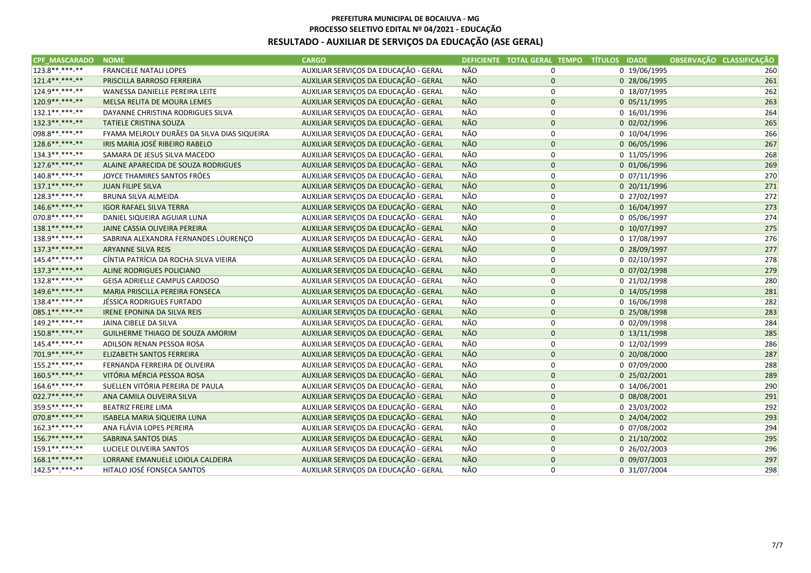| <b>CPF MASCARADO</b> | <b>NOME</b>                                 | <b>CARGO</b>                          |            | DEFICIENTE TOTAL GERAL TEMPO TÍTULOS IDADE |              | OBSERVAÇÃO CLASSIFICAÇÃO |
|----------------------|---------------------------------------------|---------------------------------------|------------|--------------------------------------------|--------------|--------------------------|
| 123.8 **. ***-**     | <b>FRANCIELE NATALI LOPES</b>               | AUXILIAR SERVIÇOS DA EDUCAÇÃO - GERAL | NÃO        | 0                                          | 0 19/06/1995 | 260                      |
| 121.4**.***-**       | PRISCILLA BARROSO FERREIRA                  | AUXILIAR SERVIÇOS DA EDUCAÇÃO - GERAL | NÃO        | $\mathbf 0$                                | 0 28/06/1995 | 261                      |
| 124.9 **. ***- **    | WANESSA DANIELLE PEREIRA LEITE              | AUXILIAR SERVIÇOS DA EDUCAÇÃO - GERAL | NÃO        | 0                                          | 0 18/07/1995 | 262                      |
| 120.9**.***-**       | MELSA RELITA DE MOURA LEMES                 | AUXILIAR SERVIÇOS DA EDUCAÇÃO - GERAL | NÃO        | $\mathsf{O}\xspace$                        | 0 05/11/1995 | 263                      |
| 132.1**.***-**       | DAYANNE CHRISTINA RODRIGUES SILVA           | AUXILIAR SERVIÇOS DA EDUCAÇÃO - GERAL | NÃO        | $\mathbf 0$                                | 0 16/01/1996 | 264                      |
| 132.3**.***-**       | <b>TATIELE CRISTINA SOUZA</b>               | AUXILIAR SERVIÇOS DA EDUCAÇÃO - GERAL | <b>NÃO</b> | $\mathbf 0$                                | 0 02/02/1996 | 265                      |
| 098.8 **. ***- **    | FYAMA MELROLY DURÃES DA SILVA DIAS SIQUEIRA | AUXILIAR SERVIÇOS DA EDUCAÇÃO - GERAL | NÃO        | 0                                          | 0 10/04/1996 | 266                      |
| 128.6**.***-**       | IRIS MARIA JOSÉ RIBEIRO RABELO              | AUXILIAR SERVIÇOS DA EDUCAÇÃO - GERAL | <b>NÃO</b> | $\pmb{0}$                                  | 0 06/05/1996 | 267                      |
| 134.3**.***-**       | SAMARA DE JESUS SILVA MACEDO                | AUXILIAR SERVIÇOS DA EDUCAÇÃO - GERAL | <b>NÃO</b> | $\mathsf 0$                                | 0 11/05/1996 | 268                      |
| 127.6**.***-**       | ALAINE APARECIDA DE SOUZA RODRIGUES         | AUXILIAR SERVIÇOS DA EDUCAÇÃO - GERAL | NÃO        | $\pmb{0}$                                  | 0 01/06/1996 | 269                      |
| 140.8**.***-**       | JOYCE THAMIRES SANTOS FRÓES                 | AUXILIAR SERVIÇOS DA EDUCAÇÃO - GERAL | NÃO        | 0                                          | 0 07/11/1996 | 270                      |
| 137.1**.***-**       | <b>JUAN FILIPE SILVA</b>                    | AUXILIAR SERVIÇOS DA EDUCAÇÃO - GERAL | NÃO        | $\mathbf 0$                                | 0 20/11/1996 | 271                      |
| 128.3**.***-**       | <b>BRUNA SILVA ALMEIDA</b>                  | AUXILIAR SERVIÇOS DA EDUCAÇÃO - GERAL | NÃO        | 0                                          | 0 27/02/1997 | 272                      |
| 146.6**.***-**       | <b>IGOR RAFAEL SILVA TERRA</b>              | AUXILIAR SERVIÇOS DA EDUCAÇÃO - GERAL | <b>NÃO</b> | $\mathbf 0$                                | 0 16/04/1997 | 273                      |
| 070.8 **. ***-**     | DANIEL SIQUEIRA AGUIAR LUNA                 | AUXILIAR SERVIÇOS DA EDUCAÇÃO - GERAL | <b>NÃO</b> | 0                                          | 0 05/06/1997 | 274                      |
| 138.1**.***-**       | JAINE CASSIA OLIVEIRA PEREIRA               | AUXILIAR SERVIÇOS DA EDUCAÇÃO - GERAL | NÃO        | $\mathbf 0$                                | 0 10/07/1997 | 275                      |
| 138.9**.***-**       | SABRINA ALEXANDRA FERNANDES LOURENÇO        | AUXILIAR SERVIÇOS DA EDUCAÇÃO - GERAL | NÃO        | 0                                          | 0 17/08/1997 | 276                      |
| 137.3** ***-**       | <b>ARYANNE SILVA REIS</b>                   | AUXILIAR SERVIÇOS DA EDUCAÇÃO - GERAL | NÃO        | $\mathbf 0$                                | 0 28/09/1997 | 277                      |
| 145.4**.***-**       | CÍNTIA PATRÍCIA DA ROCHA SILVA VIEIRA       | AUXILIAR SERVIÇOS DA EDUCAÇÃO - GERAL | NÃO        | 0                                          | 0 02/10/1997 | 278                      |
| 137.3**.***-**       | ALINE RODRIGUES POLICIANO                   | AUXILIAR SERVIÇOS DA EDUCAÇÃO - GERAL | <b>NÃO</b> | $\mathbf 0$                                | 0 07/02/1998 | 279                      |
| 132.8**.***-**       | GEISA ADRIELLE CAMPUS CARDOSO               | AUXILIAR SERVIÇOS DA EDUCAÇÃO - GERAL | <b>NÃO</b> | 0                                          | 0 21/02/1998 | 280                      |
| 149.6**.***-**       | MARIA PRISCILLA PEREIRA FONSECA             | AUXILIAR SERVIÇOS DA EDUCAÇÃO - GERAL | <b>NÃO</b> | $\mathbf 0$                                | 0 14/05/1998 | 281                      |
| 138.4**.***-**       | JÉSSICA RODRIGUES FURTADO                   | AUXILIAR SERVIÇOS DA EDUCAÇÃO - GERAL | NÃO        | 0                                          | 0 16/06/1998 | 282                      |
| 085.1**.***-**       | IRENE EPONINA DA SILVA REIS                 | AUXILIAR SERVIÇOS DA EDUCAÇÃO - GERAL | <b>NÃO</b> | $\mathbf 0$                                | 0 25/08/1998 | 283                      |
| 149.2 ** .*** -**    | JAINA CIBELE DA SILVA                       | AUXILIAR SERVIÇOS DA EDUCAÇÃO - GERAL | NÃO        | 0                                          | 0 02/09/1998 | 284                      |
| 150.8**.***-**       | GUILHERME THIAGO DE SOUZA AMORIM            | AUXILIAR SERVIÇOS DA EDUCAÇÃO - GERAL | NÃO        | $\mathbf 0$                                | 0 13/11/1998 | 285                      |
| 145.4**.***-**       | ADILSON RENAN PESSOA ROSA                   | AUXILIAR SERVIÇOS DA EDUCAÇÃO - GERAL | NÃO        | 0                                          | 0 12/02/1999 | 286                      |
| 701.9**.***-**       | ELIZABETH SANTOS FERREIRA                   | AUXILIAR SERVIÇOS DA EDUCAÇÃO - GERAL | <b>NÃO</b> | $\pmb{0}$                                  | 0 20/08/2000 | 287                      |
| 155.2 **. ***-**     | FERNANDA FERREIRA DE OLIVEIRA               | AUXILIAR SERVIÇOS DA EDUCAÇÃO - GERAL | NÃO        | 0                                          | 0 07/09/2000 | 288                      |
| 160.5**.***-**       | VITÓRIA MÉRCIA PESSOA ROSA                  | AUXILIAR SERVIÇOS DA EDUCAÇÃO - GERAL | <b>NÃO</b> | $\mathbf 0$                                | 0 25/02/2001 | 289                      |
| 164.6**.***-**       | SUELLEN VITÓRIA PEREIRA DE PAULA            | AUXILIAR SERVIÇOS DA EDUCAÇÃO - GERAL | NÃO        | $\mathsf 0$                                | 0 14/06/2001 | 290                      |
| 022.7**.***-**       | ANA CAMILA OLIVEIRA SILVA                   | AUXILIAR SERVIÇOS DA EDUCAÇÃO - GERAL | NÃO        | $\pmb{0}$                                  | 0 08/08/2001 | 291                      |
| 359.5**.***-**       | <b>BEATRIZ FREIRE LIMA</b>                  | AUXILIAR SERVIÇOS DA EDUCAÇÃO - GERAL | <b>NÃO</b> | $\mathsf 0$                                | 0 23/03/2002 | 292                      |
| 070.8 ** *** -**     | <b>ISABELA MARIA SIQUEIRA LUNA</b>          | AUXILIAR SERVIÇOS DA EDUCAÇÃO - GERAL | NÃO        | $\mathbf 0$                                | 0 24/04/2002 | 293                      |
| 162.3**.***-**       | ANA FLÁVIA LOPES PEREIRA                    | AUXILIAR SERVIÇOS DA EDUCAÇÃO - GERAL | <b>NÃO</b> | 0                                          | 0 07/08/2002 | 294                      |
| 156.7**.***-**       | <b>SABRINA SANTOS DIAS</b>                  | AUXILIAR SERVIÇOS DA EDUCAÇÃO - GERAL | NÃO        | $\mathbf 0$                                | 0 21/10/2002 | 295                      |
| 159.1**.***-**       | LUCIELE OLIVEIRA SANTOS                     | AUXILIAR SERVIÇOS DA EDUCAÇÃO - GERAL | NÃO        | 0                                          | 0 26/02/2003 | 296                      |
| 168.1**.***-**       | LORRANE EMANUELE LOIOLA CALDEIRA            | AUXILIAR SERVIÇOS DA EDUCAÇÃO - GERAL | NÃO        | $\mathbf 0$                                | 0 09/07/2003 | 297                      |
| 142.5 **. ***- **    | HITALO JOSÉ FONSECA SANTOS                  | AUXILIAR SERVIÇOS DA EDUCAÇÃO - GERAL | NÃO        | 0                                          | 0 31/07/2004 | 298                      |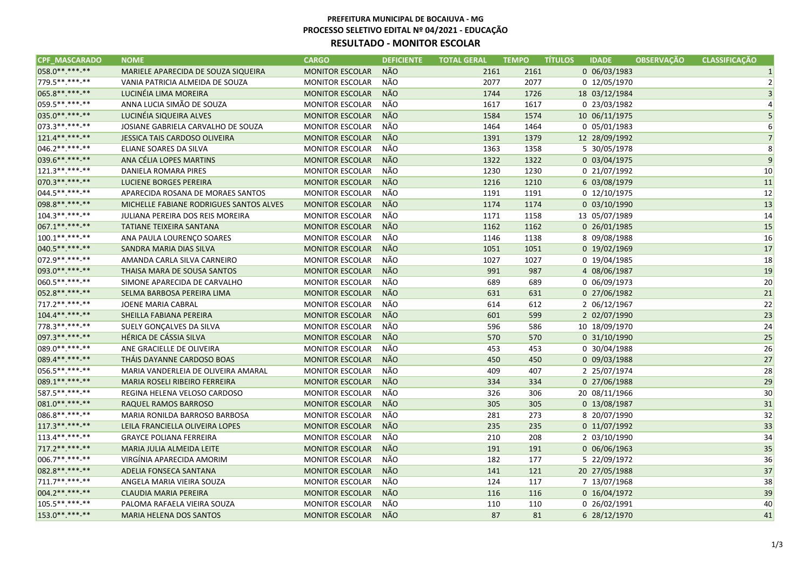| <b>CPF MASCARADO</b> | <b>NOME</b>                             | <b>CARGO</b>           | <b>DEFICIENTE</b> | <b>TOTAL GERAL</b> | <b>TEMPO</b> | <b>IDADE</b><br><b>TITULOS</b> | <b>OBSERVAÇÃO</b> | <b>CLASSIFICACÃO</b> |
|----------------------|-----------------------------------------|------------------------|-------------------|--------------------|--------------|--------------------------------|-------------------|----------------------|
| 058.0**.***-**       | MARIELE APARECIDA DE SOUZA SIQUEIRA     | <b>MONITOR ESCOLAR</b> | NÃO               | 2161               | 2161         | 0 06/03/1983                   |                   | $1\vert$             |
| 779.5**.***-**       | VANIA PATRICIA ALMEIDA DE SOUZA         | <b>MONITOR ESCOLAR</b> | NÃO               | 2077               | 2077         | 0 12/05/1970                   |                   | $\overline{2}$       |
| 065.8**.***-**       | LUCINÉIA LIMA MOREIRA                   | <b>MONITOR ESCOLAR</b> | NÃO               | 1744               | 1726         | 18 03/12/1984                  |                   | 3 <sup>1</sup>       |
| 059.5**.***-**       | ANNA LUCIA SIMÃO DE SOUZA               | <b>MONITOR ESCOLAR</b> | NÃO               | 1617               | 1617         | 0 23/03/1982                   |                   | $\vert$              |
| 035.0**.***-**       | LUCINÉIA SIQUEIRA ALVES                 | <b>MONITOR ESCOLAR</b> | NÃO               | 1584               | 1574         | 10 06/11/1975                  |                   | 5 <sup>1</sup>       |
| 073.3**.***-**       | JOSIANE GABRIELA CARVALHO DE SOUZA      | <b>MONITOR ESCOLAR</b> | NÃO               | 1464               | 1464         | 0 05/01/1983                   |                   | 6                    |
| 121.4**.***-**       | JESSICA TAIS CARDOSO OLIVEIRA           | <b>MONITOR ESCOLAR</b> | NÃO               | 1391               | 1379         | 12 28/09/1992                  |                   | 7                    |
| 046.2 **. ***-**     | ELIANE SOARES DA SILVA                  | <b>MONITOR ESCOLAR</b> | NÃO               | 1363               | 1358         | 5 30/05/1978                   |                   | 8 <sup>1</sup>       |
| 039.6**.***-**       | ANA CÉLIA LOPES MARTINS                 | <b>MONITOR ESCOLAR</b> | NÃO               | 1322               | 1322         | 0 03/04/1975                   |                   | 9                    |
| 121.3 **. ***-**     | DANIELA ROMARA PIRES                    | <b>MONITOR ESCOLAR</b> | NÃO               | 1230               | 1230         | 0 21/07/1992                   |                   | 10 <sup>1</sup>      |
| 070.3 ** *** **      | <b>LUCIENE BORGES PEREIRA</b>           | <b>MONITOR ESCOLAR</b> | NÃO               | 1216               | 1210         | 6 03/08/1979                   |                   | 11                   |
| 044.5**.***-**       | APARECIDA ROSANA DE MORAES SANTOS       | <b>MONITOR ESCOLAR</b> | NÃO               | 1191               | 1191         | 0 12/10/1975                   |                   | 12                   |
| 098.8**.***.**       | MICHELLE FABIANE RODRIGUES SANTOS ALVES | <b>MONITOR ESCOLAR</b> | NÃO               | 1174               | 1174         | 0 03/10/1990                   |                   | 13                   |
| 104.3**.***-**       | <b>JULIANA PEREIRA DOS REIS MOREIRA</b> | <b>MONITOR ESCOLAR</b> | NÃO               | 1171               | 1158         | 13 05/07/1989                  |                   | 14                   |
| 067.1**.***-**       | TATIANE TEIXEIRA SANTANA                | <b>MONITOR ESCOLAR</b> | NÃO               | 1162               | 1162         | 0 26/01/1985                   |                   | 15                   |
| 100.1**.***-**       | ANA PAULA LOURENÇO SOARES               | <b>MONITOR ESCOLAR</b> | NÃO               | 1146               | 1138         | 8 09/08/1988                   |                   | 16                   |
| 040.5**.***-**       | SANDRA MARIA DIAS SILVA                 | <b>MONITOR ESCOLAR</b> | NÃO               | 1051               | 1051         | 0 19/02/1969                   |                   | 17                   |
| 072.9 ** .***-**     | AMANDA CARLA SILVA CARNEIRO             | <b>MONITOR ESCOLAR</b> | NÃO               | 1027               | 1027         | 0 19/04/1985                   |                   | 18                   |
| 093.0**.***-**       | THAISA MARA DE SOUSA SANTOS             | <b>MONITOR ESCOLAR</b> | <b>NÃO</b>        | 991                | 987          | 4 08/06/1987                   |                   | 19                   |
| 060.5**.***-**       | SIMONE APARECIDA DE CARVALHO            | <b>MONITOR ESCOLAR</b> | NÃO               | 689                | 689          | 0 06/09/1973                   |                   | 20                   |
| 052.8**.***-**       | SELMA BARBOSA PEREIRA LIMA              | <b>MONITOR ESCOLAR</b> | NÃO               | 631                | 631          | 0 27/06/1982                   |                   | 21                   |
| 717.2 ** *** -**     | JOENE MARIA CABRAL                      | <b>MONITOR ESCOLAR</b> | NÃO               | 614                | 612          | 2 06/12/1967                   |                   | 22                   |
| 104.4**.***-**       | SHEILLA FABIANA PEREIRA                 | <b>MONITOR ESCOLAR</b> | NÃO               | 601                | 599          | 2 02/07/1990                   |                   | 23                   |
| 778.3 **. ***- **    | SUELY GONÇALVES DA SILVA                | <b>MONITOR ESCOLAR</b> | NÃO               | 596                | 586          | 10 18/09/1970                  |                   | 24                   |
| 097.3**.***-**       | HÉRICA DE CÁSSIA SILVA                  | <b>MONITOR ESCOLAR</b> | <b>NÃO</b>        | 570                | 570          | 0 31/10/1990                   |                   | 25                   |
| 089.0 **. ***-**     | ANE GRACIELLE DE OLIVEIRA               | <b>MONITOR ESCOLAR</b> | NÃO               | 453                | 453          | 0 30/04/1988                   |                   | 26                   |
| 089.4**.***-**       | THÁIS DAYANNE CARDOSO BOAS              | <b>MONITOR ESCOLAR</b> | NÃO               | 450                | 450          | 0 09/03/1988                   |                   | 27                   |
| 056.5**.***-**       | MARIA VANDERLEIA DE OLIVEIRA AMARAL     | <b>MONITOR ESCOLAR</b> | NÃO               | 409                | 407          | 2 25/07/1974                   |                   | 28                   |
| 089.1**.***-**       | MARIA ROSELI RIBEIRO FERREIRA           | <b>MONITOR ESCOLAR</b> | NÃO               | 334                | 334          | 0 27/06/1988                   |                   | 29                   |
| 587.5**.***-**       | REGINA HELENA VELOSO CARDOSO            | <b>MONITOR ESCOLAR</b> | NÃO               | 326                | 306          | 20 08/11/1966                  |                   | 30                   |
| 081.0**.***.**       | RAQUEL RAMOS BARROSO                    | <b>MONITOR ESCOLAR</b> | NÃO               | 305                | 305          | 0 13/08/1987                   |                   | 31                   |
| 086.8**.***-**       | MARIA RONILDA BARROSO BARBOSA           | <b>MONITOR ESCOLAR</b> | NÃO               | 281                | 273          | 8 20/07/1990                   |                   | 32                   |
| 117.3**.***.**       | LEILA FRANCIELLA OLIVEIRA LOPES         | <b>MONITOR ESCOLAR</b> | NÃO               | 235                | 235          | 0 11/07/1992                   |                   | 33                   |
| 113.4**.***-**       | <b>GRAYCE POLIANA FERREIRA</b>          | <b>MONITOR ESCOLAR</b> | NÃO               | 210                | 208          | 2 03/10/1990                   |                   | 34                   |
| 717.2 ** *** -**     | MARIA JULIA ALMEIDA LEITE               | <b>MONITOR ESCOLAR</b> | NÃO               | 191                | 191          | 0 06/06/1963                   |                   | 35                   |
| 006.7**.***-**       | VIRGÍNIA APARECIDA AMORIM               | <b>MONITOR ESCOLAR</b> | NÃO               | 182                | 177          | 5 22/09/1972                   |                   | 36                   |
| 082.8**.***.**       | ADELIA FONSECA SANTANA                  | <b>MONITOR ESCOLAR</b> | NÃO               | 141                | 121          | 20 27/05/1988                  |                   | 37                   |
| 711.7**.***-**       | ANGELA MARIA VIEIRA SOUZA               | <b>MONITOR ESCOLAR</b> | NÃO               | 124                | 117          | 7 13/07/1968                   |                   | 38                   |
| 004.2 ** *** -**     | CLAUDIA MARIA PEREIRA                   | <b>MONITOR ESCOLAR</b> | NÃO               | 116                | 116          | 0 16/04/1972                   |                   | 39                   |
| 105.5**.***-**       | PALOMA RAFAELA VIEIRA SOUZA             | <b>MONITOR ESCOLAR</b> | NÃO               | 110                | 110          | 0 26/02/1991                   |                   | 40                   |
| 153.0**.***-**       | <b>MARIA HELENA DOS SANTOS</b>          | <b>MONITOR ESCOLAR</b> | NÃO               | 87                 | 81           | 6 28/12/1970                   |                   | 41                   |
|                      |                                         |                        |                   |                    |              |                                |                   |                      |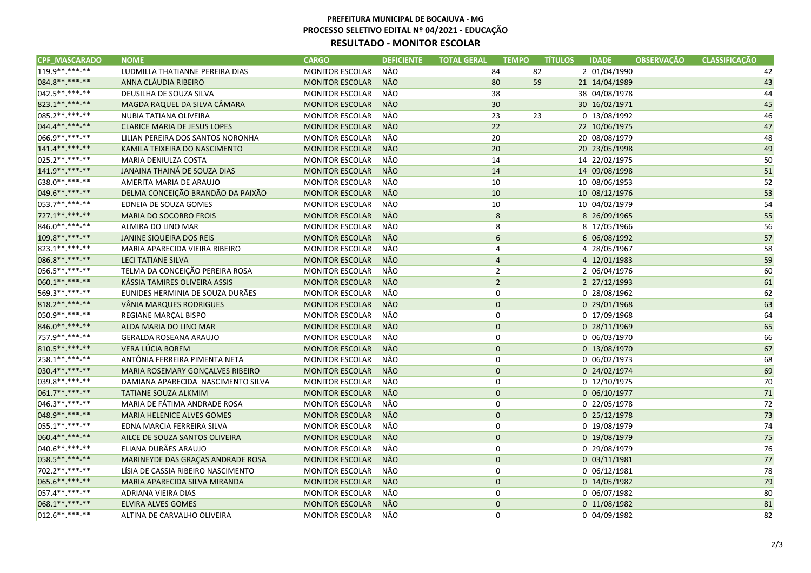| <b>CPF MASCARADO</b> | <b>NOME</b>                         | <b>CARGO</b>           | <b>DEFICIENTE</b> | <b>TEMPO</b><br><b>TOTAL GERAL</b> | <b>TÍTULOS</b> | <b>IDADE</b>  | <b>OBSERVAÇÃO</b> | <b>CLASSIFICAÇÃO</b> |
|----------------------|-------------------------------------|------------------------|-------------------|------------------------------------|----------------|---------------|-------------------|----------------------|
| 119.9 ** *** **      | LUDMILLA THATIANNE PEREIRA DIAS     | <b>MONITOR ESCOLAR</b> | NÃO               | 84                                 | 82             | 2 01/04/1990  |                   | 42                   |
| 084.8**.***-**       | ANNA CLÁUDIA RIBEIRO                | <b>MONITOR ESCOLAR</b> | NÃO               | 80                                 | 59             | 21 14/04/1989 |                   | 43                   |
| 042.5 **. ***-**     | DEUSILHA DE SOUZA SILVA             | <b>MONITOR ESCOLAR</b> | NÃO               | 38                                 |                | 38 04/08/1978 |                   | 44                   |
| 823.1**.***.**       | MAGDA RAQUEL DA SILVA CÂMARA        | <b>MONITOR ESCOLAR</b> | NÃO               | 30                                 |                | 30 16/02/1971 |                   | 45                   |
| 085.2 **. ***-**     | NUBIA TATIANA OLIVEIRA              | <b>MONITOR ESCOLAR</b> | NÃO               | 23                                 | 23             | 0 13/08/1992  |                   | 46                   |
| 044.4**.***-**       | <b>CLARICE MARIA DE JESUS LOPES</b> | <b>MONITOR ESCOLAR</b> | NÃO               | 22                                 |                | 22 10/06/1975 |                   | 47                   |
| 066.9**.***-**       | LILIAN PEREIRA DOS SANTOS NORONHA   | <b>MONITOR ESCOLAR</b> | NÃO               | 20                                 |                | 20 08/08/1979 |                   | 48                   |
| 141.4**.***-**       | KAMILA TEIXEIRA DO NASCIMENTO       | <b>MONITOR ESCOLAR</b> | NÃO               | 20                                 |                | 20 23/05/1998 |                   | 49                   |
| 025.2 ** *** -**     | MARIA DENIULZA COSTA                | <b>MONITOR ESCOLAR</b> | NÃO               | 14                                 |                | 14 22/02/1975 |                   | 50                   |
| 141.9**.***-**       | JANAINA THAINÁ DE SOUZA DIAS        | <b>MONITOR ESCOLAR</b> | NÃO               | 14                                 |                | 14 09/08/1998 |                   | 51                   |
| 638.0**.***-**       | AMERITA MARIA DE ARAUJO             | <b>MONITOR ESCOLAR</b> | NÃO               | 10                                 |                | 10 08/06/1953 |                   | 52                   |
| 049.6**.***-**       | DELMA CONCEIÇÃO BRANDÃO DA PAIXÃO   | <b>MONITOR ESCOLAR</b> | NÃO               | 10                                 |                | 10 08/12/1976 |                   | 53                   |
| 053.7**.***-**       | EDNEIA DE SOUZA GOMES               | <b>MONITOR ESCOLAR</b> | NÃO               | 10                                 |                | 10 04/02/1979 |                   | 54                   |
| 727.1**.***-**       | <b>MARIA DO SOCORRO FROIS</b>       | <b>MONITOR ESCOLAR</b> | NÃO               | $\,$ 8 $\,$                        |                | 8 26/09/1965  |                   | 55                   |
| 846.0**.***-**       | ALMIRA DO LINO MAR                  | <b>MONITOR ESCOLAR</b> | NÃO               | 8                                  |                | 8 17/05/1966  |                   | 56                   |
| 109.8**.***-**       | JANINE SIQUEIRA DOS REIS            | <b>MONITOR ESCOLAR</b> | <b>NÃO</b>        | 6                                  |                | 6 06/08/1992  |                   | 57                   |
| 823.1**.***-**       | MARIA APARECIDA VIEIRA RIBEIRO      | <b>MONITOR ESCOLAR</b> | NÃO               | 4                                  |                | 4 28/05/1967  |                   | 58                   |
| 086.8**.***-**       | <b>LECI TATIANE SILVA</b>           | <b>MONITOR ESCOLAR</b> | NÃO               | $\overline{4}$                     |                | 4 12/01/1983  |                   | 59                   |
| 056.5**.***-**       | TELMA DA CONCEIÇÃO PEREIRA ROSA     | <b>MONITOR ESCOLAR</b> | NÃO               | $\overline{2}$                     |                | 2 06/04/1976  |                   | 60                   |
| 060.1**.***-**       | KÁSSIA TAMIRES OLIVEIRA ASSIS       | <b>MONITOR ESCOLAR</b> | NÃO               | $\overline{2}$                     |                | 2 27/12/1993  |                   | 61                   |
| 569.3 **. ***-**     | EUNIDES HERMINIA DE SOUZA DURÃES    | <b>MONITOR ESCOLAR</b> | NÃO               | $\mathbf 0$                        |                | 0 28/08/1962  |                   | 62                   |
| 818.2**.***-**       | VÂNIA MARQUES RODRIGUES             | <b>MONITOR ESCOLAR</b> | NÃO               | $\mathbf{0}$                       |                | 0 29/01/1968  |                   | 63                   |
| 050.9 **. ***- **    | REGIANE MARÇAL BISPO                | <b>MONITOR ESCOLAR</b> | NÃO               | $\mathbf 0$                        |                | 0 17/09/1968  |                   | 64                   |
| 846.0**.***-**       | ALDA MARIA DO LINO MAR              | <b>MONITOR ESCOLAR</b> | NÃO               | $\mathbf{0}$                       |                | 0 28/11/1969  |                   | 65                   |
| 757.9 ** *** -**     | <b>GERALDA ROSEANA ARAUJO</b>       | <b>MONITOR ESCOLAR</b> | NÃO               | 0                                  |                | 0 06/03/1970  |                   | 66                   |
| 810.5**.***-**       | VERA LÚCIA BOREM                    | <b>MONITOR ESCOLAR</b> | NÃO               | $\mathbf 0$                        |                | 0 13/08/1970  |                   | 67                   |
| 258.1 **. ***- **    | ANTÔNIA FERREIRA PIMENTA NETA       | <b>MONITOR ESCOLAR</b> | NÃO               | $\mathbf 0$                        |                | 0 06/02/1973  |                   | 68                   |
| 030.4**.***-**       | MARIA ROSEMARY GONCALVES RIBEIRO    | <b>MONITOR ESCOLAR</b> | NÃO               | $\mathbf 0$                        |                | 0 24/02/1974  |                   | 69                   |
| 039.8 ** .*** -**    | DAMIANA APARECIDA NASCIMENTO SILVA  | <b>MONITOR ESCOLAR</b> | NÃO               | 0                                  |                | 0 12/10/1975  |                   | 70                   |
| 061.7**.***-**       | <b>TATIANE SOUZA ALKMIM</b>         | <b>MONITOR ESCOLAR</b> | <b>NÃO</b>        | $\mathbf{0}$                       |                | 0 06/10/1977  |                   | 71                   |
| 046.3**.***-**       | MARIA DE FÁTIMA ANDRADE ROSA        | <b>MONITOR ESCOLAR</b> | NÃO               | $\pmb{0}$                          |                | 0 22/05/1978  |                   | 72                   |
| 048.9 ** *** -**     | MARIA HELENICE ALVES GOMES          | <b>MONITOR ESCOLAR</b> | NÃO               | $\mathbf 0$                        |                | 0 25/12/1978  |                   | 73                   |
| 055.1**.***-**       | EDNA MARCIA FERREIRA SILVA          | <b>MONITOR ESCOLAR</b> | NÃO               | 0                                  |                | 0 19/08/1979  |                   | 74                   |
| 060.4**.***-**       | AILCE DE SOUZA SANTOS OLIVEIRA      | <b>MONITOR ESCOLAR</b> | NÃO               | $\mathbf 0$                        |                | 0 19/08/1979  |                   | 75                   |
| 040.6**.***-**       | ELIANA DURÃES ARAUJO                | <b>MONITOR ESCOLAR</b> | NÃO               | 0                                  |                | 0 29/08/1979  |                   | 76                   |
| 058.5**.***-**       | MARINEYDE DAS GRAÇAS ANDRADE ROSA   | <b>MONITOR ESCOLAR</b> | <b>NÃO</b>        | $\pmb{0}$                          |                | 0 03/11/1981  |                   | 77                   |
| 702.2 ** *** -**     | LÍSIA DE CASSIA RIBEIRO NASCIMENTO  | <b>MONITOR ESCOLAR</b> | NÃO               | 0                                  |                | 0 06/12/1981  |                   | 78                   |
| 065.6**.***-**       | MARIA APARECIDA SILVA MIRANDA       | <b>MONITOR ESCOLAR</b> | NÃO               | $\mathbf 0$                        |                | 0 14/05/1982  |                   | 79                   |
| 057.4**.***-**       | ADRIANA VIEIRA DIAS                 | <b>MONITOR ESCOLAR</b> | NÃO               | 0                                  |                | 0 06/07/1982  |                   | 80                   |
| 068.1**.***-**       | <b>ELVIRA ALVES GOMES</b>           | <b>MONITOR ESCOLAR</b> | NÃO               | $\mathbf 0$                        |                | 0 11/08/1982  |                   | 81                   |
| 012.6**.***-**       | ALTINA DE CARVALHO OLIVEIRA         | <b>MONITOR ESCOLAR</b> | NÃO               | $\Omega$                           |                | 0 04/09/1982  |                   | 82                   |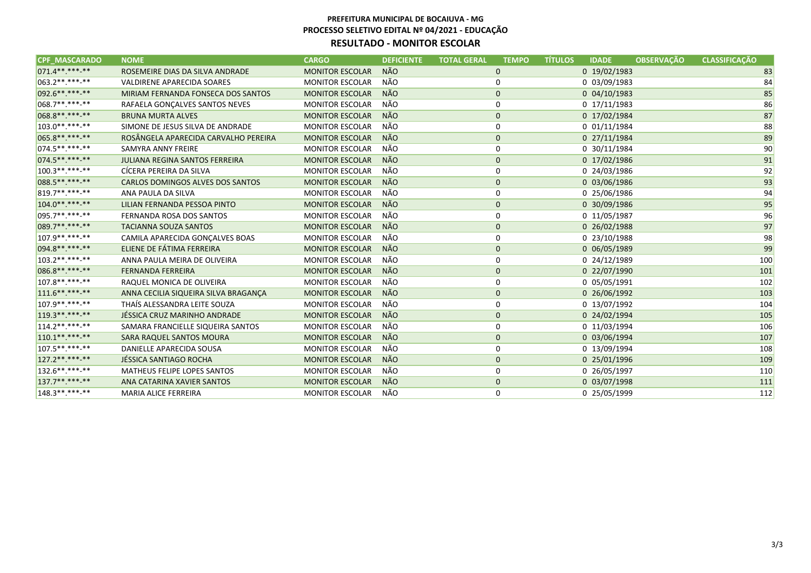| <b>CPF MASCARADO</b> | <b>NOME</b>                           | <b>CARGO</b>           | <b>DEFICIENTE</b> | <b>TOTAL GERAL</b> | <b>TÍTULOS</b><br><b>TEMPO</b> | <b>IDADE</b>     | <b>OBSERVACÃO</b> | <b>CLASSIFICAÇÃO</b> |
|----------------------|---------------------------------------|------------------------|-------------------|--------------------|--------------------------------|------------------|-------------------|----------------------|
| 071.4**.***-**       | ROSEMEIRE DIAS DA SILVA ANDRADE       | <b>MONITOR ESCOLAR</b> | <b>NÃO</b>        | $\mathbf 0$        |                                | 0 19/02/1983     |                   | 83                   |
| $1063.2*********$    | VALDIRENE APARECIDA SOARES            | <b>MONITOR ESCOLAR</b> | NÃO               | 0                  |                                | 0 03/09/1983     |                   | 84                   |
| 092.6**.***-**       | MIRIAM FERNANDA FONSECA DOS SANTOS    | <b>MONITOR ESCOLAR</b> | NÃO               | $\mathbf 0$        |                                | $0$ 04/10/1983   |                   | 85                   |
| $068.7*********$     | RAFAELA GONÇALVES SANTOS NEVES        | <b>MONITOR ESCOLAR</b> | NÃO               | 0                  |                                | 0 17/11/1983     |                   | 86                   |
| 068.8**.***.**       | <b>BRUNA MURTA ALVES</b>              | <b>MONITOR ESCOLAR</b> | NÃO               | $\mathbf{0}$       |                                | 0 17/02/1984     |                   | 87                   |
| 103.0**.***-**       | SIMONE DE JESUS SILVA DE ANDRADE      | <b>MONITOR ESCOLAR</b> | NÃO               | 0                  |                                | $0$ $01/11/1984$ |                   | 88                   |
| 065.8**.***-**       | ROSÂNGELA APARECIDA CARVALHO PEREIRA  | <b>MONITOR ESCOLAR</b> | <b>NÃO</b>        | $\mathbf 0$        |                                | 0 27/11/1984     |                   | 89                   |
| $074.5******$        | SAMYRA ANNY FREIRE                    | <b>MONITOR ESCOLAR</b> | NÃO               | 0                  |                                | 0 30/11/1984     |                   | 90                   |
| 074.5**.***.**       | <b>JULIANA REGINA SANTOS FERREIRA</b> | <b>MONITOR ESCOLAR</b> | NÃO               | $\mathbf 0$        |                                | 0 17/02/1986     |                   | 91                   |
| $100.3*********$     | CÍCERA PEREIRA DA SILVA               | <b>MONITOR ESCOLAR</b> | NÃO               | 0                  |                                | 0 24/03/1986     |                   | 92                   |
| 088.5**.***.**       | CARLOS DOMINGOS ALVES DOS SANTOS      | <b>MONITOR ESCOLAR</b> | NÃO               | $\mathbf 0$        |                                | 0 03/06/1986     |                   | 93                   |
| 819.7**.***-**       | ANA PAULA DA SILVA                    | <b>MONITOR ESCOLAR</b> | NÃO               | 0                  |                                | 0 25/06/1986     |                   | 94                   |
| $104.0******$        | LILIAN FERNANDA PESSOA PINTO          | <b>MONITOR ESCOLAR</b> | NÃO               | $\mathbf 0$        |                                | 0 30/09/1986     |                   | 95                   |
| 095.7**.***-**       | FERNANDA ROSA DOS SANTOS              | <b>MONITOR ESCOLAR</b> | NÃO               | 0                  |                                | 0 11/05/1987     |                   | 96                   |
| 089.7**.***-**       | <b>TACIANNA SOUZA SANTOS</b>          | <b>MONITOR ESCOLAR</b> | NÃO               | $\mathbf 0$        |                                | 0 26/02/1988     |                   | 97                   |
| 107.9 ** *** **      | CAMILA APARECIDA GONÇALVES BOAS       | <b>MONITOR ESCOLAR</b> | NÃO               | 0                  |                                | 0 23/10/1988     |                   | 98                   |
| 094.8**.***-**       | ELIENE DE FÁTIMA FERREIRA             | <b>MONITOR ESCOLAR</b> | <b>NÃO</b>        | $\mathbf 0$        |                                | 0 06/05/1989     |                   | 99                   |
| $103.2*********$     | ANNA PAULA MEIRA DE OLIVEIRA          | <b>MONITOR ESCOLAR</b> | NÃO               | 0                  |                                | 0 24/12/1989     |                   | 100                  |
| 086.8**.***-**       | <b>FERNANDA FERREIRA</b>              | <b>MONITOR ESCOLAR</b> | <b>NÃO</b>        | $\mathbf 0$        |                                | 0 22/07/1990     |                   | 101                  |
| $107.8*********$     | RAQUEL MONICA DE OLIVEIRA             | <b>MONITOR ESCOLAR</b> | NÃO               | 0                  |                                | 0 05/05/1991     |                   | 102                  |
| $111.6*********$     | ANNA CECILIA SIQUEIRA SILVA BRAGANÇA  | <b>MONITOR ESCOLAR</b> | NÃO               | $\mathbf 0$        |                                | 0 26/06/1992     |                   | 103                  |
| 107.9 ** *** **      | THAÍS ALESSANDRA LEITE SOUZA          | <b>MONITOR ESCOLAR</b> | NÃO               | $\mathbf 0$        |                                | 0 13/07/1992     |                   | 104                  |
| 119.3 ** *** -**     | JÉSSICA CRUZ MARINHO ANDRADE          | <b>MONITOR ESCOLAR</b> | NÃO               | $\mathbf 0$        |                                | 0 24/02/1994     |                   | 105                  |
| $114.2******$        | SAMARA FRANCIELLE SIQUEIRA SANTOS     | <b>MONITOR ESCOLAR</b> | NÃO               | 0                  |                                | 0 11/03/1994     |                   | 106                  |
| $110.1******$        | SARA RAQUEL SANTOS MOURA              | <b>MONITOR ESCOLAR</b> | <b>NÃO</b>        | $\mathbf 0$        |                                | 0 03/06/1994     |                   | 107                  |
| 107.5**.***-**       | DANIELLE APARECIDA SOUSA              | <b>MONITOR ESCOLAR</b> | NÃO               | 0                  |                                | 0 13/09/1994     |                   | 108                  |
| 127.2**.***.**       | JÉSSICA SANTIAGO ROCHA                | <b>MONITOR ESCOLAR</b> | <b>NÃO</b>        | $\mathbf 0$        |                                | 0 25/01/1996     |                   | 109                  |
| $132.6*********$     | <b>MATHEUS FELIPE LOPES SANTOS</b>    | <b>MONITOR ESCOLAR</b> | NÃO               | 0                  |                                | 0 26/05/1997     |                   | 110                  |
| 137.7**.***-**       | ANA CATARINA XAVIER SANTOS            | <b>MONITOR ESCOLAR</b> | <b>NÃO</b>        | $\mathbf{0}$       |                                | 0 03/07/1998     |                   | 111                  |
| 148.3**.***-**       | MARIA ALICE FERREIRA                  | <b>MONITOR ESCOLAR</b> | NÃO               | 0                  |                                | 0 25/05/1999     |                   | 112                  |
|                      |                                       |                        |                   |                    |                                |                  |                   |                      |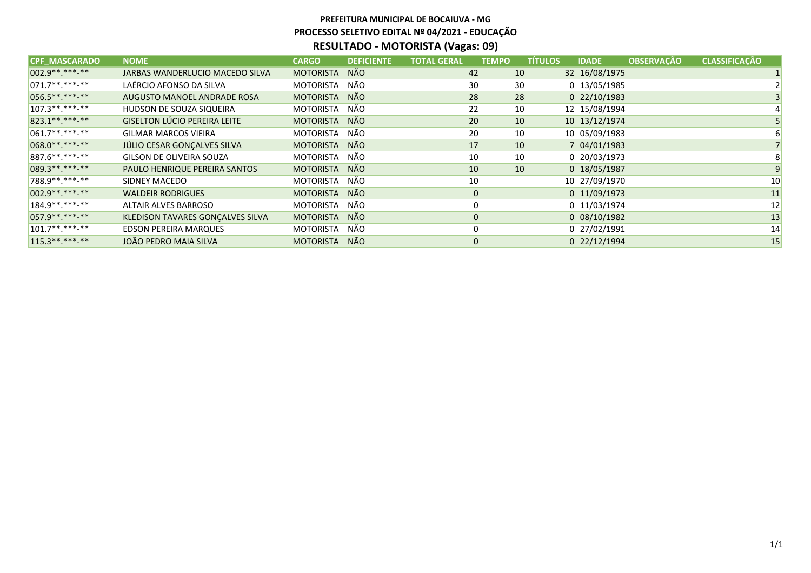| <b>CPF MASCARADO</b> | <b>NOME</b>                         | <b>CARGO</b>     | <b>DEFICIENTE</b> | <b>TOTAL GERAL</b> | <b>TEMPO</b> | <b>TÍTULOS</b> | <b>IDADE</b>   | <b>OBSERVAÇÃO</b> | <b>CLASSIFICAÇÃO</b> |    |
|----------------------|-------------------------------------|------------------|-------------------|--------------------|--------------|----------------|----------------|-------------------|----------------------|----|
| 002.9 ** *** -**     | JARBAS WANDERLUCIO MACEDO SILVA     | <b>MOTORISTA</b> | <b>NÃO</b>        |                    | 42           | 10             | 32 16/08/1975  |                   |                      |    |
| $071.7*********$     | LAÉRCIO AFONSO DA SILVA             | <b>MOTORISTA</b> | NÃO               |                    | 30           | 30             | 0 13/05/1985   |                   |                      |    |
| 056.5**.***-**       | AUGUSTO MANOEL ANDRADE ROSA         | <b>MOTORISTA</b> | <b>NÃO</b>        |                    | 28           | 28             | 0 22/10/1983   |                   |                      |    |
| $107.3*********$     | HUDSON DE SOUZA SIQUEIRA            | MOTORISTA        | NÃO               |                    | 22           | 10             | 12 15/08/1994  |                   |                      |    |
| 823.1** ***-**       | <b>GISELTON LÚCIO PEREIRA LEITE</b> | <b>MOTORISTA</b> | <b>NÃO</b>        |                    | 20           | 10             | 10 13/12/1974  |                   |                      |    |
| $ 061.7******$       | <b>GILMAR MARCOS VIEIRA</b>         | MOTORISTA        | NÃO               |                    | 20           | 10             | 10 05/09/1983  |                   |                      |    |
| 068.0** ***-**       | JÚLIO CESAR GONÇALVES SILVA         | <b>MOTORISTA</b> | <b>NÃO</b>        |                    | 17           | 10             | 7 04/01/1983   |                   |                      |    |
| 887.6**.***-**       | GILSON DE OLIVEIRA SOUZA            | <b>MOTORISTA</b> | NÃO               |                    | 10           | 10             | 0 20/03/1973   |                   |                      |    |
| 089.3**.***-**       | PAULO HENRIQUE PEREIRA SANTOS       | <b>MOTORISTA</b> | <b>NÃO</b>        |                    | 10           | 10             | 0 18/05/1987   |                   |                      |    |
| 788.9 ** *** -**     | SIDNEY MACEDO                       | <b>MOTORISTA</b> | NÃO               |                    | 10           |                | 10 27/09/1970  |                   |                      | 10 |
| 002.9** ***-**       | <b>WALDEIR RODRIGUES</b>            | <b>MOTORISTA</b> | NÃO               |                    | $\mathbf 0$  |                | $0$ 11/09/1973 |                   |                      | 11 |
| $184.9******$        | <b>ALTAIR ALVES BARROSO</b>         | MOTORISTA        | NÃO               |                    | 0            |                | 0 11/03/1974   |                   |                      | 12 |
| 057.9 ** *** -**     | KLEDISON TAVARES GONÇALVES SILVA    | <b>MOTORISTA</b> | <b>NÃO</b>        |                    | $\mathbf 0$  |                | 0 08/10/1982   |                   |                      | 13 |
| $101.7*********$     | <b>EDSON PEREIRA MARQUES</b>        | <b>MOTORISTA</b> | NÃO               |                    | 0            |                | 0 27/02/1991   |                   |                      | 14 |
| $115.3*********$     | JOÃO PEDRO MAIA SILVA               | <b>MOTORISTA</b> | NÃO               |                    | $\mathbf 0$  |                | 0 22/12/1994   |                   |                      | 15 |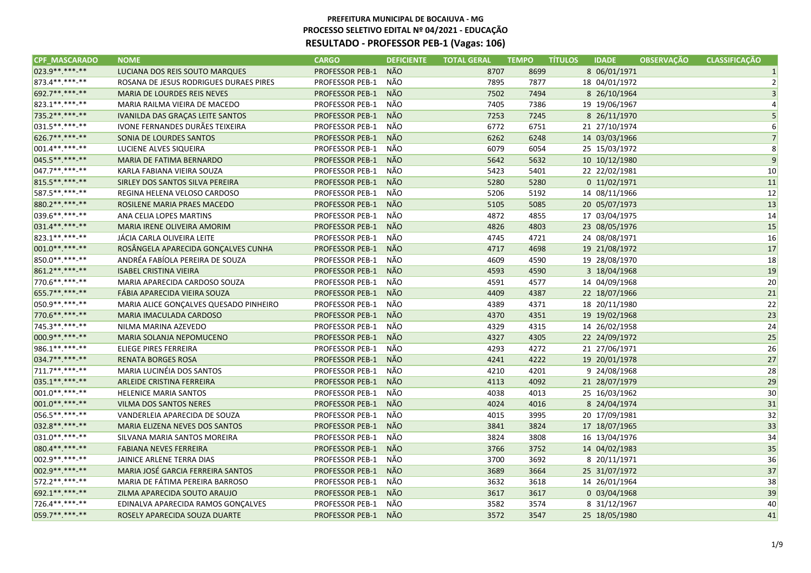| <b>NÃO</b><br>LUCIANA DOS REIS SOUTO MARQUES<br><b>PROFESSOR PEB-1</b><br>8707<br>8699<br>8 06/01/1971<br>1<br>NÃO<br>7877<br>18 04/01/1972<br>ROSANA DE JESUS RODRIGUES DURAES PIRES<br><b>PROFESSOR PEB-1</b><br>7895<br>$\overline{2}$<br>NÃO<br>$\overline{3}$<br><b>MARIA DE LOURDES REIS NEVES</b><br><b>PROFESSOR PEB-1</b><br>7502<br>7494<br>8 26/10/1964<br>NÃO<br>PROFESSOR PEB-1<br>7386<br>19 19/06/1967<br>MARIA RAILMA VIEIRA DE MACEDO<br>7405<br>NÃO<br>IVANILDA DAS GRAÇAS LEITE SANTOS<br><b>PROFESSOR PEB-1</b><br>7253<br>7245<br>8 26/11/1970<br>IVONE FERNANDES DURÃES TEIXEIRA<br>NÃO<br>21 27/10/1974<br><b>PROFESSOR PEB-1</b><br>6772<br>6751<br>6<br><b>NÃO</b><br>SONIA DE LOURDES SANTOS<br><b>PROFESSOR PEB-1</b><br>6262<br>6248<br>14 03/03/1966<br>$\overline{7}$<br>NÃO<br>6054<br>LUCIENE ALVES SIQUEIRA<br><b>PROFESSOR PEB-1</b><br>6079<br>25 15/03/1972<br>8<br><b>NÃO</b><br>9<br><b>PROFESSOR PEB-1</b><br>5642<br>5632<br>10 10/12/1980<br>MARIA DE FATIMA BERNARDO<br>NÃO<br>KARLA FABIANA VIEIRA SOUZA<br>PROFESSOR PEB-1<br>5423<br>5401<br>22 22/02/1981<br>10<br><b>NÃO</b><br>SIRLEY DOS SANTOS SILVA PEREIRA<br><b>PROFESSOR PEB-1</b><br>5280<br>0 11/02/1971<br>11<br>5280<br>NÃO<br>12<br>PROFESSOR PEB-1<br>5192<br>REGINA HELENA VELOSO CARDOSO<br>5206<br>14 08/11/1966<br>NÃO<br>13<br><b>PROFESSOR PEB-1</b><br>ROSILENE MARIA PRAES MACEDO<br>5105<br>5085<br>20 05/07/1973<br>NÃO<br>PROFESSOR PEB-1<br>17 03/04/1975<br>14<br>ANA CELIA LOPES MARTINS<br>4872<br>4855<br>NÃO<br>15<br>MARIA IRENE OLIVEIRA AMORIM<br><b>PROFESSOR PEB-1</b><br>4826<br>4803<br>23 08/05/1976<br>NÃO<br>16<br>JÁCIA CARLA OLIVEIRA LEITE<br><b>PROFESSOR PEB-1</b><br>4745<br>4721<br>24 08/08/1971<br>NÃO<br>17<br>ROSÂNGELA APARECIDA GONÇALVES CUNHA<br><b>PROFESSOR PEB-1</b><br>4717<br>4698<br>19 21/08/1972<br><b>PROFESSOR PEB-1</b><br>NÃO<br>18<br>ANDRÉA FABÍOLA PEREIRA DE SOUZA<br>4609<br>4590<br>19 28/08/1970<br><b>NÃO</b><br>19<br><b>ISABEL CRISTINA VIEIRA</b><br><b>PROFESSOR PEB-1</b><br>4590<br>3 18/04/1968<br>4593<br>NÃO<br>20<br>MARIA APARECIDA CARDOSO SOUZA<br><b>PROFESSOR PEB-1</b><br>4591<br>4577<br>14 04/09/1968<br>NÃO<br>21<br>FÁBIA APARECIDA VIEIRA SOUZA<br><b>PROFESSOR PEB-1</b><br>4387<br>22 18/07/1966<br>4409<br>NÃO<br>22<br>MARIA ALICE GONÇALVES QUESADO PINHEIRO<br>PROFESSOR PEB-1<br>4371<br>18 20/11/1980<br>4389<br><b>PROFESSOR PEB-1</b><br><b>NÃO</b><br>23<br>MARIA IMACULADA CARDOSO<br>4370<br>4351<br>19 19/02/1968<br>NÃO<br>PROFESSOR PEB-1<br>4315<br>24<br>NILMA MARINA AZEVEDO<br>4329<br>14 26/02/1958<br>NÃO<br><b>PROFESSOR PEB-1</b><br>25<br>MARIA SOLANJA NEPOMUCENO<br>4327<br>4305<br>22 24/09/1972<br>NÃO<br>4272<br>21 27/06/1971<br>26<br>ELIEGE PIRES FERREIRA<br><b>PROFESSOR PEB-1</b><br>4293<br>NÃO<br>4222<br>27<br><b>PROFESSOR PEB-1</b><br>19 20/01/1978<br><b>RENATA BORGES ROSA</b><br>4241<br>NÃO<br>28<br>MARIA LUCINÉIA DOS SANTOS<br><b>PROFESSOR PEB-1</b><br>4210<br>4201<br>9 24/08/1968<br><b>NÃO</b><br>29<br>ARLEIDE CRISTINA FERREIRA<br><b>PROFESSOR PEB-1</b><br>4092<br>21 28/07/1979<br>4113<br>NÃO<br>30<br><b>PROFESSOR PEB-1</b><br>4013<br>25 16/03/1962<br><b>HELENICE MARIA SANTOS</b><br>4038<br><b>NÃO</b><br><b>PROFESSOR PEB-1</b><br>31<br><b>VILMA DOS SANTOS NERES</b><br>4024<br>4016<br>8 24/04/1974<br>NÃO<br>VANDERLEIA APARECIDA DE SOUZA<br>PROFESSOR PEB-1<br>4015<br>3995<br>20 17/09/1981<br>32<br><b>NÃO</b><br><b>MARIA ELIZENA NEVES DOS SANTOS</b><br><b>PROFESSOR PEB-1</b><br>3824<br>33<br>3841<br>17 18/07/1965<br>NÃO<br>PROFESSOR PEB-1<br>3824<br>3808<br>34<br>SILVANA MARIA SANTOS MOREIRA<br>16 13/04/1976<br><b>FABIANA NEVES FERREIRA</b><br><b>PROFESSOR PEB-1</b><br>NÃO<br>3766<br>3752<br>35<br>14 04/02/1983<br>NÃO<br><b>PROFESSOR PEB-1</b><br>36<br>JAINICE ARLENE TERRA DIAS<br>3700<br>3692<br>8 20/11/1971<br>MARIA JOSÉ GARCIA FERREIRA SANTOS<br>NÃO<br>37<br><b>PROFESSOR PEB-1</b><br>3689<br>3664<br>25 31/07/1972<br>NÃO<br>38<br>MARIA DE FÁTIMA PEREIRA BARROSO<br><b>PROFESSOR PEB-1</b><br>3632<br>3618<br>14 26/01/1964<br><b>NÃO</b><br>39<br>ZILMA APARECIDA SOUTO ARAUJO<br><b>PROFESSOR PEB-1</b><br>3617<br>3617<br>0 03/04/1968<br>NÃO<br>EDINALVA APARECIDA RAMOS GONÇALVES<br><b>PROFESSOR PEB-1</b><br>3582<br>3574<br>8 31/12/1967<br>40<br>NÃO<br><b>PROFESSOR PEB-1</b><br>3572<br>3547<br>25 18/05/1980<br>ROSELY APARECIDA SOUZA DUARTE<br>41 | <b>CPF_MASCARADO</b> | <b>NOME</b> | <b>CARGO</b> | <b>DEFICIENTE</b> | <b>TOTAL GERAL</b> | <b>TEMPO</b> | <b>TÍTULOS</b> | <b>IDADE</b> | <b>OBSERVAÇÃO</b> | <b>CLASSIFICAÇÃO</b> |
|------------------------------------------------------------------------------------------------------------------------------------------------------------------------------------------------------------------------------------------------------------------------------------------------------------------------------------------------------------------------------------------------------------------------------------------------------------------------------------------------------------------------------------------------------------------------------------------------------------------------------------------------------------------------------------------------------------------------------------------------------------------------------------------------------------------------------------------------------------------------------------------------------------------------------------------------------------------------------------------------------------------------------------------------------------------------------------------------------------------------------------------------------------------------------------------------------------------------------------------------------------------------------------------------------------------------------------------------------------------------------------------------------------------------------------------------------------------------------------------------------------------------------------------------------------------------------------------------------------------------------------------------------------------------------------------------------------------------------------------------------------------------------------------------------------------------------------------------------------------------------------------------------------------------------------------------------------------------------------------------------------------------------------------------------------------------------------------------------------------------------------------------------------------------------------------------------------------------------------------------------------------------------------------------------------------------------------------------------------------------------------------------------------------------------------------------------------------------------------------------------------------------------------------------------------------------------------------------------------------------------------------------------------------------------------------------------------------------------------------------------------------------------------------------------------------------------------------------------------------------------------------------------------------------------------------------------------------------------------------------------------------------------------------------------------------------------------------------------------------------------------------------------------------------------------------------------------------------------------------------------------------------------------------------------------------------------------------------------------------------------------------------------------------------------------------------------------------------------------------------------------------------------------------------------------------------------------------------------------------------------------------------------------------------------------------------------------------------------------------------------------------------------------------------------------------------------------------------------------------------------------------------------------------------------------------------------------------------------------------------------------------------------------------------------------------------------------------------------------------------------------------------------------------------------------------------------------------------------------------------------------------------------------------------------------------------------------------------------------------------------------------------------------------------------------------------------------------------------|----------------------|-------------|--------------|-------------------|--------------------|--------------|----------------|--------------|-------------------|----------------------|
|                                                                                                                                                                                                                                                                                                                                                                                                                                                                                                                                                                                                                                                                                                                                                                                                                                                                                                                                                                                                                                                                                                                                                                                                                                                                                                                                                                                                                                                                                                                                                                                                                                                                                                                                                                                                                                                                                                                                                                                                                                                                                                                                                                                                                                                                                                                                                                                                                                                                                                                                                                                                                                                                                                                                                                                                                                                                                                                                                                                                                                                                                                                                                                                                                                                                                                                                                                                                                                                                                                                                                                                                                                                                                                                                                                                                                                                                                                                                                                                                                                                                                                                                                                                                                                                                                                                                                                                                                                                                              | 023.9**.***-**       |             |              |                   |                    |              |                |              |                   |                      |
|                                                                                                                                                                                                                                                                                                                                                                                                                                                                                                                                                                                                                                                                                                                                                                                                                                                                                                                                                                                                                                                                                                                                                                                                                                                                                                                                                                                                                                                                                                                                                                                                                                                                                                                                                                                                                                                                                                                                                                                                                                                                                                                                                                                                                                                                                                                                                                                                                                                                                                                                                                                                                                                                                                                                                                                                                                                                                                                                                                                                                                                                                                                                                                                                                                                                                                                                                                                                                                                                                                                                                                                                                                                                                                                                                                                                                                                                                                                                                                                                                                                                                                                                                                                                                                                                                                                                                                                                                                                                              | 873.4**.***-**       |             |              |                   |                    |              |                |              |                   |                      |
|                                                                                                                                                                                                                                                                                                                                                                                                                                                                                                                                                                                                                                                                                                                                                                                                                                                                                                                                                                                                                                                                                                                                                                                                                                                                                                                                                                                                                                                                                                                                                                                                                                                                                                                                                                                                                                                                                                                                                                                                                                                                                                                                                                                                                                                                                                                                                                                                                                                                                                                                                                                                                                                                                                                                                                                                                                                                                                                                                                                                                                                                                                                                                                                                                                                                                                                                                                                                                                                                                                                                                                                                                                                                                                                                                                                                                                                                                                                                                                                                                                                                                                                                                                                                                                                                                                                                                                                                                                                                              | 692.7**.***.**       |             |              |                   |                    |              |                |              |                   |                      |
|                                                                                                                                                                                                                                                                                                                                                                                                                                                                                                                                                                                                                                                                                                                                                                                                                                                                                                                                                                                                                                                                                                                                                                                                                                                                                                                                                                                                                                                                                                                                                                                                                                                                                                                                                                                                                                                                                                                                                                                                                                                                                                                                                                                                                                                                                                                                                                                                                                                                                                                                                                                                                                                                                                                                                                                                                                                                                                                                                                                                                                                                                                                                                                                                                                                                                                                                                                                                                                                                                                                                                                                                                                                                                                                                                                                                                                                                                                                                                                                                                                                                                                                                                                                                                                                                                                                                                                                                                                                                              | 823.1**.***-**       |             |              |                   |                    |              |                |              |                   |                      |
|                                                                                                                                                                                                                                                                                                                                                                                                                                                                                                                                                                                                                                                                                                                                                                                                                                                                                                                                                                                                                                                                                                                                                                                                                                                                                                                                                                                                                                                                                                                                                                                                                                                                                                                                                                                                                                                                                                                                                                                                                                                                                                                                                                                                                                                                                                                                                                                                                                                                                                                                                                                                                                                                                                                                                                                                                                                                                                                                                                                                                                                                                                                                                                                                                                                                                                                                                                                                                                                                                                                                                                                                                                                                                                                                                                                                                                                                                                                                                                                                                                                                                                                                                                                                                                                                                                                                                                                                                                                                              | 735.2**.***-**       |             |              |                   |                    |              |                |              |                   |                      |
|                                                                                                                                                                                                                                                                                                                                                                                                                                                                                                                                                                                                                                                                                                                                                                                                                                                                                                                                                                                                                                                                                                                                                                                                                                                                                                                                                                                                                                                                                                                                                                                                                                                                                                                                                                                                                                                                                                                                                                                                                                                                                                                                                                                                                                                                                                                                                                                                                                                                                                                                                                                                                                                                                                                                                                                                                                                                                                                                                                                                                                                                                                                                                                                                                                                                                                                                                                                                                                                                                                                                                                                                                                                                                                                                                                                                                                                                                                                                                                                                                                                                                                                                                                                                                                                                                                                                                                                                                                                                              | 031.5**.***-**       |             |              |                   |                    |              |                |              |                   |                      |
|                                                                                                                                                                                                                                                                                                                                                                                                                                                                                                                                                                                                                                                                                                                                                                                                                                                                                                                                                                                                                                                                                                                                                                                                                                                                                                                                                                                                                                                                                                                                                                                                                                                                                                                                                                                                                                                                                                                                                                                                                                                                                                                                                                                                                                                                                                                                                                                                                                                                                                                                                                                                                                                                                                                                                                                                                                                                                                                                                                                                                                                                                                                                                                                                                                                                                                                                                                                                                                                                                                                                                                                                                                                                                                                                                                                                                                                                                                                                                                                                                                                                                                                                                                                                                                                                                                                                                                                                                                                                              | 626.7**.***-**       |             |              |                   |                    |              |                |              |                   |                      |
|                                                                                                                                                                                                                                                                                                                                                                                                                                                                                                                                                                                                                                                                                                                                                                                                                                                                                                                                                                                                                                                                                                                                                                                                                                                                                                                                                                                                                                                                                                                                                                                                                                                                                                                                                                                                                                                                                                                                                                                                                                                                                                                                                                                                                                                                                                                                                                                                                                                                                                                                                                                                                                                                                                                                                                                                                                                                                                                                                                                                                                                                                                                                                                                                                                                                                                                                                                                                                                                                                                                                                                                                                                                                                                                                                                                                                                                                                                                                                                                                                                                                                                                                                                                                                                                                                                                                                                                                                                                                              | 001.4**.***.**       |             |              |                   |                    |              |                |              |                   |                      |
|                                                                                                                                                                                                                                                                                                                                                                                                                                                                                                                                                                                                                                                                                                                                                                                                                                                                                                                                                                                                                                                                                                                                                                                                                                                                                                                                                                                                                                                                                                                                                                                                                                                                                                                                                                                                                                                                                                                                                                                                                                                                                                                                                                                                                                                                                                                                                                                                                                                                                                                                                                                                                                                                                                                                                                                                                                                                                                                                                                                                                                                                                                                                                                                                                                                                                                                                                                                                                                                                                                                                                                                                                                                                                                                                                                                                                                                                                                                                                                                                                                                                                                                                                                                                                                                                                                                                                                                                                                                                              | 045.5**.***-**       |             |              |                   |                    |              |                |              |                   |                      |
|                                                                                                                                                                                                                                                                                                                                                                                                                                                                                                                                                                                                                                                                                                                                                                                                                                                                                                                                                                                                                                                                                                                                                                                                                                                                                                                                                                                                                                                                                                                                                                                                                                                                                                                                                                                                                                                                                                                                                                                                                                                                                                                                                                                                                                                                                                                                                                                                                                                                                                                                                                                                                                                                                                                                                                                                                                                                                                                                                                                                                                                                                                                                                                                                                                                                                                                                                                                                                                                                                                                                                                                                                                                                                                                                                                                                                                                                                                                                                                                                                                                                                                                                                                                                                                                                                                                                                                                                                                                                              | 047.7**.***.**       |             |              |                   |                    |              |                |              |                   |                      |
|                                                                                                                                                                                                                                                                                                                                                                                                                                                                                                                                                                                                                                                                                                                                                                                                                                                                                                                                                                                                                                                                                                                                                                                                                                                                                                                                                                                                                                                                                                                                                                                                                                                                                                                                                                                                                                                                                                                                                                                                                                                                                                                                                                                                                                                                                                                                                                                                                                                                                                                                                                                                                                                                                                                                                                                                                                                                                                                                                                                                                                                                                                                                                                                                                                                                                                                                                                                                                                                                                                                                                                                                                                                                                                                                                                                                                                                                                                                                                                                                                                                                                                                                                                                                                                                                                                                                                                                                                                                                              | 815.5**.***-**       |             |              |                   |                    |              |                |              |                   |                      |
|                                                                                                                                                                                                                                                                                                                                                                                                                                                                                                                                                                                                                                                                                                                                                                                                                                                                                                                                                                                                                                                                                                                                                                                                                                                                                                                                                                                                                                                                                                                                                                                                                                                                                                                                                                                                                                                                                                                                                                                                                                                                                                                                                                                                                                                                                                                                                                                                                                                                                                                                                                                                                                                                                                                                                                                                                                                                                                                                                                                                                                                                                                                                                                                                                                                                                                                                                                                                                                                                                                                                                                                                                                                                                                                                                                                                                                                                                                                                                                                                                                                                                                                                                                                                                                                                                                                                                                                                                                                                              | 587.5 **. ***-**     |             |              |                   |                    |              |                |              |                   |                      |
|                                                                                                                                                                                                                                                                                                                                                                                                                                                                                                                                                                                                                                                                                                                                                                                                                                                                                                                                                                                                                                                                                                                                                                                                                                                                                                                                                                                                                                                                                                                                                                                                                                                                                                                                                                                                                                                                                                                                                                                                                                                                                                                                                                                                                                                                                                                                                                                                                                                                                                                                                                                                                                                                                                                                                                                                                                                                                                                                                                                                                                                                                                                                                                                                                                                                                                                                                                                                                                                                                                                                                                                                                                                                                                                                                                                                                                                                                                                                                                                                                                                                                                                                                                                                                                                                                                                                                                                                                                                                              | 880.2 ** *** -**     |             |              |                   |                    |              |                |              |                   |                      |
|                                                                                                                                                                                                                                                                                                                                                                                                                                                                                                                                                                                                                                                                                                                                                                                                                                                                                                                                                                                                                                                                                                                                                                                                                                                                                                                                                                                                                                                                                                                                                                                                                                                                                                                                                                                                                                                                                                                                                                                                                                                                                                                                                                                                                                                                                                                                                                                                                                                                                                                                                                                                                                                                                                                                                                                                                                                                                                                                                                                                                                                                                                                                                                                                                                                                                                                                                                                                                                                                                                                                                                                                                                                                                                                                                                                                                                                                                                                                                                                                                                                                                                                                                                                                                                                                                                                                                                                                                                                                              | 039.6**.***-**       |             |              |                   |                    |              |                |              |                   |                      |
|                                                                                                                                                                                                                                                                                                                                                                                                                                                                                                                                                                                                                                                                                                                                                                                                                                                                                                                                                                                                                                                                                                                                                                                                                                                                                                                                                                                                                                                                                                                                                                                                                                                                                                                                                                                                                                                                                                                                                                                                                                                                                                                                                                                                                                                                                                                                                                                                                                                                                                                                                                                                                                                                                                                                                                                                                                                                                                                                                                                                                                                                                                                                                                                                                                                                                                                                                                                                                                                                                                                                                                                                                                                                                                                                                                                                                                                                                                                                                                                                                                                                                                                                                                                                                                                                                                                                                                                                                                                                              | 031.4**.***.**       |             |              |                   |                    |              |                |              |                   |                      |
|                                                                                                                                                                                                                                                                                                                                                                                                                                                                                                                                                                                                                                                                                                                                                                                                                                                                                                                                                                                                                                                                                                                                                                                                                                                                                                                                                                                                                                                                                                                                                                                                                                                                                                                                                                                                                                                                                                                                                                                                                                                                                                                                                                                                                                                                                                                                                                                                                                                                                                                                                                                                                                                                                                                                                                                                                                                                                                                                                                                                                                                                                                                                                                                                                                                                                                                                                                                                                                                                                                                                                                                                                                                                                                                                                                                                                                                                                                                                                                                                                                                                                                                                                                                                                                                                                                                                                                                                                                                                              | 823.1**.***-**       |             |              |                   |                    |              |                |              |                   |                      |
|                                                                                                                                                                                                                                                                                                                                                                                                                                                                                                                                                                                                                                                                                                                                                                                                                                                                                                                                                                                                                                                                                                                                                                                                                                                                                                                                                                                                                                                                                                                                                                                                                                                                                                                                                                                                                                                                                                                                                                                                                                                                                                                                                                                                                                                                                                                                                                                                                                                                                                                                                                                                                                                                                                                                                                                                                                                                                                                                                                                                                                                                                                                                                                                                                                                                                                                                                                                                                                                                                                                                                                                                                                                                                                                                                                                                                                                                                                                                                                                                                                                                                                                                                                                                                                                                                                                                                                                                                                                                              | 001.0**.***.**       |             |              |                   |                    |              |                |              |                   |                      |
|                                                                                                                                                                                                                                                                                                                                                                                                                                                                                                                                                                                                                                                                                                                                                                                                                                                                                                                                                                                                                                                                                                                                                                                                                                                                                                                                                                                                                                                                                                                                                                                                                                                                                                                                                                                                                                                                                                                                                                                                                                                                                                                                                                                                                                                                                                                                                                                                                                                                                                                                                                                                                                                                                                                                                                                                                                                                                                                                                                                                                                                                                                                                                                                                                                                                                                                                                                                                                                                                                                                                                                                                                                                                                                                                                                                                                                                                                                                                                                                                                                                                                                                                                                                                                                                                                                                                                                                                                                                                              | 850.0**.***-**       |             |              |                   |                    |              |                |              |                   |                      |
|                                                                                                                                                                                                                                                                                                                                                                                                                                                                                                                                                                                                                                                                                                                                                                                                                                                                                                                                                                                                                                                                                                                                                                                                                                                                                                                                                                                                                                                                                                                                                                                                                                                                                                                                                                                                                                                                                                                                                                                                                                                                                                                                                                                                                                                                                                                                                                                                                                                                                                                                                                                                                                                                                                                                                                                                                                                                                                                                                                                                                                                                                                                                                                                                                                                                                                                                                                                                                                                                                                                                                                                                                                                                                                                                                                                                                                                                                                                                                                                                                                                                                                                                                                                                                                                                                                                                                                                                                                                                              | 861.2 ** *** -**     |             |              |                   |                    |              |                |              |                   |                      |
|                                                                                                                                                                                                                                                                                                                                                                                                                                                                                                                                                                                                                                                                                                                                                                                                                                                                                                                                                                                                                                                                                                                                                                                                                                                                                                                                                                                                                                                                                                                                                                                                                                                                                                                                                                                                                                                                                                                                                                                                                                                                                                                                                                                                                                                                                                                                                                                                                                                                                                                                                                                                                                                                                                                                                                                                                                                                                                                                                                                                                                                                                                                                                                                                                                                                                                                                                                                                                                                                                                                                                                                                                                                                                                                                                                                                                                                                                                                                                                                                                                                                                                                                                                                                                                                                                                                                                                                                                                                                              | 770.6**.***-**       |             |              |                   |                    |              |                |              |                   |                      |
|                                                                                                                                                                                                                                                                                                                                                                                                                                                                                                                                                                                                                                                                                                                                                                                                                                                                                                                                                                                                                                                                                                                                                                                                                                                                                                                                                                                                                                                                                                                                                                                                                                                                                                                                                                                                                                                                                                                                                                                                                                                                                                                                                                                                                                                                                                                                                                                                                                                                                                                                                                                                                                                                                                                                                                                                                                                                                                                                                                                                                                                                                                                                                                                                                                                                                                                                                                                                                                                                                                                                                                                                                                                                                                                                                                                                                                                                                                                                                                                                                                                                                                                                                                                                                                                                                                                                                                                                                                                                              | 655.7**.***-**       |             |              |                   |                    |              |                |              |                   |                      |
|                                                                                                                                                                                                                                                                                                                                                                                                                                                                                                                                                                                                                                                                                                                                                                                                                                                                                                                                                                                                                                                                                                                                                                                                                                                                                                                                                                                                                                                                                                                                                                                                                                                                                                                                                                                                                                                                                                                                                                                                                                                                                                                                                                                                                                                                                                                                                                                                                                                                                                                                                                                                                                                                                                                                                                                                                                                                                                                                                                                                                                                                                                                                                                                                                                                                                                                                                                                                                                                                                                                                                                                                                                                                                                                                                                                                                                                                                                                                                                                                                                                                                                                                                                                                                                                                                                                                                                                                                                                                              | 050.9**.***-**       |             |              |                   |                    |              |                |              |                   |                      |
|                                                                                                                                                                                                                                                                                                                                                                                                                                                                                                                                                                                                                                                                                                                                                                                                                                                                                                                                                                                                                                                                                                                                                                                                                                                                                                                                                                                                                                                                                                                                                                                                                                                                                                                                                                                                                                                                                                                                                                                                                                                                                                                                                                                                                                                                                                                                                                                                                                                                                                                                                                                                                                                                                                                                                                                                                                                                                                                                                                                                                                                                                                                                                                                                                                                                                                                                                                                                                                                                                                                                                                                                                                                                                                                                                                                                                                                                                                                                                                                                                                                                                                                                                                                                                                                                                                                                                                                                                                                                              | 770.6**.***-**       |             |              |                   |                    |              |                |              |                   |                      |
|                                                                                                                                                                                                                                                                                                                                                                                                                                                                                                                                                                                                                                                                                                                                                                                                                                                                                                                                                                                                                                                                                                                                                                                                                                                                                                                                                                                                                                                                                                                                                                                                                                                                                                                                                                                                                                                                                                                                                                                                                                                                                                                                                                                                                                                                                                                                                                                                                                                                                                                                                                                                                                                                                                                                                                                                                                                                                                                                                                                                                                                                                                                                                                                                                                                                                                                                                                                                                                                                                                                                                                                                                                                                                                                                                                                                                                                                                                                                                                                                                                                                                                                                                                                                                                                                                                                                                                                                                                                                              | 745.3 **. ***-**     |             |              |                   |                    |              |                |              |                   |                      |
|                                                                                                                                                                                                                                                                                                                                                                                                                                                                                                                                                                                                                                                                                                                                                                                                                                                                                                                                                                                                                                                                                                                                                                                                                                                                                                                                                                                                                                                                                                                                                                                                                                                                                                                                                                                                                                                                                                                                                                                                                                                                                                                                                                                                                                                                                                                                                                                                                                                                                                                                                                                                                                                                                                                                                                                                                                                                                                                                                                                                                                                                                                                                                                                                                                                                                                                                                                                                                                                                                                                                                                                                                                                                                                                                                                                                                                                                                                                                                                                                                                                                                                                                                                                                                                                                                                                                                                                                                                                                              | 000.9**.***-**       |             |              |                   |                    |              |                |              |                   |                      |
|                                                                                                                                                                                                                                                                                                                                                                                                                                                                                                                                                                                                                                                                                                                                                                                                                                                                                                                                                                                                                                                                                                                                                                                                                                                                                                                                                                                                                                                                                                                                                                                                                                                                                                                                                                                                                                                                                                                                                                                                                                                                                                                                                                                                                                                                                                                                                                                                                                                                                                                                                                                                                                                                                                                                                                                                                                                                                                                                                                                                                                                                                                                                                                                                                                                                                                                                                                                                                                                                                                                                                                                                                                                                                                                                                                                                                                                                                                                                                                                                                                                                                                                                                                                                                                                                                                                                                                                                                                                                              | 986.1**.***-**       |             |              |                   |                    |              |                |              |                   |                      |
|                                                                                                                                                                                                                                                                                                                                                                                                                                                                                                                                                                                                                                                                                                                                                                                                                                                                                                                                                                                                                                                                                                                                                                                                                                                                                                                                                                                                                                                                                                                                                                                                                                                                                                                                                                                                                                                                                                                                                                                                                                                                                                                                                                                                                                                                                                                                                                                                                                                                                                                                                                                                                                                                                                                                                                                                                                                                                                                                                                                                                                                                                                                                                                                                                                                                                                                                                                                                                                                                                                                                                                                                                                                                                                                                                                                                                                                                                                                                                                                                                                                                                                                                                                                                                                                                                                                                                                                                                                                                              | 034.7**.***.**       |             |              |                   |                    |              |                |              |                   |                      |
|                                                                                                                                                                                                                                                                                                                                                                                                                                                                                                                                                                                                                                                                                                                                                                                                                                                                                                                                                                                                                                                                                                                                                                                                                                                                                                                                                                                                                                                                                                                                                                                                                                                                                                                                                                                                                                                                                                                                                                                                                                                                                                                                                                                                                                                                                                                                                                                                                                                                                                                                                                                                                                                                                                                                                                                                                                                                                                                                                                                                                                                                                                                                                                                                                                                                                                                                                                                                                                                                                                                                                                                                                                                                                                                                                                                                                                                                                                                                                                                                                                                                                                                                                                                                                                                                                                                                                                                                                                                                              | 711.7**.***-**       |             |              |                   |                    |              |                |              |                   |                      |
|                                                                                                                                                                                                                                                                                                                                                                                                                                                                                                                                                                                                                                                                                                                                                                                                                                                                                                                                                                                                                                                                                                                                                                                                                                                                                                                                                                                                                                                                                                                                                                                                                                                                                                                                                                                                                                                                                                                                                                                                                                                                                                                                                                                                                                                                                                                                                                                                                                                                                                                                                                                                                                                                                                                                                                                                                                                                                                                                                                                                                                                                                                                                                                                                                                                                                                                                                                                                                                                                                                                                                                                                                                                                                                                                                                                                                                                                                                                                                                                                                                                                                                                                                                                                                                                                                                                                                                                                                                                                              | 035.1**.***-**       |             |              |                   |                    |              |                |              |                   |                      |
|                                                                                                                                                                                                                                                                                                                                                                                                                                                                                                                                                                                                                                                                                                                                                                                                                                                                                                                                                                                                                                                                                                                                                                                                                                                                                                                                                                                                                                                                                                                                                                                                                                                                                                                                                                                                                                                                                                                                                                                                                                                                                                                                                                                                                                                                                                                                                                                                                                                                                                                                                                                                                                                                                                                                                                                                                                                                                                                                                                                                                                                                                                                                                                                                                                                                                                                                                                                                                                                                                                                                                                                                                                                                                                                                                                                                                                                                                                                                                                                                                                                                                                                                                                                                                                                                                                                                                                                                                                                                              | 001.0**.***-**       |             |              |                   |                    |              |                |              |                   |                      |
|                                                                                                                                                                                                                                                                                                                                                                                                                                                                                                                                                                                                                                                                                                                                                                                                                                                                                                                                                                                                                                                                                                                                                                                                                                                                                                                                                                                                                                                                                                                                                                                                                                                                                                                                                                                                                                                                                                                                                                                                                                                                                                                                                                                                                                                                                                                                                                                                                                                                                                                                                                                                                                                                                                                                                                                                                                                                                                                                                                                                                                                                                                                                                                                                                                                                                                                                                                                                                                                                                                                                                                                                                                                                                                                                                                                                                                                                                                                                                                                                                                                                                                                                                                                                                                                                                                                                                                                                                                                                              | 001.0**.***-**       |             |              |                   |                    |              |                |              |                   |                      |
|                                                                                                                                                                                                                                                                                                                                                                                                                                                                                                                                                                                                                                                                                                                                                                                                                                                                                                                                                                                                                                                                                                                                                                                                                                                                                                                                                                                                                                                                                                                                                                                                                                                                                                                                                                                                                                                                                                                                                                                                                                                                                                                                                                                                                                                                                                                                                                                                                                                                                                                                                                                                                                                                                                                                                                                                                                                                                                                                                                                                                                                                                                                                                                                                                                                                                                                                                                                                                                                                                                                                                                                                                                                                                                                                                                                                                                                                                                                                                                                                                                                                                                                                                                                                                                                                                                                                                                                                                                                                              | 056.5**.***-**       |             |              |                   |                    |              |                |              |                   |                      |
|                                                                                                                                                                                                                                                                                                                                                                                                                                                                                                                                                                                                                                                                                                                                                                                                                                                                                                                                                                                                                                                                                                                                                                                                                                                                                                                                                                                                                                                                                                                                                                                                                                                                                                                                                                                                                                                                                                                                                                                                                                                                                                                                                                                                                                                                                                                                                                                                                                                                                                                                                                                                                                                                                                                                                                                                                                                                                                                                                                                                                                                                                                                                                                                                                                                                                                                                                                                                                                                                                                                                                                                                                                                                                                                                                                                                                                                                                                                                                                                                                                                                                                                                                                                                                                                                                                                                                                                                                                                                              | 032.8 ** *** **      |             |              |                   |                    |              |                |              |                   |                      |
|                                                                                                                                                                                                                                                                                                                                                                                                                                                                                                                                                                                                                                                                                                                                                                                                                                                                                                                                                                                                                                                                                                                                                                                                                                                                                                                                                                                                                                                                                                                                                                                                                                                                                                                                                                                                                                                                                                                                                                                                                                                                                                                                                                                                                                                                                                                                                                                                                                                                                                                                                                                                                                                                                                                                                                                                                                                                                                                                                                                                                                                                                                                                                                                                                                                                                                                                                                                                                                                                                                                                                                                                                                                                                                                                                                                                                                                                                                                                                                                                                                                                                                                                                                                                                                                                                                                                                                                                                                                                              | 031.0**.***-**       |             |              |                   |                    |              |                |              |                   |                      |
|                                                                                                                                                                                                                                                                                                                                                                                                                                                                                                                                                                                                                                                                                                                                                                                                                                                                                                                                                                                                                                                                                                                                                                                                                                                                                                                                                                                                                                                                                                                                                                                                                                                                                                                                                                                                                                                                                                                                                                                                                                                                                                                                                                                                                                                                                                                                                                                                                                                                                                                                                                                                                                                                                                                                                                                                                                                                                                                                                                                                                                                                                                                                                                                                                                                                                                                                                                                                                                                                                                                                                                                                                                                                                                                                                                                                                                                                                                                                                                                                                                                                                                                                                                                                                                                                                                                                                                                                                                                                              | 080.4**.***.**       |             |              |                   |                    |              |                |              |                   |                      |
|                                                                                                                                                                                                                                                                                                                                                                                                                                                                                                                                                                                                                                                                                                                                                                                                                                                                                                                                                                                                                                                                                                                                                                                                                                                                                                                                                                                                                                                                                                                                                                                                                                                                                                                                                                                                                                                                                                                                                                                                                                                                                                                                                                                                                                                                                                                                                                                                                                                                                                                                                                                                                                                                                                                                                                                                                                                                                                                                                                                                                                                                                                                                                                                                                                                                                                                                                                                                                                                                                                                                                                                                                                                                                                                                                                                                                                                                                                                                                                                                                                                                                                                                                                                                                                                                                                                                                                                                                                                                              | 002.9 ** *** -**     |             |              |                   |                    |              |                |              |                   |                      |
|                                                                                                                                                                                                                                                                                                                                                                                                                                                                                                                                                                                                                                                                                                                                                                                                                                                                                                                                                                                                                                                                                                                                                                                                                                                                                                                                                                                                                                                                                                                                                                                                                                                                                                                                                                                                                                                                                                                                                                                                                                                                                                                                                                                                                                                                                                                                                                                                                                                                                                                                                                                                                                                                                                                                                                                                                                                                                                                                                                                                                                                                                                                                                                                                                                                                                                                                                                                                                                                                                                                                                                                                                                                                                                                                                                                                                                                                                                                                                                                                                                                                                                                                                                                                                                                                                                                                                                                                                                                                              | 002.9**.***.**       |             |              |                   |                    |              |                |              |                   |                      |
|                                                                                                                                                                                                                                                                                                                                                                                                                                                                                                                                                                                                                                                                                                                                                                                                                                                                                                                                                                                                                                                                                                                                                                                                                                                                                                                                                                                                                                                                                                                                                                                                                                                                                                                                                                                                                                                                                                                                                                                                                                                                                                                                                                                                                                                                                                                                                                                                                                                                                                                                                                                                                                                                                                                                                                                                                                                                                                                                                                                                                                                                                                                                                                                                                                                                                                                                                                                                                                                                                                                                                                                                                                                                                                                                                                                                                                                                                                                                                                                                                                                                                                                                                                                                                                                                                                                                                                                                                                                                              | 572.2 ** *** -**     |             |              |                   |                    |              |                |              |                   |                      |
|                                                                                                                                                                                                                                                                                                                                                                                                                                                                                                                                                                                                                                                                                                                                                                                                                                                                                                                                                                                                                                                                                                                                                                                                                                                                                                                                                                                                                                                                                                                                                                                                                                                                                                                                                                                                                                                                                                                                                                                                                                                                                                                                                                                                                                                                                                                                                                                                                                                                                                                                                                                                                                                                                                                                                                                                                                                                                                                                                                                                                                                                                                                                                                                                                                                                                                                                                                                                                                                                                                                                                                                                                                                                                                                                                                                                                                                                                                                                                                                                                                                                                                                                                                                                                                                                                                                                                                                                                                                                              | 692.1**.***-**       |             |              |                   |                    |              |                |              |                   |                      |
|                                                                                                                                                                                                                                                                                                                                                                                                                                                                                                                                                                                                                                                                                                                                                                                                                                                                                                                                                                                                                                                                                                                                                                                                                                                                                                                                                                                                                                                                                                                                                                                                                                                                                                                                                                                                                                                                                                                                                                                                                                                                                                                                                                                                                                                                                                                                                                                                                                                                                                                                                                                                                                                                                                                                                                                                                                                                                                                                                                                                                                                                                                                                                                                                                                                                                                                                                                                                                                                                                                                                                                                                                                                                                                                                                                                                                                                                                                                                                                                                                                                                                                                                                                                                                                                                                                                                                                                                                                                                              | 726.4**.***.**       |             |              |                   |                    |              |                |              |                   |                      |
|                                                                                                                                                                                                                                                                                                                                                                                                                                                                                                                                                                                                                                                                                                                                                                                                                                                                                                                                                                                                                                                                                                                                                                                                                                                                                                                                                                                                                                                                                                                                                                                                                                                                                                                                                                                                                                                                                                                                                                                                                                                                                                                                                                                                                                                                                                                                                                                                                                                                                                                                                                                                                                                                                                                                                                                                                                                                                                                                                                                                                                                                                                                                                                                                                                                                                                                                                                                                                                                                                                                                                                                                                                                                                                                                                                                                                                                                                                                                                                                                                                                                                                                                                                                                                                                                                                                                                                                                                                                                              | 059.7**.***-**       |             |              |                   |                    |              |                |              |                   |                      |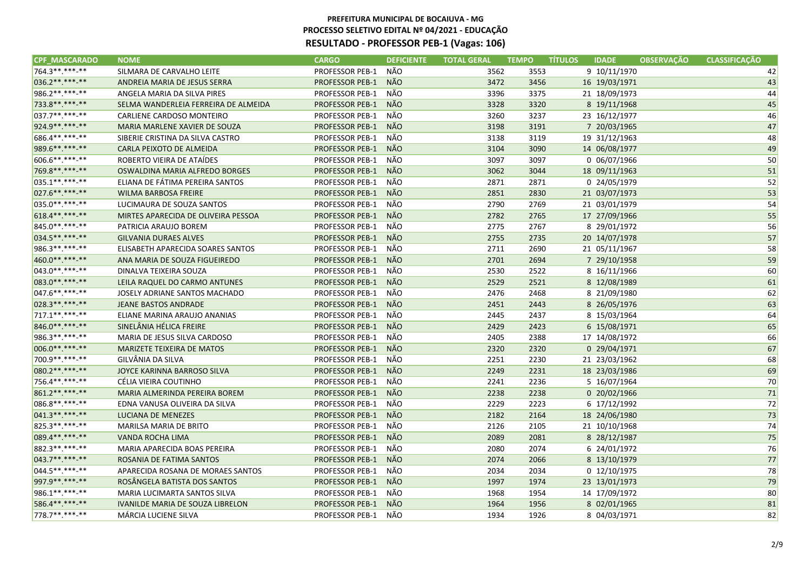| <b>CPF MASCARADO</b> | <b>NOME</b>                             | <b>CARGO</b>           | <b>DEFICIENTE</b> | <b>TOTAL GERAL</b> | <b>TEMPO</b> | TÍTULOS<br><b>IDADE</b> | <b>OBSERVAÇÃO</b> | <b>CLASSIFICAÇÃO</b> |
|----------------------|-----------------------------------------|------------------------|-------------------|--------------------|--------------|-------------------------|-------------------|----------------------|
| 764.3 **. ***-**     | SILMARA DE CARVALHO LEITE               | PROFESSOR PEB-1        | NÃO               | 3562               | 3553         | 9 10/11/1970            |                   | 42                   |
| 036.2 ** *** **      | ANDREIA MARIA DE JESUS SERRA            | <b>PROFESSOR PEB-1</b> | NÃO               | 3472               | 3456         | 16 19/03/1971           |                   | 43                   |
| 986.2 ** *** -**     | ANGELA MARIA DA SILVA PIRES             | <b>PROFESSOR PEB-1</b> | NÃO               | 3396               | 3375         | 21 18/09/1973           |                   | 44                   |
| 733.8 ** *** -**     | SELMA WANDERLEIA FERREIRA DE ALMEIDA    | <b>PROFESSOR PEB-1</b> | NÃO               | 3328               | 3320         | 8 19/11/1968            |                   | 45                   |
| 037.7**.***-**       | CARLIENE CARDOSO MONTEIRO               | PROFESSOR PEB-1        | NÃO               | 3260               | 3237         | 23 16/12/1977           |                   | 46                   |
| 924.9 ** *** -**     | MARIA MARLENE XAVIER DE SOUZA           | <b>PROFESSOR PEB-1</b> | NÃO               | 3198               | 3191         | 7 20/03/1965            |                   | 47                   |
| 686.4**.***-**       | SIBERIE CRISTINA DA SILVA CASTRO        | <b>PROFESSOR PEB-1</b> | NÃO               | 3138               | 3119         | 19 31/12/1963           |                   | 48                   |
| 989.6**.***-**       | CARLA PEIXOTO DE ALMEIDA                | <b>PROFESSOR PEB-1</b> | <b>NÃO</b>        | 3104               | 3090         | 14 06/08/1977           |                   | 49                   |
| 606.6**.***-**       | ROBERTO VIEIRA DE ATAÍDES               | PROFESSOR PEB-1        | NÃO               | 3097               | 3097         | 0 06/07/1966            |                   | 50                   |
| 769.8**.***-**       | OSWALDINA MARIA ALFREDO BORGES          | <b>PROFESSOR PEB-1</b> | NÃO               | 3062               | 3044         | 18 09/11/1963           |                   | 51                   |
| 035.1 **. ***-**     | ELIANA DE FÁTIMA PEREIRA SANTOS         | <b>PROFESSOR PEB-1</b> | NÃO               | 2871               | 2871         | 0 24/05/1979            |                   | 52                   |
| 027.6 ** *** **      | <b>WILMA BARBOSA FREIRE</b>             | <b>PROFESSOR PEB-1</b> | NÃO               | 2851               | 2830         | 21 03/07/1973           |                   | 53                   |
| 035.0**.***-**       | LUCIMAURA DE SOUZA SANTOS               | <b>PROFESSOR PEB-1</b> | NÃO               | 2790               | 2769         | 21 03/01/1979           |                   | 54                   |
| 618.4** *** **       | MIRTES APARECIDA DE OLIVEIRA PESSOA     | <b>PROFESSOR PEB-1</b> | NÃO               | 2782               | 2765         | 17 27/09/1966           |                   | 55                   |
| 845.0**.***-**       | PATRICIA ARAUJO BOREM                   | <b>PROFESSOR PEB-1</b> | NÃO               | 2775               | 2767         | 8 29/01/1972            |                   | 56                   |
| 034.5**.***-**       | <b>GILVANIA DURAES ALVES</b>            | <b>PROFESSOR PEB-1</b> | NÃO               | 2755               | 2735         | 20 14/07/1978           |                   | 57                   |
| 986.3**.***-**       | ELISABETH APARECIDA SOARES SANTOS       | <b>PROFESSOR PEB-1</b> | NÃO               | 2711               | 2690         | 21 05/11/1967           |                   | 58                   |
| 460.0**.***-**       | ANA MARIA DE SOUZA FIGUEIREDO           | <b>PROFESSOR PEB-1</b> | <b>NÃO</b>        | 2701               | 2694         | 7 29/10/1958            |                   | 59                   |
| $043.0*********$     | DINALVA TEIXEIRA SOUZA                  | <b>PROFESSOR PEB-1</b> | NÃO               | 2530               | 2522         | 8 16/11/1966            |                   | 60                   |
| 083.0 ** *** **      | LEILA RAQUEL DO CARMO ANTUNES           | <b>PROFESSOR PEB-1</b> | <b>NÃO</b>        | 2529               | 2521         | 8 12/08/1989            |                   | 61                   |
| 047.6**.***-**       | JOSELY ADRIANE SANTOS MACHADO           | <b>PROFESSOR PEB-1</b> | NÃO               | 2476               | 2468         | 8 21/09/1980            |                   | 62                   |
| 028.3 ** *** **      | <b>JEANE BASTOS ANDRADE</b>             | <b>PROFESSOR PEB-1</b> | <b>NÃO</b>        | 2451               | 2443         | 8 26/05/1976            |                   | 63                   |
| 717.1 **. ***- **    | ELIANE MARINA ARAUJO ANANIAS            | <b>PROFESSOR PEB-1</b> | NÃO               | 2445               | 2437         | 8 15/03/1964            |                   | 64                   |
| 846.0**.***-**       | SINELÂNIA HÉLICA FREIRE                 | <b>PROFESSOR PEB-1</b> | NÃO               | 2429               | 2423         | 6 15/08/1971            |                   | 65                   |
| 986.3**.***-**       | MARIA DE JESUS SILVA CARDOSO            | <b>PROFESSOR PEB-1</b> | NÃO               | 2405               | 2388         | 17 14/08/1972           |                   | 66                   |
| 006.0**.***-**       | MARIZETE TEIXEIRA DE MATOS              | <b>PROFESSOR PEB-1</b> | NÃO               | 2320               | 2320         | 0 29/04/1971            |                   | 67                   |
| 700.9**.***-**       | GILVÂNIA DA SILVA                       | PROFESSOR PEB-1        | NÃO               | 2251               | 2230         | 21 23/03/1962           |                   | 68                   |
| 080.2 ** *** **      | JOYCE KARINNA BARROSO SILVA             | <b>PROFESSOR PEB-1</b> | NÃO               | 2249               | 2231         | 18 23/03/1986           |                   | 69                   |
| 756.4**.***-**       | CÉLIA VIEIRA COUTINHO                   | <b>PROFESSOR PEB-1</b> | NÃO               | 2241               | 2236         | 5 16/07/1964            |                   | 70                   |
| 861.2 ** *** **      | MARIA ALMERINDA PEREIRA BOREM           | <b>PROFESSOR PEB-1</b> | NÃO               | 2238               | 2238         | 0 20/02/1966            |                   | 71                   |
| 086.8**.***-**       | EDNA VANUSA OLIVEIRA DA SILVA           | <b>PROFESSOR PEB-1</b> | NÃO               | 2229               | 2223         | 6 17/12/1992            |                   | 72                   |
| $041.3******$        | <b>LUCIANA DE MENEZES</b>               | <b>PROFESSOR PEB-1</b> | <b>NÃO</b>        | 2182               | 2164         | 18 24/06/1980           |                   | 73                   |
| 825.3 ** *** -**     | MARILSA MARIA DE BRITO                  | PROFESSOR PEB-1        | NÃO               | 2126               | 2105         | 21 10/10/1968           |                   | 74                   |
| 089.4**.***-**       | VANDA ROCHA LIMA                        | <b>PROFESSOR PEB-1</b> | NÃO               | 2089               | 2081         | 8 28/12/1987            |                   | 75                   |
| 882.3 **. ***-**     | MARIA APARECIDA BOAS PEREIRA            | PROFESSOR PEB-1        | NÃO               | 2080               | 2074         | 6 24/01/1972            |                   | 76                   |
| 043.7**.***-**       | ROSANIA DE FATIMA SANTOS                | <b>PROFESSOR PEB-1</b> | NÃO               | 2074               | 2066         | 8 13/10/1979            |                   | 77                   |
| 044.5**.***-**       | APARECIDA ROSANA DE MORAES SANTOS       | PROFESSOR PEB-1        | NÃO               | 2034               | 2034         | 0 12/10/1975            |                   | 78                   |
| 997.9**.***-**       | ROSÂNGELA BATISTA DOS SANTOS            | <b>PROFESSOR PEB-1</b> | NÃO               | 1997               | 1974         | 23 13/01/1973           |                   | 79                   |
| 986.1**.***-**       | <b>MARIA LUCIMARTA SANTOS SILVA</b>     | PROFESSOR PEB-1        | NÃO               | 1968               | 1954         | 14 17/09/1972           |                   | 80                   |
| 586.4**.***-**       | <b>IVANILDE MARIA DE SOUZA LIBRELON</b> | <b>PROFESSOR PEB-1</b> | NÃO               | 1964               | 1956         | 8 02/01/1965            |                   | 81                   |
| 778.7**.***-**       | MÁRCIA LUCIENE SILVA                    | <b>PROFESSOR PEB-1</b> | NÃO               | 1934               | 1926         | 8 04/03/1971            |                   | 82                   |
|                      |                                         |                        |                   |                    |              |                         |                   |                      |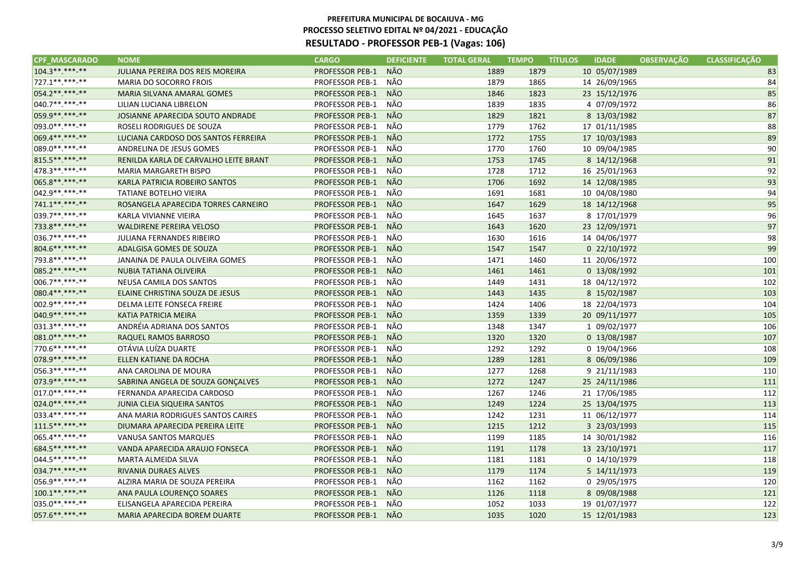| <b>CPF_MASCARADO</b> | <b>NOME</b>                           | <b>CARGO</b>           | <b>DEFICIENTE</b> | <b>TOTAL GERAL</b> | <b>TEMPO</b> | <b>IDADE</b><br><b>TITULOS</b> | <b>OBSERVAÇÃO</b> | <b>CLASSIFICAÇÃO</b> |
|----------------------|---------------------------------------|------------------------|-------------------|--------------------|--------------|--------------------------------|-------------------|----------------------|
| 104.3**.***.**       | JULIANA PEREIRA DOS REIS MOREIRA      | <b>PROFESSOR PEB-1</b> | <b>NÃO</b>        | 1889               | 1879         | 10 05/07/1989                  |                   | 83                   |
| 727.1 **. ***-**     | MARIA DO SOCORRO FROIS                | <b>PROFESSOR PEB-1</b> | NÃO               | 1879               | 1865         | 14 26/09/1965                  |                   | 84                   |
| 054.2**.***.**       | MARIA SILVANA AMARAL GOMES            | <b>PROFESSOR PEB-1</b> | <b>NÃO</b>        | 1846               | 1823         | 23 15/12/1976                  |                   | 85                   |
| $040.7*********$     | LILIAN LUCIANA LIBRELON               | <b>PROFESSOR PEB-1</b> | NÃO               | 1839               | 1835         | 4 07/09/1972                   |                   | 86                   |
| 059.9**.***-**       | JOSIANNE APARECIDA SOUTO ANDRADE      | <b>PROFESSOR PEB-1</b> | <b>NÃO</b>        | 1829               | 1821         | 8 13/03/1982                   |                   | 87                   |
| 093.0**.***-**       | ROSELI RODRIGUES DE SOUZA             | <b>PROFESSOR PEB-1</b> | NÃO               | 1779               | 1762         | 17 01/11/1985                  |                   | 88                   |
| 069.4** *** -**      | LUCIANA CARDOSO DOS SANTOS FERREIRA   | <b>PROFESSOR PEB-1</b> | <b>NÃO</b>        | 1772               | 1755         | 17 10/03/1983                  |                   | 89                   |
| 089.0 ** *** **      | ANDRELINA DE JESUS GOMES              | PROFESSOR PEB-1        | NÃO               | 1770               | 1760         | 10 09/04/1985                  |                   | 90                   |
| 815.5**.***-**       | RENILDA KARLA DE CARVALHO LEITE BRANT | <b>PROFESSOR PEB-1</b> | NÃO               | 1753               | 1745         | 8 14/12/1968                   |                   | 91                   |
| 478.3 **. ***-**     | <b>MARIA MARGARETH BISPO</b>          | PROFESSOR PEB-1        | NÃO               | 1728               | 1712         | 16 25/01/1963                  |                   | 92                   |
| 065.8**.***.**       | KARLA PATRICIA ROBEIRO SANTOS         | <b>PROFESSOR PEB-1</b> | NÃO               | 1706               | 1692         | 14 12/08/1985                  |                   | 93                   |
| 042.9 ** *** -**     | <b>TATIANE BOTELHO VIEIRA</b>         | <b>PROFESSOR PEB-1</b> | NÃO               | 1691               | 1681         | 10 04/08/1980                  |                   | 94                   |
| 741.1**.***.**       | ROSANGELA APARECIDA TORRES CARNEIRO   | <b>PROFESSOR PEB-1</b> | NÃO               | 1647               | 1629         | 18 14/12/1968                  |                   | 95                   |
| 039.7**.***-**       | KARLA VIVIANNE VIEIRA                 | <b>PROFESSOR PEB-1</b> | NÃO               | 1645               | 1637         | 8 17/01/1979                   |                   | 96                   |
| 733.8 ** *** **      | <b>WALDIRENE PEREIRA VELOSO</b>       | <b>PROFESSOR PEB-1</b> | <b>NÃO</b>        | 1643               | 1620         | 23 12/09/1971                  |                   | 97                   |
| 036.7**.***.**       | JULIANA FERNANDES RIBEIRO             | <b>PROFESSOR PEB-1</b> | NÃO               | 1630               | 1616         | 14 04/06/1977                  |                   | 98                   |
| 804.6**.***-**       | ADALGISA GOMES DE SOUZA               | <b>PROFESSOR PEB-1</b> | NÃO               | 1547               | 1547         | 0 22/10/1972                   |                   | 99                   |
| 793.8**.***.**       | JANAINA DE PAULA OLIVEIRA GOMES       | <b>PROFESSOR PEB-1</b> | NÃO               | 1471               | 1460         | 11 20/06/1972                  |                   | 100                  |
| 085.2 ** *** -**     | NUBIA TATIANA OLIVEIRA                | <b>PROFESSOR PEB-1</b> | NÃO               | 1461               | 1461         | 0 13/08/1992                   |                   | 101                  |
| 006.7**.***-**       | NEUSA CAMILA DOS SANTOS               | <b>PROFESSOR PEB-1</b> | NÃO               | 1449               | 1431         | 18 04/12/1972                  |                   | 102                  |
| 080.4**.***.**       | ELAINE CHRISTINA SOUZA DE JESUS       | <b>PROFESSOR PEB-1</b> | NÃO               | 1443               | 1435         | 8 15/02/1987                   |                   | 103                  |
| 002.9 ** *** -**     | DELMA LEITE FONSECA FREIRE            | <b>PROFESSOR PEB-1</b> | NÃO               | 1424               | 1406         | 18 22/04/1973                  |                   | 104                  |
| 040.9**.***.**       | <b>KATIA PATRICIA MEIRA</b>           | <b>PROFESSOR PEB-1</b> | NÃO               | 1359               | 1339         | 20 09/11/1977                  |                   | 105                  |
| 031.3**.***.**       | ANDRÉIA ADRIANA DOS SANTOS            | <b>PROFESSOR PEB-1</b> | NÃO               | 1348               | 1347         | 1 09/02/1977                   |                   | 106                  |
| 081.0**.***.**       | RAQUEL RAMOS BARROSO                  | <b>PROFESSOR PEB-1</b> | <b>NÃO</b>        | 1320               | 1320         | 0 13/08/1987                   |                   | 107                  |
| 770.6**.***-**       | OTÁVIA LUÍZA DUARTE                   | <b>PROFESSOR PEB-1</b> | NÃO               | 1292               | 1292         | 0 19/04/1966                   |                   | 108                  |
| 078.9 ** *** -**     | ELLEN KATIANE DA ROCHA                | <b>PROFESSOR PEB-1</b> | NÃO               | 1289               | 1281         | 8 06/09/1986                   |                   | 109                  |
| 056.3**.***-**       | ANA CAROLINA DE MOURA                 | <b>PROFESSOR PEB-1</b> | NÃO               | 1277               | 1268         | 9 21/11/1983                   |                   | 110                  |
| 073.9 ** *** **      | SABRINA ANGELA DE SOUZA GONÇALVES     | <b>PROFESSOR PEB-1</b> | NÃO               | 1272               | 1247         | 25 24/11/1986                  |                   | 111                  |
| $017.0*********$     | FERNANDA APARECIDA CARDOSO            | PROFESSOR PEB-1        | NÃO               | 1267               | 1246         | 21 17/06/1985                  |                   | 112                  |
| 024.0**.***-**       | JUNIA CLEIA SIQUEIRA SANTOS           | <b>PROFESSOR PEB-1</b> | NÃO               | 1249               | 1224         | 25 13/04/1975                  |                   | 113                  |
| 033.4**.***-**       | ANA MARIA RODRIGUES SANTOS CAIRES     | <b>PROFESSOR PEB-1</b> | NÃO               | 1242               | 1231         | 11 06/12/1977                  |                   | 114                  |
| 111.5**.***-**       | DIUMARA APARECIDA PEREIRA LEITE       | <b>PROFESSOR PEB-1</b> | <b>NÃO</b>        | 1215               | 1212         | 3 23/03/1993                   |                   | 115                  |
| 065.4**.***-**       | VANUSA SANTOS MARQUES                 | PROFESSOR PEB-1        | NÃO               | 1199               | 1185         | 14 30/01/1982                  |                   | 116                  |
| 684.5**.***-**       | VANDA APARECIDA ARAUJO FONSECA        | <b>PROFESSOR PEB-1</b> | NÃO               | 1191               | 1178         | 13 23/10/1971                  |                   | 117                  |
| 044.5**.***-**       | MARTA ALMEIDA SILVA                   | PROFESSOR PEB-1        | NÃO               | 1181               | 1181         | 0 14/10/1979                   |                   | 118                  |
| 034.7**.***-**       | RIVANIA DURAES ALVES                  | <b>PROFESSOR PEB-1</b> | NÃO               | 1179               | 1174         | 5 14/11/1973                   |                   | 119                  |
| 056.9**.***-**       | ALZIRA MARIA DE SOUZA PEREIRA         | <b>PROFESSOR PEB-1</b> | NÃO               | 1162               | 1162         | 0 29/05/1975                   |                   | 120                  |
| 100.1**.***.**       | ANA PAULA LOURENÇO SOARES             | <b>PROFESSOR PEB-1</b> | NÃO               | 1126               | 1118         | 8 09/08/1988                   |                   | 121                  |
| 035.0**.***-**       | ELISANGELA APARECIDA PEREIRA          | <b>PROFESSOR PEB-1</b> | NÃO               | 1052               | 1033         | 19 01/07/1977                  |                   | 122                  |
| 057.6**.***-**       | MARIA APARECIDA BOREM DUARTE          | <b>PROFESSOR PEB-1</b> | <b>NÃO</b>        | 1035               | 1020         | 15 12/01/1983                  |                   | 123                  |
|                      |                                       |                        |                   |                    |              |                                |                   |                      |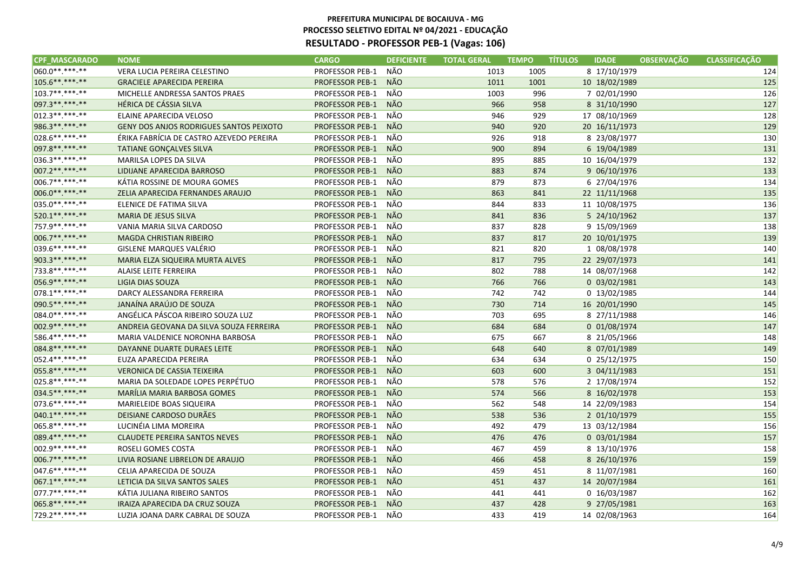| 060.0**.***-**<br>NÃO<br>VERA LUCIA PEREIRA CELESTINO<br><b>PROFESSOR PEB-1</b><br>8 17/10/1979<br>1013<br>1005<br>$105.6*********$<br><b>NÃO</b><br><b>PROFESSOR PEB-1</b><br>1011<br>1001<br>10 18/02/1989<br><b>GRACIELE APARECIDA PEREIRA</b><br>103.7**.***-**<br>NÃO<br>MICHELLE ANDRESSA SANTOS PRAES<br><b>PROFESSOR PEB-1</b><br>1003 | 124<br>125<br>126 |
|------------------------------------------------------------------------------------------------------------------------------------------------------------------------------------------------------------------------------------------------------------------------------------------------------------------------------------------------|-------------------|
|                                                                                                                                                                                                                                                                                                                                                |                   |
|                                                                                                                                                                                                                                                                                                                                                |                   |
| 996<br>7 02/01/1990                                                                                                                                                                                                                                                                                                                            |                   |
| 097.3**.***-**<br>NÃO<br>HÉRICA DE CÁSSIA SILVA<br><b>PROFESSOR PEB-1</b><br>966<br>958<br>8 31/10/1990                                                                                                                                                                                                                                        | 127               |
| 012.3 **. ***-**<br>NÃO<br>ELAINE APARECIDA VELOSO<br>PROFESSOR PEB-1<br>946<br>929<br>17 08/10/1969                                                                                                                                                                                                                                           | 128               |
| NÃO<br>986.3 ** *** **<br><b>PROFESSOR PEB-1</b><br>20 16/11/1973<br><b>GENY DOS ANJOS RODRIGUES SANTOS PEIXOTO</b><br>940<br>920                                                                                                                                                                                                              | 129               |
| 028.6 **. ***-**<br>NÃO<br>ÉRIKA FABRÍCIA DE CASTRO AZEVEDO PEREIRA<br><b>PROFESSOR PEB-1</b><br>926<br>918<br>8 23/08/1977                                                                                                                                                                                                                    | 130               |
| 097.8 ** *** -**<br>NÃO<br><b>PROFESSOR PEB-1</b><br>894<br>TATIANE GONÇALVES SILVA<br>900<br>6 19/04/1989                                                                                                                                                                                                                                     | 131               |
| NÃO<br>036.3**.***-**<br><b>PROFESSOR PEB-1</b><br>895<br>885<br>10 16/04/1979<br>MARILSA LOPES DA SILVA                                                                                                                                                                                                                                       | 132               |
| $007.2*********$<br><b>NÃO</b><br>9 06/10/1976<br>LIDIJANE APARECIDA BARROSO<br><b>PROFESSOR PEB-1</b><br>883<br>874                                                                                                                                                                                                                           | 133               |
| NÃO<br>006.7**.***-**<br>KÁTIA ROSSINE DE MOURA GOMES<br><b>PROFESSOR PEB-1</b><br>879<br>873<br>6 27/04/1976                                                                                                                                                                                                                                  | 134               |
| 006.0**.***-**<br>NÃO<br><b>PROFESSOR PEB-1</b><br>841<br>ZELIA APARECIDA FERNANDES ARAUJO<br>863<br>22 11/11/1968                                                                                                                                                                                                                             | 135               |
| 035.0**.***-**<br>NÃO<br>PROFESSOR PEB-1<br>844<br>833<br>11 10/08/1975<br>ELENICE DE FATIMA SILVA                                                                                                                                                                                                                                             | 136               |
| 520.1**.***-**<br>NÃO<br><b>MARIA DE JESUS SILVA</b><br><b>PROFESSOR PEB-1</b><br>841<br>836<br>5 24/10/1962                                                                                                                                                                                                                                   | 137               |
| 757.9 ** *** -**<br>NÃO<br>VANIA MARIA SILVA CARDOSO<br><b>PROFESSOR PEB-1</b><br>837<br>9 15/09/1969<br>828                                                                                                                                                                                                                                   | 138               |
| NÃO<br>006.7**.***-**<br><b>MAGDA CHRISTIAN RIBEIRO</b><br><b>PROFESSOR PEB-1</b><br>837<br>817<br>20 10/01/1975                                                                                                                                                                                                                               | 139               |
| 039.6**.***-**<br>NÃO<br>PROFESSOR PEB-1<br>821<br>1 08/08/1978<br>GISLENE MARQUES VALÉRIO<br>820                                                                                                                                                                                                                                              | 140               |
| 903.3**.***.**<br>NÃO<br>817<br>795<br>MARIA ELZA SIQUEIRA MURTA ALVES<br><b>PROFESSOR PEB-1</b><br>22 29/07/1973                                                                                                                                                                                                                              | 141               |
| 733.8**.***-**<br>PROFESSOR PEB-1<br>NÃO<br>14 08/07/1968<br>ALAISE LEITE FERREIRA<br>802<br>788                                                                                                                                                                                                                                               | 142               |
| <b>NÃO</b><br>056.9**.***-**<br><b>LIGIA DIAS SOUZA</b><br><b>PROFESSOR PEB-1</b><br>766<br>766<br>0 03/02/1981                                                                                                                                                                                                                                | 143               |
| NÃO<br>078.1 **. ***- **<br>DARCY ALESSANDRA FERREIRA<br><b>PROFESSOR PEB-1</b><br>742<br>742<br>0 13/02/1985                                                                                                                                                                                                                                  | 144               |
| 090.5 **. ***-**<br><b>NÃO</b><br>JANAÍNA ARAÚJO DE SOUZA<br><b>PROFESSOR PEB-1</b><br>730<br>714<br>16 20/01/1990                                                                                                                                                                                                                             | 145               |
| 084.0**.***-**<br>NÃO<br>ANGÉLICA PÁSCOA RIBEIRO SOUZA LUZ<br><b>PROFESSOR PEB-1</b><br>703<br>695<br>8 27/11/1988                                                                                                                                                                                                                             | 146               |
| NÃO<br>002.9 ** *** **<br>ANDREIA GEOVANA DA SILVA SOUZA FERREIRA<br><b>PROFESSOR PEB-1</b><br>684<br>684<br>0 01/08/1974                                                                                                                                                                                                                      | 147               |
| 586.4**.***-**<br>NÃO<br><b>PROFESSOR PEB-1</b><br>675<br>667<br>8 21/05/1966<br>MARIA VALDENICE NORONHA BARBOSA                                                                                                                                                                                                                               | 148               |
| NÃO<br>084.8**.***.**<br>640<br>DAYANNE DUARTE DURAES LEITE<br><b>PROFESSOR PEB-1</b><br>648<br>8 07/01/1989                                                                                                                                                                                                                                   | 149               |
| 052.4**.***-**<br>NÃO<br>634<br>0 25/12/1975<br>EUZA APARECIDA PEREIRA<br><b>PROFESSOR PEB-1</b><br>634                                                                                                                                                                                                                                        | 150               |
| 055.8 ** *** **<br><b>NÃO</b><br><b>VERONICA DE CASSIA TEIXEIRA</b><br><b>PROFESSOR PEB-1</b><br>603<br>600<br>3 04/11/1983                                                                                                                                                                                                                    | 151               |
| NÃO<br>025.8**.***-**<br>MARIA DA SOLEDADE LOPES PERPÉTUO<br>PROFESSOR PEB-1<br>578<br>2 17/08/1974<br>576                                                                                                                                                                                                                                     | 152               |
| NÃO<br>034.5 ** *** **<br>MARÍLIA MARIA BARBOSA GOMES<br><b>PROFESSOR PEB-1</b><br>574<br>566<br>8 16/02/1978                                                                                                                                                                                                                                  | 153               |
| 073.6**.***-**<br>NÃO<br>MARIELEIDE BOAS SIQUEIRA<br><b>PROFESSOR PEB-1</b><br>562<br>548<br>14 22/09/1983                                                                                                                                                                                                                                     | 154               |
| 040.1**.***-**<br>NÃO<br>DEISIANE CARDOSO DURÃES<br><b>PROFESSOR PEB-1</b><br>538<br>536<br>2 01/10/1979                                                                                                                                                                                                                                       | 155               |
| 065.8**.***-**<br>NÃO<br>LUCINÉIA LIMA MOREIRA<br><b>PROFESSOR PEB-1</b><br>492<br>479<br>13 03/12/1984                                                                                                                                                                                                                                        | 156               |
| NÃO<br>089.4**.***-**<br><b>CLAUDETE PEREIRA SANTOS NEVES</b><br><b>PROFESSOR PEB-1</b><br>476<br>476<br>0 03/01/1984                                                                                                                                                                                                                          | 157               |
| 002.9 ** *** -**<br>NÃO<br><b>PROFESSOR PEB-1</b><br>ROSELI GOMES COSTA<br>467<br>459<br>8 13/10/1976                                                                                                                                                                                                                                          | 158               |
| $006.7*********$<br><b>NÃO</b><br>LIVIA ROSIANE LIBRELON DE ARAUJO<br><b>PROFESSOR PEB-1</b><br>466<br>458<br>8 26/10/1976                                                                                                                                                                                                                     | 159               |
| 047.6**.***-**<br>NÃO<br>CELIA APARECIDA DE SOUZA<br><b>PROFESSOR PEB-1</b><br>459<br>451<br>8 11/07/1981                                                                                                                                                                                                                                      | 160               |
| 067.1**.***.**<br><b>NÃO</b><br><b>PROFESSOR PEB-1</b><br>14 20/07/1984<br>LETICIA DA SILVA SANTOS SALES<br>451<br>437                                                                                                                                                                                                                         | 161               |
| 077.7**.***-**<br>NÃO<br>KÁTIA JULIANA RIBEIRO SANTOS<br>PROFESSOR PEB-1<br>0 16/03/1987<br>441<br>441                                                                                                                                                                                                                                         | 162               |
| 065.8**.***-**<br><b>PROFESSOR PEB-1</b><br><b>NÃO</b><br>IRAIZA APARECIDA DA CRUZ SOUZA<br>437<br>428<br>9 27/05/1981                                                                                                                                                                                                                         | 163               |
| 729.2 ** .*** -**<br>NÃO<br><b>PROFESSOR PEB-1</b><br>14 02/08/1963<br>LUZIA JOANA DARK CABRAL DE SOUZA<br>433<br>419                                                                                                                                                                                                                          | 164               |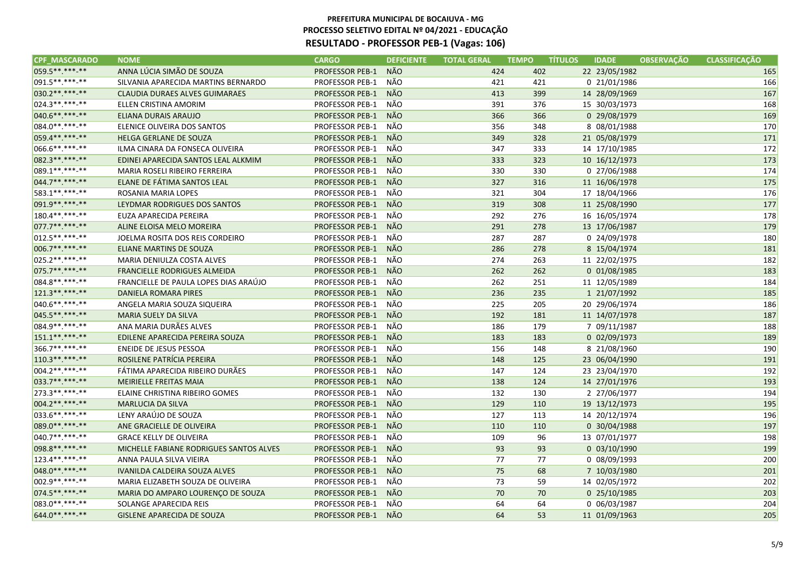| <b>CPF MASCARADO</b> | <b>NOME</b>                             | <b>CARGO</b>           | <b>DEFICIENTE</b> | <b>TOTAL GERAL</b> | <b>TEMPO</b> | <b>TÍTULOS</b><br><b>IDADE</b> | <b>OBSERVAÇÃO</b> | <b>CLASSIFICACÃO</b> |
|----------------------|-----------------------------------------|------------------------|-------------------|--------------------|--------------|--------------------------------|-------------------|----------------------|
| 059.5**.***-**       | ANNA LÚCIA SIMÃO DE SOUZA               | <b>PROFESSOR PEB-1</b> | <b>NÃO</b>        | 424                | 402          | 22 23/05/1982                  |                   | 165                  |
| 091.5**.***-**       | SILVANIA APARECIDA MARTINS BERNARDO     | <b>PROFESSOR PEB-1</b> | NÃO               | 421                | 421          | 0 21/01/1986                   |                   | 166                  |
| 030.2**.***-**       | <b>CLAUDIA DURAES ALVES GUIMARAES</b>   | <b>PROFESSOR PEB-1</b> | <b>NÃO</b>        | 413                | 399          | 14 28/09/1969                  |                   | 167                  |
| 024.3**.***-**       | ELLEN CRISTINA AMORIM                   | PROFESSOR PEB-1        | NÃO               | 391                | 376          | 15 30/03/1973                  |                   | 168                  |
| 040.6**.***.**       | ELIANA DURAIS ARAUJO                    | <b>PROFESSOR PEB-1</b> | NÃO               | 366                | 366          | 0 29/08/1979                   |                   | 169                  |
| 084.0**.***-**       | ELENICE OLIVEIRA DOS SANTOS             | <b>PROFESSOR PEB-1</b> | NÃO               | 356                | 348          | 8 08/01/1988                   |                   | 170                  |
| 059.4** *** **       | HELGA GERLANE DE SOUZA                  | <b>PROFESSOR PEB-1</b> | NÃO               | 349                | 328          | 21 05/08/1979                  |                   | 171                  |
| $ 066.6*********$    | ILMA CINARA DA FONSECA OLIVEIRA         | <b>PROFESSOR PEB-1</b> | NÃO               | 347                | 333          | 14 17/10/1985                  |                   | 172                  |
| 082.3 ** *** **      | EDINEI APARECIDA SANTOS LEAL ALKMIM     | <b>PROFESSOR PEB-1</b> | NÃO               | 333                | 323          | 10 16/12/1973                  |                   | 173                  |
| 089.1**.***-**       | MARIA ROSELI RIBEIRO FERREIRA           | <b>PROFESSOR PEB-1</b> | NÃO               | 330                | 330          | 0 27/06/1988                   |                   | 174                  |
| 044.7**.***.**       | ELANE DE FÁTIMA SANTOS LEAL             | <b>PROFESSOR PEB-1</b> | NÃO               | 327                | 316          | 11 16/06/1978                  |                   | 175                  |
| 583.1 **. ***. **    | ROSANIA MARIA LOPES                     | <b>PROFESSOR PEB-1</b> | NÃO               | 321                | 304          | 17 18/04/1966                  |                   | 176                  |
| 091.9 ** *** **      | LEYDMAR RODRIGUES DOS SANTOS            | <b>PROFESSOR PEB-1</b> | NÃO               | 319                | 308          | 11 25/08/1990                  |                   | 177                  |
| 180.4**.***.**       | EUZA APARECIDA PEREIRA                  | <b>PROFESSOR PEB-1</b> | NÃO               | 292                | 276          | 16 16/05/1974                  |                   | 178                  |
| $077.7******$        | ALINE ELOISA MELO MOREIRA               | <b>PROFESSOR PEB-1</b> | NÃO               | 291                | 278          | 13 17/06/1987                  |                   | 179                  |
| 012.5 **. ***- **    | JOELMA ROSITA DOS REIS CORDEIRO         | <b>PROFESSOR PEB-1</b> | NÃO               | 287                | 287          | 0 24/09/1978                   |                   | 180                  |
| 006.7**.***-**       | ELIANE MARTINS DE SOUZA                 | <b>PROFESSOR PEB-1</b> | NÃO               | 286                | 278          | 8 15/04/1974                   |                   | 181                  |
| 025.2 ** *** **      | MARIA DENIULZA COSTA ALVES              | PROFESSOR PEB-1        | NÃO               | 274                | 263          | 11 22/02/1975                  |                   | 182                  |
| 075.7**.***-**       | FRANCIELLE RODRIGUES ALMEIDA            | <b>PROFESSOR PEB-1</b> | NÃO               | 262                | 262          | 0 01/08/1985                   |                   | 183                  |
| 084.8**.***-**       | FRANCIELLE DE PAULA LOPES DIAS ARAÚJO   | <b>PROFESSOR PEB-1</b> | NÃO               | 262                | 251          | 11 12/05/1989                  |                   | 184                  |
| 121.3**.***-**       | <b>DANIELA ROMARA PIRES</b>             | <b>PROFESSOR PEB-1</b> | NÃO               | 236                | 235          | 1 21/07/1992                   |                   | 185                  |
| 040.6**.***-**       | ANGELA MARIA SOUZA SIQUEIRA             | <b>PROFESSOR PEB-1</b> | NÃO               | 225                | 205          | 20 29/06/1974                  |                   | 186                  |
| 045.5**.***-**       | MARIA SUELY DA SILVA                    | <b>PROFESSOR PEB-1</b> | <b>NÃO</b>        | 192                | 181          | 11 14/07/1978                  |                   | 187                  |
| 084.9**.***-**       | ANA MARIA DURÃES ALVES                  | <b>PROFESSOR PEB-1</b> | NÃO               | 186                | 179          | 7 09/11/1987                   |                   | 188                  |
| 151.1**.***.**       | EDILENE APARECIDA PEREIRA SOUZA         | <b>PROFESSOR PEB-1</b> | NÃO               | 183                | 183          | $0$ 02/09/1973                 |                   | 189                  |
| 366.7**.***-**       | ENEIDE DE JESUS PESSOA                  | PROFESSOR PEB-1        | NÃO               | 156                | 148          | 8 21/08/1960                   |                   | 190                  |
| $110.3*********$     | ROSILENE PATRÍCIA PEREIRA               | <b>PROFESSOR PEB-1</b> | <b>NÃO</b>        | 148                | 125          | 23 06/04/1990                  |                   | 191                  |
| 004.2 **. ***-**     | FÁTIMA APARECIDA RIBEIRO DURÃES         | <b>PROFESSOR PEB-1</b> | NÃO               | 147                | 124          | 23 23/04/1970                  |                   | 192                  |
| 033.7**.***-**       | <b>MEIRIELLE FREITAS MAIA</b>           | <b>PROFESSOR PEB-1</b> | <b>NÃO</b>        | 138                | 124          | 14 27/01/1976                  |                   | 193                  |
| 273.3 **. ***- **    | ELAINE CHRISTINA RIBEIRO GOMES          | <b>PROFESSOR PEB-1</b> | NÃO               | 132                | 130          | 2 27/06/1977                   |                   | 194                  |
| 004.2**.***-**       | <b>MARLUCIA DA SILVA</b>                | <b>PROFESSOR PEB-1</b> | NÃO               | 129                | 110          | 19 13/12/1973                  |                   | 195                  |
| 033.6**.***-**       | LENY ARAÚJO DE SOUZA                    | <b>PROFESSOR PEB-1</b> | NÃO               | 127                | 113          | 14 20/12/1974                  |                   | 196                  |
| 089.0 ** *** **      | ANE GRACIELLE DE OLIVEIRA               | <b>PROFESSOR PEB-1</b> | <b>NÃO</b>        | 110                | 110          | 0 30/04/1988                   |                   | 197                  |
| 040.7**.***.**       | <b>GRACE KELLY DE OLIVEIRA</b>          | <b>PROFESSOR PEB-1</b> | NÃO               | 109                | 96           | 13 07/01/1977                  |                   | 198                  |
| 098.8**.***.**       | MICHELLE FABIANE RODRIGUES SANTOS ALVES | <b>PROFESSOR PEB-1</b> | NÃO               | 93                 | 93           | $0$ 03/10/1990                 |                   | 199                  |
| 123.4**.***-**       | ANNA PAULA SILVA VIEIRA                 | <b>PROFESSOR PEB-1</b> | NÃO               | 77                 | 77           | 0 08/09/1993                   |                   | 200                  |
| 048.0**.***-**       | IVANILDA CALDEIRA SOUZA ALVES           | <b>PROFESSOR PEB-1</b> | NÃO               | 75                 | 68           | 7 10/03/1980                   |                   | 201                  |
| 002.9 ** *** -**     | MARIA ELIZABETH SOUZA DE OLIVEIRA       | <b>PROFESSOR PEB-1</b> | NÃO               | 73                 | 59           | 14 02/05/1972                  |                   | 202                  |
| 074.5 **. ***-**     | MARIA DO AMPARO LOURENÇO DE SOUZA       | <b>PROFESSOR PEB-1</b> | <b>NÃO</b>        | 70                 | 70           | 0 25/10/1985                   |                   | 203                  |
| 083.0**.***-**       | SOLANGE APARECIDA REIS                  | <b>PROFESSOR PEB-1</b> | NÃO               | 64                 | 64           | 0 06/03/1987                   |                   | 204                  |
| 644.0**.***-**       | <b>GISLENE APARECIDA DE SOUZA</b>       | <b>PROFESSOR PEB-1</b> | <b>NÃO</b>        | 64                 | 53           | 11 01/09/1963                  |                   | 205                  |
|                      |                                         |                        |                   |                    |              |                                |                   |                      |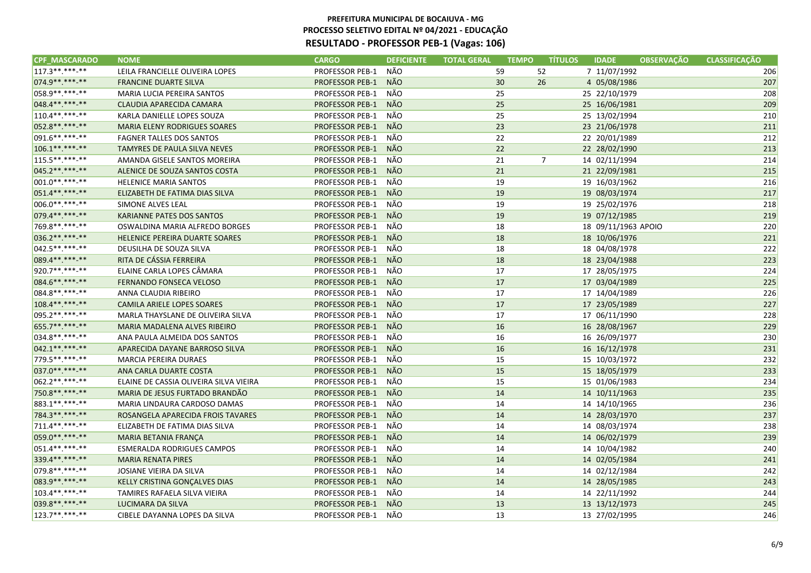| <b>CPF MASCARADO</b> | <b>NOME</b>                            | <b>CARGO</b>           | <b>DEFICIENTE</b> | <b>TOTAL GERAL</b><br><b>TEMPO</b> | <b>TÍTULOS</b> | <b>IDADE</b>        | <b>OBSERVAÇÃO</b> | <b>CLASSIFICAÇÃO</b> |
|----------------------|----------------------------------------|------------------------|-------------------|------------------------------------|----------------|---------------------|-------------------|----------------------|
| $117.3******$        | LEILA FRANCIELLE OLIVEIRA LOPES        | <b>PROFESSOR PEB-1</b> | NÃO               | 59                                 | 52             | 7 11/07/1992        |                   | 206                  |
| 074.9 ** *** -**     | <b>FRANCINE DUARTE SILVA</b>           | <b>PROFESSOR PEB-1</b> | NÃO               | 30                                 | 26             | 4 05/08/1986        |                   | 207                  |
| 058.9 ** *** -**     | MARIA LUCIA PEREIRA SANTOS             | PROFESSOR PEB-1        | NÃO               | 25                                 |                | 25 22/10/1979       |                   | 208                  |
| 048.4**.***-**       | CLAUDIA APARECIDA CAMARA               | <b>PROFESSOR PEB-1</b> | <b>NÃO</b>        | 25                                 |                | 25 16/06/1981       |                   | 209                  |
| 110.4**.***.**       | KARLA DANIELLE LOPES SOUZA             | PROFESSOR PEB-1        | NÃO               | 25                                 |                | 25 13/02/1994       |                   | 210                  |
| 052.8 ** *** -**     | MARIA ELENY RODRIGUES SOARES           | <b>PROFESSOR PEB-1</b> | NÃO               | 23                                 |                | 23 21/06/1978       |                   | 211                  |
| 091.6**.***-**       | <b>FAGNER TALLES DOS SANTOS</b>        | PROFESSOR PEB-1        | NÃO               | 22                                 |                | 22 20/01/1989       |                   | 212                  |
| 106.1**.***-**       | <b>TAMYRES DE PAULA SILVA NEVES</b>    | <b>PROFESSOR PEB-1</b> | <b>NÃO</b>        | 22                                 |                | 22 28/02/1990       |                   | 213                  |
| 115.5**.***-**       | AMANDA GISELE SANTOS MOREIRA           | <b>PROFESSOR PEB-1</b> | NÃO               | 21                                 | $\overline{7}$ | 14 02/11/1994       |                   | 214                  |
| 045.2 ** *** -**     | ALENICE DE SOUZA SANTOS COSTA          | <b>PROFESSOR PEB-1</b> | NÃO               | 21                                 |                | 21 22/09/1981       |                   | 215                  |
| $001.0*********$     | <b>HELENICE MARIA SANTOS</b>           | <b>PROFESSOR PEB-1</b> | NÃO               | 19                                 |                | 19 16/03/1962       |                   | 216                  |
| 051.4**.***-**       | ELIZABETH DE FATIMA DIAS SILVA         | <b>PROFESSOR PEB-1</b> | NÃO               | 19                                 |                | 19 08/03/1974       |                   | 217                  |
| 006.0**.***-**       | SIMONE ALVES LEAL                      | <b>PROFESSOR PEB-1</b> | NÃO               | 19                                 |                | 19 25/02/1976       |                   | 218                  |
| 079.4**.***-**       | KARIANNE PATES DOS SANTOS              | <b>PROFESSOR PEB-1</b> | <b>NÃO</b>        | 19                                 |                | 19 07/12/1985       |                   | 219                  |
| 769.8**.***-**       | OSWALDINA MARIA ALFREDO BORGES         | <b>PROFESSOR PEB-1</b> | NÃO               | 18                                 |                | 18 09/11/1963 APOIO |                   | 220                  |
| 036.2 ** *** **      | <b>HELENICE PEREIRA DUARTE SOARES</b>  | <b>PROFESSOR PEB-1</b> | <b>NÃO</b>        | 18                                 |                | 18 10/06/1976       |                   | 221                  |
| 042.5 **. ***- **    | DEUSILHA DE SOUZA SILVA                | PROFESSOR PEB-1        | NÃO               | 18                                 |                | 18 04/08/1978       |                   | 222                  |
| 089.4**.***.**       | RITA DE CÁSSIA FERREIRA                | <b>PROFESSOR PEB-1</b> | <b>NÃO</b>        | 18                                 |                | 18 23/04/1988       |                   | 223                  |
| 920.7**.***-**       | ELAINE CARLA LOPES CÂMARA              | <b>PROFESSOR PEB-1</b> | NÃO               | 17                                 |                | 17 28/05/1975       |                   | 224                  |
| 084.6**.***.**       | <b>FERNANDO FONSECA VELOSO</b>         | <b>PROFESSOR PEB-1</b> | NÃO               | 17                                 |                | 17 03/04/1989       |                   | 225                  |
| 084.8**.***-**       | ANNA CLAUDIA RIBEIRO                   | PROFESSOR PEB-1        | NÃO               | 17                                 |                | 17 14/04/1989       |                   | 226                  |
| 108.4** *** **       | <b>CAMILA ARIELE LOPES SOARES</b>      | <b>PROFESSOR PEB-1</b> | NÃO               | 17                                 |                | 17 23/05/1989       |                   | 227                  |
| 095.2 ** *** -**     | MARLA THAYSLANE DE OLIVEIRA SILVA      | <b>PROFESSOR PEB-1</b> | NÃO               | 17                                 |                | 17 06/11/1990       |                   | 228                  |
| 655.7**.***-**       | MARIA MADALENA ALVES RIBEIRO           | <b>PROFESSOR PEB-1</b> | <b>NÃO</b>        | 16                                 |                | 16 28/08/1967       |                   | 229                  |
| 034.8**.***.**       | ANA PAULA ALMEIDA DOS SANTOS           | PROFESSOR PEB-1        | NÃO               | 16                                 |                | 16 26/09/1977       |                   | 230                  |
| 042.1 ** *** **      | APARECIDA DAYANE BARROSO SILVA         | <b>PROFESSOR PEB-1</b> | <b>NÃO</b>        | 16                                 |                | 16 16/12/1978       |                   | 231                  |
| 779.5**.***-**       | <b>MARCIA PEREIRA DURAES</b>           | <b>PROFESSOR PEB-1</b> | NÃO               | 15                                 |                | 15 10/03/1972       |                   | 232                  |
| 037.0 ** *** **      | ANA CARLA DUARTE COSTA                 | <b>PROFESSOR PEB-1</b> | NÃO               | 15                                 |                | 15 18/05/1979       |                   | 233                  |
| 062.2 ** *** -**     | ELAINE DE CASSIA OLIVEIRA SILVA VIEIRA | <b>PROFESSOR PEB-1</b> | NÃO               | 15                                 |                | 15 01/06/1983       |                   | 234                  |
| 750.8**.***-**       | MARIA DE JESUS FURTADO BRANDÃO         | <b>PROFESSOR PEB-1</b> | NÃO               | 14                                 |                | 14 10/11/1963       |                   | 235                  |
| 883.1**.***-**       | MARIA LINDAURA CARDOSO DAMAS           | <b>PROFESSOR PEB-1</b> | NÃO               | 14                                 |                | 14 14/10/1965       |                   | 236                  |
| 784.3**.***.**       | ROSANGELA APARECIDA FROIS TAVARES      | <b>PROFESSOR PEB-1</b> | NÃO               | 14                                 |                | 14 28/03/1970       |                   | 237                  |
| 711.4**.***-**       | ELIZABETH DE FATIMA DIAS SILVA         | <b>PROFESSOR PEB-1</b> | NÃO               | 14                                 |                | 14 08/03/1974       |                   | 238                  |
| 059.0**.***-**       | MARIA BETANIA FRANÇA                   | <b>PROFESSOR PEB-1</b> | <b>NÃO</b>        | 14                                 |                | 14 06/02/1979       |                   | 239                  |
| 051.4**.***-**       | ESMERALDA RODRIGUES CAMPOS             | <b>PROFESSOR PEB-1</b> | NÃO               | 14                                 |                | 14 10/04/1982       |                   | 240                  |
| 339.4**.***-**       | <b>MARIA RENATA PIRES</b>              | <b>PROFESSOR PEB-1</b> | <b>NÃO</b>        | 14                                 |                | 14 02/05/1984       |                   | 241                  |
| 079.8**.***-**       | JOSIANE VIEIRA DA SILVA                | PROFESSOR PEB-1        | NÃO               | 14                                 |                | 14 02/12/1984       |                   | 242                  |
| 083.9**.***.**       | KELLY CRISTINA GONÇALVES DIAS          | <b>PROFESSOR PEB-1</b> | <b>NÃO</b>        | 14                                 |                | 14 28/05/1985       |                   | 243                  |
| 103.4**.***.**       | TAMIRES RAFAELA SILVA VIEIRA           | PROFESSOR PEB-1        | NÃO               | 14                                 |                | 14 22/11/1992       |                   | 244                  |
| 039.8**.***-**       | LUCIMARA DA SILVA                      | <b>PROFESSOR PEB-1</b> | <b>NÃO</b>        | 13                                 |                | 13 13/12/1973       |                   | 245                  |
| 123.7**.***-**       | CIBELE DAYANNA LOPES DA SILVA          | <b>PROFESSOR PEB-1</b> | NÃO               | 13                                 |                | 13 27/02/1995       |                   | 246                  |
|                      |                                        |                        |                   |                                    |                |                     |                   |                      |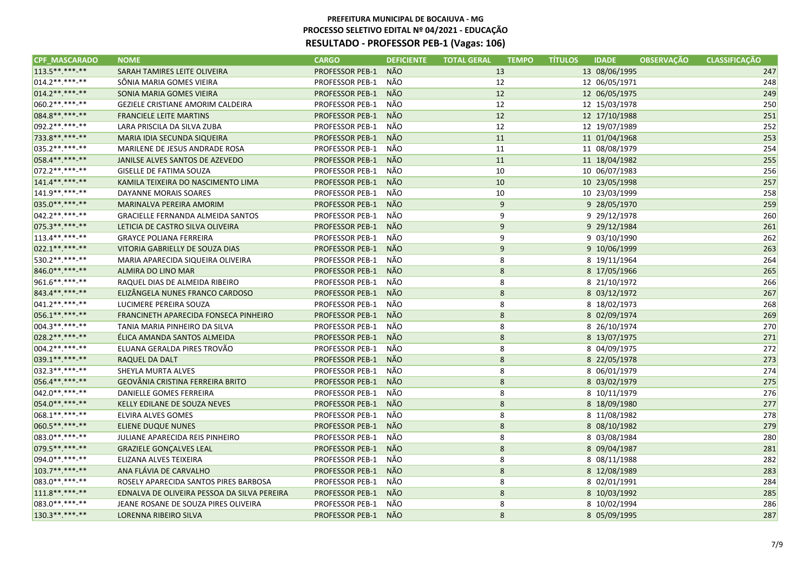| <b>CPF MASCARADO</b> | <b>NOME</b>                                 | <b>CARGO</b>           | <b>DEFICIENTE</b> | <b>TOTAL GERAL</b><br><b>TEMPO</b> | <b>IDADE</b><br><b>TÍTULOS</b><br><b>OBSERVAÇÃO</b> | <b>CLASSIFICACÃO</b> |
|----------------------|---------------------------------------------|------------------------|-------------------|------------------------------------|-----------------------------------------------------|----------------------|
| 113.5**.***-**       | SARAH TAMIRES LEITE OLIVEIRA                | <b>PROFESSOR PEB-1</b> | <b>NÃO</b>        | 13                                 | 13 08/06/1995                                       | 247                  |
| 014.2 **. ***- **    | SÔNIA MARIA GOMES VIEIRA                    | PROFESSOR PEB-1        | NÃO               | 12                                 | 12 06/05/1971                                       | 248                  |
| $014.2*********$     | SONIA MARIA GOMES VIEIRA                    | <b>PROFESSOR PEB-1</b> | <b>NÃO</b>        | 12                                 | 12 06/05/1975                                       | 249                  |
| 060.2 ** .*** -**    | <b>GEZIELE CRISTIANE AMORIM CALDEIRA</b>    | PROFESSOR PEB-1        | NÃO               | 12                                 | 12 15/03/1978                                       | 250                  |
| 084.8**.***.**       | <b>FRANCIELE LEITE MARTINS</b>              | <b>PROFESSOR PEB-1</b> | <b>NÃO</b>        | 12                                 | 12 17/10/1988                                       | 251                  |
| 092.2 ** *** -**     | LARA PRISCILA DA SILVA ZUBA                 | <b>PROFESSOR PEB-1</b> | NÃO               | 12                                 | 12 19/07/1989                                       | 252                  |
| 733.8**.***.**       | MARIA IDIA SECUNDA SIQUEIRA                 | <b>PROFESSOR PEB-1</b> | NÃO               | 11                                 | 11 01/04/1968                                       | 253                  |
| 035.2 ** *** -**     | MARILENE DE JESUS ANDRADE ROSA              | PROFESSOR PEB-1        | NÃO               | 11                                 | 11 08/08/1979                                       | 254                  |
| 058.4**.***-**       | JANILSE ALVES SANTOS DE AZEVEDO             | <b>PROFESSOR PEB-1</b> | NÃO               | 11                                 | 11 18/04/1982                                       | 255                  |
| 072.2 ** .*** -**    | GISELLE DE FATIMA SOUZA                     | PROFESSOR PEB-1        | NÃO               | 10                                 | 10 06/07/1983                                       | 256                  |
| 141.4** *** **       | KAMILA TEIXEIRA DO NASCIMENTO LIMA          | <b>PROFESSOR PEB-1</b> | NÃO               | 10                                 | 10 23/05/1998                                       | 257                  |
| 141.9 **. ***- **    | DAYANNE MORAIS SOARES                       | PROFESSOR PEB-1        | NÃO               | 10                                 | 10 23/03/1999                                       | 258                  |
| 035.0**.***-**       | MARINALVA PEREIRA AMORIM                    | <b>PROFESSOR PEB-1</b> | NÃO               | 9                                  | 9 28/05/1970                                        | 259                  |
| 042.2 ** *** -**     | <b>GRACIELLE FERNANDA ALMEIDA SANTOS</b>    | PROFESSOR PEB-1        | NÃO               | 9                                  | 9 29/12/1978                                        | 260                  |
| 075.3**.***-**       | LETICIA DE CASTRO SILVA OLIVEIRA            | <b>PROFESSOR PEB-1</b> | <b>NÃO</b>        | 9                                  | 9 29/12/1984                                        | 261                  |
| 113.4**.***-**       | <b>GRAYCE POLIANA FERREIRA</b>              | <b>PROFESSOR PEB-1</b> | NÃO               | 9                                  | 9 03/10/1990                                        | 262                  |
| 022.1**.***-**       | VITORIA GABRIELLY DE SOUZA DIAS             | <b>PROFESSOR PEB-1</b> | NÃO               | 9                                  | 9 10/06/1999                                        | 263                  |
| 530.2 **. ***- **    | MARIA APARECIDA SIQUEIRA OLIVEIRA           | PROFESSOR PEB-1        | NÃO               | 8                                  | 8 19/11/1964                                        | 264                  |
| 846.0**.***-**       | ALMIRA DO LINO MAR                          | <b>PROFESSOR PEB-1</b> | NÃO               | 8                                  | 8 17/05/1966                                        | 265                  |
| 961.6**.***-**       | RAQUEL DIAS DE ALMEIDA RIBEIRO              | <b>PROFESSOR PEB-1</b> | NÃO               | 8                                  | 8 21/10/1972                                        | 266                  |
| 843.4**.***.**       | ELIZÂNGELA NUNES FRANCO CARDOSO             | <b>PROFESSOR PEB-1</b> | NÃO               | 8                                  | 8 03/12/1972                                        | 267                  |
| $041.2******-*$      | LUCIMERE PEREIRA SOUZA                      | <b>PROFESSOR PEB-1</b> | NÃO               | 8                                  | 8 18/02/1973                                        | 268                  |
| 056.1**.***.**       | FRANCINETH APARECIDA FONSECA PINHEIRO       | <b>PROFESSOR PEB-1</b> | NÃO               | 8                                  | 8 02/09/1974                                        | 269                  |
| 004.3**.***-**       | TANIA MARIA PINHEIRO DA SILVA               | <b>PROFESSOR PEB-1</b> | NÃO               | 8                                  | 8 26/10/1974                                        | 270                  |
| 028.2 ** *** -**     | ÉLICA AMANDA SANTOS ALMEIDA                 | <b>PROFESSOR PEB-1</b> | NÃO               | 8                                  | 8 13/07/1975                                        | 271                  |
| $004.2*********$     | ELUANA GERALDA PIRES TROVÃO                 | <b>PROFESSOR PEB-1</b> | NÃO               | 8                                  | 8 04/09/1975                                        | 272                  |
| 039.1**.***-**       | <b>RAQUEL DA DALT</b>                       | <b>PROFESSOR PEB-1</b> | <b>NÃO</b>        | 8                                  | 8 22/05/1978                                        | 273                  |
| 032.3 ** .***- **    | SHEYLA MURTA ALVES                          | PROFESSOR PEB-1        | NÃO               | 8                                  | 8 06/01/1979                                        | 274                  |
| 056.4**.***-**       | <b>GEOVÂNIA CRISTINA FERREIRA BRITO</b>     | <b>PROFESSOR PEB-1</b> | <b>NÃO</b>        | 8                                  | 8 03/02/1979                                        | 275                  |
| 042.0**.***-**       | DANIELLE GOMES FERREIRA                     | PROFESSOR PEB-1        | NÃO               | 8                                  | 8 10/11/1979                                        | 276                  |
| 054.0**.***.**       | KELLY EDILANE DE SOUZA NEVES                | <b>PROFESSOR PEB-1</b> | <b>NÃO</b>        | 8                                  | 8 18/09/1980                                        | 277                  |
| 068.1**.***-**       | ELVIRA ALVES GOMES                          | <b>PROFESSOR PEB-1</b> | NÃO               | 8                                  | 8 11/08/1982                                        | 278                  |
| 060.5**.***-**       | <b>ELIENE DUQUE NUNES</b>                   | <b>PROFESSOR PEB-1</b> | <b>NÃO</b>        | 8                                  | 8 08/10/1982                                        | 279                  |
| 083.0 **. ***- **    | JULIANE APARECIDA REIS PINHEIRO             | <b>PROFESSOR PEB-1</b> | NÃO               | 8                                  | 8 03/08/1984                                        | 280                  |
| 079.5 **. ***- **    | <b>GRAZIELE GONÇALVES LEAL</b>              | <b>PROFESSOR PEB-1</b> | NÃO               | 8                                  | 8 09/04/1987                                        | 281                  |
| 094.0**.***-**       | ELIZANA ALVES TEIXEIRA                      | <b>PROFESSOR PEB-1</b> | NÃO               | 8                                  | 8 08/11/1988                                        | 282                  |
| 103.7**.***-**       | ANA FLÁVIA DE CARVALHO                      | <b>PROFESSOR PEB-1</b> | NÃO               | 8                                  | 8 12/08/1989                                        | 283                  |
| 083.0**.***-**       | ROSELY APARECIDA SANTOS PIRES BARBOSA       | PROFESSOR PEB-1        | NÃO               | 8                                  | 8 02/01/1991                                        | 284                  |
| 111.8**.***-**       | EDNALVA DE OLIVEIRA PESSOA DA SILVA PEREIRA | <b>PROFESSOR PEB-1</b> | NÃO               | 8                                  | 8 10/03/1992                                        | 285                  |
| 083.0**.***-**       | JEANE ROSANE DE SOUZA PIRES OLIVEIRA        | <b>PROFESSOR PEB-1</b> | NÃO               | 8                                  | 8 10/02/1994                                        | 286                  |
| 130.3**.***-**       | <b>LORENNA RIBEIRO SILVA</b>                | <b>PROFESSOR PEB-1</b> | NÃO               | 8                                  | 8 05/09/1995                                        | 287                  |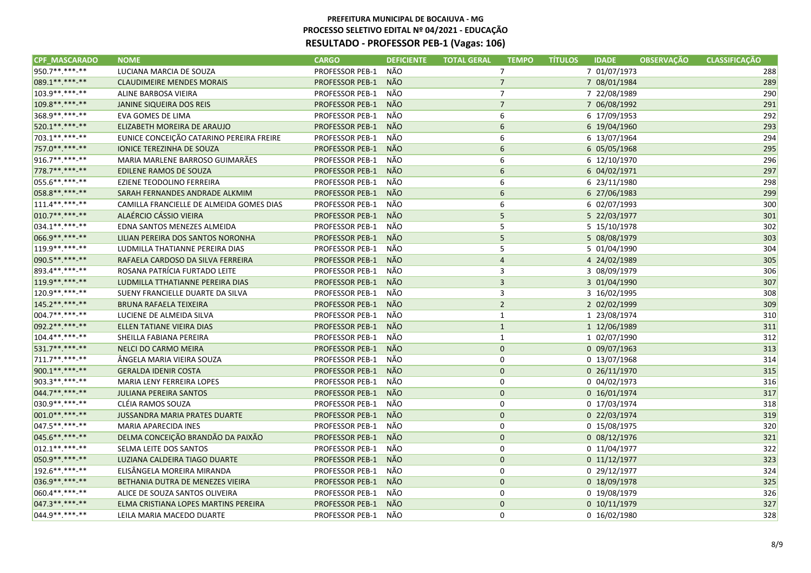| <b>CPF MASCARADO</b> | <b>NOME</b>                              | <b>CARGO</b>           | <b>DEFICIENTE</b> | <b>TOTAL GERAL</b> | <b>TEMPO</b>   | <b>TÍTULOS</b> | <b>IDADE</b>   | <b>OBSERVAÇÃO</b> | <b>CLASSIFICAÇÃO</b> |
|----------------------|------------------------------------------|------------------------|-------------------|--------------------|----------------|----------------|----------------|-------------------|----------------------|
| 950.7**.***.**       | LUCIANA MARCIA DE SOUZA                  | <b>PROFESSOR PEB-1</b> | NÃO               |                    | $\overline{7}$ |                | 7 01/07/1973   |                   | 288                  |
| 089.1**.***-**       | <b>CLAUDIMEIRE MENDES MORAIS</b>         | <b>PROFESSOR PEB-1</b> | NÃO               |                    | $\overline{7}$ |                | 7 08/01/1984   |                   | 289                  |
| 103.9**.***-**       | ALINE BARBOSA VIEIRA                     | PROFESSOR PEB-1        | NÃO               |                    | $\overline{7}$ |                | 7 22/08/1989   |                   | 290                  |
| 109.8**.***-**       | <b>JANINE SIQUEIRA DOS REIS</b>          | <b>PROFESSOR PEB-1</b> | NÃO               |                    | $\overline{7}$ |                | 7 06/08/1992   |                   | 291                  |
| 368.9**.***-**       | EVA GOMES DE LIMA                        | PROFESSOR PEB-1        | NÃO               |                    | 6              |                | 6 17/09/1953   |                   | 292                  |
| 520.1**.***-**       | ELIZABETH MOREIRA DE ARAUJO              | <b>PROFESSOR PEB-1</b> | NÃO               |                    | 6              |                | 6 19/04/1960   |                   | 293                  |
| 703.1**.***.**       | EUNICE CONCEIÇÃO CATARINO PEREIRA FREIRE | PROFESSOR PEB-1        | NÃO               |                    | 6              |                | 6 13/07/1964   |                   | 294                  |
| 757.0 ** *** **      | <b>IONICE TEREZINHA DE SOUZA</b>         | <b>PROFESSOR PEB-1</b> | NÃO               |                    | 6              |                | 6 05/05/1968   |                   | 295                  |
| 916.7**.***-**       | MARIA MARLENE BARROSO GUIMARÃES          | <b>PROFESSOR PEB-1</b> | NÃO               |                    | 6              |                | 6 12/10/1970   |                   | 296                  |
| 778.7**.***-**       | EDILENE RAMOS DE SOUZA                   | <b>PROFESSOR PEB-1</b> | NÃO               |                    | 6              |                | 6 04/02/1971   |                   | 297                  |
| 055.6**.***-**       | EZIENE TEODOLINO FERREIRA                | PROFESSOR PEB-1        | NÃO               |                    | 6              |                | 6 23/11/1980   |                   | 298                  |
| 058.8**.***-**       | SARAH FERNANDES ANDRADE ALKMIM           | <b>PROFESSOR PEB-1</b> | NÃO               |                    | 6              |                | 6 27/06/1983   |                   | 299                  |
| $111.4******$        | CAMILLA FRANCIELLE DE ALMEIDA GOMES DIAS | <b>PROFESSOR PEB-1</b> | NÃO               |                    | 6              |                | 6 02/07/1993   |                   | 300                  |
| 010.7**.***-**       | ALAÉRCIO CÁSSIO VIEIRA                   | <b>PROFESSOR PEB-1</b> | <b>NÃO</b>        |                    | 5              |                | 5 22/03/1977   |                   | 301                  |
| 034.1**.***-**       | EDNA SANTOS MENEZES ALMEIDA              | <b>PROFESSOR PEB-1</b> | NÃO               |                    | 5              |                | 5 15/10/1978   |                   | 302                  |
| 066.9**.***-**       | LILIAN PEREIRA DOS SANTOS NORONHA        | <b>PROFESSOR PEB-1</b> | <b>NÃO</b>        |                    | 5              |                | 5 08/08/1979   |                   | 303                  |
| 119.9**.***-**       | LUDMILLA THATIANNE PEREIRA DIAS          | PROFESSOR PEB-1        | NÃO               |                    | 5              |                | 5 01/04/1990   |                   | 304                  |
| 090.5**.***-**       | RAFAELA CARDOSO DA SILVA FERREIRA        | <b>PROFESSOR PEB-1</b> | NÃO               |                    | $\overline{4}$ |                | 4 24/02/1989   |                   | 305                  |
| 893.4 ** ** * * * *  | ROSANA PATRÍCIA FURTADO LEITE            | <b>PROFESSOR PEB-1</b> | NÃO               |                    | 3              |                | 3 08/09/1979   |                   | 306                  |
| 119.9** *** **       | LUDMILLA TTHATIANNE PEREIRA DIAS         | <b>PROFESSOR PEB-1</b> | NÃO               |                    | $\overline{3}$ |                | 3 01/04/1990   |                   | 307                  |
| 120.9 ** *** -**     | SUENY FRANCIELLE DUARTE DA SILVA         | <b>PROFESSOR PEB-1</b> | NÃO               |                    | 3              |                | 3 16/02/1995   |                   | 308                  |
| 145.2 ** *** **      | <b>BRUNA RAFAELA TEIXEIRA</b>            | <b>PROFESSOR PEB-1</b> | NÃO               |                    | $\overline{2}$ |                | 2 02/02/1999   |                   | 309                  |
| 004.7**.***-**       | LUCIENE DE ALMEIDA SILVA                 | <b>PROFESSOR PEB-1</b> | NÃO               |                    | $\mathbf{1}$   |                | 1 23/08/1974   |                   | 310                  |
| 092.2 ** *** -**     | ELLEN TATIANE VIEIRA DIAS                | <b>PROFESSOR PEB-1</b> | <b>NÃO</b>        |                    | $\mathbf{1}$   |                | 1 12/06/1989   |                   | 311                  |
| 104.4**.***.**       | SHEILLA FABIANA PEREIRA                  | PROFESSOR PEB-1        | NÃO               |                    | $\mathbf{1}$   |                | 1 02/07/1990   |                   | 312                  |
| 531.7**.***-**       | <b>NELCI DO CARMO MEIRA</b>              | <b>PROFESSOR PEB-1</b> | NÃO               |                    | $\mathbf{0}$   |                | 0 09/07/1963   |                   | 313                  |
| 711.7**.***-**       | ÂNGELA MARIA VIEIRA SOUZA                | <b>PROFESSOR PEB-1</b> | NÃO               |                    | 0              |                | 0 13/07/1968   |                   | 314                  |
| 900.1**.***-**       | <b>GERALDA IDENIR COSTA</b>              | <b>PROFESSOR PEB-1</b> | NÃO               |                    | $\mathbf 0$    |                | 0 26/11/1970   |                   | 315                  |
| 903.3**.***-**       | MARIA LENY FERREIRA LOPES                | <b>PROFESSOR PEB-1</b> | NÃO               |                    | 0              |                | 0 04/02/1973   |                   | 316                  |
| 044.7**.***-**       | <b>JULIANA PEREIRA SANTOS</b>            | <b>PROFESSOR PEB-1</b> | NÃO               |                    | $\mathbf 0$    |                | 0 16/01/1974   |                   | 317                  |
| 030.9**.***-**       | CLÉIA RAMOS SOUZA                        | <b>PROFESSOR PEB-1</b> | NÃO               |                    | 0              |                | 0 17/03/1974   |                   | 318                  |
| 001.0**.***.**       | <b>JUSSANDRA MARIA PRATES DUARTE</b>     | <b>PROFESSOR PEB-1</b> | NÃO               |                    | $\mathbf 0$    |                | 0 22/03/1974   |                   | 319                  |
| 047.5 **. ***-**     | MARIA APARECIDA INES                     | <b>PROFESSOR PEB-1</b> | NÃO               |                    | 0              |                | 0 15/08/1975   |                   | 320                  |
| 045.6**.***-**       | DELMA CONCEIÇÃO BRANDÃO DA PAIXÃO        | <b>PROFESSOR PEB-1</b> | <b>NÃO</b>        |                    | $\mathbf{0}$   |                | 0 08/12/1976   |                   | 321                  |
| $012.1******$        | SELMA LEITE DOS SANTOS                   | <b>PROFESSOR PEB-1</b> | NÃO               |                    | 0              |                | 0 11/04/1977   |                   | 322                  |
| 050.9**.***-**       | LUZIANA CALDEIRA TIAGO DUARTE            | <b>PROFESSOR PEB-1</b> | NÃO               |                    | $\mathbf{0}$   |                | $0$ 11/12/1977 |                   | 323                  |
| 192.6**.***-**       | ELISÂNGELA MOREIRA MIRANDA               | PROFESSOR PEB-1        | NÃO               |                    | 0              |                | 0 29/12/1977   |                   | 324                  |
| 036.9**.***-**       | BETHANIA DUTRA DE MENEZES VIEIRA         | <b>PROFESSOR PEB-1</b> | NÃO               |                    | $\mathbf 0$    |                | 0 18/09/1978   |                   | 325                  |
| 060.4**.***-**       | ALICE DE SOUZA SANTOS OLIVEIRA           | PROFESSOR PEB-1        | NÃO               |                    | 0              |                | 0 19/08/1979   |                   | 326                  |
| 047.3 ** *** -**     | ELMA CRISTIANA LOPES MARTINS PEREIRA     | <b>PROFESSOR PEB-1</b> | <b>NÃO</b>        |                    | $\mathbf{0}$   |                | $0$ 10/11/1979 |                   | 327                  |
| 044.9 ** *** -**     | LEILA MARIA MACEDO DUARTE                | <b>PROFESSOR PEB-1</b> | NÃO               |                    | $\Omega$       |                | 0 16/02/1980   |                   | 328                  |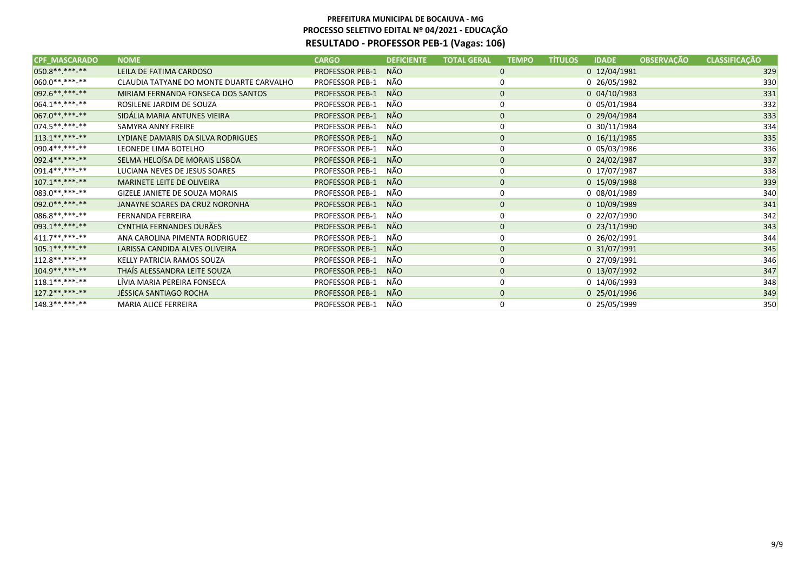| <b>CPF MASCARADO</b> | <b>NOME</b>                              | <b>CARGO</b>           | <b>DEFICIENTE</b> | <b>TOTAL GERAL</b> | <b>TEMPO</b> | <b>TÍTULOS</b> | <b>IDADE</b>       | <b>OBSERVAÇÃO</b> | <b>CLASSIFICAÇÃO</b> |
|----------------------|------------------------------------------|------------------------|-------------------|--------------------|--------------|----------------|--------------------|-------------------|----------------------|
| 050.8**.***.**       | LEILA DE FATIMA CARDOSO                  | <b>PROFESSOR PEB-1</b> | NÃO.              |                    | 0            |                | 0 12/04/1981       |                   | 329                  |
| $ 060.0*********$    | CLAUDIA TATYANE DO MONTE DUARTE CARVALHO | PROFESSOR PEB-1        | NÃO               |                    | 0            |                | 0 26/05/1982       |                   | 330                  |
| 092.6**.***-**       | MIRIAM FERNANDA FONSECA DOS SANTOS       | <b>PROFESSOR PEB-1</b> | NÃO               |                    | $\mathbf{0}$ |                | $0\ 04/10/1983$    |                   | 331                  |
| $064.1******$        | ROSILENE JARDIM DE SOUZA                 | PROFESSOR PEB-1        | NÃO               |                    | 0            |                | 0 05/01/1984       |                   | 332                  |
| 067.0**.***-**       | SIDÁLIA MARIA ANTUNES VIEIRA             | <b>PROFESSOR PEB-1</b> | NÃO               |                    | $\mathbf 0$  |                | 0 29/04/1984       |                   | 333                  |
| $074.5******$        | SAMYRA ANNY FREIRE                       | PROFESSOR PEB-1        | NÃO               |                    |              |                | 0 30/11/1984       |                   | 334                  |
| $113.1******$        | LYDIANE DAMARIS DA SILVA RODRIGUES       | <b>PROFESSOR PEB-1</b> | NÃO.              |                    | $\mathbf 0$  |                | $0\quad16/11/1985$ |                   | 335                  |
| $090.4*********$     | LEONEDE LIMA BOTELHO                     | PROFESSOR PEB-1        | NÃO               |                    | 0            |                | 0 05/03/1986       |                   | 336                  |
| 092.4**.***-**       | SELMA HELOÍSA DE MORAIS LISBOA           | <b>PROFESSOR PEB-1</b> | NÃO               |                    | $\mathbf 0$  |                | 0 24/02/1987       |                   | 337                  |
| $091.4*********$     | LUCIANA NEVES DE JESUS SOARES            | PROFESSOR PEB-1        | NÃO               |                    | 0            |                | 0 17/07/1987       |                   | 338                  |
| $107.1******$        | MARINETE LEITE DE OLIVEIRA               | <b>PROFESSOR PEB-1</b> | NÃO               |                    | $\mathbf{0}$ |                | 0 15/09/1988       |                   | 339                  |
| 083.0 ** *** **      | GIZELE JANIETE DE SOUZA MORAIS           | PROFESSOR PEB-1        | NÃO               |                    | 0            |                | 0 08/01/1989       |                   | 340                  |
| 092.0 ** *** **      | JANAYNE SOARES DA CRUZ NORONHA           | <b>PROFESSOR PEB-1</b> | NÃO               |                    | 0            |                | 0 10/09/1989       |                   | 341                  |
| $086.8*********$     | <b>FERNANDA FERREIRA</b>                 | PROFESSOR PEB-1        | NÃO               |                    |              |                | 0 22/07/1990       |                   | 342                  |
| 093.1 ** *** -**     | CYNTHIA FERNANDES DURÃES                 | <b>PROFESSOR PEB-1</b> | NÃO               |                    | $\mathbf{0}$ |                | 0 23/11/1990       |                   | 343                  |
| $411.7******$        | ANA CAROLINA PIMENTA RODRIGUEZ           | PROFESSOR PEB-1        | NÃO               |                    | 0            |                | 0 26/02/1991       |                   | 344                  |
| $105.1******$        | LARISSA CANDIDA ALVES OLIVEIRA           | <b>PROFESSOR PEB-1</b> | NÃO.              |                    | $\mathbf 0$  |                | 0 31/07/1991       |                   | 345                  |
| $112.8*********$     | KELLY PATRICIA RAMOS SOUZA               | PROFESSOR PEB-1        | NÃO               |                    | 0            |                | 0 27/09/1991       |                   | 346                  |
| 104.9 ** *** -**     | THAÍS ALESSANDRA LEITE SOUZA             | <b>PROFESSOR PEB-1</b> | NÃO               |                    | $\mathbf 0$  |                | 0 13/07/1992       |                   | 347                  |
| $118.1******$        | LÍVIA MARIA PEREIRA FONSECA              | PROFESSOR PEB-1        | NÃO               |                    | 0            |                | 0 14/06/1993       |                   | 348                  |
| $127.2*********$     | JÉSSICA SANTIAGO ROCHA                   | <b>PROFESSOR PEB-1</b> | NÃO               |                    | $\mathbf 0$  |                | 0 25/01/1996       |                   | 349                  |
| $148.3*********$     | MARIA ALICE FERREIRA                     | <b>PROFESSOR PEB-1</b> | NÃO               |                    | 0            |                | 0 25/05/1999       |                   | 350                  |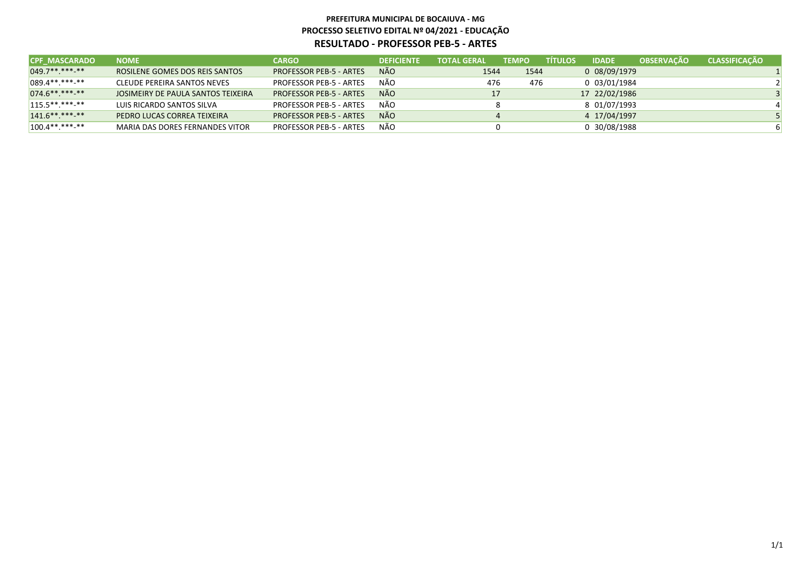| <b>CPF MASCARADO</b> | <b>NOME</b>                           | <b>CARGO</b>                   | <b>DEFICIENTE</b> | <b>TOTAL GERAL</b> | <b>TEMPO</b> | <b>TITULOS</b> | <b>IDADE</b>  | <b>OBSERVACÃO</b> | <b>CLASSIFICAÇÃO</b> |  |
|----------------------|---------------------------------------|--------------------------------|-------------------|--------------------|--------------|----------------|---------------|-------------------|----------------------|--|
| $049.7*********$     | <b>ROSILENE GOMES DOS REIS SANTOS</b> | <b>PROFESSOR PEB-5 - ARTES</b> | NÃO               | 1544               | 1544         |                | 0 08/09/1979  |                   |                      |  |
| $ 089.4*********$    | CLEUDE PEREIRA SANTOS NEVES           | <b>PROFESSOR PEB-5 - ARTES</b> | NÃO               | 476                | 476          |                | 0 03/01/1984  |                   |                      |  |
| $074.6*********$     | JOSIMEIRY DE PAULA SANTOS TEIXEIRA    | <b>PROFESSOR PEB-5 - ARTES</b> | NÃO               | 17                 |              |                | 17 22/02/1986 |                   |                      |  |
| $115.5*********$     | LUIS RICARDO SANTOS SILVA             | <b>PROFESSOR PEB-5 - ARTES</b> | NÃO               |                    |              |                | 8 01/07/1993  |                   |                      |  |
| $141.6*********$     | PEDRO LUCAS CORREA TEIXEIRA           | <b>PROFESSOR PEB-5 - ARTES</b> | NÃO               |                    |              |                | 4 17/04/1997  |                   |                      |  |
| $100.4*********$     | MARIA DAS DORES FERNANDES VITOR       | <b>PROFESSOR PEB-5 - ARTES</b> | NÃO               |                    |              |                | 0 30/08/1988  |                   |                      |  |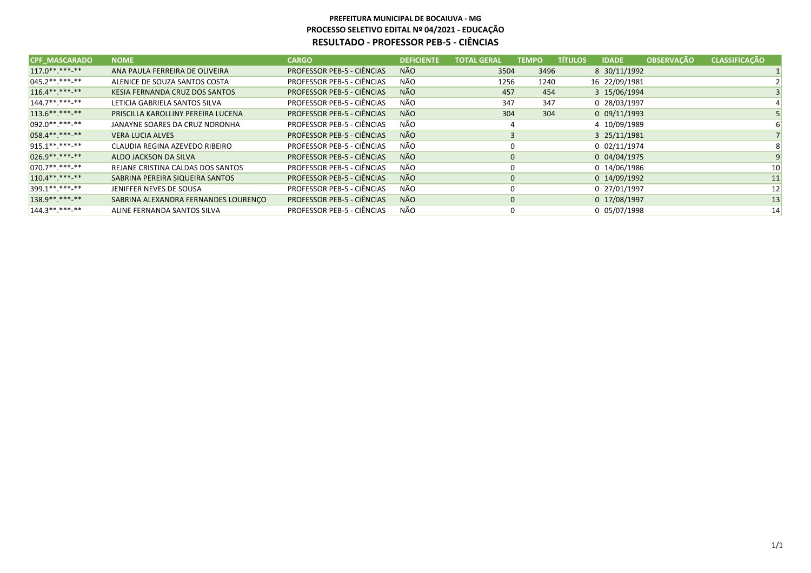| <b>CPF MASCARADO</b> | <b>NOME</b>                          | <b>CARGO</b>                      | <b>DEFICIENTE</b> | <b>TOTAL GERAL</b> | <b>TEMPO</b> | <b>TÍTULOS</b> | <b>IDADE</b>   | <b>OBSERVAÇÃO</b> | <b>CLASSIFICAÇÃO</b> |
|----------------------|--------------------------------------|-----------------------------------|-------------------|--------------------|--------------|----------------|----------------|-------------------|----------------------|
| $117.0******$        | ANA PAULA FERREIRA DE OLIVEIRA       | <b>PROFESSOR PEB-5 - CIÊNCIAS</b> | <b>NÃO</b>        | 3504               | 3496         |                | 8 30/11/1992   |                   |                      |
| $045.2*********$     | ALENICE DE SOUZA SANTOS COSTA        | PROFESSOR PEB-5 - CIÊNCIAS        | NÃO               | 1256               | 1240         |                | 16 22/09/1981  |                   |                      |
| $116.4*********$     | KESIA FERNANDA CRUZ DOS SANTOS       | <b>PROFESSOR PEB-5 - CIÊNCIAS</b> | NÃO               | 457                | 454          |                | 3 15/06/1994   |                   |                      |
| $144.7******$        | LETICIA GABRIELA SANTOS SILVA        | PROFESSOR PEB-5 - CIÊNCIAS        | NÃO               | 347                | 347          |                | 0 28/03/1997   |                   |                      |
| $113.6*********$     | PRISCILLA KAROLLINY PEREIRA LUCENA   | <b>PROFESSOR PEB-5 - CIÊNCIAS</b> | <b>NÃO</b>        | 304                | 304          |                | $0$ 09/11/1993 |                   |                      |
| $092.0*********$     | JANAYNE SOARES DA CRUZ NORONHA       | PROFESSOR PEB-5 - CIÊNCIAS        | NÃO               | 4                  |              |                | 4 10/09/1989   |                   |                      |
| 058.4**.***-**       | <b>VERA LUCIA ALVES</b>              | PROFESSOR PEB-5 - CIÊNCIAS        | <b>NÃO</b>        | 3                  |              |                | 3 25/11/1981   |                   |                      |
| $915.1******$        | CLAUDIA REGINA AZEVEDO RIBEIRO       | <b>PROFESSOR PEB-5 - CIÊNCIAS</b> | NÃO               | 0                  |              |                | 0 02/11/1974   |                   |                      |
| 026.9** *** **       | ALDO JACKSON DA SILVA                | <b>PROFESSOR PEB-5 - CIÊNCIAS</b> | <b>NÃO</b>        | $\mathbf 0$        |              |                | 0 04/04/1975   |                   |                      |
| $070.7******$        | REJANE CRISTINA CALDAS DOS SANTOS    | <b>PROFESSOR PEB-5 - CIÊNCIAS</b> | NÃO               | 0                  |              |                | 0 14/06/1986   |                   | 10 <sup>1</sup>      |
| $110.4******$        | SABRINA PEREIRA SIQUEIRA SANTOS      | <b>PROFESSOR PEB-5 - CIÊNCIAS</b> | <b>NÃO</b>        | $\mathbf 0$        |              |                | 0 14/09/1992   |                   | 11                   |
| 399.1**.***-**       | JENIFFER NEVES DE SOUSA              | PROFESSOR PEB-5 - CIÊNCIAS        | NÃO               | 0                  |              |                | 0 27/01/1997   |                   | 12                   |
| 138.9**.***-**       | SABRINA ALEXANDRA FERNANDES LOURENCO | <b>PROFESSOR PEB-5 - CIÊNCIAS</b> | <b>NÃO</b>        | $\mathbf 0$        |              |                | 0 17/08/1997   |                   | 13                   |
| $144.3******$        | ALINE FERNANDA SANTOS SILVA          | PROFESSOR PEB-5 - CIÊNCIAS        | NÃO               | 0                  |              |                | 0 05/07/1998   |                   | 14                   |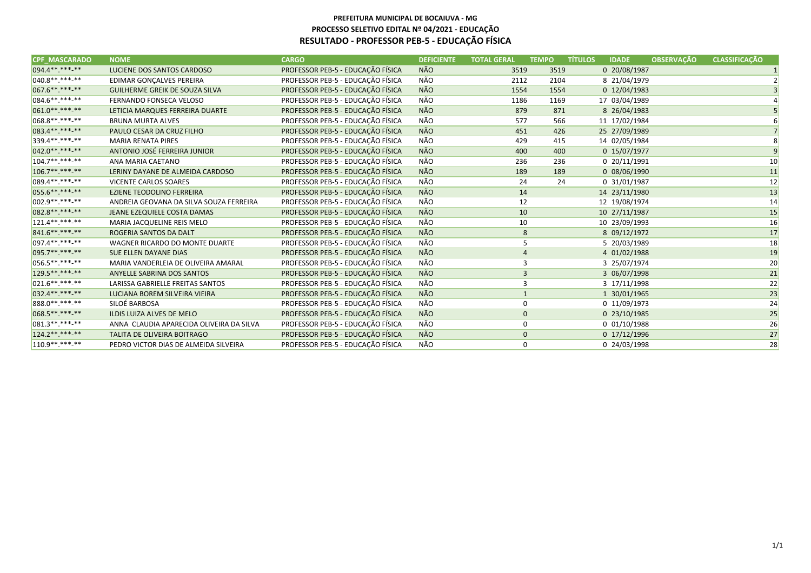#### **PREFEITURA MUNICIPAL DE BOCAIUVA - MG PROCESSO SELETIVO EDITAL Nº 04/2021 - EDUCAÇÃORESULTADO - PROFESSOR PEB-5 - EDUCAÇÃO FÍSICA**

| <b>CPF MASCARADO</b> | <b>NOME</b>                              | <b>CARGO</b>                      | <b>DEFICIENTE</b> | <b>TOTAL GERAL</b> | <b>TEMPO</b> | <b>TÍTULOS</b> | <b>IDADE</b>   | <b>OBSERVAÇÃO</b> | <b>CLASSIFICAÇÃO</b> |
|----------------------|------------------------------------------|-----------------------------------|-------------------|--------------------|--------------|----------------|----------------|-------------------|----------------------|
| 094.4**.***-**       | LUCIENE DOS SANTOS CARDOSO               | PROFESSOR PEB-5 - EDUCAÇÃO FÍSICA | <b>NÃO</b>        | 3519               | 3519         |                | 0 20/08/1987   |                   |                      |
| $040.8*********$     | EDIMAR GONÇALVES PEREIRA                 | PROFESSOR PEB-5 - EDUCAÇÃO FÍSICA | NÃO               | 2112               | 2104         |                | 8 21/04/1979   |                   |                      |
| 067.6**.***-**       | GUILHERME GREIK DE SOUZA SILVA           | PROFESSOR PEB-5 - EDUCAÇÃO FÍSICA | <b>NÃO</b>        | 1554               | 1554         |                | 0 12/04/1983   |                   |                      |
| 084.6**.***.**       | FERNANDO FONSECA VELOSO                  | PROFESSOR PEB-5 - EDUCAÇÃO FÍSICA | NÃO               | 1186               | 1169         |                | 17 03/04/1989  |                   |                      |
| 061.0**.***.**       | LETICIA MARQUES FERREIRA DUARTE          | PROFESSOR PEB-5 - EDUCAÇÃO FÍSICA | <b>NÃO</b>        | 879                | 871          |                | 8 26/04/1983   |                   |                      |
| 068.8**.***-**       | <b>BRUNA MURTA ALVES</b>                 | PROFESSOR PEB-5 - EDUCAÇÃO FÍSICA | NÃO               | 577                | 566          |                | 11 17/02/1984  |                   |                      |
| 083.4********        | PAULO CESAR DA CRUZ FILHO                | PROFESSOR PEB-5 - EDUCAÇÃO FÍSICA | <b>NÃO</b>        | 451                | 426          |                | 25 27/09/1989  |                   |                      |
| 339.4**.***.**       | <b>MARIA RENATA PIRES</b>                | PROFESSOR PEB-5 - EDUCAÇÃO FÍSICA | NÃO               | 429                | 415          |                | 14 02/05/1984  |                   |                      |
| 042.0**.***.**       | ANTONIO JOSÉ FERREIRA JUNIOR             | PROFESSOR PEB-5 - EDUCAÇÃO FÍSICA | <b>NÃO</b>        | 400                | 400          |                | 0 15/07/1977   |                   |                      |
| $104.7******$        | ANA MARIA CAETANO                        | PROFESSOR PEB-5 - EDUCAÇÃO FÍSICA | NÃO               | 236                | 236          |                | 0 20/11/1991   |                   | 10                   |
| $106.7*********$     | LERINY DAYANE DE ALMEIDA CARDOSO         | PROFESSOR PEB-5 - EDUCAÇÃO FÍSICA | <b>NÃO</b>        | 189                | 189          |                | 0 08/06/1990   |                   | 11                   |
| 089.4**.***-**       | <b>VICENTE CARLOS SOARES</b>             | PROFESSOR PEB-5 - EDUCAÇÃO FÍSICA | NÃO               | 24                 | 24           |                | 0 31/01/1987   |                   | 12                   |
| 055.6**.***.**       | <b>EZIENE TEODOLINO FERREIRA</b>         | PROFESSOR PEB-5 - EDUCAÇÃO FÍSICA | <b>NÃO</b>        | 14                 |              |                | 14 23/11/1980  |                   | 13                   |
| $ 002.9*********$    | ANDREIA GEOVANA DA SILVA SOUZA FERREIRA  | PROFESSOR PEB-5 - EDUCAÇÃO FÍSICA | NÃO               | 12                 |              |                | 12 19/08/1974  |                   | 14                   |
| 082.8**.***.**       | JEANE EZEQUIELE COSTA DAMAS              | PROFESSOR PEB-5 - EDUCAÇÃO FÍSICA | <b>NÃO</b>        | 10                 |              |                | 10 27/11/1987  |                   | 15                   |
| $121.4******$        | MARIA JACQUELINE REIS MELO               | PROFESSOR PEB-5 - EDUCAÇÃO FÍSICA | NÃO               | 10                 |              |                | 10 23/09/1993  |                   | 16                   |
| 841.6** *** **       | ROGERIA SANTOS DA DALT                   | PROFESSOR PEB-5 - EDUCAÇÃO FÍSICA | <b>NÃO</b>        | 8                  |              |                | 8 09/12/1972   |                   | 17                   |
| $ 097.4******$       | WAGNER RICARDO DO MONTE DUARTE           | PROFESSOR PEB-5 - EDUCAÇÃO FÍSICA | NÃO               | 5                  |              |                | 5 20/03/1989   |                   | 18                   |
| 095.7**.***.**       | SUE ELLEN DAYANE DIAS                    | PROFESSOR PEB-5 - EDUCAÇÃO FÍSICA | <b>NÃO</b>        | 4                  |              |                | 4 01/02/1988   |                   | 19                   |
| 056.5**.***-**       | MARIA VANDERLEIA DE OLIVEIRA AMARAL      | PROFESSOR PEB-5 - EDUCAÇÃO FÍSICA | NÃO               | 3                  |              |                | 3 25/07/1974   |                   | 20                   |
| 129.5** *** **       | ANYELLE SABRINA DOS SANTOS               | PROFESSOR PEB-5 - EDUCAÇÃO FÍSICA | <b>NÃO</b>        | $\overline{3}$     |              |                | 3 06/07/1998   |                   | 21                   |
| $021.6*********$     | LARISSA GABRIELLE FREITAS SANTOS         | PROFESSOR PEB-5 - EDUCAÇÃO FÍSICA | NÃO               | 3                  |              |                | 3 17/11/1998   |                   | 22                   |
| 032.4 ** *** **      | LUCIANA BOREM SILVEIRA VIEIRA            | PROFESSOR PEB-5 - EDUCAÇÃO FÍSICA | <b>NÃO</b>        | $\mathbf{1}$       |              |                | 1 30/01/1965   |                   | 23                   |
| 888.0 **. ***-**     | SILOÉ BARBOSA                            | PROFESSOR PEB-5 - EDUCAÇÃO FÍSICA | NÃO               | 0                  |              |                | 0 11/09/1973   |                   | 24                   |
| 068.5 ** *** **      | ILDIS LUIZA ALVES DE MELO                | PROFESSOR PEB-5 - EDUCAÇÃO FÍSICA | <b>NÃO</b>        | $\mathbf{0}$       |              |                | 0 23/10/1985   |                   | 25                   |
| $ 081.3*********$    | ANNA CLAUDIA APARECIDA OLIVEIRA DA SILVA | PROFESSOR PEB-5 - EDUCAÇÃO FÍSICA | NÃO               | 0                  |              |                | $0$ 01/10/1988 |                   | 26                   |
| 124.2 ** *** **      | TALITA DE OLIVEIRA BOITRAGO              | PROFESSOR PEB-5 - EDUCAÇÃO FÍSICA | <b>NÃO</b>        | $\mathbf 0$        |              |                | 0 17/12/1996   |                   | 27                   |
| $110.9*********$     | PEDRO VICTOR DIAS DE ALMEIDA SILVEIRA    | PROFESSOR PEB-5 - EDUCAÇÃO FÍSICA | NÃO               | 0                  |              |                | 0 24/03/1998   |                   | 28                   |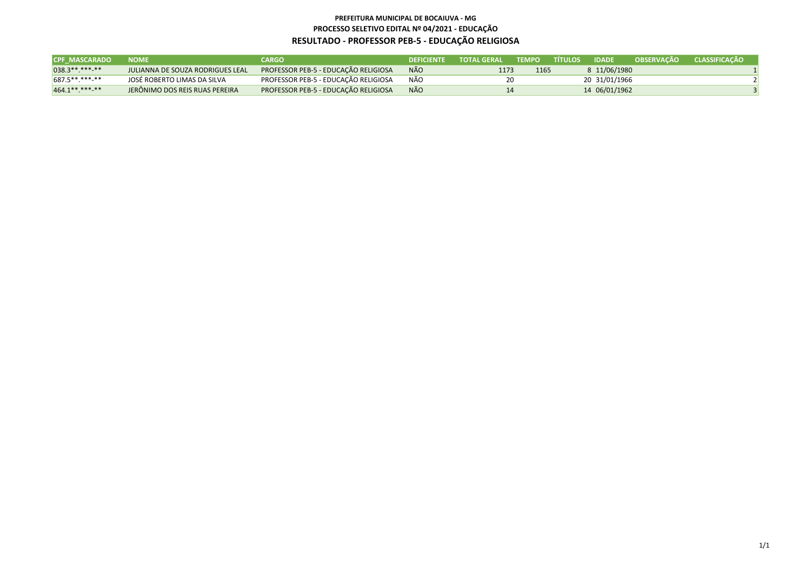#### **PREFEITURA MUNICIPAL DE BOCAIUVA - MG PROCESSO SELETIVO EDITAL Nº 04/2021 - EDUCAÇÃORESULTADO - PROFESSOR PEB-5 - EDUCAÇÃO RELIGIOSA**

| <b>CPF MASCARADO</b> | <b>NOME</b>                             | CARGO                                       | <b>DEFICIENTE</b> | <b>TOTAL GERAL</b> | <b>TEMPO</b> | <b>\TÍTULOS</b> | <b>IDADE</b>  | <b>OBSERVACÃO</b> | <b>CLASSIFICACÃO</b> |
|----------------------|-----------------------------------------|---------------------------------------------|-------------------|--------------------|--------------|-----------------|---------------|-------------------|----------------------|
| $038.3*********$     | <b>JULIANNA DE SOUZA RODRIGUES LEAL</b> | <b>PROFESSOR PEB-5 - EDUCAÇÃO RELIGIOSA</b> | <b>NÃO</b>        | 1173               | 1165         |                 | 8 11/06/1980  |                   |                      |
| $687.5*********$     | JOSÉ ROBERTO LIMAS DA SILVA             | PROFESSOR PEB-5 - EDUCAÇÃO RELIGIOSA        | NÃO               |                    | 20           |                 | 20 31/01/1966 |                   |                      |
| $464.1*********$     | JERÔNIMO DOS REIS RUAS PEREIRA          | PROFESSOR PEB-5 - EDUCAÇÃO RELIGIOSA        | <b>NÃO</b>        | 14                 |              |                 | 14 06/01/1962 |                   |                      |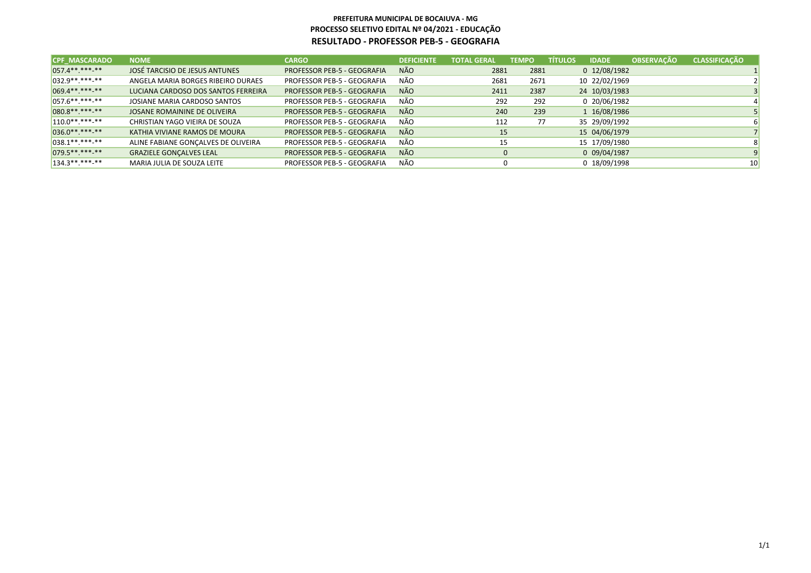| <b>CPF MASCARADO</b> | <b>NOME</b>                         | <b>CARGO</b>                | <b>DEFICIENTE</b> | <b>TOTAL GERAL</b> | <b>TEMPO</b> | <b>TÍTULOS</b> | <b>IDADE</b>  | <b>OBSERVAÇÃO</b> | <b>CLASSIFICAÇÃO</b> |
|----------------------|-------------------------------------|-----------------------------|-------------------|--------------------|--------------|----------------|---------------|-------------------|----------------------|
| $057.4******$        | JOSÉ TARCISIO DE JESUS ANTUNES      | PROFESSOR PEB-5 - GEOGRAFIA | <b>NÃO</b>        | 2881               | 2881         |                | 0 12/08/1982  |                   |                      |
| $032.9*********$     | ANGELA MARIA BORGES RIBEIRO DURAES  | PROFESSOR PEB-5 - GEOGRAFIA | <b>NÃO</b>        | 2681               | 2671         |                | 10 22/02/1969 |                   |                      |
| 069.4**.***-**       | LUCIANA CARDOSO DOS SANTOS FERREIRA | PROFESSOR PEB-5 - GEOGRAFIA | <b>NÃO</b>        | 2411               | 2387         |                | 24 10/03/1983 |                   |                      |
| $057.6*********$     | JOSIANE MARIA CARDOSO SANTOS        | PROFESSOR PEB-5 - GEOGRAFIA | NÃO               | 292                | 292          |                | 0 20/06/1982  |                   |                      |
| 080.8**.***-**       | JOSANE ROMAININE DE OLIVEIRA        | PROFESSOR PEB-5 - GEOGRAFIA | <b>NÃO</b>        | 240                | 239          |                | 1 16/08/1986  |                   |                      |
| $110.0*********$     | CHRISTIAN YAGO VIEIRA DE SOUZA      | PROFESSOR PEB-5 - GEOGRAFIA | NÃO               | 112                | 77           |                | 35 29/09/1992 |                   |                      |
| $036.0*********$     | KATHIA VIVIANE RAMOS DE MOURA       | PROFESSOR PEB-5 - GEOGRAFIA | <b>NÃO</b>        | 15                 |              |                | 15 04/06/1979 |                   |                      |
| $038.1******$        | ALINE FABIANE GONCALVES DE OLIVEIRA | PROFESSOR PEB-5 - GEOGRAFIA | NÃO               | 15                 |              |                | 15 17/09/1980 |                   |                      |
| $079.5******-*$      | <b>GRAZIELE GONCALVES LEAL</b>      | PROFESSOR PEB-5 - GEOGRAFIA | <b>NÃO</b>        | 0                  |              |                | 0 09/04/1987  |                   |                      |
| $134.3*********$     | MARIA JULIA DE SOUZA LEITE          | PROFESSOR PEB-5 - GEOGRAFIA | NÃO               |                    |              |                | 0 18/09/1998  |                   | 10 <sup>1</sup>      |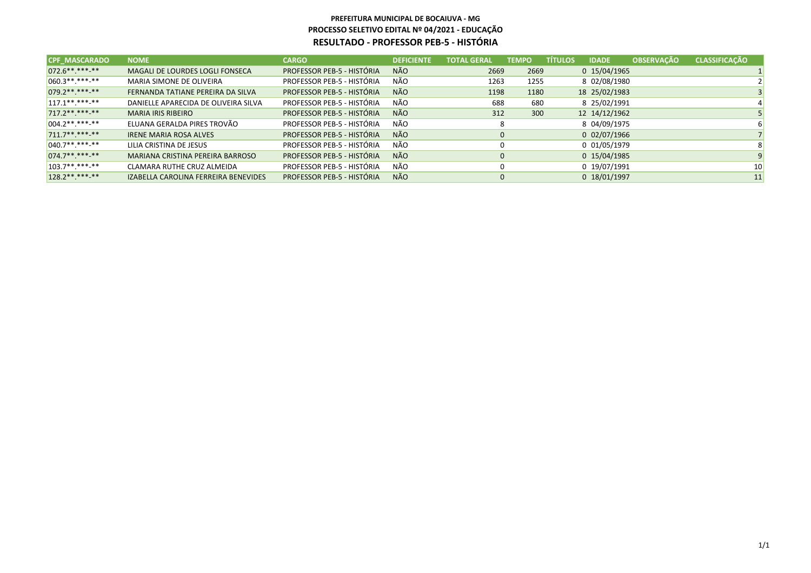| <b>CPF MASCARADO</b> | <b>NOME</b>                          | <b>CARGO</b>               | <b>DEFICIENTE</b> | <b>TOTAL GERAL</b> | <b>TEMPO</b> | <b>TÍTULOS</b> | <b>IDADE</b>   | <b>OBSERVAÇÃO</b> | <b>CLASSIFICAÇÃO</b> |
|----------------------|--------------------------------------|----------------------------|-------------------|--------------------|--------------|----------------|----------------|-------------------|----------------------|
| 072.6**.***-**       | MAGALI DE LOURDES LOGLI FONSECA      | PROFESSOR PEB-5 - HISTÓRIA | <b>NÃO</b>        | 2669               | 2669         |                | 0 15/04/1965   |                   |                      |
| $060.3*********$     | MARIA SIMONE DE OLIVEIRA             | PROFESSOR PEB-5 - HISTÓRIA | NÃO               | 1263               | 1255         |                | 8 02/08/1980   |                   |                      |
| $079.2*********$     | FERNANDA TATIANE PEREIRA DA SILVA    | PROFESSOR PEB-5 - HISTÓRIA | <b>NÃO</b>        | 1198               | 1180         |                | 18 25/02/1983  |                   |                      |
| $117.1******$        | DANIELLE APARECIDA DE OLIVEIRA SILVA | PROFESSOR PEB-5 - HISTÓRIA | NÃO               | 688                | 680          |                | 8 25/02/1991   |                   |                      |
| 717.2** ***-**       | <b>MARIA IRIS RIBEIRO</b>            | PROFESSOR PEB-5 - HISTÓRIA | <b>NÃO</b>        | 312                | 300          |                | 12 14/12/1962  |                   |                      |
| $004.2*********$     | ELUANA GERALDA PIRES TROVÃO          | PROFESSOR PEB-5 - HISTÓRIA | NÃO               | 8                  |              |                | 8 04/09/1975   |                   |                      |
| $711.7******$        | <b>IRENE MARIA ROSA ALVES</b>        | PROFESSOR PEB-5 - HISTÓRIA | <b>NÃO</b>        | 0                  |              |                | $0$ 02/07/1966 |                   |                      |
| $040.7******$        | LILIA CRISTINA DE JESUS              | PROFESSOR PEB-5 - HISTÓRIA | NÃO               |                    |              |                | 0 01/05/1979   |                   |                      |
| $074.7******$        | MARIANA CRISTINA PEREIRA BARROSO     | PROFESSOR PEB-5 - HISTÓRIA | <b>NÃO</b>        | 0                  |              |                | 0 15/04/1985   |                   |                      |
| $103.7******$        | CLAMARA RUTHE CRUZ ALMEIDA           | PROFESSOR PEB-5 - HISTÓRIA | NÃO               |                    |              |                | 0 19/07/1991   |                   | 10                   |
| $128.2*********$     | IZABELLA CAROLINA FERREIRA BENEVIDES | PROFESSOR PEB-5 - HISTÓRIA | <b>NÃO</b>        |                    | 0            |                | 0 18/01/1997   |                   | 11                   |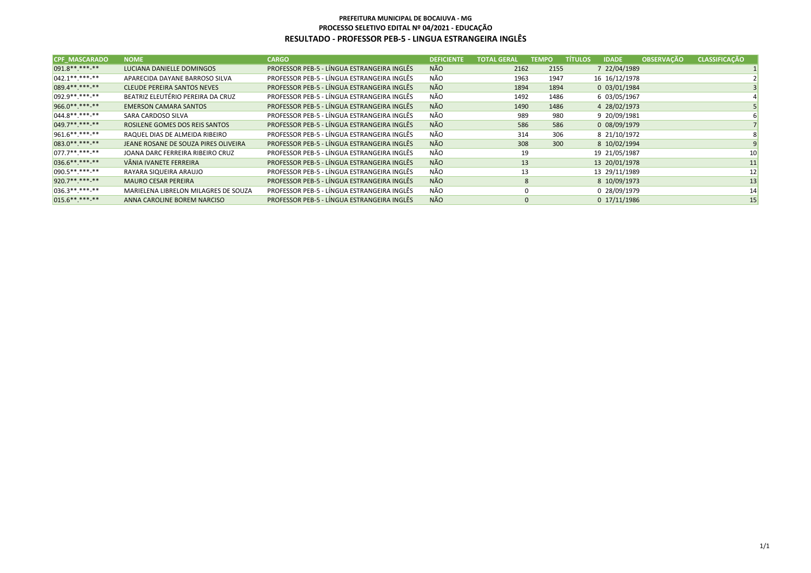#### **PREFEITURA MUNICIPAL DE BOCAIUVA - MG PROCESSO SELETIVO EDITAL Nº 04/2021 - EDUCAÇÃORESULTADO - PROFESSOR PEB-5 - LINGUA ESTRANGEIRA INGLÊS**

| <b>CPF MASCARADO</b> | <b>NOME</b>                          | <b>CARGO</b>                                | <b>DEFICIENTE</b> | <b>TOTAL GERAL.</b> | <b>TEMPO</b> | <b>TÍTULOS</b><br><b>IDADE</b> | <b>OBSERVACÃO</b> | <b>CLASSIFICAÇÃO</b> |
|----------------------|--------------------------------------|---------------------------------------------|-------------------|---------------------|--------------|--------------------------------|-------------------|----------------------|
| 091.8**.***-**       | LUCIANA DANIELLE DOMINGOS            | PROFESSOR PEB-5 - LÍNGUA ESTRANGEIRA INGLÊS | NÃO               | 2162                | 2155         | 7 22/04/1989                   |                   |                      |
| $042.1******$        | APARECIDA DAYANE BARROSO SILVA       | PROFESSOR PEB-5 - LÍNGUA ESTRANGEIRA INGLÊS | NÃO               | 1963                | 1947         | 16 16/12/1978                  |                   |                      |
| 089.4**.***-**       | <b>CLEUDE PEREIRA SANTOS NEVES</b>   | PROFESSOR PEB-5 - LÍNGUA ESTRANGEIRA INGLÊS | NÃO               | 1894                | 1894         | 0 03/01/1984                   |                   |                      |
| $092.9*********$     | BEATRIZ ELEUTÉRIO PEREIRA DA CRUZ    | PROFESSOR PEB-5 - LÍNGUA ESTRANGEIRA INGLÊS | NÃO               | 1492                | 1486         | 6 03/05/1967                   |                   |                      |
| 966.0**.***-**       | <b>EMERSON CAMARA SANTOS</b>         | PROFESSOR PEB-5 - LÍNGUA ESTRANGEIRA INGLÊS | <b>NÃO</b>        | 1490                | 1486         | 4 28/02/1973                   |                   |                      |
| $044.8******$        | SARA CARDOSO SILVA                   | PROFESSOR PEB-5 - LÍNGUA ESTRANGEIRA INGLÊS | NÃO               | 989                 | 980          | 9 20/09/1981                   |                   |                      |
| 049.7**.***-**       | ROSILENE GOMES DOS REIS SANTOS       | PROFESSOR PEB-5 - LÍNGUA ESTRANGEIRA INGLÊS | <b>NÃO</b>        | 586                 | 586          | 0 08/09/1979                   |                   |                      |
| $961.6*********$     | RAQUEL DIAS DE ALMEIDA RIBEIRO       | PROFESSOR PEB-5 - LÍNGUA ESTRANGEIRA INGLÊS | NÃO               | 314                 | 306          | 8 21/10/1972                   |                   |                      |
| 083.0 ** *** ***     | JEANE ROSANE DE SOUZA PIRES OLIVEIRA | PROFESSOR PEB-5 - LÍNGUA ESTRANGEIRA INGLÊS | <b>NÃO</b>        | 308                 | 300          | 8 10/02/1994                   |                   |                      |
| $077.7******$        | JOANA DARC FERREIRA RIBEIRO CRUZ     | PROFESSOR PEB-5 - LÍNGUA ESTRANGEIRA INGLÊS | NÃO               | 19                  |              | 19 21/05/1987                  |                   | 10 <sup>1</sup>      |
| 036.6**.***-**       | VÂNIA IVANETE FERREIRA               | PROFESSOR PEB-5 - LÍNGUA ESTRANGEIRA INGLÊS | <b>NÃO</b>        | 13                  |              | 13 20/01/1978                  |                   | 11                   |
| $090.5*********$     | RAYARA SIQUEIRA ARAUJO               | PROFESSOR PEB-5 - LÍNGUA ESTRANGEIRA INGLÊS | NÃO               | 13                  |              | 13 29/11/1989                  |                   | 12                   |
| 920.7**.***-**       | <b>MAURO CESAR PEREIRA</b>           | PROFESSOR PEB-5 - LÍNGUA ESTRANGEIRA INGLÊS | <b>NÃO</b>        | 8                   |              | 8 10/09/1973                   |                   | 13                   |
| $036.3*********$     | MARIELENA LIBRELON MILAGRES DE SOUZA | PROFESSOR PEB-5 - LÍNGUA ESTRANGEIRA INGLÊS | NÃO               | $\mathbf 0$         |              | 0 28/09/1979                   |                   | 14                   |
| $015.6*********$     | ANNA CAROLINE BOREM NARCISO          | PROFESSOR PEB-5 - LÍNGUA ESTRANGEIRA INGLÊS | <b>NÃO</b>        | $\mathbf 0$         |              | 0 17/11/1986                   |                   | 15                   |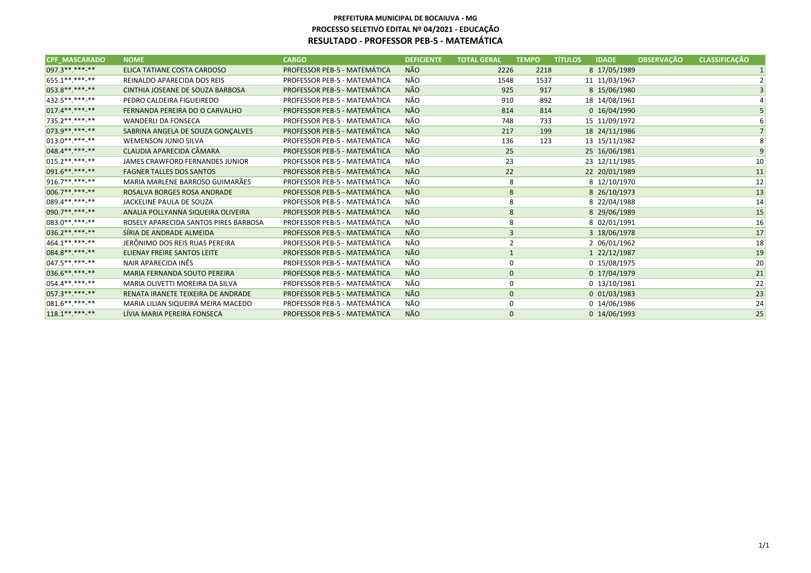| <b>CPF MASCARADO</b> | <b>NOME</b>                           | <b>CARGO</b>                        | <b>DEFICIENTE</b> | <b>TOTAL GERAL</b> | <b>TEMPO</b>   | <b>TÍTULOS</b> | <b>IDADE</b>   | <b>OBSERVAÇÃO</b> | <b>CLASSIFICAÇÃO</b> |
|----------------------|---------------------------------------|-------------------------------------|-------------------|--------------------|----------------|----------------|----------------|-------------------|----------------------|
| 097.3 ** *** **      | ELICA TATIANE COSTA CARDOSO           | PROFESSOR PEB-5 - MATEMÁTICA        | <b>NÃO</b>        | 2226               | 2218           |                | 8 17/05/1989   |                   |                      |
| 655.1**.***-**       | REINALDO APARECIDA DOS REIS           | PROFESSOR PEB-5 - MATEMÁTICA        | NÃO               | 1548               | 1537           |                | 11 11/03/1967  |                   |                      |
| 053.8**.***-**       | CINTHIA JOSEANE DE SOUZA BARBOSA      | PROFESSOR PEB-5 - MATEMÁTICA        | <b>NÃO</b>        | 925                | 917            |                | 8 15/06/1980   |                   |                      |
| 432.5**.***-**       | PEDRO CALDEIRA FIGUEIREDO             | <b>PROFESSOR PEB-5 - MATEMÁTICA</b> | NÃO               | 910                | 892            |                | 18 14/08/1961  |                   |                      |
| $017.4******$        | FERNANDA PEREIRA DO O CARVALHO        | PROFESSOR PEB-5 - MATEMÁTICA        | <b>NÃO</b>        | 814                | 814            |                | 0 16/04/1990   |                   |                      |
| 735.2 **. ***-**     | <b>WANDERLI DA FONSECA</b>            | PROFESSOR PEB-5 - MATEMÁTICA        | NÃO               | 748                | 733            |                | 15 11/09/1972  |                   |                      |
| 073.9**.***-**       | SABRINA ANGELA DE SOUZA GONÇALVES     | PROFESSOR PEB-5 - MATEMÁTICA        | <b>NÃO</b>        | 217                | 199            |                | 18 24/11/1986  |                   |                      |
| $013.0*********$     | <b>WEMENSON JUNIO SILVA</b>           | PROFESSOR PEB-5 - MATEMÁTICA        | NÃO               | 136                | 123            |                | 13 15/11/1982  |                   |                      |
| 048.4**.***-**       | CLAUDIA APARECIDA CÂMARA              | PROFESSOR PEB-5 - MATEMÁTICA        | <b>NÃO</b>        | 25                 |                |                | 25 16/06/1981  |                   |                      |
| $ 015.2*********$    | JAMES CRAWFORD FERNANDES JUNIOR       | PROFESSOR PEB-5 - MATEMÁTICA        | NÃO               | 23                 |                |                | 23 12/11/1985  |                   | 10                   |
| 091.6**.***-**       | <b>FAGNER TALLES DOS SANTOS</b>       | PROFESSOR PEB-5 - MATEMÁTICA        | <b>NÃO</b>        | 22                 |                |                | 22 20/01/1989  |                   | 11                   |
| 916.7**.***-**       | MARIA MARLENE BARROSO GUIMARÃES       | PROFESSOR PEB-5 - MATEMÁTICA        | NÃO               |                    | 8              |                | 8 12/10/1970   |                   | 12                   |
| 006.7**.***-**       | ROSALVA BORGES ROSA ANDRADE           | PROFESSOR PEB-5 - MATEMÁTICA        | <b>NÃO</b>        |                    | $\bf 8$        |                | 8 26/10/1973   |                   | 13                   |
| $ 089.4******$       | JACKELINE PAULA DE SOUZA              | PROFESSOR PEB-5 - MATEMÁTICA        | NÃO               |                    | 8              |                | 8 22/04/1988   |                   | 14                   |
| 090.7**.***-**       | ANALIA POLLYANNA SIQUEIRA OLIVEIRA    | PROFESSOR PEB-5 - MATEMÁTICA        | <b>NÃO</b>        |                    | 8              |                | 8 29/06/1989   |                   | 15                   |
| 083.0**.***-**       | ROSELY APARECIDA SANTOS PIRES BARBOSA | PROFESSOR PEB-5 - MATEMÁTICA        | NÃO               |                    | 8              |                | 8 02/01/1991   |                   | 16                   |
| 036.2**.***-**       | SÍRIA DE ANDRADE ALMEIDA              | PROFESSOR PEB-5 - MATEMÁTICA        | <b>NÃO</b>        |                    | $\mathbf{3}$   |                | 3 18/06/1978   |                   | 17                   |
| 464.1**.***-**       | JERÔNIMO DOS REIS RUAS PEREIRA        | PROFESSOR PEB-5 - MATEMÁTICA        | NÃO               |                    | $\overline{2}$ |                | 2 06/01/1962   |                   | 18                   |
| 084.8********        | ELIENAY FREIRE SANTOS LEITE           | PROFESSOR PEB-5 - MATEMÁTICA        | <b>NÃO</b>        | $\mathbf{1}$       |                |                | 1 22/12/1987   |                   | 19                   |
| $ 047.5******$       | NAIR APARECIDA INÊS                   | PROFESSOR PEB-5 - MATEMÁTICA        | NÃO               |                    | 0              |                | 0 15/08/1975   |                   | 20                   |
| 036.6**.***-**       | MARIA FERNANDA SOUTO PEREIRA          | PROFESSOR PEB-5 - MATEMÁTICA        | <b>NÃO</b>        |                    | $\mathbf 0$    |                | 0 17/04/1979   |                   | 21                   |
| $054.4******$        | MARIA OLIVETTI MOREIRA DA SILVA       | PROFESSOR PEB-5 - MATEMÁTICA        | NÃO               | $\mathbf 0$        |                |                | 0 13/10/1981   |                   | 22                   |
| 057.3**.***-**       | RENATA IRANETE TEIXEIRA DE ANDRADE    | PROFESSOR PEB-5 - MATEMÁTICA        | <b>NÃO</b>        | $\mathbf{0}$       |                |                | $0$ 01/03/1983 |                   | 23                   |
| 081.6**.***.**       | MARIA LILIAN SIQUEIRA MEIRA MACEDO    | PROFESSOR PEB-5 - MATEMÁTICA        | NÃO               |                    | 0              |                | 0 14/06/1986   |                   | 24                   |
| $118.1******$        | LÍVIA MARIA PEREIRA FONSECA           | PROFESSOR PEB-5 - MATEMÁTICA        | <b>NÃO</b>        |                    | $\mathbf{0}$   |                | 0 14/06/1993   |                   | 25                   |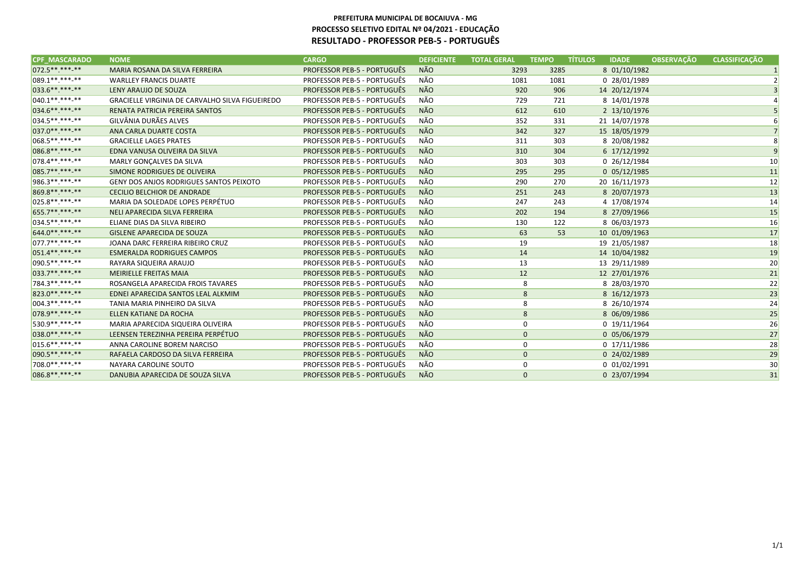| <b>CPF MASCARADO</b> | <b>NOME</b>                                            | <b>CARGO</b>                       | <b>DEFICIENTE</b> | <b>TOTAL GERAL</b> | <b>TEMPO</b> | <b>TÍTULOS</b> | <b>IDADE</b>      | <b>OBSERVAÇÃO</b> | <b>CLASSIFICAÇÃO</b> |    |
|----------------------|--------------------------------------------------------|------------------------------------|-------------------|--------------------|--------------|----------------|-------------------|-------------------|----------------------|----|
| 072.5 ** *** **      | MARIA ROSANA DA SILVA FERREIRA                         | <b>PROFESSOR PEB-5 - PORTUGUÊS</b> | <b>NÃO</b>        | 3293               | 3285         |                | 8 01/10/1982      |                   |                      |    |
| 089.1**.***-**       | <b>WARLLEY FRANCIS DUARTE</b>                          | <b>PROFESSOR PEB-5 - PORTUGUÊS</b> | NÃO               | 1081               | 1081         |                | 0 28/01/1989      |                   |                      |    |
| 033.6**.***.**       | LENY ARAUJO DE SOUZA                                   | PROFESSOR PEB-5 - PORTUGUÊS        | <b>NÃO</b>        | 920                | 906          |                | 14 20/12/1974     |                   |                      |    |
| $ 040.1******$       | <b>GRACIELLE VIRGINIA DE CARVALHO SILVA FIGUEIREDO</b> | <b>PROFESSOR PEB-5 - PORTUGUÊS</b> | NÃO               | 729                | 721          |                | 8 14/01/1978      |                   |                      |    |
| 034.6**.***-**       | RENATA PATRICIA PEREIRA SANTOS                         | <b>PROFESSOR PEB-5 - PORTUGUÊS</b> | <b>NÃO</b>        | 612                | 610          |                | 2 13/10/1976      |                   |                      |    |
| 034.5**.***.**       | GILVÂNIA DURÃES ALVES                                  | <b>PROFESSOR PEB-5 - PORTUGUÊS</b> | NÃO               | 352                | 331          |                | 21 14/07/1978     |                   |                      |    |
| 037.0**.***.**       | ANA CARLA DUARTE COSTA                                 | PROFESSOR PEB-5 - PORTUGUÊS        | <b>NÃO</b>        | 342                | 327          |                | 15 18/05/1979     |                   |                      |    |
| 068.5**.***-**       | <b>GRACIELLE LAGES PRATES</b>                          | PROFESSOR PEB-5 - PORTUGUÊS        | NÃO               | 311                | 303          |                | 8 20/08/1982      |                   |                      |    |
| 086.8** *** **       | EDNA VANUSA OLIVEIRA DA SILVA                          | <b>PROFESSOR PEB-5 - PORTUGUÊS</b> | <b>NÃO</b>        | 310                | 304          |                | 6 17/12/1992      |                   |                      |    |
| 078.4**.***.**       | MARLY GONÇALVES DA SILVA                               | <b>PROFESSOR PEB-5 - PORTUGUÊS</b> | NÃO               | 303                | 303          |                | 0 26/12/1984      |                   |                      | 10 |
| 085.7**.***-**       | SIMONE RODRIGUES DE OLIVEIRA                           | PROFESSOR PEB-5 - PORTUGUÊS        | <b>NÃO</b>        | 295                | 295          |                | $0$ 05/12/1985    |                   |                      | 11 |
| 986.3**.***.**       | <b>GENY DOS ANJOS RODRIGUES SANTOS PEIXOTO</b>         | <b>PROFESSOR PEB-5 - PORTUGUÊS</b> | NÃO               | 290                | 270          |                | 20 16/11/1973     |                   |                      | 12 |
| 869.8**.***.**       | <b>CECILIO BELCHIOR DE ANDRADE</b>                     | <b>PROFESSOR PEB-5 - PORTUGUÊS</b> | <b>NÃO</b>        | 251                | 243          |                | 8 20/07/1973      |                   |                      | 13 |
| 025.8**.***-**       | MARIA DA SOLEDADE LOPES PERPÉTUO                       | <b>PROFESSOR PEB-5 - PORTUGUÊS</b> | NÃO               | 247                | 243          |                | 4 17/08/1974      |                   |                      | 14 |
| 655.7**.***.**       | NELI APARECIDA SILVA FERREIRA                          | <b>PROFESSOR PEB-5 - PORTUGUÊS</b> | <b>NÃO</b>        | 202                | 194          |                | 8 27/09/1966      |                   |                      | 15 |
| $034.5*********$     | ELIANE DIAS DA SILVA RIBEIRO                           | <b>PROFESSOR PEB-5 - PORTUGUÊS</b> | NÃO               | 130                | 122          |                | 8 06/03/1973      |                   |                      | 16 |
| 644.0**.***-**       | <b>GISLENE APARECIDA DE SOUZA</b>                      | <b>PROFESSOR PEB-5 - PORTUGUÊS</b> | <b>NÃO</b>        | 63                 | 53           |                | 10 01/09/1963     |                   |                      | 17 |
| 077.7**.***-**       | JOANA DARC FERREIRA RIBEIRO CRUZ                       | <b>PROFESSOR PEB-5 - PORTUGUÊS</b> | NÃO               | 19                 |              |                | 19 21/05/1987     |                   |                      | 18 |
| 051.4********        | <b>ESMERALDA RODRIGUES CAMPOS</b>                      | <b>PROFESSOR PEB-5 - PORTUGUÊS</b> | <b>NÃO</b>        | 14                 |              |                | 14 10/04/1982     |                   |                      | 19 |
| 090.5**.***-**       | RAYARA SIQUEIRA ARAUJO                                 | <b>PROFESSOR PEB-5 - PORTUGUÊS</b> | NÃO               | 13                 |              |                | 13 29/11/1989     |                   |                      | 20 |
| 033.7**.***-**       | <b>MEIRIELLE FREITAS MAIA</b>                          | <b>PROFESSOR PEB-5 - PORTUGUÊS</b> | <b>NÃO</b>        | 12                 |              |                | 12 27/01/1976     |                   |                      | 21 |
| 784.3**.***-**       | ROSANGELA APARECIDA FROIS TAVARES                      | <b>PROFESSOR PEB-5 - PORTUGUÊS</b> | NÃO               |                    | 8            |                | 8 28/03/1970      |                   |                      | 22 |
| 823.0**.***.**       | EDNEI APARECIDA SANTOS LEAL ALKMIM                     | <b>PROFESSOR PEB-5 - PORTUGUÊS</b> | <b>NÃO</b>        |                    | 8            |                | 8 16/12/1973      |                   |                      | 23 |
| $ 004.3*********$    | TANIA MARIA PINHEIRO DA SILVA                          | <b>PROFESSOR PEB-5 - PORTUGUÊS</b> | NÃO               |                    | 8            |                | 8 26/10/1974      |                   |                      | 24 |
| 078.9**.***.**       | ELLEN KATIANE DA ROCHA                                 | <b>PROFESSOR PEB-5 - PORTUGUÊS</b> | <b>NÃO</b>        |                    | 8            |                | 8 06/09/1986      |                   |                      | 25 |
| 530.9**.***-**       | MARIA APARECIDA SIQUEIRA OLIVEIRA                      | <b>PROFESSOR PEB-5 - PORTUGUÊS</b> | NÃO               |                    | 0            |                | 0 19/11/1964      |                   |                      | 26 |
| 038.0**.***-**       | LEENSEN TEREZINHA PEREIRA PERPÉTUO                     | <b>PROFESSOR PEB-5 - PORTUGUÊS</b> | <b>NÃO</b>        |                    | $\mathbf 0$  |                | 0 05/06/1979      |                   |                      | 27 |
| $015.6*********$     | ANNA CAROLINE BOREM NARCISO                            | <b>PROFESSOR PEB-5 - PORTUGUÊS</b> | NÃO               |                    | 0            |                | 0 17/11/1986      |                   |                      | 28 |
| 090.5**.***.**       | RAFAELA CARDOSO DA SILVA FERREIRA                      | <b>PROFESSOR PEB-5 - PORTUGUÊS</b> | <b>NÃO</b>        |                    | $\mathbf{0}$ |                | 0 24/02/1989      |                   |                      | 29 |
| 708.0**.***-**       | NAYARA CAROLINE SOUTO                                  | <b>PROFESSOR PEB-5 - PORTUGUÊS</b> | NÃO               |                    | 0            |                | $0\ \ 01/02/1991$ |                   |                      | 30 |
| 086.8**.***-**       | DANUBIA APARECIDA DE SOUZA SILVA                       | <b>PROFESSOR PEB-5 - PORTUGUÊS</b> | <b>NÃO</b>        |                    | $\mathbf{0}$ |                | 0 23/07/1994      |                   |                      | 31 |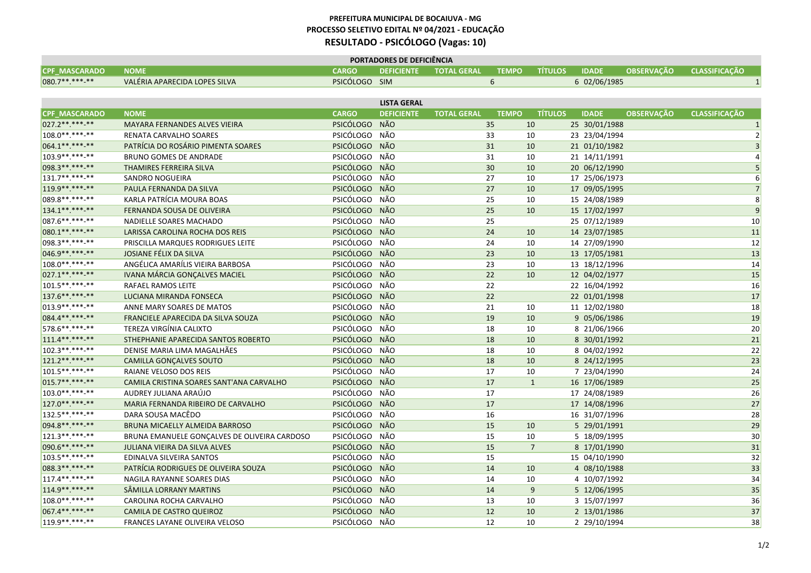|                      | <b>PORTADORES DE DEFICIÊNCIA</b> |               |  |                               |  |                      |              |                                 |  |  |
|----------------------|----------------------------------|---------------|--|-------------------------------|--|----------------------|--------------|---------------------------------|--|--|
| <b>CPF MASCARADO</b> | <b>NOME</b>                      | <b>CARGO</b>  |  | <b>DEFICIENTE TOTAL GERAL</b> |  | <b>TEMPO TÍTULOS</b> | <b>IDADE</b> | <b>OBSERVACÃO CLASSIFICACÃO</b> |  |  |
| $080.7*********$     | VALÉRIA APARECIDA LOPES SILVA    | PSICÓLOGO SIM |  |                               |  |                      | 6 02/06/1985 |                                 |  |  |
|                      |                                  |               |  |                               |  |                      |              |                                 |  |  |

|                      |                                              |               | <b>LISTA GERAL</b> |                    |              |                |               |                   |                      |
|----------------------|----------------------------------------------|---------------|--------------------|--------------------|--------------|----------------|---------------|-------------------|----------------------|
| <b>CPF MASCARADO</b> | <b>NOME</b>                                  | <b>CARGO</b>  | <b>DEFICIENTE</b>  | <b>TOTAL GERAL</b> | <b>TEMPO</b> | <b>TITULOS</b> | <b>IDADE</b>  | <b>OBSERVAÇÃO</b> | <b>CLASSIFICAÇÃO</b> |
| $027.2*********$     | <b>MAYARA FERNANDES ALVES VIEIRA</b>         | PSICÓLOGO NÃO |                    | 35                 |              | 10             | 25 30/01/1988 |                   | $\vert$ 1            |
| 108.0 **. ***- **    | RENATA CARVALHO SOARES                       | PSICÓLOGO NÃO |                    | 33                 |              | 10             | 23 23/04/1994 |                   | $\overline{2}$       |
| 064.1**.***-**       | PATRÍCIA DO ROSÁRIO PIMENTA SOARES           | PSICÓLOGO NÃO |                    | 31                 |              | 10             | 21 01/10/1982 |                   | 3                    |
| $103.9*********$     | <b>BRUNO GOMES DE ANDRADE</b>                | PSICÓLOGO NÃO |                    | 31                 |              | 10             | 21 14/11/1991 |                   | $\vert$              |
| 098.3**.***-**       | THAMIRES FERREIRA SILVA                      | PSICÓLOGO NÃO |                    | 30                 |              | 10             | 20 06/12/1990 |                   | 5                    |
| $131.7******$        | SANDRO NOGUEIRA                              | PSICÓLOGO NÃO |                    | 27                 |              | 10             | 17 25/06/1973 |                   | $6 \mid$             |
| 119.9**.***-**       | PAULA FERNANDA DA SILVA                      | PSICÓLOGO NÃO |                    | 27                 |              | 10             | 17 09/05/1995 |                   | 7                    |
| 089.8 ** *** -**     | KARLA PATRÍCIA MOURA BOAS                    | PSICÓLOGO NÃO |                    | 25                 |              | 10             | 15 24/08/1989 |                   | 8                    |
| 134.1**.***.**       | FERNANDA SOUSA DE OLIVEIRA                   | PSICÓLOGO NÃO |                    | 25                 |              | 10             | 15 17/02/1997 |                   | $\vert 9 \vert$      |
| $087.6*********$     | NADIELLE SOARES MACHADO                      | PSICÓLOGO NÃO |                    | 25                 |              |                | 25 07/12/1989 |                   | 10 <sup>°</sup>      |
| 080.1**.***-**       | LARISSA CAROLINA ROCHA DOS REIS              | PSICÓLOGO NÃO |                    | 24                 |              | 10             | 14 23/07/1985 |                   | 11                   |
| 098.3 **. ***- **    | PRISCILLA MARQUES RODRIGUES LEITE            | PSICÓLOGO NÃO |                    | 24                 |              | 10             | 14 27/09/1990 |                   | 12                   |
| 046.9 ** *** -**     | JOSIANE FÉLIX DA SILVA                       | PSICÓLOGO NÃO |                    | 23                 |              | 10             | 13 17/05/1981 |                   | 13                   |
| 108.0**.***-**       | ANGÉLICA AMARÍLIS VIEIRA BARBOSA             | PSICÓLOGO NÃO |                    | 23                 |              | 10             | 13 18/12/1996 |                   | 14                   |
| 027.1**.***-**       | IVANA MÁRCIA GONÇALVES MACIEL                | PSICÓLOGO NÃO |                    | 22                 |              | 10             | 12 04/02/1977 |                   | 15                   |
| 101.5 **. ***- **    | <b>RAFAEL RAMOS LEITE</b>                    | PSICÓLOGO NÃO |                    | 22                 |              |                | 22 16/04/1992 |                   | 16                   |
| $137.6*********$     | LUCIANA MIRANDA FONSECA                      | PSICÓLOGO NÃO |                    | 22                 |              |                | 22 01/01/1998 |                   | 17                   |
| $013.9******-*$      | ANNE MARY SOARES DE MATOS                    | PSICÓLOGO NÃO |                    | 21                 |              | 10             | 11 12/02/1980 |                   | 18                   |
| 084.4**.***.**       | FRANCIELE APARECIDA DA SILVA SOUZA           | PSICÓLOGO NÃO |                    | 19                 |              | 10             | 9 05/06/1986  |                   | 19                   |
| 578.6 **. ***-**     | TEREZA VIRGÍNIA CALIXTO                      | PSICÓLOGO NÃO |                    | 18                 |              | 10             | 8 21/06/1966  |                   | 20                   |
| $111.4******$        | STHEPHANIE APARECIDA SANTOS ROBERTO          | PSICÓLOGO NÃO |                    | 18                 |              | 10             | 8 30/01/1992  |                   | 21                   |
| $102.3*********$     | DENISE MARIA LIMA MAGALHÃES                  | PSICÓLOGO NÃO |                    | 18                 |              | 10             | 8 04/02/1992  |                   | 22                   |
| 121.2 ** *** -**     | <b>CAMILLA GONÇALVES SOUTO</b>               | PSICÓLOGO NÃO |                    | 18                 |              | 10             | 8 24/12/1995  |                   | 23                   |
| $101.5******-*$      | RAIANE VELOSO DOS REIS                       | PSICÓLOGO NÃO |                    | 17                 |              | 10             | 7 23/04/1990  |                   | 24                   |
| 015.7**.***.**       | CAMILA CRISTINA SOARES SANT'ANA CARVALHO     | PSICÓLOGO NÃO |                    | 17                 |              | $\mathbf{1}$   | 16 17/06/1989 |                   | 25                   |
| $103.0******-*$      | AUDREY JULIANA ARAÚJO                        | PSICÓLOGO NÃO |                    | 17                 |              |                | 17 24/08/1989 |                   | 26                   |
| $127.0******$        | MARIA FERNANDA RIBEIRO DE CARVALHO           | PSICÓLOGO NÃO |                    | 17                 |              |                | 17 14/08/1996 |                   | 27                   |
| 132.5 ** .*** -**    | DARA SOUSA MACÊDO                            | PSICÓLOGO NÃO |                    | 16                 |              |                | 16 31/07/1996 |                   | 28                   |
| 094.8**.***-**       | BRUNA MICAELLY ALMEIDA BARROSO               | PSICÓLOGO NÃO |                    | 15                 |              | 10             | 5 29/01/1991  |                   | 29                   |
| $121.3*********$     | BRUNA EMANUELE GONCALVES DE OLIVEIRA CARDOSO | PSICÓLOGO NÃO |                    | 15                 |              | 10             | 5 18/09/1995  |                   | 30                   |
| 090.6**.***-**       | <b>JULIANA VIEIRA DA SILVA ALVES</b>         | PSICÓLOGO NÃO |                    | 15                 |              | $\overline{7}$ | 8 17/01/1990  |                   | 31                   |
| $103.5*********$     | EDINALVA SILVEIRA SANTOS                     | PSICÓLOGO NÃO |                    | 15                 |              |                | 15 04/10/1990 |                   | 32                   |
| 088.3 ** *** -**     | PATRÍCIA RODRIGUES DE OLIVEIRA SOUZA         | PSICÓLOGO NÃO |                    | 14                 |              | 10             | 4 08/10/1988  |                   | 33                   |
| $117.4******$        | NAGILA RAYANNE SOARES DIAS                   | PSICÓLOGO NÃO |                    | 14                 |              | 10             | 4 10/07/1992  |                   | 34                   |
| 114.9 ** *** -**     | SÂMILLA LORRANY MARTINS                      | PSICÓLOGO NÃO |                    | 14                 |              | 9              | 5 12/06/1995  |                   | 35                   |
| 108.0**.***-**       | CAROLINA ROCHA CARVALHO                      | PSICÓLOGO NÃO |                    | 13                 |              | 10             | 3 15/07/1997  |                   | 36                   |
| 067.4**.***-**       | <b>CAMILA DE CASTRO QUEIROZ</b>              | PSICÓLOGO NÃO |                    | 12                 |              | 10             | 2 13/01/1986  |                   | 37                   |
| 119.9 ** *** -**     | <b>FRANCES LAYANE OLIVEIRA VELOSO</b>        | PSICÓLOGO NÃO |                    | 12                 |              | 10             | 2 29/10/1994  |                   | 38                   |
|                      |                                              |               |                    |                    |              |                |               |                   |                      |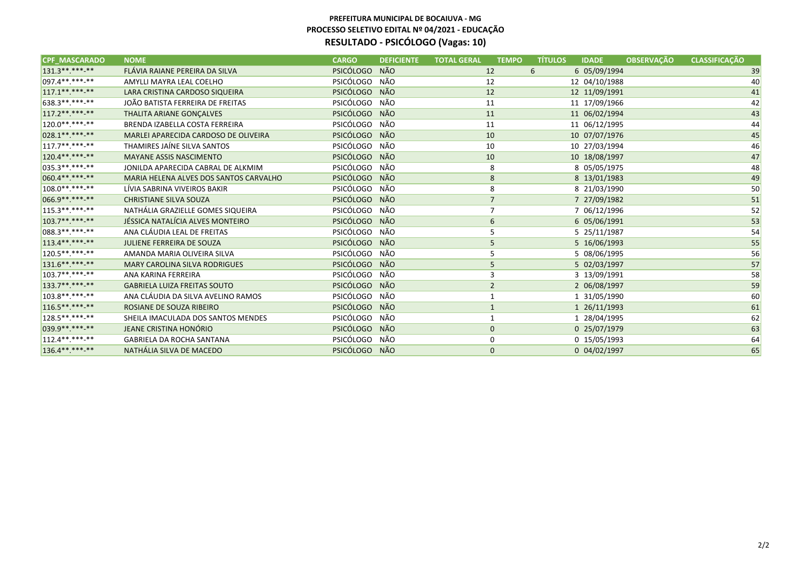| <b>CPF MASCARADO</b> | <b>NOME</b>                            | <b>CARGO</b>  | <b>DEFICIENTE</b> | <b>TOTAL GERAL</b> | <b>TEMPO</b>   | <b>TÍTULOS</b> | <b>IDADE</b>  | <b>OBSERVAÇÃO</b> | <b>CLASSIFICAÇÃO</b> |
|----------------------|----------------------------------------|---------------|-------------------|--------------------|----------------|----------------|---------------|-------------------|----------------------|
| $131.3*********$     | FLÁVIA RAIANE PEREIRA DA SILVA         | PSICÓLOGO NÃO |                   | 12                 |                | 6              | 6 05/09/1994  |                   | 39                   |
| $097.4******$        | AMYLLI MAYRA LEAL COELHO               | PSICÓLOGO NÃO |                   | 12                 |                |                | 12 04/10/1988 |                   | 40                   |
| $117.1******$        | LARA CRISTINA CARDOSO SIQUEIRA         | PSICÓLOGO NÃO |                   | 12                 |                |                | 12 11/09/1991 |                   | 41                   |
| 638.3 **. ***-**     | JOÃO BATISTA FERREIRA DE FREITAS       | PSICÓLOGO NÃO |                   | 11                 |                |                | 11 17/09/1966 |                   | 42                   |
| $117.2*********$     | THALITA ARIANE GONÇALVES               | PSICÓLOGO NÃO |                   | 11                 |                |                | 11 06/02/1994 |                   | 43                   |
| 120.0 ** *** -**     | BRENDA IZABELLA COSTA FERREIRA         | PSICÓLOGO NÃO |                   | 11                 |                |                | 11 06/12/1995 |                   | 44                   |
| 028.1**.***.**       | MARLEI APARECIDA CARDOSO DE OLIVEIRA   | PSICÓLOGO NÃO |                   | 10                 |                |                | 10 07/07/1976 |                   | 45                   |
| $117.7******$        | THAMIRES JAÍNE SILVA SANTOS            | PSICÓLOGO NÃO |                   | 10                 |                |                | 10 27/03/1994 |                   | 46                   |
| 120.4** *** **       | <b>MAYANE ASSIS NASCIMENTO</b>         | PSICÓLOGO NÃO |                   | 10                 |                |                | 10 18/08/1997 |                   | 47                   |
| $035.3*********$     | JONILDA APARECIDA CABRAL DE ALKMIM     | PSICÓLOGO NÃO |                   |                    | 8              |                | 8 05/05/1975  |                   | 48                   |
| 060.4**.***-**       | MARIA HELENA ALVES DOS SANTOS CARVALHO | PSICÓLOGO NÃO |                   |                    | 8              |                | 8 13/01/1983  |                   | 49                   |
| $108.0*********$     | LÍVIA SABRINA VIVEIROS BAKIR           | PSICÓLOGO NÃO |                   |                    | 8              |                | 8 21/03/1990  |                   | 50                   |
| 066.9**.***.**       | <b>CHRISTIANE SILVA SOUZA</b>          | PSICÓLOGO NÃO |                   |                    | $\overline{7}$ |                | 7 27/09/1982  |                   | 51                   |
| $115.3*********$     | NATHÁLIA GRAZIELLE GOMES SIQUEIRA      | PSICÓLOGO NÃO |                   |                    | $\overline{7}$ |                | 7 06/12/1996  |                   | 52                   |
| $103.7*********$     | JÉSSICA NATALÍCIA ALVES MONTEIRO       | PSICÓLOGO NÃO |                   |                    | 6              |                | 6 05/06/1991  |                   | 53                   |
| 088.3 ** *** -**     | ANA CLÁUDIA LEAL DE FREITAS            | PSICÓLOGO NÃO |                   |                    | 5              |                | 5 25/11/1987  |                   | 54                   |
| $113.4******$        | <b>JULIENE FERREIRA DE SOUZA</b>       | PSICÓLOGO NÃO |                   |                    | 5              |                | 5 16/06/1993  |                   | 55                   |
| 120.5 ** *** -**     | AMANDA MARIA OLIVEIRA SILVA            | PSICÓLOGO NÃO |                   |                    | 5              |                | 5 08/06/1995  |                   | 56                   |
| 131.6**.***-**       | <b>MARY CAROLINA SILVA RODRIGUES</b>   | PSICÓLOGO NÃO |                   |                    | 5              |                | 5 02/03/1997  |                   | 57                   |
| $103.7******$        | ANA KARINA FERREIRA                    | PSICÓLOGO NÃO |                   |                    | 3              |                | 3 13/09/1991  |                   | 58                   |
| 133.7**.***-**       | <b>GABRIELA LUIZA FREITAS SOUTO</b>    | PSICÓLOGO NÃO |                   |                    | $\overline{2}$ |                | 2 06/08/1997  |                   | 59                   |
| 103.8 ** *** **      | ANA CLÁUDIA DA SILVA AVELINO RAMOS     | PSICÓLOGO NÃO |                   |                    |                |                | 1 31/05/1990  |                   | 60                   |
| $116.5*********$     | ROSIANE DE SOUZA RIBEIRO               | PSICÓLOGO NÃO |                   |                    |                |                | 1 26/11/1993  |                   | 61                   |
| 128.5 **. ***- **    | SHEILA IMACULADA DOS SANTOS MENDES     | PSICÓLOGO NÃO |                   |                    |                |                | 1 28/04/1995  |                   | 62                   |
| 039.9 ** *** -**     | JEANE CRISTINA HONÓRIO                 | PSICÓLOGO NÃO |                   |                    | $\mathbf 0$    |                | 0 25/07/1979  |                   | 63                   |
| $112.4******$        | <b>GABRIELA DA ROCHA SANTANA</b>       | PSICÓLOGO NÃO |                   |                    | 0              |                | 0 15/05/1993  |                   | 64                   |
| 136.4**.***-**       | NATHÁLIA SILVA DE MACEDO               | PSICÓLOGO NÃO |                   |                    | $\mathbf{0}$   |                | 0 04/02/1997  |                   | 65                   |
|                      |                                        |               |                   |                    |                |                |               |                   |                      |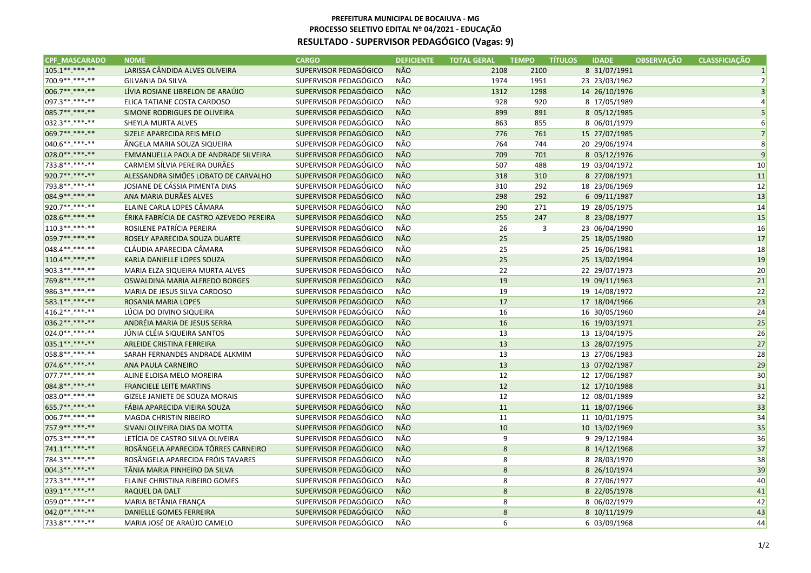| <b>CPF MASCARADO</b> | <b>NOME</b>                              | <b>CARGO</b>          | <b>DEFICIENTE</b> | <b>TOTAL GERAL</b> | <b>TEMPO</b> | <b>TÍTULOS</b> | <b>IDADE</b>  | <b>OBSERVAÇÃO</b> | <b>CLASSFICIAÇÃO</b> |
|----------------------|------------------------------------------|-----------------------|-------------------|--------------------|--------------|----------------|---------------|-------------------|----------------------|
| 105.1**.***-**       | LARISSA CÂNDIDA ALVES OLIVEIRA           | SUPERVISOR PEDAGÓGICO | <b>NÃO</b>        | 2108               | 2100         |                | 8 31/07/1991  |                   |                      |
| 700.9 **. ***- **    | <b>GILVANIA DA SILVA</b>                 | SUPERVISOR PEDAGÓGICO | NÃO               | 1974               | 1951         |                | 23 23/03/1962 |                   | $\mathcal{P}$        |
| 006.7**.***-**       | LÍVIA ROSIANE LIBRELON DE ARAÚJO         | SUPERVISOR PEDAGÓGICO | <b>NÃO</b>        | 1312               | 1298         |                | 14 26/10/1976 |                   |                      |
| 097.3 **. ***- **    | ELICA TATIANE COSTA CARDOSO              | SUPERVISOR PEDAGÓGICO | NÃO               | 928                | 920          |                | 8 17/05/1989  |                   |                      |
| 085.7**.***-**       | SIMONE RODRIGUES DE OLIVEIRA             | SUPERVISOR PEDAGÓGICO | <b>NÃO</b>        | 899                | 891          |                | 8 05/12/1985  |                   | 5                    |
| 032.3 **. ***- **    | SHEYLA MURTA ALVES                       | SUPERVISOR PEDAGÓGICO | NÃO               | 863                | 855          |                | 8 06/01/1979  |                   | 6                    |
| 069.7**.***-**       | SIZELE APARECIDA REIS MELO               | SUPERVISOR PEDAGÓGICO | <b>NÃO</b>        | 776                | 761          |                | 15 27/07/1985 |                   | $\overline{7}$       |
| 040.6**.***-**       | ÄNGELA MARIA SOUZA SIQUEIRA              | SUPERVISOR PEDAGÓGICO | NÃO               | 764                | 744          |                | 20 29/06/1974 |                   | 8                    |
| 028.0**.***-**       | EMMANUELLA PAOLA DE ANDRADE SILVEIRA     | SUPERVISOR PEDAGÓGICO | <b>NÃO</b>        | 709                | 701          |                | 8 03/12/1976  |                   | 9                    |
| 733.8**.***-**       | CARMEM SÍLVIA PEREIRA DURÃES             | SUPERVISOR PEDAGÓGICO | NÃO               | 507                | 488          |                | 19 03/04/1972 |                   | 10                   |
| 920.7**.***-**       | ALESSANDRA SIMÕES LOBATO DE CARVALHO     | SUPERVISOR PEDAGÓGICO | <b>NÃO</b>        | 318                | 310          |                | 8 27/08/1971  |                   | 11                   |
| 793.8**.***-**       | JOSIANE DE CÁSSIA PIMENTA DIAS           | SUPERVISOR PEDAGÓGICO | NÃO               | 310                | 292          |                | 18 23/06/1969 |                   | 12                   |
| 084.9**.***-**       | ANA MARIA DURÃES ALVES                   | SUPERVISOR PEDAGÓGICO | <b>NÃO</b>        | 298                | 292          |                | 6 09/11/1987  |                   | 13                   |
| 920.7**.***-**       | ELAINE CARLA LOPES CÂMARA                | SUPERVISOR PEDAGÓGICO | NÃO               | 290                | 271          |                | 19 28/05/1975 |                   | 14                   |
| 028.6 ** *** ***     | ÉRIKA FABRÍCIA DE CASTRO AZEVEDO PEREIRA | SUPERVISOR PEDAGÓGICO | NÃO               | 255                | 247          |                | 8 23/08/1977  |                   | 15                   |
| 110.3 **. ***-**     | ROSILENE PATRÍCIA PEREIRA                | SUPERVISOR PEDAGÓGICO | NÃO               | 26                 | 3            |                | 23 06/04/1990 |                   | 16                   |
| 059.7**.***-**       | ROSELY APARECIDA SOUZA DUARTE            | SUPERVISOR PEDAGÓGICO | <b>NÃO</b>        | 25                 |              |                | 25 18/05/1980 |                   | 17                   |
| 048.4**.***-**       | CLÁUDIA APARECIDA CÂMARA                 | SUPERVISOR PEDAGÓGICO | NÃO               | 25                 |              |                | 25 16/06/1981 |                   | 18                   |
| $110.4*********$     | KARLA DANIELLE LOPES SOUZA               | SUPERVISOR PEDAGÓGICO | <b>NÃO</b>        | 25                 |              |                | 25 13/02/1994 |                   | 19                   |
| 903.3**.***-**       | MARIA ELZA SIQUEIRA MURTA ALVES          | SUPERVISOR PEDAGÓGICO | NÃO               | 22                 |              |                | 22 29/07/1973 |                   | 20                   |
| 769.8**.***-**       | OSWALDINA MARIA ALFREDO BORGES           | SUPERVISOR PEDAGÓGICO | <b>NÃO</b>        | 19                 |              |                | 19 09/11/1963 |                   | 21                   |
| 986.3**.***-**       | MARIA DE JESUS SILVA CARDOSO             | SUPERVISOR PEDAGÓGICO | NÃO               | 19                 |              |                | 19 14/08/1972 |                   | 22                   |
| 583.1**.***-**       | ROSANIA MARIA LOPES                      | SUPERVISOR PEDAGÓGICO | <b>NÃO</b>        | 17                 |              |                | 17 18/04/1966 |                   | 23                   |
| 416.2 **. ***- **    | LÚCIA DO DIVINO SIQUEIRA                 | SUPERVISOR PEDAGÓGICO | NÃO               | 16                 |              |                | 16 30/05/1960 |                   | 24                   |
| 036.2 ** *** ***     | ANDRÉIA MARIA DE JESUS SERRA             | SUPERVISOR PEDAGÓGICO | <b>NÃO</b>        | 16                 |              |                | 16 19/03/1971 |                   | 25                   |
| 024.0**.***-**       | JÚNIA CLÉIA SIQUEIRA SANTOS              | SUPERVISOR PEDAGÓGICO | NÃO               | 13                 |              |                | 13 13/04/1975 |                   | 26                   |
| 035.1**.***-**       | ARLEIDE CRISTINA FERREIRA                | SUPERVISOR PEDAGÓGICO | <b>NÃO</b>        | 13                 |              |                | 13 28/07/1975 |                   | 27                   |
| 058.8 **. ***-**     | SARAH FERNANDES ANDRADE ALKMIM           | SUPERVISOR PEDAGÓGICO | NÃO               | 13                 |              |                | 13 27/06/1983 |                   | 28                   |
| 074.6**.***-**       | ANA PAULA CARNEIRO                       | SUPERVISOR PEDAGÓGICO | <b>NÃO</b>        | 13                 |              |                | 13 07/02/1987 |                   | 29                   |
| $077.7*********$     | ALINE ELOISA MELO MOREIRA                | SUPERVISOR PEDAGÓGICO | NÃO               | 12                 |              |                | 12 17/06/1987 |                   | 30                   |
| 084.8**.***-**       | <b>FRANCIELE LEITE MARTINS</b>           | SUPERVISOR PEDAGÓGICO | <b>NÃO</b>        | 12                 |              |                | 12 17/10/1988 |                   | 31                   |
| 083.0**.***-**       | GIZELE JANIETE DE SOUZA MORAIS           | SUPERVISOR PEDAGÓGICO | NÃO               | 12                 |              |                | 12 08/01/1989 |                   | 32                   |
| 655.7**.***-**       | FÁBIA APARECIDA VIEIRA SOUZA             | SUPERVISOR PEDAGÓGICO | <b>NÃO</b>        | 11                 |              |                | 11 18/07/1966 |                   | 33                   |
| 006.7**.***-**       | <b>MAGDA CHRISTIN RIBEIRO</b>            | SUPERVISOR PEDAGÓGICO | NÃO               | 11                 |              |                | 11 10/01/1975 |                   | 34                   |
| 757.9 ** ***-**      | SIVANI OLIVEIRA DIAS DA MOTTA            | SUPERVISOR PEDAGÓGICO | <b>NÃO</b>        | 10                 |              |                | 10 13/02/1969 |                   | 35                   |
| 075.3 **. ***-**     | LETÍCIA DE CASTRO SILVA OLIVEIRA         | SUPERVISOR PEDAGÓGICO | NÃO               | 9                  |              |                | 9 29/12/1984  |                   | 36                   |
| 741.1**.***.**       | ROSÂNGELA APARECIDA TÔRRES CARNEIRO      | SUPERVISOR PEDAGÓGICO | <b>NÃO</b>        | 8                  |              |                | 8 14/12/1968  |                   | 37                   |
| 784.3**.***-**       | ROSÂNGELA APARECIDA FRÓIS TAVARES        | SUPERVISOR PEDAGÓGICO | NÃO               | 8                  |              |                | 8 28/03/1970  |                   | 38                   |
| 004.3**.***-**       | TÂNIA MARIA PINHEIRO DA SILVA            | SUPERVISOR PEDAGÓGICO | <b>NÃO</b>        | 8                  |              |                | 8 26/10/1974  |                   | 39                   |
| 273.3 **. ***- **    | ELAINE CHRISTINA RIBEIRO GOMES           | SUPERVISOR PEDAGÓGICO | NÃO               | 8                  |              |                | 8 27/06/1977  |                   | 40                   |
| 039.1**.***-**       | RAQUEL DA DALT                           | SUPERVISOR PEDAGÓGICO | <b>NÃO</b>        | 8                  |              |                | 8 22/05/1978  |                   | 41                   |
| 059.0**.***-**       | MARIA BETÂNIA FRANÇA                     | SUPERVISOR PEDAGÓGICO | NÃO               | 8                  |              |                | 8 06/02/1979  |                   | 42                   |
| 042.0**.***-**       | DANIELLE GOMES FERREIRA                  | SUPERVISOR PEDAGÓGICO | <b>NÃO</b>        | $\bf 8$            |              |                | 8 10/11/1979  |                   | 43                   |
| 733.8**.***-**       | MARIA JOSÉ DE ARAÚJO CAMELO              | SUPERVISOR PEDAGÓGICO | NÃO               | 6                  |              |                | 6 03/09/1968  |                   | 44                   |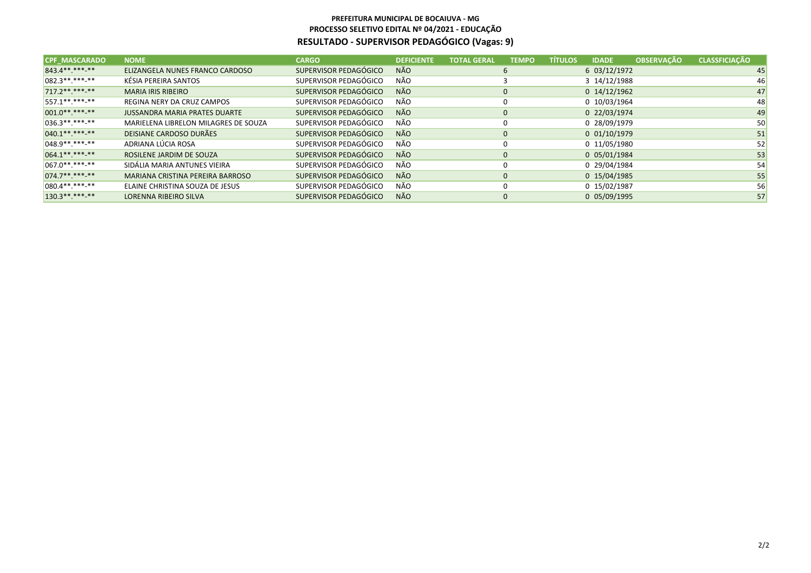| <b>CPF MASCARADO</b> | <b>NOME</b>                          | <b>CARGO</b>          | <b>DEFICIENTE</b> | <b>TOTAL GERAL</b> | <b>TEMPO</b> | <b>TÍTULOS</b> | <b>IDADE</b>     | <b>OBSERVAÇÃO</b> | <b>CLASSFICIAÇÃO</b> |
|----------------------|--------------------------------------|-----------------------|-------------------|--------------------|--------------|----------------|------------------|-------------------|----------------------|
| 843.4**.***-**       | ELIZANGELA NUNES FRANCO CARDOSO      | SUPERVISOR PEDAGÓGICO | <b>NÃO</b>        |                    | 6            |                | 6 03/12/1972     |                   | 45                   |
| $ 082.3*********$    | KÉSIA PEREIRA SANTOS                 | SUPERVISOR PEDAGÓGICO | NÃO               |                    |              |                | 3 14/12/1988     |                   | 46                   |
| $717.2*********$     | <b>MARIA IRIS RIBEIRO</b>            | SUPERVISOR PEDAGÓGICO | <b>NÃO</b>        |                    | $\mathbf{0}$ |                | $0$ 14/12/1962   |                   | 47                   |
| $557.1******$        | <b>REGINA NERY DA CRUZ CAMPOS</b>    | SUPERVISOR PEDAGÓGICO | NÃO               |                    | 0            |                | 0 10/03/1964     |                   | 48                   |
| $001.0*********$     | <b>JUSSANDRA MARIA PRATES DUARTE</b> | SUPERVISOR PEDAGÓGICO | <b>NÃO</b>        |                    | $\mathbf{0}$ |                | 0 22/03/1974     |                   | 49                   |
| $036.3*********$     | MARIELENA LIBRELON MILAGRES DE SOUZA | SUPERVISOR PEDAGÓGICO | NÃO               |                    | $\Omega$     |                | 0 28/09/1979     |                   | 50                   |
| $040.1*********$     | DEISIANE CARDOSO DURÃES              | SUPERVISOR PEDAGÓGICO | <b>NÃO</b>        |                    | $\mathbf{0}$ |                | $0$ $01/10/1979$ |                   | 51                   |
| $1048.9*********$    | ADRIANA LÚCIA ROSA                   | SUPERVISOR PEDAGÓGICO | NÃO               |                    | $\Omega$     |                | 0 11/05/1980     |                   | 52                   |
| $064.1******$        | ROSILENE JARDIM DE SOUZA             | SUPERVISOR PEDAGÓGICO | <b>NÃO</b>        |                    | $\Omega$     |                | 0 05/01/1984     |                   | 53                   |
| $ 067.0*********$    | SIDÁLIA MARIA ANTUNES VIEIRA         | SUPERVISOR PEDAGÓGICO | NÃO               |                    | 0            |                | 0 29/04/1984     |                   | 54                   |
| $074.7******$        | MARIANA CRISTINA PEREIRA BARROSO     | SUPERVISOR PEDAGÓGICO | <b>NÃO</b>        |                    | $\mathbf{0}$ |                | 0 15/04/1985     |                   | 55                   |
| $080.4*********$     | ELAINE CHRISTINA SOUZA DE JESUS      | SUPERVISOR PEDAGÓGICO | NÃO               |                    | $\Omega$     |                | 0 15/02/1987     |                   | 56                   |
| $130.3*********$     | LORENNA RIBEIRO SILVA                | SUPERVISOR PEDAGÓGICO | <b>NÃO</b>        |                    | $\mathbf{0}$ |                | 0 05/09/1995     |                   | 57                   |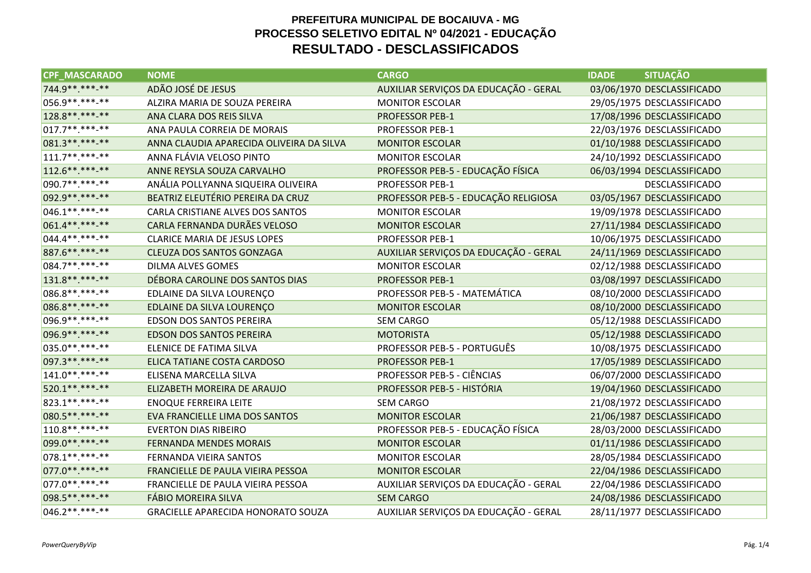| <b>CPF MASCARADO</b> | <b>NOME</b>                               | <b>CARGO</b>                          | <b>SITUAÇÃO</b><br><b>IDADE</b> |
|----------------------|-------------------------------------------|---------------------------------------|---------------------------------|
| 744.9 ** *** -**     | ADÃO JOSÉ DE JESUS                        | AUXILIAR SERVIÇOS DA EDUCAÇÃO - GERAL | 03/06/1970 DESCLASSIFICADO      |
| 056.9 ** *** -**     | ALZIRA MARIA DE SOUZA PEREIRA             | <b>MONITOR ESCOLAR</b>                | 29/05/1975 DESCLASSIFICADO      |
| 128.8 ** *** -**     | ANA CLARA DOS REIS SILVA                  | <b>PROFESSOR PEB-1</b>                | 17/08/1996 DESCLASSIFICADO      |
| $017.7******$        | ANA PAULA CORREIA DE MORAIS               | <b>PROFESSOR PEB-1</b>                | 22/03/1976 DESCLASSIFICADO      |
| 081.3 ** *** -**     | ANNA CLAUDIA APARECIDA OLIVEIRA DA SILVA  | <b>MONITOR ESCOLAR</b>                | 01/10/1988 DESCLASSIFICADO      |
| $111.7******$        | ANNA FLÁVIA VELOSO PINTO                  | <b>MONITOR ESCOLAR</b>                | 24/10/1992 DESCLASSIFICADO      |
| 112.6 ** *** -**     | ANNE REYSLA SOUZA CARVALHO                | PROFESSOR PEB-5 - EDUCAÇÃO FÍSICA     | 06/03/1994 DESCLASSIFICADO      |
| 090.7**.***-**       | ANÁLIA POLLYANNA SIQUEIRA OLIVEIRA        | PROFESSOR PEB-1                       | <b>DESCLASSIFICADO</b>          |
| 092.9 ** *** -**     | BEATRIZ ELEUTÉRIO PEREIRA DA CRUZ         | PROFESSOR PEB-5 - EDUCAÇÃO RELIGIOSA  | 03/05/1967 DESCLASSIFICADO      |
| $046.1******$        | CARLA CRISTIANE ALVES DOS SANTOS          | <b>MONITOR ESCOLAR</b>                | 19/09/1978 DESCLASSIFICADO      |
| 061.4**.***-**       | CARLA FERNANDA DURÃES VELOSO              | <b>MONITOR ESCOLAR</b>                | 27/11/1984 DESCLASSIFICADO      |
| $044.4******$        | <b>CLARICE MARIA DE JESUS LOPES</b>       | <b>PROFESSOR PEB-1</b>                | 10/06/1975 DESCLASSIFICADO      |
| 887.6 ** *** -**     | <b>CLEUZA DOS SANTOS GONZAGA</b>          | AUXILIAR SERVIÇOS DA EDUCAÇÃO - GERAL | 24/11/1969 DESCLASSIFICADO      |
| 084.7 ** *** -**     | <b>DILMA ALVES GOMES</b>                  | <b>MONITOR ESCOLAR</b>                | 02/12/1988 DESCLASSIFICADO      |
| 131.8 ** *** -**     | DÉBORA CAROLINE DOS SANTOS DIAS           | <b>PROFESSOR PEB-1</b>                | 03/08/1997 DESCLASSIFICADO      |
| 086.8**.***-**       | EDLAINE DA SILVA LOURENÇO                 | PROFESSOR PEB-5 - MATEMÁTICA          | 08/10/2000 DESCLASSIFICADO      |
| 086.8**.***-**       | EDLAINE DA SILVA LOURENÇO                 | <b>MONITOR ESCOLAR</b>                | 08/10/2000 DESCLASSIFICADO      |
| 096.9 ** *** -**     | EDSON DOS SANTOS PEREIRA                  | <b>SEM CARGO</b>                      | 05/12/1988 DESCLASSIFICADO      |
| 096.9**.***-**       | <b>EDSON DOS SANTOS PEREIRA</b>           | <b>MOTORISTA</b>                      | 05/12/1988 DESCLASSIFICADO      |
| 035.0 **. ***- **    | ELENICE DE FATIMA SILVA                   | PROFESSOR PEB-5 - PORTUGUÊS           | 10/08/1975 DESCLASSIFICADO      |
| 097.3 ** *** -**     | ELICA TATIANE COSTA CARDOSO               | <b>PROFESSOR PEB-1</b>                | 17/05/1989 DESCLASSIFICADO      |
| $141.0******$        | ELISENA MARCELLA SILVA                    | PROFESSOR PEB-5 - CIÊNCIAS            | 06/07/2000 DESCLASSIFICADO      |
| 520.1**.***-**       | ELIZABETH MOREIRA DE ARAUJO               | PROFESSOR PEB-5 - HISTÓRIA            | 19/04/1960 DESCLASSIFICADO      |
| 823.1 ** *** -**     | <b>ENOQUE FERREIRA LEITE</b>              | SEM CARGO                             | 21/08/1972 DESCLASSIFICADO      |
| 080.5 **. ***- **    | EVA FRANCIELLE LIMA DOS SANTOS            | <b>MONITOR ESCOLAR</b>                | 21/06/1987 DESCLASSIFICADO      |
| $110.8*********$     | <b>EVERTON DIAS RIBEIRO</b>               | PROFESSOR PEB-5 - EDUCAÇÃO FÍSICA     | 28/03/2000 DESCLASSIFICADO      |
| 099.0 ** *** -**     | <b>FERNANDA MENDES MORAIS</b>             | <b>MONITOR ESCOLAR</b>                | 01/11/1986 DESCLASSIFICADO      |
| 078.1 ** *** -**     | FERNANDA VIEIRA SANTOS                    | <b>MONITOR ESCOLAR</b>                | 28/05/1984 DESCLASSIFICADO      |
| 077.0 ** *** -**     | FRANCIELLE DE PAULA VIEIRA PESSOA         | <b>MONITOR ESCOLAR</b>                | 22/04/1986 DESCLASSIFICADO      |
| 077.0 **. ***- **    | FRANCIELLE DE PAULA VIEIRA PESSOA         | AUXILIAR SERVIÇOS DA EDUCAÇÃO - GERAL | 22/04/1986 DESCLASSIFICADO      |
| 098.5 ** *** -**     | <b>FÁBIO MOREIRA SILVA</b>                | <b>SEM CARGO</b>                      | 24/08/1986 DESCLASSIFICADO      |
| $046.2*********$     | <b>GRACIELLE APARECIDA HONORATO SOUZA</b> | AUXILIAR SERVIÇOS DA EDUCAÇÃO - GERAL | 28/11/1977 DESCLASSIFICADO      |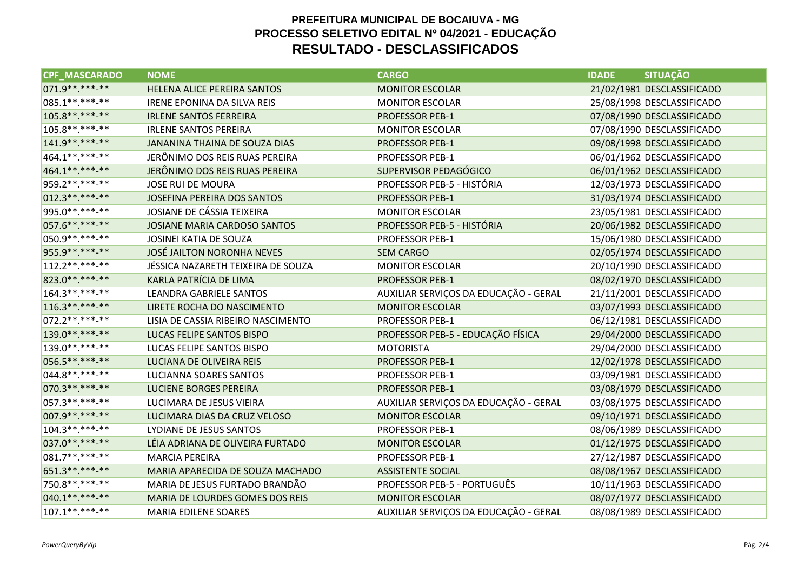| <b>CPF MASCARADO</b> | <b>NOME</b>                        | <b>CARGO</b>                          | <b>SITUAÇÃO</b><br><b>IDADE</b> |
|----------------------|------------------------------------|---------------------------------------|---------------------------------|
| 071.9**.***-**       | HELENA ALICE PEREIRA SANTOS        | <b>MONITOR ESCOLAR</b>                | 21/02/1981 DESCLASSIFICADO      |
| 085.1 **. ***- **    | <b>IRENE EPONINA DA SILVA REIS</b> | <b>MONITOR ESCOLAR</b>                | 25/08/1998 DESCLASSIFICADO      |
| 105.8 ** *** -**     | <b>IRLENE SANTOS FERREIRA</b>      | <b>PROFESSOR PEB-1</b>                | 07/08/1990 DESCLASSIFICADO      |
| 105.8**.***-**       | <b>IRLENE SANTOS PEREIRA</b>       | <b>MONITOR ESCOLAR</b>                | 07/08/1990 DESCLASSIFICADO      |
| 141.9 ** ***-**      | JANANINA THAINA DE SOUZA DIAS      | <b>PROFESSOR PEB-1</b>                | 09/08/1998 DESCLASSIFICADO      |
| 464.1 ** *** -**     | JERÔNIMO DOS REIS RUAS PEREIRA     | <b>PROFESSOR PEB-1</b>                | 06/01/1962 DESCLASSIFICADO      |
| 464.1**.***-**       | JERÔNIMO DOS REIS RUAS PEREIRA     | SUPERVISOR PEDAGÓGICO                 | 06/01/1962 DESCLASSIFICADO      |
| 959.2 ** *** -**     | <b>JOSE RUI DE MOURA</b>           | PROFESSOR PEB-5 - HISTÓRIA            | 12/03/1973 DESCLASSIFICADO      |
| 012.3 ** *** -**     | JOSEFINA PEREIRA DOS SANTOS        | <b>PROFESSOR PEB-1</b>                | 31/03/1974 DESCLASSIFICADO      |
| 995.0**.***-**       | JOSIANE DE CÁSSIA TEIXEIRA         | <b>MONITOR ESCOLAR</b>                | 23/05/1981 DESCLASSIFICADO      |
| 057.6 ** *** -**     | JOSIANE MARIA CARDOSO SANTOS       | PROFESSOR PEB-5 - HISTÓRIA            | 20/06/1982 DESCLASSIFICADO      |
| 050.9 ** *** -**     | JOSINEI KATIA DE SOUZA             | <b>PROFESSOR PEB-1</b>                | 15/06/1980 DESCLASSIFICADO      |
| 955.9**.***-**       | <b>JOSÉ JAILTON NORONHA NEVES</b>  | <b>SEM CARGO</b>                      | 02/05/1974 DESCLASSIFICADO      |
| $112.2*********$     | JÉSSICA NAZARETH TEIXEIRA DE SOUZA | <b>MONITOR ESCOLAR</b>                | 20/10/1990 DESCLASSIFICADO      |
| 823.0 ** *** ***     | KARLA PATRÍCIA DE LIMA             | <b>PROFESSOR PEB-1</b>                | 08/02/1970 DESCLASSIFICADO      |
| 164.3 ** *** -**     | LEANDRA GABRIELE SANTOS            | AUXILIAR SERVIÇOS DA EDUCAÇÃO - GERAL | 21/11/2001 DESCLASSIFICADO      |
| $116.3*********$     | LIRETE ROCHA DO NASCIMENTO         | <b>MONITOR ESCOLAR</b>                | 03/07/1993 DESCLASSIFICADO      |
| 072.2 ** *** -**     | LISIA DE CASSIA RIBEIRO NASCIMENTO | PROFESSOR PEB-1                       | 06/12/1981 DESCLASSIFICADO      |
| 139.0 ** *** -**     | LUCAS FELIPE SANTOS BISPO          | PROFESSOR PEB-5 - EDUCAÇÃO FÍSICA     | 29/04/2000 DESCLASSIFICADO      |
| 139.0 ** *** -**     | LUCAS FELIPE SANTOS BISPO          | <b>MOTORISTA</b>                      | 29/04/2000 DESCLASSIFICADO      |
| 056.5**.***-**       | LUCIANA DE OLIVEIRA REIS           | <b>PROFESSOR PEB-1</b>                | 12/02/1978 DESCLASSIFICADO      |
| 044.8 ** *** -**     | LUCIANNA SOARES SANTOS             | <b>PROFESSOR PEB-1</b>                | 03/09/1981 DESCLASSIFICADO      |
| 070.3 ** *** -**     | <b>LUCIENE BORGES PEREIRA</b>      | <b>PROFESSOR PEB-1</b>                | 03/08/1979 DESCLASSIFICADO      |
| 057.3 ** *** -**     | LUCIMARA DE JESUS VIEIRA           | AUXILIAR SERVIÇOS DA EDUCAÇÃO - GERAL | 03/08/1975 DESCLASSIFICADO      |
| 007.9 ** *** -**     | LUCIMARA DIAS DA CRUZ VELOSO       | <b>MONITOR ESCOLAR</b>                | 09/10/1971 DESCLASSIFICADO      |
| 104.3 **. ***- **    | LYDIANE DE JESUS SANTOS            | <b>PROFESSOR PEB-1</b>                | 08/06/1989 DESCLASSIFICADO      |
| 037.0 ** *** -**     | LÉIA ADRIANA DE OLIVEIRA FURTADO   | <b>MONITOR ESCOLAR</b>                | 01/12/1975 DESCLASSIFICADO      |
| 081.7**.***-**       | <b>MARCIA PEREIRA</b>              | <b>PROFESSOR PEB-1</b>                | 27/12/1987 DESCLASSIFICADO      |
| 651.3 ** *** -**     | MARIA APARECIDA DE SOUZA MACHADO   | <b>ASSISTENTE SOCIAL</b>              | 08/08/1967 DESCLASSIFICADO      |
| 750.8**.***-**       | MARIA DE JESUS FURTADO BRANDÃO     | PROFESSOR PEB-5 - PORTUGUÊS           | 10/11/1963 DESCLASSIFICADO      |
| 040.1 ** *** -**     | MARIA DE LOURDES GOMES DOS REIS    | <b>MONITOR ESCOLAR</b>                | 08/07/1977 DESCLASSIFICADO      |
| 107.1 ** *** -**     | <b>MARIA EDILENE SOARES</b>        | AUXILIAR SERVIÇOS DA EDUCAÇÃO - GERAL | 08/08/1989 DESCLASSIFICADO      |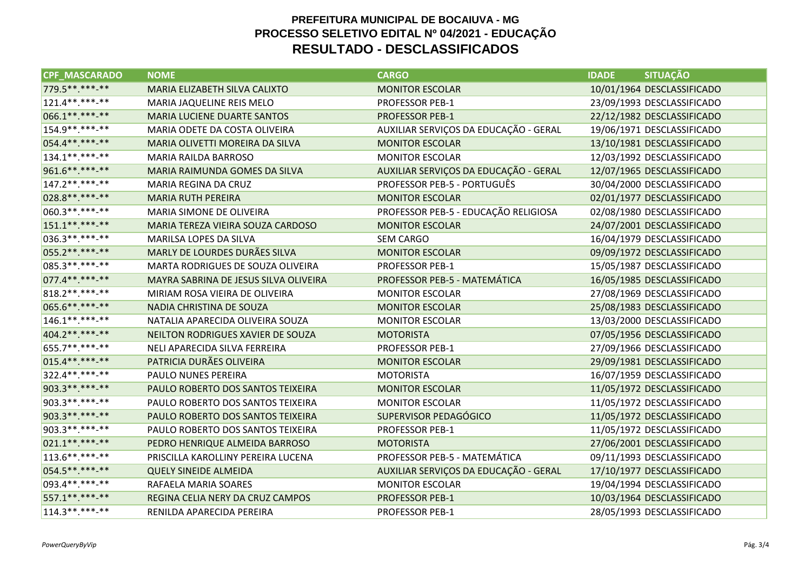| <b>CPF MASCARADO</b> | <b>NOME</b>                           | <b>CARGO</b>                          | <b>SITUAÇÃO</b><br><b>IDADE</b> |
|----------------------|---------------------------------------|---------------------------------------|---------------------------------|
| 779.5 ** *** -**     | MARIA ELIZABETH SILVA CALIXTO         | <b>MONITOR ESCOLAR</b>                | 10/01/1964 DESCLASSIFICADO      |
| 121.4**.***-**       | MARIA JAQUELINE REIS MELO             | PROFESSOR PEB-1                       | 23/09/1993 DESCLASSIFICADO      |
| 066.1 ** *** -**     | <b>MARIA LUCIENE DUARTE SANTOS</b>    | <b>PROFESSOR PEB-1</b>                | 22/12/1982 DESCLASSIFICADO      |
| 154.9**.***-**       | MARIA ODETE DA COSTA OLIVEIRA         | AUXILIAR SERVIÇOS DA EDUCAÇÃO - GERAL | 19/06/1971 DESCLASSIFICADO      |
| 054.4**.***-**       | MARIA OLIVETTI MOREIRA DA SILVA       | <b>MONITOR ESCOLAR</b>                | 13/10/1981 DESCLASSIFICADO      |
| 134.1 ** *** -**     | MARIA RAILDA BARROSO                  | <b>MONITOR ESCOLAR</b>                | 12/03/1992 DESCLASSIFICADO      |
| 961.6**.***-**       | MARIA RAIMUNDA GOMES DA SILVA         | AUXILIAR SERVIÇOS DA EDUCAÇÃO - GERAL | 12/07/1965 DESCLASSIFICADO      |
| 147.2 ** *** -**     | MARIA REGINA DA CRUZ                  | PROFESSOR PEB-5 - PORTUGUÊS           | 30/04/2000 DESCLASSIFICADO      |
| 028.8 ** *** -**     | <b>MARIA RUTH PEREIRA</b>             | <b>MONITOR ESCOLAR</b>                | 02/01/1977 DESCLASSIFICADO      |
| 060.3 **. ***- **    | MARIA SIMONE DE OLIVEIRA              | PROFESSOR PEB-5 - EDUCAÇÃO RELIGIOSA  | 02/08/1980 DESCLASSIFICADO      |
| 151.1**.***-**       | MARIA TEREZA VIEIRA SOUZA CARDOSO     | <b>MONITOR ESCOLAR</b>                | 24/07/2001 DESCLASSIFICADO      |
| 036.3 **. ***- **    | MARILSA LOPES DA SILVA                | <b>SEM CARGO</b>                      | 16/04/1979 DESCLASSIFICADO      |
| 055.2 ** *** -**     | MARLY DE LOURDES DURÃES SILVA         | <b>MONITOR ESCOLAR</b>                | 09/09/1972 DESCLASSIFICADO      |
| 085.3 **. ***- **    | MARTA RODRIGUES DE SOUZA OLIVEIRA     | <b>PROFESSOR PEB-1</b>                | 15/05/1987 DESCLASSIFICADO      |
| 077.4 ** *** -**     | MAYRA SABRINA DE JESUS SILVA OLIVEIRA | PROFESSOR PEB-5 - MATEMÁTICA          | 16/05/1985 DESCLASSIFICADO      |
| 818.2 ** *** -**     | MIRIAM ROSA VIEIRA DE OLIVEIRA        | <b>MONITOR ESCOLAR</b>                | 27/08/1969 DESCLASSIFICADO      |
| 065.6**.***-**       | NADIA CHRISTINA DE SOUZA              | <b>MONITOR ESCOLAR</b>                | 25/08/1983 DESCLASSIFICADO      |
| 146.1 ** *** -**     | NATALIA APARECIDA OLIVEIRA SOUZA      | <b>MONITOR ESCOLAR</b>                | 13/03/2000 DESCLASSIFICADO      |
| 404.2 ** ***-**      | NEILTON RODRIGUES XAVIER DE SOUZA     | <b>MOTORISTA</b>                      | 07/05/1956 DESCLASSIFICADO      |
| 655.7**.***-**       | NELI APARECIDA SILVA FERREIRA         | <b>PROFESSOR PEB-1</b>                | 27/09/1966 DESCLASSIFICADO      |
| $015.4******$        | PATRICIA DURÃES OLIVEIRA              | <b>MONITOR ESCOLAR</b>                | 29/09/1981 DESCLASSIFICADO      |
| 322.4 ** *** -**     | PAULO NUNES PEREIRA                   | <b>MOTORISTA</b>                      | 16/07/1959 DESCLASSIFICADO      |
| 903.3**.***-**       | PAULO ROBERTO DOS SANTOS TEIXEIRA     | <b>MONITOR ESCOLAR</b>                | 11/05/1972 DESCLASSIFICADO      |
| 903.3**.***-**       | PAULO ROBERTO DOS SANTOS TEIXEIRA     | <b>MONITOR ESCOLAR</b>                | 11/05/1972 DESCLASSIFICADO      |
| 903.3 ** *** ***     | PAULO ROBERTO DOS SANTOS TEIXEIRA     | SUPERVISOR PEDAGÓGICO                 | 11/05/1972 DESCLASSIFICADO      |
| 903.3 **. ***- **    | PAULO ROBERTO DOS SANTOS TEIXEIRA     | <b>PROFESSOR PEB-1</b>                | 11/05/1972 DESCLASSIFICADO      |
| 021.1**.***-**       | PEDRO HENRIQUE ALMEIDA BARROSO        | <b>MOTORISTA</b>                      | 27/06/2001 DESCLASSIFICADO      |
| $113.6*********$     | PRISCILLA KAROLLINY PEREIRA LUCENA    | PROFESSOR PEB-5 - MATEMÁTICA          | 09/11/1993 DESCLASSIFICADO      |
| 054.5 ** *** -**     | <b>QUELY SINEIDE ALMEIDA</b>          | AUXILIAR SERVIÇOS DA EDUCAÇÃO - GERAL | 17/10/1977 DESCLASSIFICADO      |
| 093.4 ** ** * * * *  | RAFAELA MARIA SOARES                  | <b>MONITOR ESCOLAR</b>                | 19/04/1994 DESCLASSIFICADO      |
| 557.1 ** *** -**     | REGINA CELIA NERY DA CRUZ CAMPOS      | <b>PROFESSOR PEB-1</b>                | 10/03/1964 DESCLASSIFICADO      |
| $114.3******$        | RENILDA APARECIDA PEREIRA             | <b>PROFESSOR PEB-1</b>                | 28/05/1993 DESCLASSIFICADO      |